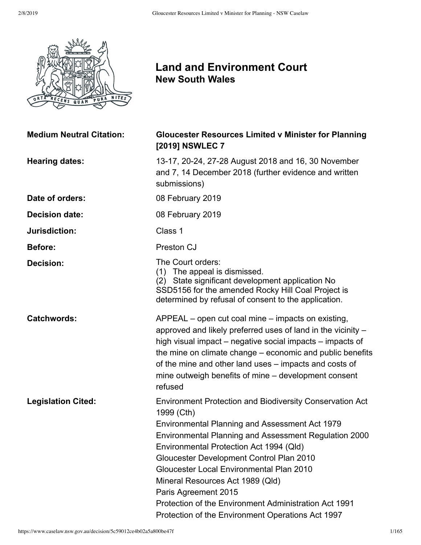

# **Land and Environment Court New South Wales**

| <b>Medium Neutral Citation:</b> | <b>Gloucester Resources Limited v Minister for Planning</b><br>[2019] NSWLEC 7                                                                                                                                                                                                                                                                                                                                                                                                                               |  |  |
|---------------------------------|--------------------------------------------------------------------------------------------------------------------------------------------------------------------------------------------------------------------------------------------------------------------------------------------------------------------------------------------------------------------------------------------------------------------------------------------------------------------------------------------------------------|--|--|
| <b>Hearing dates:</b>           | 13-17, 20-24, 27-28 August 2018 and 16, 30 November<br>and 7, 14 December 2018 (further evidence and written<br>submissions)                                                                                                                                                                                                                                                                                                                                                                                 |  |  |
| Date of orders:                 | 08 February 2019                                                                                                                                                                                                                                                                                                                                                                                                                                                                                             |  |  |
| <b>Decision date:</b>           | 08 February 2019                                                                                                                                                                                                                                                                                                                                                                                                                                                                                             |  |  |
| <b>Jurisdiction:</b>            | Class 1                                                                                                                                                                                                                                                                                                                                                                                                                                                                                                      |  |  |
| Before:                         | Preston CJ                                                                                                                                                                                                                                                                                                                                                                                                                                                                                                   |  |  |
| <b>Decision:</b>                | The Court orders:<br>(1) The appeal is dismissed.<br>(2) State significant development application No<br>SSD5156 for the amended Rocky Hill Coal Project is<br>determined by refusal of consent to the application.                                                                                                                                                                                                                                                                                          |  |  |
| <b>Catchwords:</b>              | APPEAL – open cut coal mine – impacts on existing,<br>approved and likely preferred uses of land in the vicinity -<br>high visual impact – negative social impacts – impacts of<br>the mine on climate change – economic and public benefits<br>of the mine and other land uses – impacts and costs of<br>mine outweigh benefits of mine – development consent<br>refused                                                                                                                                    |  |  |
| <b>Legislation Cited:</b>       | <b>Environment Protection and Biodiversity Conservation Act</b><br>1999 (Cth)<br>Environmental Planning and Assessment Act 1979<br><b>Environmental Planning and Assessment Regulation 2000</b><br>Environmental Protection Act 1994 (Qld)<br>Gloucester Development Control Plan 2010<br>Gloucester Local Environmental Plan 2010<br>Mineral Resources Act 1989 (Qld)<br>Paris Agreement 2015<br>Protection of the Environment Administration Act 1991<br>Protection of the Environment Operations Act 1997 |  |  |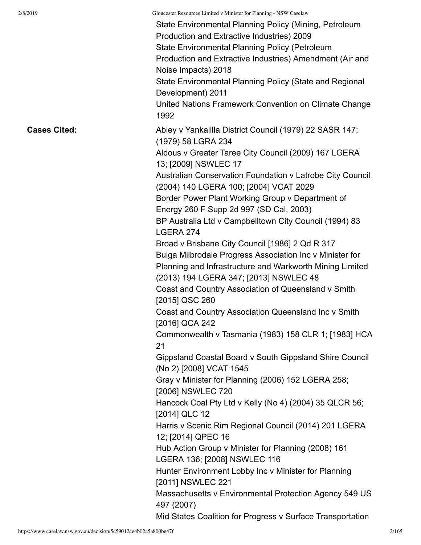**Cases Cited:** State Environmental Planning Policy (Mining, Petroleum Production and Extractive Industries) 2009 State Environmental Planning Policy (Petroleum Production and Extractive Industries) Amendment (Air and Noise Impacts) 2018 State Environmental Planning Policy (State and Regional Development) 2011 United Nations Framework Convention on Climate Change 1992 Abley v Yankalilla District Council (1979) 22 SASR 147; (1979) 58 LGRA 234 Aldous v Greater Taree City Council (2009) 167 LGERA 13; [2009] NSWLEC 17 Australian Conservation Foundation v Latrobe City Council (2004) 140 LGERA 100; [2004] VCAT 2029 Border Power Plant Working Group v Department of Energy 260 F Supp 2d 997 (SD Cal, 2003) BP Australia Ltd v Campbelltown City Council (1994) 83 LGERA 274 Broad v Brisbane City Council [1986] 2 Qd R 317 Bulga Milbrodale Progress Association Inc v Minister for Planning and Infrastructure and Warkworth Mining Limited (2013) 194 LGERA 347; [2013] NSWLEC 48 Coast and Country Association of Queensland v Smith [2015] QSC 260 Coast and Country Association Queensland Inc v Smith [2016] QCA 242 Commonwealth v Tasmania (1983) 158 CLR 1; [1983] HCA 21 Gippsland Coastal Board v South Gippsland Shire Council (No 2) [2008] VCAT 1545 Gray v Minister for Planning (2006) 152 LGERA 258; [2006] NSWLEC 720 Hancock Coal Pty Ltd v Kelly (No 4) (2004) 35 QLCR 56; [2014] QLC 12 Harris v Scenic Rim Regional Council (2014) 201 LGERA 12; [2014] QPEC 16 Hub Action Group v Minister for Planning (2008) 161 LGERA 136; [2008] NSWLEC 116 Hunter Environment Lobby Inc v Minister for Planning [2011] NSWLEC 221 Massachusetts v Environmental Protection Agency 549 US 497 (2007) Mid States Coalition for Progress v Surface Transportation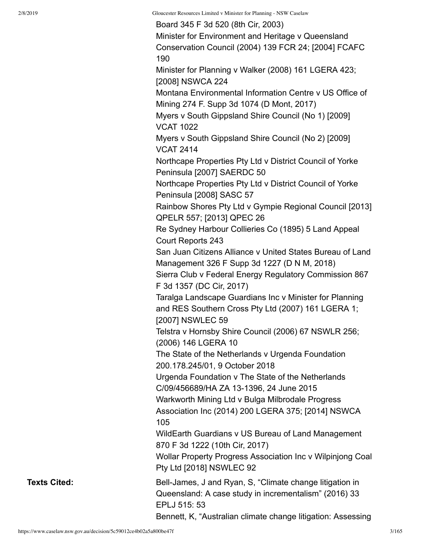2/8/2019 Gloucester Resources Limited v Minister for Planning - NSW Caselaw Board 345 F 3d 520 (8th Cir, 2003) Minister for Environment and Heritage v Queensland Conservation Council (2004) 139 FCR 24; [2004] FCAFC 190 Minister for Planning v Walker (2008) 161 LGERA 423; [2008] NSWCA 224 Montana Environmental Information Centre v US Office of Mining 274 F. Supp 3d 1074 (D Mont, 2017) Myers v South Gippsland Shire Council (No 1) [2009] VCAT 1022 Myers v South Gippsland Shire Council (No 2) [2009] VCAT 2414 Northcape Properties Pty Ltd v District Council of Yorke Peninsula [2007] SAERDC 50 Northcape Properties Pty Ltd v District Council of Yorke Peninsula [2008] SASC 57 Rainbow Shores Pty Ltd v Gympie Regional Council [2013] QPELR 557; [2013] QPEC 26 Re Sydney Harbour Collieries Co (1895) 5 Land Appeal Court Reports 243 San Juan Citizens Alliance v United States Bureau of Land Management 326 F Supp 3d 1227 (D N M, 2018) Sierra Club v Federal Energy Regulatory Commission 867 F 3d 1357 (DC Cir, 2017) Taralga Landscape Guardians Inc v Minister for Planning and RES Southern Cross Pty Ltd (2007) 161 LGERA 1; [2007] NSWLEC 59 Telstra v Hornsby Shire Council (2006) 67 NSWLR 256; (2006) 146 LGERA 10 The State of the Netherlands v Urgenda Foundation 200.178.245/01, 9 October 2018 Urgenda Foundation v The State of the Netherlands C/09/456689/HA ZA 13-1396, 24 June 2015 Warkworth Mining Ltd v Bulga Milbrodale Progress Association Inc (2014) 200 LGERA 375; [2014] NSWCA 105 WildEarth Guardians v US Bureau of Land Management 870 F 3d 1222 (10th Cir, 2017) Wollar Property Progress Association Inc v Wilpinjong Coal Pty Ltd [2018] NSWLEC 92 Bell-James, J and Ryan, S, "Climate change litigation in Queensland: A case study in incrementalism" (2016) 33 EPLJ 515: 53 Bennett, K, "Australian climate change litigation: Assessing

**Texts Cited:**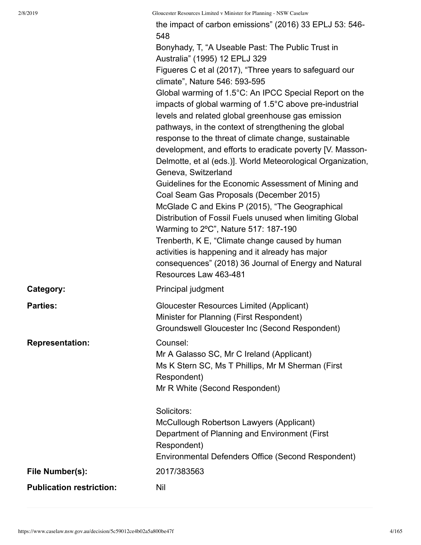|                                                    | the impact of carbon emissions" (2016) 33 EPLJ 53: 546-<br>548                                                                                                                                                                                                                                                                                                                                                                                                                                                                                                                                                                                                                                                                                                                                                                                                                                |
|----------------------------------------------------|-----------------------------------------------------------------------------------------------------------------------------------------------------------------------------------------------------------------------------------------------------------------------------------------------------------------------------------------------------------------------------------------------------------------------------------------------------------------------------------------------------------------------------------------------------------------------------------------------------------------------------------------------------------------------------------------------------------------------------------------------------------------------------------------------------------------------------------------------------------------------------------------------|
|                                                    | Bonyhady, T, "A Useable Past: The Public Trust in<br>Australia" (1995) 12 EPLJ 329<br>Figueres C et al (2017), "Three years to safeguard our<br>climate", Nature 546: 593-595                                                                                                                                                                                                                                                                                                                                                                                                                                                                                                                                                                                                                                                                                                                 |
|                                                    | Global warming of 1.5°C: An IPCC Special Report on the<br>impacts of global warming of 1.5°C above pre-industrial<br>levels and related global greenhouse gas emission<br>pathways, in the context of strengthening the global<br>response to the threat of climate change, sustainable<br>development, and efforts to eradicate poverty [V. Masson-<br>Delmotte, et al (eds.)]. World Meteorological Organization,<br>Geneva, Switzerland<br>Guidelines for the Economic Assessment of Mining and<br>Coal Seam Gas Proposals (December 2015)<br>McGlade C and Ekins P (2015), "The Geographical<br>Distribution of Fossil Fuels unused when limiting Global<br>Warming to 2°C", Nature 517: 187-190<br>Trenberth, K E, "Climate change caused by human<br>activities is happening and it already has major<br>consequences" (2018) 36 Journal of Energy and Natural<br>Resources Law 463-481 |
| Category:                                          | Principal judgment                                                                                                                                                                                                                                                                                                                                                                                                                                                                                                                                                                                                                                                                                                                                                                                                                                                                            |
| <b>Parties:</b>                                    | <b>Gloucester Resources Limited (Applicant)</b><br>Minister for Planning (First Respondent)<br>Groundswell Gloucester Inc (Second Respondent)                                                                                                                                                                                                                                                                                                                                                                                                                                                                                                                                                                                                                                                                                                                                                 |
| <b>Representation:</b>                             | Counsel:<br>Mr A Galasso SC, Mr C Ireland (Applicant)<br>Ms K Stern SC, Ms T Phillips, Mr M Sherman (First<br>Respondent)<br>Mr R White (Second Respondent)                                                                                                                                                                                                                                                                                                                                                                                                                                                                                                                                                                                                                                                                                                                                   |
|                                                    | Solicitors:<br>McCullough Robertson Lawyers (Applicant)<br>Department of Planning and Environment (First<br>Respondent)<br>Environmental Defenders Office (Second Respondent)                                                                                                                                                                                                                                                                                                                                                                                                                                                                                                                                                                                                                                                                                                                 |
| File Number(s):<br><b>Publication restriction:</b> | 2017/383563<br>Nil                                                                                                                                                                                                                                                                                                                                                                                                                                                                                                                                                                                                                                                                                                                                                                                                                                                                            |
|                                                    |                                                                                                                                                                                                                                                                                                                                                                                                                                                                                                                                                                                                                                                                                                                                                                                                                                                                                               |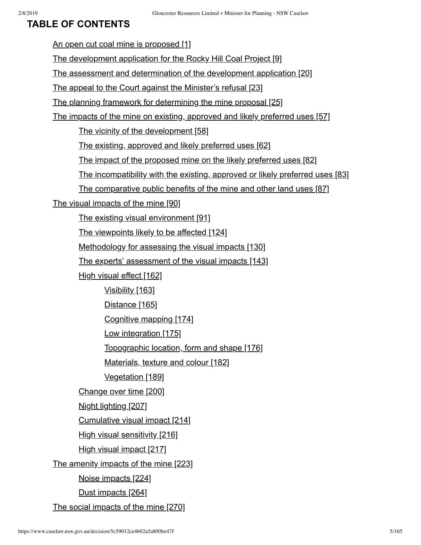# **TABLE OF CONTENTS**

[An open cut coal mine is proposed \[1\]](#page-6-0) [The development application for the Rocky Hill Coal Project \[9\]](#page-7-0) [The assessment and determination of the development application \[20\]](#page-9-0) [The appeal to the Court against the Minister's refusal \[23\]](#page-10-0) [The planning framework for determining the mine proposal \[25\]](#page-11-0) [The impacts of the mine on existing, approved and likely preferred uses \[57\]](#page-17-0) [The vicinity of the development \[58\]](#page-18-0) [The existing, approved and likely preferred uses \[62\]](#page-18-1) [The impact of the proposed mine on the likely preferred uses \[82\]](#page-22-0) [The incompatibility with the existing, approved or likely preferred uses \[83\]](#page-22-1) [The comparative public benefits of the mine and other land uses \[87\]](#page-23-0) [The visual impacts of the mine \[90\]](#page-24-0) [The existing visual environment \[91\]](#page-24-1) [The viewpoints likely to be affected \[124\]](#page-32-0) [Methodology for assessing the visual impacts \[130\]](#page-33-0) [The experts' assessment of the visual impacts \[143\]](#page-37-0) [High visual effect \[162\]](#page-41-0) [Visibility \[163\]](#page-41-1) [Distance \[165\]](#page-42-0) [Cognitive mapping \[174\]](#page-44-0) [Low integration \[175\]](#page-44-1) [Topographic location, form and shape \[176\]](#page-45-0) [Materials, texture and colour \[182\]](#page-46-0) [Vegetation \[189\]](#page-47-0) [Change over time \[200\]](#page-50-0) [Night lighting \[207\]](#page-51-0) [Cumulative visual impact \[214\]](#page-52-0) [High visual sensitivity \[216\]](#page-52-1) [High visual impact \[217\]](#page-53-0) [The amenity impacts of the mine \[223\]](#page-55-0) [Noise impacts \[224\]](#page-55-1) [Dust impacts \[264\]](#page-63-0) [The social impacts of the mine \[270\]](#page-65-0)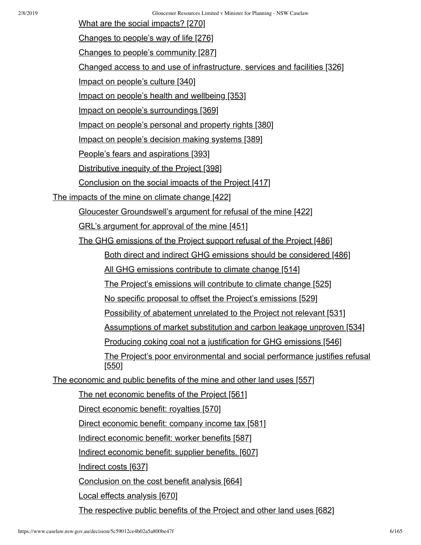[What are the social impacts? \[270\]](#page-65-1)

[Changes to people's way of life \[276\]](#page-70-0)

[Changes to people's community \[287\]](#page-72-0)

[Changed access to and use of infrastructure, services and facilities \[326\]](#page-80-0)

[Impact on people's culture \[340\]](#page-83-0)

[Impact on people's health and wellbeing \[353\]](#page-87-0)

[Impact on people's surroundings \[369\]](#page-90-0)

[Impact on people's personal and property rights \[380\]](#page-93-0)

[Impact on people's decision making systems \[389\]](#page-95-0)

[People's fears and aspirations \[393\]](#page-95-1)

[Distributive inequity of the Project \[398\]](#page-97-0)

[Conclusion on the social impacts of the Project \[417\]](#page-101-0)

[The impacts of the mine on climate change \[422\]](#page-102-0)

[Gloucester Groundswell's argument for refusal of the mine \[422\]](#page-103-0)

[GRL's argument for approval of the mine \[451\]](#page-112-0)

[The GHG emissions of the Project support refusal of the Project \[486\]](#page-120-0)

[Both direct and indirect GHG emissions should be considered \[486\]](#page-120-1)

[All GHG emissions contribute to climate change \[514\]](#page-125-0)

[The Project's emissions will contribute to climate change \[525\]](#page-128-0)

[No specific proposal to offset the Project's emissions \[529\]](#page-129-0)

[Possibility of abatement unrelated to the Project not relevant \[531\]](#page-130-0)

[Assumptions of market substitution and carbon leakage unproven \[534\]](#page-131-0)

[Producing coking coal not a justification for GHG emissions \[546\]](#page-134-0)

[The Project's poor environmental and social performance justifies refusal](#page-135-0) [550]

[The economic and public benefits of the mine and other land uses \[557\]](#page-136-0)

[The net economic benefits of the Project \[561\]](#page-137-0)

[Direct economic benefit: royalties \[570\]](#page-138-0)

[Direct economic benefit: company income tax \[581\]](#page-141-0)

[Indirect economic benefit: worker benefits \[587\]](#page-142-0)

[Indirect economic benefit: supplier benefits. \[607\]](#page-145-0)

[Indirect costs \[637\]](#page-151-0)

[Conclusion on the cost benefit analysis \[664\]](#page-156-0)

[Local effects analysis \[670\]](#page-157-0)

[The respective public benefits of the Project and other land uses \[682\]](#page-160-0)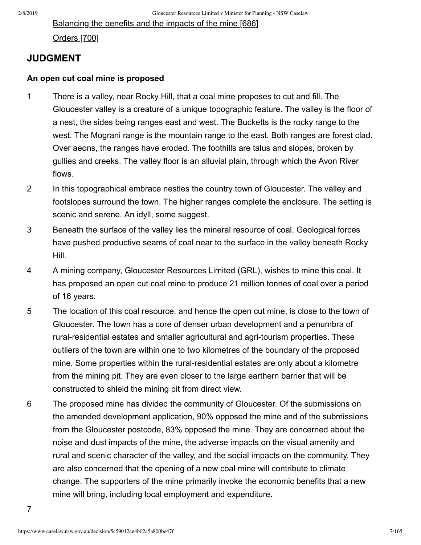[Balancing the benefits and the impacts of the mine \[686\]](#page-161-0)

[Orders \[700\]](#page-163-0)

## **JUDGMENT**

#### <span id="page-6-0"></span>**An open cut coal mine is proposed**

- 1 There is a valley, near Rocky Hill, that a coal mine proposes to cut and fill. The Gloucester valley is a creature of a unique topographic feature. The valley is the floor of a nest, the sides being ranges east and west. The Bucketts is the rocky range to the west. The Mograni range is the mountain range to the east. Both ranges are forest clad. Over aeons, the ranges have eroded. The foothills are talus and slopes, broken by gullies and creeks. The valley floor is an alluvial plain, through which the Avon River flows.
- 2 In this topographical embrace nestles the country town of Gloucester. The valley and footslopes surround the town. The higher ranges complete the enclosure. The setting is scenic and serene. An idyll, some suggest.
- 3 Beneath the surface of the valley lies the mineral resource of coal. Geological forces have pushed productive seams of coal near to the surface in the valley beneath Rocky Hill.
- 4 A mining company, Gloucester Resources Limited (GRL), wishes to mine this coal. It has proposed an open cut coal mine to produce 21 million tonnes of coal over a period of 16 years.
- 5 The location of this coal resource, and hence the open cut mine, is close to the town of Gloucester. The town has a core of denser urban development and a penumbra of rural-residential estates and smaller agricultural and agri-tourism properties. These outliers of the town are within one to two kilometres of the boundary of the proposed mine. Some properties within the rural-residential estates are only about a kilometre from the mining pit. They are even closer to the large earthern barrier that will be constructed to shield the mining pit from direct view.
- 6 The proposed mine has divided the community of Gloucester. Of the submissions on the amended development application, 90% opposed the mine and of the submissions from the Gloucester postcode, 83% opposed the mine. They are concerned about the noise and dust impacts of the mine, the adverse impacts on the visual amenity and rural and scenic character of the valley, and the social impacts on the community. They are also concerned that the opening of a new coal mine will contribute to climate change. The supporters of the mine primarily invoke the economic benefits that a new mine will bring, including local employment and expenditure.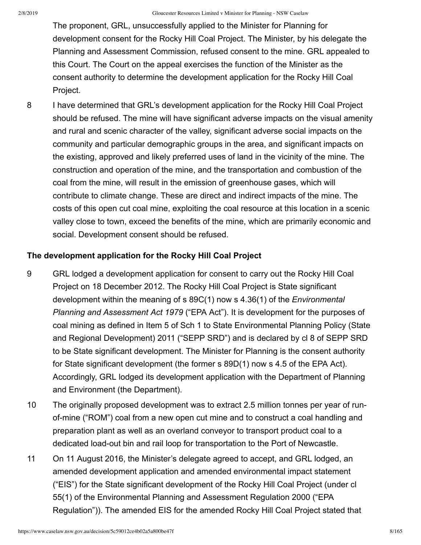The proponent, GRL, unsuccessfully applied to the Minister for Planning for development consent for the Rocky Hill Coal Project. The Minister, by his delegate the Planning and Assessment Commission, refused consent to the mine. GRL appealed to this Court. The Court on the appeal exercises the function of the Minister as the consent authority to determine the development application for the Rocky Hill Coal Project.

8 I have determined that GRL's development application for the Rocky Hill Coal Project should be refused. The mine will have significant adverse impacts on the visual amenity and rural and scenic character of the valley, significant adverse social impacts on the community and particular demographic groups in the area, and significant impacts on the existing, approved and likely preferred uses of land in the vicinity of the mine. The construction and operation of the mine, and the transportation and combustion of the coal from the mine, will result in the emission of greenhouse gases, which will contribute to climate change. These are direct and indirect impacts of the mine. The costs of this open cut coal mine, exploiting the coal resource at this location in a scenic valley close to town, exceed the benefits of the mine, which are primarily economic and social. Development consent should be refused.

### <span id="page-7-0"></span>**The development application for the Rocky Hill Coal Project**

- 9 GRL lodged a development application for consent to carry out the Rocky Hill Coal Project on 18 December 2012. The Rocky Hill Coal Project is State significant development within the meaning of s 89C(1) now s 4.36(1) of the *Environmental Planning and Assessment Act 1979* ("EPA Act"). It is development for the purposes of coal mining as defined in Item 5 of Sch 1 to State Environmental Planning Policy (State and Regional Development) 2011 ("SEPP SRD") and is declared by cl 8 of SEPP SRD to be State significant development. The Minister for Planning is the consent authority for State significant development (the former s 89D(1) now s 4.5 of the EPA Act). Accordingly, GRL lodged its development application with the Department of Planning and Environment (the Department).
- 10 The originally proposed development was to extract 2.5 million tonnes per year of runof-mine ("ROM") coal from a new open cut mine and to construct a coal handling and preparation plant as well as an overland conveyor to transport product coal to a dedicated load-out bin and rail loop for transportation to the Port of Newcastle.
- 11 On 11 August 2016, the Minister's delegate agreed to accept, and GRL lodged, an amended development application and amended environmental impact statement ("EIS") for the State significant development of the Rocky Hill Coal Project (under cl 55(1) of the Environmental Planning and Assessment Regulation 2000 ("EPA Regulation")). The amended EIS for the amended Rocky Hill Coal Project stated that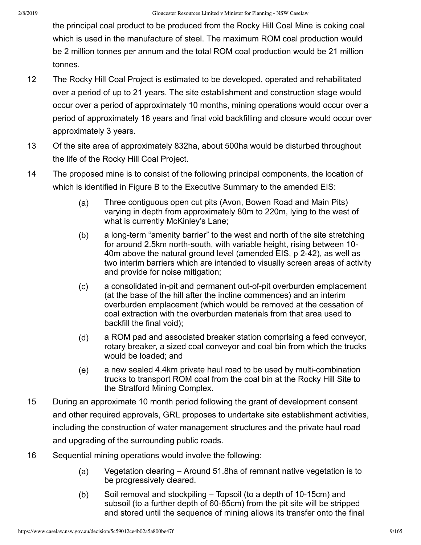the principal coal product to be produced from the Rocky Hill Coal Mine is coking coal which is used in the manufacture of steel. The maximum ROM coal production would be 2 million tonnes per annum and the total ROM coal production would be 21 million tonnes.

- 12 The Rocky Hill Coal Project is estimated to be developed, operated and rehabilitated over a period of up to 21 years. The site establishment and construction stage would occur over a period of approximately 10 months, mining operations would occur over a period of approximately 16 years and final void backfilling and closure would occur over approximately 3 years.
- 13 Of the site area of approximately 832ha, about 500ha would be disturbed throughout the life of the Rocky Hill Coal Project.
- 14 The proposed mine is to consist of the following principal components, the location of which is identified in Figure B to the Executive Summary to the amended EIS:
	- (a) Three contiguous open cut pits (Avon, Bowen Road and Main Pits) varying in depth from approximately 80m to 220m, lying to the west of what is currently McKinley's Lane;
	- $(b)$  a long-term "amenity barrier" to the west and north of the site stretching for around 2.5km north-south, with variable height, rising between 10-40m above the natural ground level (amended EIS, p 2-42), as well as two interim barriers which are intended to visually screen areas of activity and provide for noise mitigation;
	- (c) a consolidated in-pit and permanent out-of-pit overburden emplacement (at the base of the hill after the incline commences) and an interim overburden emplacement (which would be removed at the cessation of coal extraction with the overburden materials from that area used to backfill the final void);
	- (d) a ROM pad and associated breaker station comprising a feed conveyor, rotary breaker, a sized coal conveyor and coal bin from which the trucks would be loaded; and
	- (e) a new sealed 4.4km private haul road to be used by multi-combination trucks to transport ROM coal from the coal bin at the Rocky Hill Site to the Stratford Mining Complex.
- 15 During an approximate 10 month period following the grant of development consent and other required approvals, GRL proposes to undertake site establishment activities, including the construction of water management structures and the private haul road and upgrading of the surrounding public roads.
- 16 Sequential mining operations would involve the following:
	- (a) Vegetation clearing Around 51.8ha of remnant native vegetation is to be progressively cleared.
	- (b) Soil removal and stockpiling  $-$  Topsoil (to a depth of 10-15cm) and subsoil (to a further depth of 60-85cm) from the pit site will be stripped and stored until the sequence of mining allows its transfer onto the final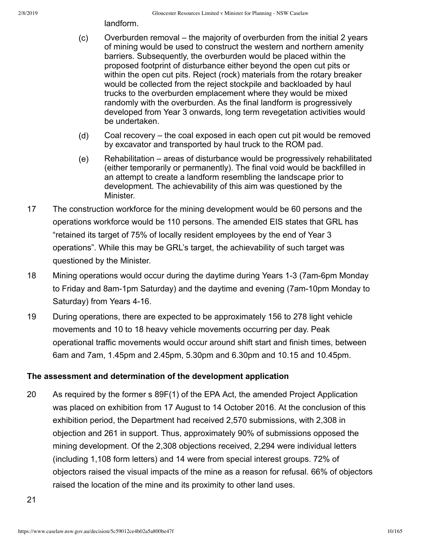landform.

- (c) Overburden removal the majority of overburden from the initial 2 years of mining would be used to construct the western and northern amenity barriers. Subsequently, the overburden would be placed within the proposed footprint of disturbance either beyond the open cut pits or within the open cut pits. Reject (rock) materials from the rotary breaker would be collected from the reject stockpile and backloaded by haul trucks to the overburden emplacement where they would be mixed randomly with the overburden. As the final landform is progressively developed from Year 3 onwards, long term revegetation activities would be undertaken.
- (d) Coal recovery the coal exposed in each open cut pit would be removed by excavator and transported by haul truck to the ROM pad.
- (e) Rehabilitation areas of disturbance would be progressively rehabilitated (either temporarily or permanently). The final void would be backfilled in an attempt to create a landform resembling the landscape prior to development. The achievability of this aim was questioned by the Minister.
- 17 The construction workforce for the mining development would be 60 persons and the operations workforce would be 110 persons. The amended EIS states that GRL has "retained its target of 75% of locally resident employees by the end of Year 3 operations". While this may be GRL's target, the achievability of such target was questioned by the Minister.
- 18 Mining operations would occur during the daytime during Years 1-3 (7am-6pm Monday to Friday and 8am-1pm Saturday) and the daytime and evening (7am-10pm Monday to Saturday) from Years 4-16.
- 19 During operations, there are expected to be approximately 156 to 278 light vehicle movements and 10 to 18 heavy vehicle movements occurring per day. Peak operational traffic movements would occur around shift start and finish times, between 6am and 7am, 1.45pm and 2.45pm, 5.30pm and 6.30pm and 10.15 and 10.45pm.

# <span id="page-9-0"></span>**The assessment and determination of the development application**

20 As required by the former s 89F(1) of the EPA Act, the amended Project Application was placed on exhibition from 17 August to 14 October 2016. At the conclusion of this exhibition period, the Department had received 2,570 submissions, with 2,308 in objection and 261 in support. Thus, approximately 90% of submissions opposed the mining development. Of the 2,308 objections received, 2,294 were individual letters (including 1,108 form letters) and 14 were from special interest groups. 72% of objectors raised the visual impacts of the mine as a reason for refusal. 66% of objectors raised the location of the mine and its proximity to other land uses.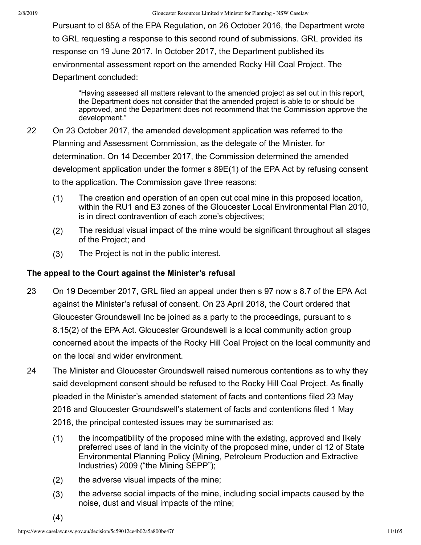Pursuant to cl 85A of the EPA Regulation, on 26 October 2016, the Department wrote to GRL requesting a response to this second round of submissions. GRL provided its response on 19 June 2017. In October 2017, the Department published its environmental assessment report on the amended Rocky Hill Coal Project. The Department concluded:

"Having assessed all matters relevant to the amended project as set out in this report, the Department does not consider that the amended project is able to or should be approved, and the Department does not recommend that the Commission approve the development."

- 22 On 23 October 2017, the amended development application was referred to the Planning and Assessment Commission, as the delegate of the Minister, for determination. On 14 December 2017, the Commission determined the amended development application under the former s 89E(1) of the EPA Act by refusing consent to the application. The Commission gave three reasons:
	- (1) The creation and operation of an open cut coal mine in this proposed location, within the RU1 and E3 zones of the Gloucester Local Environmental Plan 2010, is in direct contravention of each zone's objectives;
	- (2) The residual visual impact of the mine would be significant throughout all stages of the Project; and
	- (3) The Project is not in the public interest.

#### <span id="page-10-0"></span>**The appeal to the Court against the Minister's refusal**

- 23 On 19 December 2017, GRL filed an appeal under then s 97 now s 8.7 of the EPA Act against the Minister's refusal of consent. On 23 April 2018, the Court ordered that Gloucester Groundswell Inc be joined as a party to the proceedings, pursuant to s 8.15(2) of the EPA Act. Gloucester Groundswell is a local community action group concerned about the impacts of the Rocky Hill Coal Project on the local community and on the local and wider environment.
- 24 The Minister and Gloucester Groundswell raised numerous contentions as to why they said development consent should be refused to the Rocky Hill Coal Project. As finally pleaded in the Minister's amended statement of facts and contentions filed 23 May 2018 and Gloucester Groundswell's statement of facts and contentions filed 1 May 2018, the principal contested issues may be summarised as:
	- (1) the incompatibility of the proposed mine with the existing, approved and likely preferred uses of land in the vicinity of the proposed mine, under cl 12 of State Environmental Planning Policy (Mining, Petroleum Production and Extractive Industries) 2009 ("the Mining SEPP");
	- (2) the adverse visual impacts of the mine;
	- (3) the adverse social impacts of the mine, including social impacts caused by the noise, dust and visual impacts of the mine;
	- (4)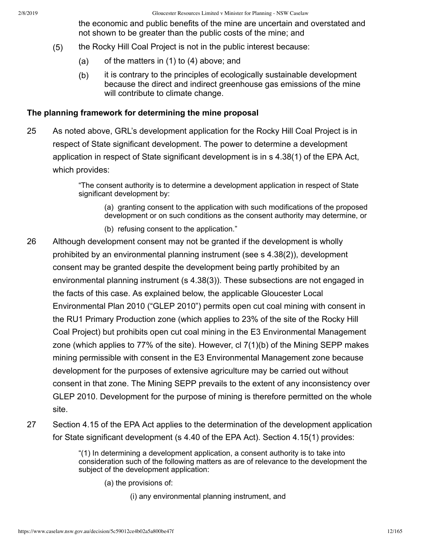the economic and public benefits of the mine are uncertain and overstated and not shown to be greater than the public costs of the mine; and

- (5) the Rocky Hill Coal Project is not in the public interest because:
	- (a) of the matters in (1) to (4) above; and
	- (b) it is contrary to the principles of ecologically sustainable development because the direct and indirect greenhouse gas emissions of the mine will contribute to climate change.

#### <span id="page-11-0"></span>**The planning framework for determining the mine proposal**

25 As noted above, GRL's development application for the Rocky Hill Coal Project is in respect of State significant development. The power to determine a development application in respect of State significant development is in s 4.38(1) of the EPA Act, which provides:

> "The consent authority is to determine a development application in respect of State significant development by:

(a) granting consent to the application with such modifications of the proposed development or on such conditions as the consent authority may determine, or

- (b) refusing consent to the application."
- 26 Although development consent may not be granted if the development is wholly prohibited by an environmental planning instrument (see s 4.38(2)), development consent may be granted despite the development being partly prohibited by an environmental planning instrument (s 4.38(3)). These subsections are not engaged in the facts of this case. As explained below, the applicable Gloucester Local Environmental Plan 2010 ("GLEP 2010") permits open cut coal mining with consent in the RU1 Primary Production zone (which applies to 23% of the site of the Rocky Hill Coal Project) but prohibits open cut coal mining in the E3 Environmental Management zone (which applies to 77% of the site). However, cl  $7(1)(b)$  of the Mining SEPP makes mining permissible with consent in the E3 Environmental Management zone because development for the purposes of extensive agriculture may be carried out without consent in that zone. The Mining SEPP prevails to the extent of any inconsistency over GLEP 2010. Development for the purpose of mining is therefore permitted on the whole site.
- 27 Section 4.15 of the EPA Act applies to the determination of the development application for State significant development (s 4.40 of the EPA Act). Section 4.15(1) provides:

"(1) In determining a development application, a consent authority is to take into consideration such of the following matters as are of relevance to the development the subject of the development application:

(a) the provisions of:

(i) any environmental planning instrument, and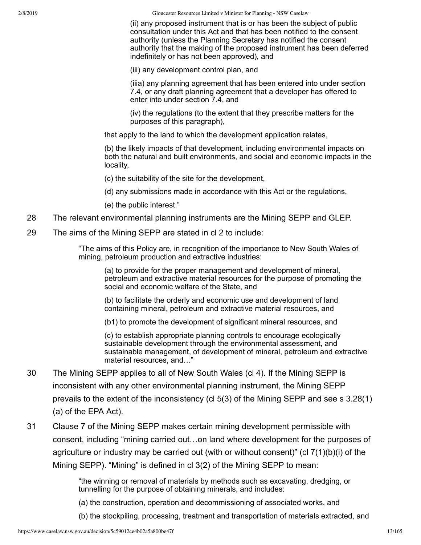2/8/2019 Gloucester Resources Limited v Minister for Planning - NSW Caselaw

(ii) any proposed instrument that is or has been the subject of public consultation under this Act and that has been notified to the consent authority (unless the Planning Secretary has notified the consent authority that the making of the proposed instrument has been deferred indefinitely or has not been approved), and

(iii) any development control plan, and

(iiia) any planning agreement that has been entered into under section 7.4, or any draft planning agreement that a developer has offered to enter into under section 7.4, and

(iv) the regulations (to the extent that they prescribe matters for the purposes of this paragraph),

that apply to the land to which the development application relates,

(b) the likely impacts of that development, including environmental impacts on both the natural and built environments, and social and economic impacts in the locality,

(c) the suitability of the site for the development,

(d) any submissions made in accordance with this Act or the regulations,

(e) the public interest."

- 28 The relevant environmental planning instruments are the Mining SEPP and GLEP.
- 29 The aims of the Mining SEPP are stated in cl 2 to include:

"The aims of this Policy are, in recognition of the importance to New South Wales of mining, petroleum production and extractive industries:

(a) to provide for the proper management and development of mineral, petroleum and extractive material resources for the purpose of promoting the social and economic welfare of the State, and

(b) to facilitate the orderly and economic use and development of land containing mineral, petroleum and extractive material resources, and

(b1) to promote the development of significant mineral resources, and

(c) to establish appropriate planning controls to encourage ecologically sustainable development through the environmental assessment, and sustainable management, of development of mineral, petroleum and extractive material resources, and…"

- 30 The Mining SEPP applies to all of New South Wales (cl 4). If the Mining SEPP is inconsistent with any other environmental planning instrument, the Mining SEPP prevails to the extent of the inconsistency (cl 5(3) of the Mining SEPP and see s 3.28(1) (a) of the EPA Act).
- 31 Clause 7 of the Mining SEPP makes certain mining development permissible with consent, including "mining carried out…on land where development for the purposes of agriculture or industry may be carried out (with or without consent)" (cl 7(1)(b)(i) of the Mining SEPP). "Mining" is defined in cl 3(2) of the Mining SEPP to mean:

"the winning or removal of materials by methods such as excavating, dredging, or tunnelling for the purpose of obtaining minerals, and includes:

(a) the construction, operation and decommissioning of associated works, and

(b) the stockpiling, processing, treatment and transportation of materials extracted, and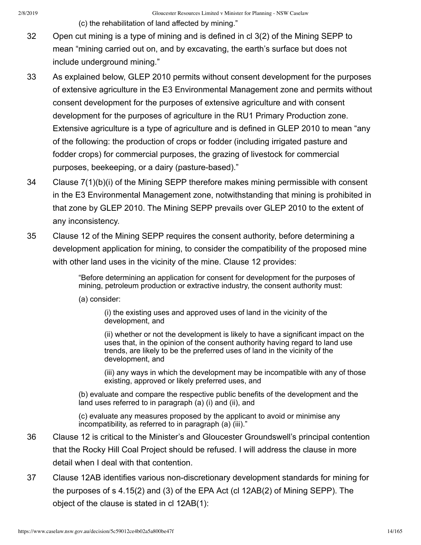(c) the rehabilitation of land affected by mining."

- 32 Open cut mining is a type of mining and is defined in cl 3(2) of the Mining SEPP to mean "mining carried out on, and by excavating, the earth's surface but does not include underground mining."
- 33 As explained below, GLEP 2010 permits without consent development for the purposes of extensive agriculture in the E3 Environmental Management zone and permits without consent development for the purposes of extensive agriculture and with consent development for the purposes of agriculture in the RU1 Primary Production zone. Extensive agriculture is a type of agriculture and is defined in GLEP 2010 to mean "any of the following: the production of crops or fodder (including irrigated pasture and fodder crops) for commercial purposes, the grazing of livestock for commercial purposes, beekeeping, or a dairy (pasture-based)."
- 34 Clause 7(1)(b)(i) of the Mining SEPP therefore makes mining permissible with consent in the E3 Environmental Management zone, notwithstanding that mining is prohibited in that zone by GLEP 2010. The Mining SEPP prevails over GLEP 2010 to the extent of any inconsistency.
- 35 Clause 12 of the Mining SEPP requires the consent authority, before determining a development application for mining, to consider the compatibility of the proposed mine with other land uses in the vicinity of the mine. Clause 12 provides:

"Before determining an application for consent for development for the purposes of mining, petroleum production or extractive industry, the consent authority must:

(a) consider:

(i) the existing uses and approved uses of land in the vicinity of the development, and

(ii) whether or not the development is likely to have a significant impact on the uses that, in the opinion of the consent authority having regard to land use trends, are likely to be the preferred uses of land in the vicinity of the development, and

(iii) any ways in which the development may be incompatible with any of those existing, approved or likely preferred uses, and

(b) evaluate and compare the respective public benefits of the development and the land uses referred to in paragraph (a) (i) and (ii), and

(c) evaluate any measures proposed by the applicant to avoid or minimise any incompatibility, as referred to in paragraph (a) (iii)."

- 36 Clause 12 is critical to the Minister's and Gloucester Groundswell's principal contention that the Rocky Hill Coal Project should be refused. I will address the clause in more detail when I deal with that contention.
- 37 Clause 12AB identifies various non-discretionary development standards for mining for the purposes of s 4.15(2) and (3) of the EPA Act (cl 12AB(2) of Mining SEPP). The object of the clause is stated in cl 12AB(1):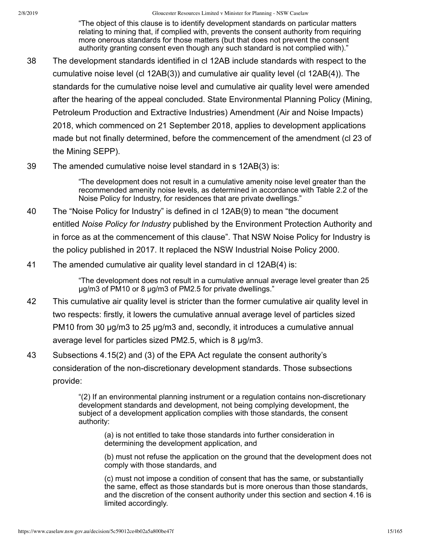"The object of this clause is to identify development standards on particular matters relating to mining that, if complied with, prevents the consent authority from requiring more onerous standards for those matters (but that does not prevent the consent authority granting consent even though any such standard is not complied with)."

- 38 The development standards identified in cl 12AB include standards with respect to the cumulative noise level (cl 12AB(3)) and cumulative air quality level (cl 12AB(4)). The standards for the cumulative noise level and cumulative air quality level were amended after the hearing of the appeal concluded. State Environmental Planning Policy (Mining, Petroleum Production and Extractive Industries) Amendment (Air and Noise Impacts) 2018, which commenced on 21 September 2018, applies to development applications made but not finally determined, before the commencement of the amendment (cl 23 of the Mining SEPP).
- 39 The amended cumulative noise level standard in s 12AB(3) is:

"The development does not result in a cumulative amenity noise level greater than the recommended amenity noise levels, as determined in accordance with Table 2.2 of the Noise Policy for Industry, for residences that are private dwellings."

- 40 The "Noise Policy for Industry" is defined in cl 12AB(9) to mean "the document entitled *Noise Policy for Industry* published by the Environment Protection Authority and in force as at the commencement of this clause". That NSW Noise Policy for Industry is the policy published in 2017. It replaced the NSW Industrial Noise Policy 2000.
- 41 The amended cumulative air quality level standard in cl 12AB(4) is:

"The development does not result in a cumulative annual average level greater than 25 µg/m3 of PM10 or 8 µg/m3 of PM2.5 for private dwellings."

- 42 This cumulative air quality level is stricter than the former cumulative air quality level in two respects: firstly, it lowers the cumulative annual average level of particles sized PM10 from 30 µg/m3 to 25 µg/m3 and, secondly, it introduces a cumulative annual average level for particles sized PM2.5, which is 8 µg/m3.
- 43 Subsections 4.15(2) and (3) of the EPA Act regulate the consent authority's consideration of the non-discretionary development standards. Those subsections provide:

" $(2)$  If an environmental planning instrument or a regulation contains non-discretionary development standards and development, not being complying development, the subject of a development application complies with those standards, the consent authority:

(a) is not entitled to take those standards into further consideration in determining the development application, and

(b) must not refuse the application on the ground that the development does not comply with those standards, and

(c) must not impose a condition of consent that has the same, or substantially the same, effect as those standards but is more onerous than those standards, and the discretion of the consent authority under this section and section 4.16 is limited accordingly.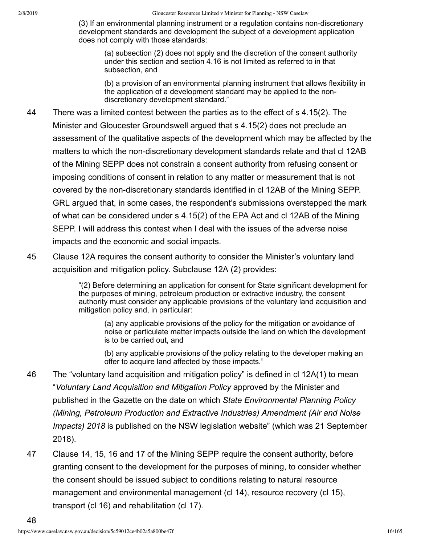(3) If an environmental planning instrument or a regulation contains non-discretionary development standards and development the subject of a development application does not comply with those standards:

(a) subsection (2) does not apply and the discretion of the consent authority under this section and section 4.16 is not limited as referred to in that subsection, and

(b) a provision of an environmental planning instrument that allows flexibility in the application of a development standard may be applied to the nondiscretionary development standard."

- 44 There was a limited contest between the parties as to the effect of s 4.15(2). The Minister and Gloucester Groundswell argued that s 4.15(2) does not preclude an assessment of the qualitative aspects of the development which may be affected by the matters to which the non-discretionary development standards relate and that cl 12AB of the Mining SEPP does not constrain a consent authority from refusing consent or imposing conditions of consent in relation to any matter or measurement that is not covered by the non-discretionary standards identified in cl 12AB of the Mining SEPP. GRL argued that, in some cases, the respondent's submissions overstepped the mark of what can be considered under s 4.15(2) of the EPA Act and cl 12AB of the Mining SEPP. I will address this contest when I deal with the issues of the adverse noise impacts and the economic and social impacts.
- 45 Clause 12A requires the consent authority to consider the Minister's voluntary land acquisition and mitigation policy. Subclause 12A (2) provides:

"(2) Before determining an application for consent for State significant development for the purposes of mining, petroleum production or extractive industry, the consent authority must consider any applicable provisions of the voluntary land acquisition and mitigation policy and, in particular:

(a) any applicable provisions of the policy for the mitigation or avoidance of noise or particulate matter impacts outside the land on which the development is to be carried out, and

(b) any applicable provisions of the policy relating to the developer making an offer to acquire land affected by those impacts."

- 46 The "voluntary land acquisition and mitigation policy" is defined in cl 12A(1) to mean "*Voluntary Land Acquisition and Mitigation Policy* approved by the Minister and published in the Gazette on the date on which *State Environmental Planning Policy (Mining, Petroleum Production and Extractive Industries) Amendment (Air and Noise Impacts) 2018* is published on the NSW legislation website" (which was 21 September 2018).
- 47 Clause 14, 15, 16 and 17 of the Mining SEPP require the consent authority, before granting consent to the development for the purposes of mining, to consider whether the consent should be issued subject to conditions relating to natural resource management and environmental management (cl 14), resource recovery (cl 15), transport (cl 16) and rehabilitation (cl 17).

48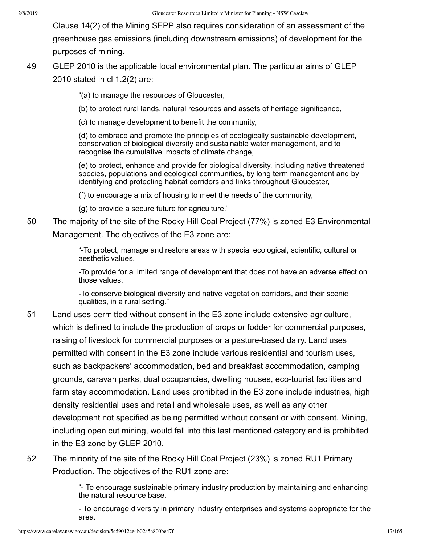Clause 14(2) of the Mining SEPP also requires consideration of an assessment of the greenhouse gas emissions (including downstream emissions) of development for the purposes of mining.

49 GLEP 2010 is the applicable local environmental plan. The particular aims of GLEP 2010 stated in cl 1.2(2) are:

"(a) to manage the resources of Gloucester,

- (b) to protect rural lands, natural resources and assets of heritage significance,
- (c) to manage development to benefit the community,

(d) to embrace and promote the principles of ecologically sustainable development, conservation of biological diversity and sustainable water management, and to recognise the cumulative impacts of climate change,

(e) to protect, enhance and provide for biological diversity, including native threatened species, populations and ecological communities, by long term management and by identifying and protecting habitat corridors and links throughout Gloucester,

(f) to encourage a mix of housing to meet the needs of the community,

(g) to provide a secure future for agriculture."

50 The majority of the site of the Rocky Hill Coal Project (77%) is zoned E3 Environmental Management. The objectives of the E3 zone are:

> "To protect, manage and restore areas with special ecological, scientific, cultural or aesthetic values.

To provide for a limited range of development that does not have an adverse effect on those values.

To conserve biological diversity and native vegetation corridors, and their scenic qualities, in a rural setting."

- 51 Land uses permitted without consent in the E3 zone include extensive agriculture, which is defined to include the production of crops or fodder for commercial purposes, raising of livestock for commercial purposes or a pasture-based dairy. Land uses permitted with consent in the E3 zone include various residential and tourism uses, such as backpackers' accommodation, bed and breakfast accommodation, camping grounds, caravan parks, dual occupancies, dwelling houses, eco-tourist facilities and farm stay accommodation. Land uses prohibited in the E3 zone include industries, high density residential uses and retail and wholesale uses, as well as any other development not specified as being permitted without consent or with consent. Mining, including open cut mining, would fall into this last mentioned category and is prohibited in the E3 zone by GLEP 2010.
- 52 The minority of the site of the Rocky Hill Coal Project (23%) is zoned RU1 Primary Production. The objectives of the RU1 zone are:

" To encourage sustainable primary industry production by maintaining and enhancing the natural resource base.

 To encourage diversity in primary industry enterprises and systems appropriate for the area.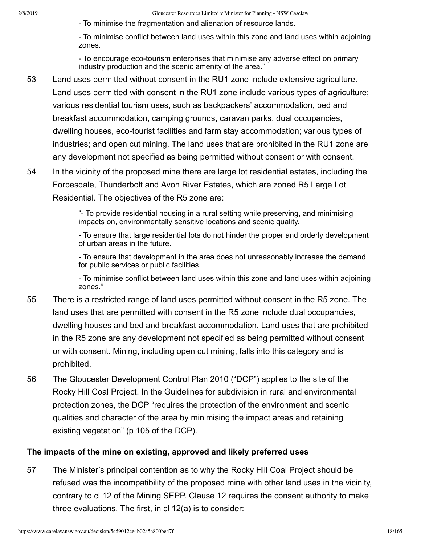To minimise the fragmentation and alienation of resource lands.

 To minimise conflict between land uses within this zone and land uses within adjoining zones.

- To encourage eco-tourism enterprises that minimise any adverse effect on primary industry production and the scenic amenity of the area."

- 53 Land uses permitted without consent in the RU1 zone include extensive agriculture. Land uses permitted with consent in the RU1 zone include various types of agriculture; various residential tourism uses, such as backpackers' accommodation, bed and breakfast accommodation, camping grounds, caravan parks, dual occupancies, dwelling houses, eco-tourist facilities and farm stay accommodation; various types of industries; and open cut mining. The land uses that are prohibited in the RU1 zone are any development not specified as being permitted without consent or with consent.
- 54 In the vicinity of the proposed mine there are large lot residential estates, including the Forbesdale, Thunderbolt and Avon River Estates, which are zoned R5 Large Lot Residential. The objectives of the R5 zone are:

" To provide residential housing in a rural setting while preserving, and minimising impacts on, environmentally sensitive locations and scenic quality.

 To ensure that large residential lots do not hinder the proper and orderly development of urban areas in the future.

 To ensure that development in the area does not unreasonably increase the demand for public services or public facilities.

 To minimise conflict between land uses within this zone and land uses within adjoining zones."

- 55 There is a restricted range of land uses permitted without consent in the R5 zone. The land uses that are permitted with consent in the R5 zone include dual occupancies, dwelling houses and bed and breakfast accommodation. Land uses that are prohibited in the R5 zone are any development not specified as being permitted without consent or with consent. Mining, including open cut mining, falls into this category and is prohibited.
- 56 The Gloucester Development Control Plan 2010 ("DCP") applies to the site of the Rocky Hill Coal Project. In the Guidelines for subdivision in rural and environmental protection zones, the DCP "requires the protection of the environment and scenic qualities and character of the area by minimising the impact areas and retaining existing vegetation" (p 105 of the DCP).

## <span id="page-17-0"></span>**The impacts of the mine on existing, approved and likely preferred uses**

57 The Minister's principal contention as to why the Rocky Hill Coal Project should be refused was the incompatibility of the proposed mine with other land uses in the vicinity, contrary to cl 12 of the Mining SEPP. Clause 12 requires the consent authority to make three evaluations. The first, in cl 12(a) is to consider: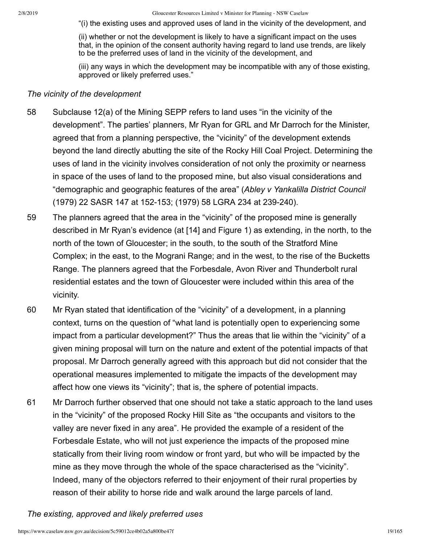2/8/2019 Gloucester Resources Limited v Minister for Planning - NSW Caselaw

"(i) the existing uses and approved uses of land in the vicinity of the development, and

(ii) whether or not the development is likely to have a significant impact on the uses that, in the opinion of the consent authority having regard to land use trends, are likely to be the preferred uses of land in the vicinity of the development, and

(iii) any ways in which the development may be incompatible with any of those existing, approved or likely preferred uses."

#### <span id="page-18-0"></span>*The vicinity of the development*

- 58 Subclause 12(a) of the Mining SEPP refers to land uses "in the vicinity of the development". The parties' planners, Mr Ryan for GRL and Mr Darroch for the Minister, agreed that from a planning perspective, the "vicinity" of the development extends beyond the land directly abutting the site of the Rocky Hill Coal Project. Determining the uses of land in the vicinity involves consideration of not only the proximity or nearness in space of the uses of land to the proposed mine, but also visual considerations and "demographic and geographic features of the area" (*Abley v Yankalilla District Council* (1979) 22 SASR 147 at 152-153; (1979) 58 LGRA 234 at 239-240).
- 59 The planners agreed that the area in the "vicinity" of the proposed mine is generally described in Mr Ryan's evidence (at [14] and Figure 1) as extending, in the north, to the north of the town of Gloucester; in the south, to the south of the Stratford Mine Complex; in the east, to the Mograni Range; and in the west, to the rise of the Bucketts Range. The planners agreed that the Forbesdale, Avon River and Thunderbolt rural residential estates and the town of Gloucester were included within this area of the vicinity.
- 60 Mr Ryan stated that identification of the "vicinity" of a development, in a planning context, turns on the question of "what land is potentially open to experiencing some impact from a particular development?" Thus the areas that lie within the "vicinity" of a given mining proposal will turn on the nature and extent of the potential impacts of that proposal. Mr Darroch generally agreed with this approach but did not consider that the operational measures implemented to mitigate the impacts of the development may affect how one views its "vicinity"; that is, the sphere of potential impacts.
- 61 Mr Darroch further observed that one should not take a static approach to the land uses in the "vicinity" of the proposed Rocky Hill Site as "the occupants and visitors to the valley are never fixed in any area". He provided the example of a resident of the Forbesdale Estate, who will not just experience the impacts of the proposed mine statically from their living room window or front yard, but who will be impacted by the mine as they move through the whole of the space characterised as the "vicinity". Indeed, many of the objectors referred to their enjoyment of their rural properties by reason of their ability to horse ride and walk around the large parcels of land.

<span id="page-18-1"></span>*The existing, approved and likely preferred uses*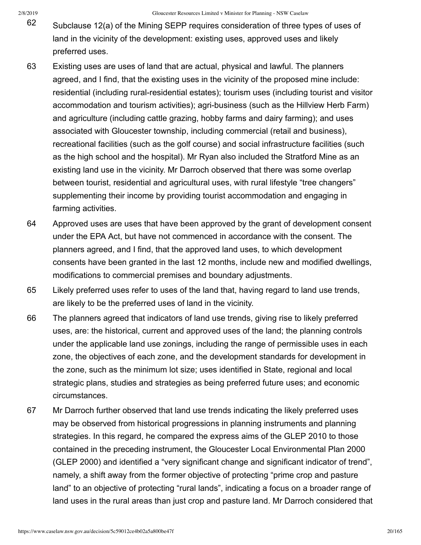$62$  Subclause 12(a) of the Mining SEPP requires consideration of three types of uses of land in the vicinity of the development: existing uses, approved uses and likely preferred uses.

- 63 Existing uses are uses of land that are actual, physical and lawful. The planners agreed, and I find, that the existing uses in the vicinity of the proposed mine include: residential (including rural-residential estates); tourism uses (including tourist and visitor accommodation and tourism activities); agri-business (such as the Hillview Herb Farm) and agriculture (including cattle grazing, hobby farms and dairy farming); and uses associated with Gloucester township, including commercial (retail and business), recreational facilities (such as the golf course) and social infrastructure facilities (such as the high school and the hospital). Mr Ryan also included the Stratford Mine as an existing land use in the vicinity. Mr Darroch observed that there was some overlap between tourist, residential and agricultural uses, with rural lifestyle "tree changers" supplementing their income by providing tourist accommodation and engaging in farming activities.
- 64 Approved uses are uses that have been approved by the grant of development consent under the EPA Act, but have not commenced in accordance with the consent. The planners agreed, and I find, that the approved land uses, to which development consents have been granted in the last 12 months, include new and modified dwellings, modifications to commercial premises and boundary adjustments.
- 65 Likely preferred uses refer to uses of the land that, having regard to land use trends, are likely to be the preferred uses of land in the vicinity.
- 66 The planners agreed that indicators of land use trends, giving rise to likely preferred uses, are: the historical, current and approved uses of the land; the planning controls under the applicable land use zonings, including the range of permissible uses in each zone, the objectives of each zone, and the development standards for development in the zone, such as the minimum lot size; uses identified in State, regional and local strategic plans, studies and strategies as being preferred future uses; and economic circumstances.
- 67 Mr Darroch further observed that land use trends indicating the likely preferred uses may be observed from historical progressions in planning instruments and planning strategies. In this regard, he compared the express aims of the GLEP 2010 to those contained in the preceding instrument, the Gloucester Local Environmental Plan 2000 (GLEP 2000) and identified a "very significant change and significant indicator of trend", namely, a shift away from the former objective of protecting "prime crop and pasture land" to an objective of protecting "rural lands", indicating a focus on a broader range of land uses in the rural areas than just crop and pasture land. Mr Darroch considered that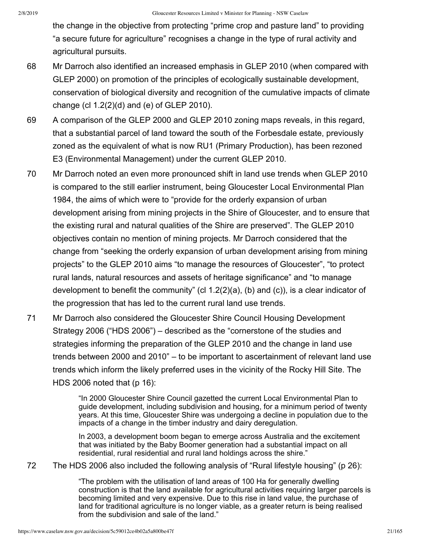the change in the objective from protecting "prime crop and pasture land" to providing "a secure future for agriculture" recognises a change in the type of rural activity and agricultural pursuits.

- 68 Mr Darroch also identified an increased emphasis in GLEP 2010 (when compared with GLEP 2000) on promotion of the principles of ecologically sustainable development, conservation of biological diversity and recognition of the cumulative impacts of climate change (cl 1.2(2)(d) and (e) of GLEP 2010).
- 69 A comparison of the GLEP 2000 and GLEP 2010 zoning maps reveals, in this regard, that a substantial parcel of land toward the south of the Forbesdale estate, previously zoned as the equivalent of what is now RU1 (Primary Production), has been rezoned E3 (Environmental Management) under the current GLEP 2010.
- 70 Mr Darroch noted an even more pronounced shift in land use trends when GLEP 2010 is compared to the still earlier instrument, being Gloucester Local Environmental Plan 1984, the aims of which were to "provide for the orderly expansion of urban development arising from mining projects in the Shire of Gloucester, and to ensure that the existing rural and natural qualities of the Shire are preserved". The GLEP 2010 objectives contain no mention of mining projects. Mr Darroch considered that the change from "seeking the orderly expansion of urban development arising from mining projects" to the GLEP 2010 aims "to manage the resources of Gloucester", "to protect rural lands, natural resources and assets of heritage significance" and "to manage development to benefit the community" (cl 1.2(2)(a), (b) and (c)), is a clear indicator of the progression that has led to the current rural land use trends.
- 71 Mr Darroch also considered the Gloucester Shire Council Housing Development Strategy 2006 ("HDS 2006") – described as the "cornerstone of the studies and strategies informing the preparation of the GLEP 2010 and the change in land use trends between 2000 and 2010" – to be important to ascertainment of relevant land use trends which inform the likely preferred uses in the vicinity of the Rocky Hill Site. The HDS 2006 noted that (p 16):

"In 2000 Gloucester Shire Council gazetted the current Local Environmental Plan to guide development, including subdivision and housing, for a minimum period of twenty years. At this time, Gloucester Shire was undergoing a decline in population due to the impacts of a change in the timber industry and dairy deregulation.

In 2003, a development boom began to emerge across Australia and the excitement that was initiated by the Baby Boomer generation had a substantial impact on all residential, rural residential and rural land holdings across the shire."

72 The HDS 2006 also included the following analysis of "Rural lifestyle housing" (p 26):

"The problem with the utilisation of land areas of 100 Ha for generally dwelling construction is that the land available for agricultural activities requiring larger parcels is becoming limited and very expensive. Due to this rise in land value, the purchase of land for traditional agriculture is no longer viable, as a greater return is being realised from the subdivision and sale of the land."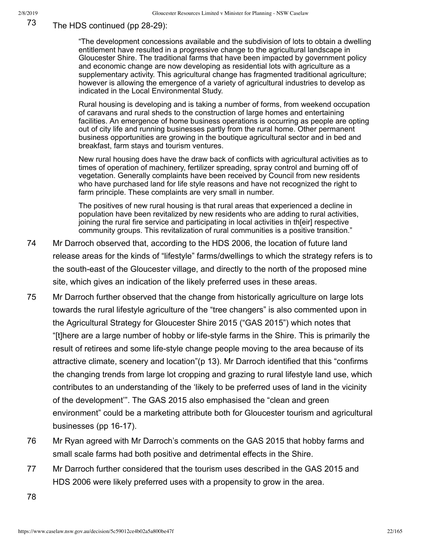# $73$  The HDS continued (pp 28-29):

"The development concessions available and the subdivision of lots to obtain a dwelling entitlement have resulted in a progressive change to the agricultural landscape in Gloucester Shire. The traditional farms that have been impacted by government policy and economic change are now developing as residential lots with agriculture as a supplementary activity. This agricultural change has fragmented traditional agriculture; however is allowing the emergence of a variety of agricultural industries to develop as indicated in the Local Environmental Study.

Rural housing is developing and is taking a number of forms, from weekend occupation of caravans and rural sheds to the construction of large homes and entertaining facilities. An emergence of home business operations is occurring as people are opting out of city life and running businesses partly from the rural home. Other permanent business opportunities are growing in the boutique agricultural sector and in bed and breakfast, farm stays and tourism ventures.

New rural housing does have the draw back of conflicts with agricultural activities as to times of operation of machinery, fertilizer spreading, spray control and burning off of vegetation. Generally complaints have been received by Council from new residents who have purchased land for life style reasons and have not recognized the right to farm principle. These complaints are very small in number.

The positives of new rural housing is that rural areas that experienced a decline in population have been revitalized by new residents who are adding to rural activities, joining the rural fire service and participating in local activities in th[eir] respective community groups. This revitalization of rural communities is a positive transition."

- 74 Mr Darroch observed that, according to the HDS 2006, the location of future land release areas for the kinds of "lifestyle" farms/dwellings to which the strategy refers is to the south-east of the Gloucester village, and directly to the north of the proposed mine site, which gives an indication of the likely preferred uses in these areas.
- 75 Mr Darroch further observed that the change from historically agriculture on large lots towards the rural lifestyle agriculture of the "tree changers" is also commented upon in the Agricultural Strategy for Gloucester Shire 2015 ("GAS 2015") which notes that "[t]here are a large number of hobby or life-style farms in the Shire. This is primarily the result of retirees and some life-style change people moving to the area because of its attractive climate, scenery and location"(p 13). Mr Darroch identified that this "confirms the changing trends from large lot cropping and grazing to rural lifestyle land use, which contributes to an understanding of the 'likely to be preferred uses of land in the vicinity of the development'". The GAS 2015 also emphasised the "clean and green environment" could be a marketing attribute both for Gloucester tourism and agricultural businesses (pp  $16-17$ ).
- 76 Mr Ryan agreed with Mr Darroch's comments on the GAS 2015 that hobby farms and small scale farms had both positive and detrimental effects in the Shire.
- 77 Mr Darroch further considered that the tourism uses described in the GAS 2015 and HDS 2006 were likely preferred uses with a propensity to grow in the area.

78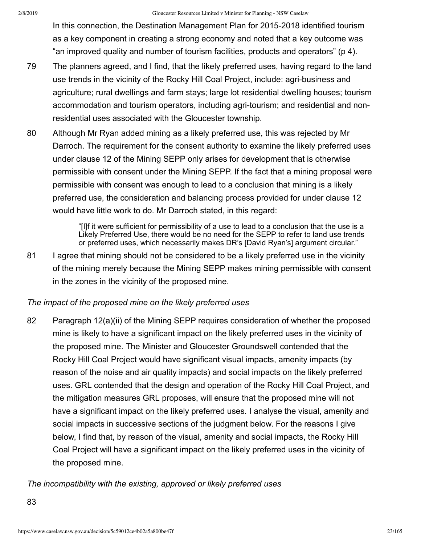In this connection, the Destination Management Plan for 2015-2018 identified tourism as a key component in creating a strong economy and noted that a key outcome was "an improved quality and number of tourism facilities, products and operators" (p 4).

- 79 The planners agreed, and I find, that the likely preferred uses, having regard to the land use trends in the vicinity of the Rocky Hill Coal Project, include: agri-business and agriculture; rural dwellings and farm stays; large lot residential dwelling houses; tourism accommodation and tourism operators, including agri-tourism; and residential and nonresidential uses associated with the Gloucester township.
- 80 Although Mr Ryan added mining as a likely preferred use, this was rejected by Mr Darroch. The requirement for the consent authority to examine the likely preferred uses under clause 12 of the Mining SEPP only arises for development that is otherwise permissible with consent under the Mining SEPP. If the fact that a mining proposal were permissible with consent was enough to lead to a conclusion that mining is a likely preferred use, the consideration and balancing process provided for under clause 12 would have little work to do. Mr Darroch stated, in this regard:

"[I]f it were sufficient for permissibility of a use to lead to a conclusion that the use is a Likely Preferred Use, there would be no need for the SEPP to refer to land use trends or preferred uses, which necessarily makes DR's [David Ryan's] argument circular."

81 I agree that mining should not be considered to be a likely preferred use in the vicinity of the mining merely because the Mining SEPP makes mining permissible with consent in the zones in the vicinity of the proposed mine.

## <span id="page-22-0"></span>*The impact of the proposed mine on the likely preferred uses*

82 Paragraph 12(a)(ii) of the Mining SEPP requires consideration of whether the proposed mine is likely to have a significant impact on the likely preferred uses in the vicinity of the proposed mine. The Minister and Gloucester Groundswell contended that the Rocky Hill Coal Project would have significant visual impacts, amenity impacts (by reason of the noise and air quality impacts) and social impacts on the likely preferred uses. GRL contended that the design and operation of the Rocky Hill Coal Project, and the mitigation measures GRL proposes, will ensure that the proposed mine will not have a significant impact on the likely preferred uses. I analyse the visual, amenity and social impacts in successive sections of the judgment below. For the reasons I give below, I find that, by reason of the visual, amenity and social impacts, the Rocky Hill Coal Project will have a significant impact on the likely preferred uses in the vicinity of the proposed mine.

<span id="page-22-1"></span>*The incompatibility with the existing, approved or likely preferred uses*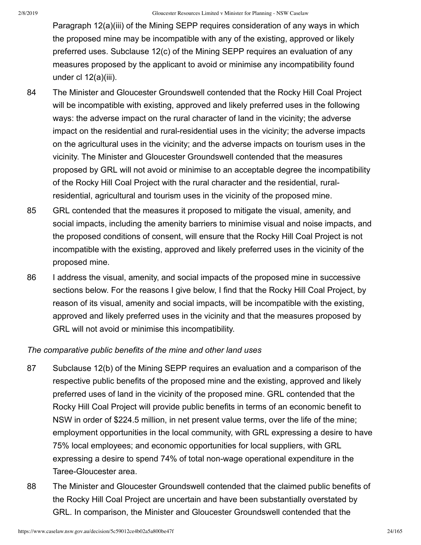Paragraph 12(a)(iii) of the Mining SEPP requires consideration of any ways in which the proposed mine may be incompatible with any of the existing, approved or likely preferred uses. Subclause 12(c) of the Mining SEPP requires an evaluation of any measures proposed by the applicant to avoid or minimise any incompatibility found under cl 12(a)(iii).

- 84 The Minister and Gloucester Groundswell contended that the Rocky Hill Coal Project will be incompatible with existing, approved and likely preferred uses in the following ways: the adverse impact on the rural character of land in the vicinity; the adverse impact on the residential and rural-residential uses in the vicinity; the adverse impacts on the agricultural uses in the vicinity; and the adverse impacts on tourism uses in the vicinity. The Minister and Gloucester Groundswell contended that the measures proposed by GRL will not avoid or minimise to an acceptable degree the incompatibility of the Rocky Hill Coal Project with the rural character and the residential, ruralresidential, agricultural and tourism uses in the vicinity of the proposed mine.
- 85 GRL contended that the measures it proposed to mitigate the visual, amenity, and social impacts, including the amenity barriers to minimise visual and noise impacts, and the proposed conditions of consent, will ensure that the Rocky Hill Coal Project is not incompatible with the existing, approved and likely preferred uses in the vicinity of the proposed mine.
- 86 I address the visual, amenity, and social impacts of the proposed mine in successive sections below. For the reasons I give below, I find that the Rocky Hill Coal Project, by reason of its visual, amenity and social impacts, will be incompatible with the existing, approved and likely preferred uses in the vicinity and that the measures proposed by GRL will not avoid or minimise this incompatibility.

#### <span id="page-23-0"></span>*The comparative public benefits of the mine and other land uses*

- 87 Subclause 12(b) of the Mining SEPP requires an evaluation and a comparison of the respective public benefits of the proposed mine and the existing, approved and likely preferred uses of land in the vicinity of the proposed mine. GRL contended that the Rocky Hill Coal Project will provide public benefits in terms of an economic benefit to NSW in order of \$224.5 million, in net present value terms, over the life of the mine; employment opportunities in the local community, with GRL expressing a desire to have 75% local employees; and economic opportunities for local suppliers, with GRL expressing a desire to spend 74% of total non-wage operational expenditure in the Taree-Gloucester area.
- 88 The Minister and Gloucester Groundswell contended that the claimed public benefits of the Rocky Hill Coal Project are uncertain and have been substantially overstated by GRL. In comparison, the Minister and Gloucester Groundswell contended that the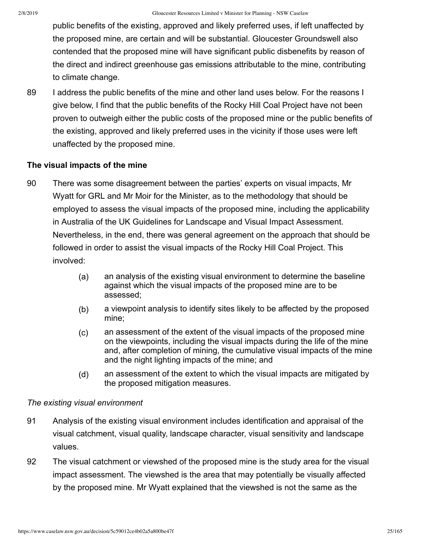public benefits of the existing, approved and likely preferred uses, if left unaffected by the proposed mine, are certain and will be substantial. Gloucester Groundswell also contended that the proposed mine will have significant public disbenefits by reason of the direct and indirect greenhouse gas emissions attributable to the mine, contributing to climate change.

89 I address the public benefits of the mine and other land uses below. For the reasons I give below, I find that the public benefits of the Rocky Hill Coal Project have not been proven to outweigh either the public costs of the proposed mine or the public benefits of the existing, approved and likely preferred uses in the vicinity if those uses were left unaffected by the proposed mine.

#### <span id="page-24-0"></span>**The visual impacts of the mine**

- 90 There was some disagreement between the parties' experts on visual impacts, Mr Wyatt for GRL and Mr Moir for the Minister, as to the methodology that should be employed to assess the visual impacts of the proposed mine, including the applicability in Australia of the UK Guidelines for Landscape and Visual Impact Assessment. Nevertheless, in the end, there was general agreement on the approach that should be followed in order to assist the visual impacts of the Rocky Hill Coal Project. This involved:
	- (a) an analysis of the existing visual environment to determine the baseline against which the visual impacts of the proposed mine are to be assessed;
	- (b) a viewpoint analysis to identify sites likely to be affected by the proposed mine;
	- (c) an assessment of the extent of the visual impacts of the proposed mine on the viewpoints, including the visual impacts during the life of the mine and, after completion of mining, the cumulative visual impacts of the mine and the night lighting impacts of the mine; and
	- (d) an assessment of the extent to which the visual impacts are mitigated by the proposed mitigation measures.

#### <span id="page-24-1"></span>*The existing visual environment*

- 91 Analysis of the existing visual environment includes identification and appraisal of the visual catchment, visual quality, landscape character, visual sensitivity and landscape values.
- 92 The visual catchment or viewshed of the proposed mine is the study area for the visual impact assessment. The viewshed is the area that may potentially be visually affected by the proposed mine. Mr Wyatt explained that the viewshed is not the same as the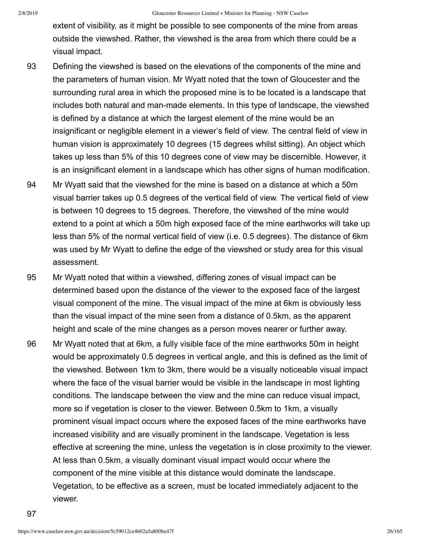extent of visibility, as it might be possible to see components of the mine from areas outside the viewshed. Rather, the viewshed is the area from which there could be a visual impact.

- 93 Defining the viewshed is based on the elevations of the components of the mine and the parameters of human vision. Mr Wyatt noted that the town of Gloucester and the surrounding rural area in which the proposed mine is to be located is a landscape that includes both natural and man-made elements. In this type of landscape, the viewshed is defined by a distance at which the largest element of the mine would be an insignificant or negligible element in a viewer's field of view. The central field of view in human vision is approximately 10 degrees (15 degrees whilst sitting). An object which takes up less than 5% of this 10 degrees cone of view may be discernible. However, it is an insignificant element in a landscape which has other signs of human modification.
- 94 Mr Wyatt said that the viewshed for the mine is based on a distance at which a 50m visual barrier takes up 0.5 degrees of the vertical field of view. The vertical field of view is between 10 degrees to 15 degrees. Therefore, the viewshed of the mine would extend to a point at which a 50m high exposed face of the mine earthworks will take up less than 5% of the normal vertical field of view (i.e. 0.5 degrees). The distance of 6km was used by Mr Wyatt to define the edge of the viewshed or study area for this visual assessment.
- 95 Mr Wyatt noted that within a viewshed, differing zones of visual impact can be determined based upon the distance of the viewer to the exposed face of the largest visual component of the mine. The visual impact of the mine at 6km is obviously less than the visual impact of the mine seen from a distance of 0.5km, as the apparent height and scale of the mine changes as a person moves nearer or further away.
- 96 Mr Wyatt noted that at 6km, a fully visible face of the mine earthworks 50m in height would be approximately 0.5 degrees in vertical angle, and this is defined as the limit of the viewshed. Between 1km to 3km, there would be a visually noticeable visual impact where the face of the visual barrier would be visible in the landscape in most lighting conditions. The landscape between the view and the mine can reduce visual impact, more so if vegetation is closer to the viewer. Between 0.5km to 1km, a visually prominent visual impact occurs where the exposed faces of the mine earthworks have increased visibility and are visually prominent in the landscape. Vegetation is less effective at screening the mine, unless the vegetation is in close proximity to the viewer. At less than 0.5km, a visually dominant visual impact would occur where the component of the mine visible at this distance would dominate the landscape. Vegetation, to be effective as a screen, must be located immediately adjacent to the viewer.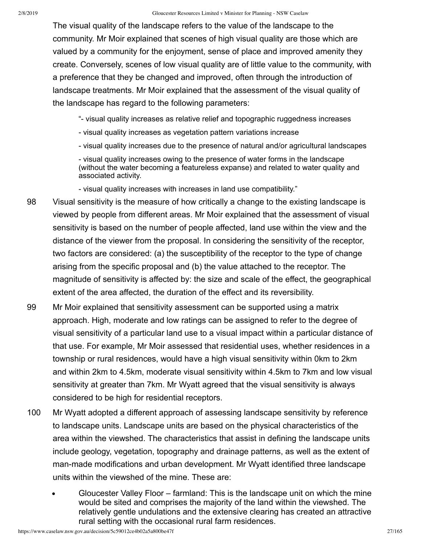The visual quality of the landscape refers to the value of the landscape to the community. Mr Moir explained that scenes of high visual quality are those which are valued by a community for the enjoyment, sense of place and improved amenity they create. Conversely, scenes of low visual quality are of little value to the community, with a preference that they be changed and improved, often through the introduction of landscape treatments. Mr Moir explained that the assessment of the visual quality of the landscape has regard to the following parameters:

- " visual quality increases as relative relief and topographic ruggedness increases
- visual quality increases as vegetation pattern variations increase
- visual quality increases due to the presence of natural and/or agricultural landscapes

 visual quality increases owing to the presence of water forms in the landscape (without the water becoming a featureless expanse) and related to water quality and associated activity.

- visual quality increases with increases in land use compatibility."
- 98 Visual sensitivity is the measure of how critically a change to the existing landscape is viewed by people from different areas. Mr Moir explained that the assessment of visual sensitivity is based on the number of people affected, land use within the view and the distance of the viewer from the proposal. In considering the sensitivity of the receptor, two factors are considered: (a) the susceptibility of the receptor to the type of change arising from the specific proposal and (b) the value attached to the receptor. The magnitude of sensitivity is affected by: the size and scale of the effect, the geographical extent of the area affected, the duration of the effect and its reversibility.
- 99 Mr Moir explained that sensitivity assessment can be supported using a matrix approach. High, moderate and low ratings can be assigned to refer to the degree of visual sensitivity of a particular land use to a visual impact within a particular distance of that use. For example, Mr Moir assessed that residential uses, whether residences in a township or rural residences, would have a high visual sensitivity within 0km to 2km and within 2km to 4.5km, moderate visual sensitivity within 4.5km to 7km and low visual sensitivity at greater than 7km. Mr Wyatt agreed that the visual sensitivity is always considered to be high for residential receptors.
- 100 Mr Wyatt adopted a different approach of assessing landscape sensitivity by reference to landscape units. Landscape units are based on the physical characteristics of the area within the viewshed. The characteristics that assist in defining the landscape units include geology, vegetation, topography and drainage patterns, as well as the extent of man-made modifications and urban development. Mr Wyatt identified three landscape units within the viewshed of the mine. These are:
	- Gloucester Valley Floor farmland: This is the landscape unit on which the mine would be sited and comprises the majority of the land within the viewshed. The relatively gentle undulations and the extensive clearing has created an attractive rural setting with the occasional rural farm residences.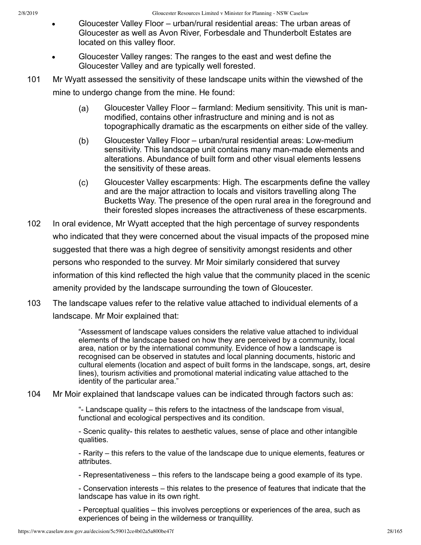- Gloucester Valley Floor urban/rural residential areas: The urban areas of Gloucester as well as Avon River, Forbesdale and Thunderbolt Estates are located on this valley floor.
- Gloucester Valley ranges: The ranges to the east and west define the Gloucester Valley and are typically well forested.
- 101 Mr Wyatt assessed the sensitivity of these landscape units within the viewshed of the mine to undergo change from the mine. He found:
	- (a) Gloucester Valley Floor farmland: Medium sensitivity. This unit is manmodified, contains other infrastructure and mining and is not as topographically dramatic as the escarpments on either side of the valley.
	- (b) Gloucester Valley Floor urban/rural residential areas: Low-medium sensitivity. This landscape unit contains many man-made elements and alterations. Abundance of built form and other visual elements lessens the sensitivity of these areas.
	- (c) Gloucester Valley escarpments: High. The escarpments define the valley and are the major attraction to locals and visitors travelling along The Bucketts Way. The presence of the open rural area in the foreground and their forested slopes increases the attractiveness of these escarpments.
- 102 In oral evidence, Mr Wyatt accepted that the high percentage of survey respondents who indicated that they were concerned about the visual impacts of the proposed mine suggested that there was a high degree of sensitivity amongst residents and other persons who responded to the survey. Mr Moir similarly considered that survey information of this kind reflected the high value that the community placed in the scenic amenity provided by the landscape surrounding the town of Gloucester.
- 103 The landscape values refer to the relative value attached to individual elements of a landscape. Mr Moir explained that:

"Assessment of landscape values considers the relative value attached to individual elements of the landscape based on how they are perceived by a community, local area, nation or by the international community. Evidence of how a landscape is recognised can be observed in statutes and local planning documents, historic and cultural elements (location and aspect of built forms in the landscape, songs, art, desire lines), tourism activities and promotional material indicating value attached to the identity of the particular area."

104 Mr Moir explained that landscape values can be indicated through factors such as:

" Landscape quality – this refers to the intactness of the landscape from visual, functional and ecological perspectives and its condition.

- Scenic quality- this relates to aesthetic values, sense of place and other intangible qualities.

- Rarity – this refers to the value of the landscape due to unique elements, features or attributes.

Representativeness – this refers to the landscape being a good example of its type.

 Conservation interests – this relates to the presence of features that indicate that the landscape has value in its own right.

 Perceptual qualities – this involves perceptions or experiences of the area, such as experiences of being in the wilderness or tranquillity.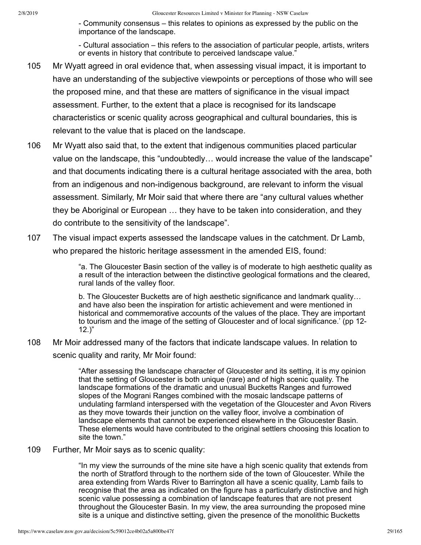Community consensus – this relates to opinions as expressed by the public on the importance of the landscape.

 Cultural association – this refers to the association of particular people, artists, writers or events in history that contribute to perceived landscape value."

- 105 Mr Wyatt agreed in oral evidence that, when assessing visual impact, it is important to have an understanding of the subjective viewpoints or perceptions of those who will see the proposed mine, and that these are matters of significance in the visual impact assessment. Further, to the extent that a place is recognised for its landscape characteristics or scenic quality across geographical and cultural boundaries, this is relevant to the value that is placed on the landscape.
- 106 Mr Wyatt also said that, to the extent that indigenous communities placed particular value on the landscape, this "undoubtedly… would increase the value of the landscape" and that documents indicating there is a cultural heritage associated with the area, both from an indigenous and non-indigenous background, are relevant to inform the visual assessment. Similarly, Mr Moir said that where there are "any cultural values whether they be Aboriginal or European … they have to be taken into consideration, and they do contribute to the sensitivity of the landscape".
- 107 The visual impact experts assessed the landscape values in the catchment. Dr Lamb, who prepared the historic heritage assessment in the amended EIS, found:

"a. The Gloucester Basin section of the valley is of moderate to high aesthetic quality as a result of the interaction between the distinctive geological formations and the cleared, rural lands of the valley floor.

b. The Gloucester Bucketts are of high aesthetic significance and landmark quality… and have also been the inspiration for artistic achievement and were mentioned in historical and commemorative accounts of the values of the place. They are important to tourism and the image of the setting of Gloucester and of local significance.' (pp 12 12.)"

108 Mr Moir addressed many of the factors that indicate landscape values. In relation to scenic quality and rarity, Mr Moir found:

> "After assessing the landscape character of Gloucester and its setting, it is my opinion that the setting of Gloucester is both unique (rare) and of high scenic quality. The landscape formations of the dramatic and unusual Bucketts Ranges and furrowed slopes of the Mograni Ranges combined with the mosaic landscape patterns of undulating farmland interspersed with the vegetation of the Gloucester and Avon Rivers as they move towards their junction on the valley floor, involve a combination of landscape elements that cannot be experienced elsewhere in the Gloucester Basin. These elements would have contributed to the original settlers choosing this location to site the town."

109 Further, Mr Moir says as to scenic quality:

"In my view the surrounds of the mine site have a high scenic quality that extends from the north of Stratford through to the northern side of the town of Gloucester. While the area extending from Wards River to Barrington all have a scenic quality, Lamb fails to recognise that the area as indicated on the figure has a particularly distinctive and high scenic value possessing a combination of landscape features that are not present throughout the Gloucester Basin. In my view, the area surrounding the proposed mine site is a unique and distinctive setting, given the presence of the monolithic Bucketts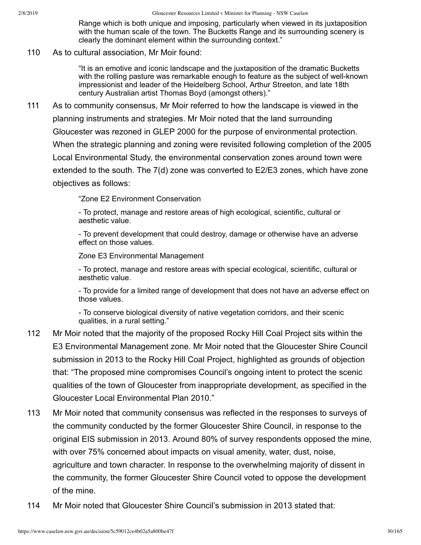Range which is both unique and imposing, particularly when viewed in its juxtaposition with the human scale of the town. The Bucketts Range and its surrounding scenery is clearly the dominant element within the surrounding context."

110 As to cultural association, Mr Moir found:

"It is an emotive and iconic landscape and the juxtaposition of the dramatic Bucketts with the rolling pasture was remarkable enough to feature as the subject of well-known impressionist and leader of the Heidelberg School, Arthur Streeton, and late 18th century Australian artist Thomas Boyd (amongst others)."

111 As to community consensus, Mr Moir referred to how the landscape is viewed in the planning instruments and strategies. Mr Moir noted that the land surrounding Gloucester was rezoned in GLEP 2000 for the purpose of environmental protection. When the strategic planning and zoning were revisited following completion of the 2005 Local Environmental Study, the environmental conservation zones around town were extended to the south. The 7(d) zone was converted to E2/E3 zones, which have zone objectives as follows:

"Zone E2 Environment Conservation

 To protect, manage and restore areas of high ecological, scientific, cultural or aesthetic value.

 To prevent development that could destroy, damage or otherwise have an adverse effect on those values.

Zone E3 Environmental Management

 To protect, manage and restore areas with special ecological, scientific, cultural or aesthetic value.

 To provide for a limited range of development that does not have an adverse effect on those values.

 To conserve biological diversity of native vegetation corridors, and their scenic qualities, in a rural setting."

- 112 Mr Moir noted that the majority of the proposed Rocky Hill Coal Project sits within the E3 Environmental Management zone. Mr Moir noted that the Gloucester Shire Council submission in 2013 to the Rocky Hill Coal Project, highlighted as grounds of objection that: "The proposed mine compromises Council's ongoing intent to protect the scenic qualities of the town of Gloucester from inappropriate development, as specified in the Gloucester Local Environmental Plan 2010."
- 113 Mr Moir noted that community consensus was reflected in the responses to surveys of the community conducted by the former Gloucester Shire Council, in response to the original EIS submission in 2013. Around 80% of survey respondents opposed the mine, with over 75% concerned about impacts on visual amenity, water, dust, noise, agriculture and town character. In response to the overwhelming majority of dissent in the community, the former Gloucester Shire Council voted to oppose the development of the mine.
- 114 Mr Moir noted that Gloucester Shire Council's submission in 2013 stated that: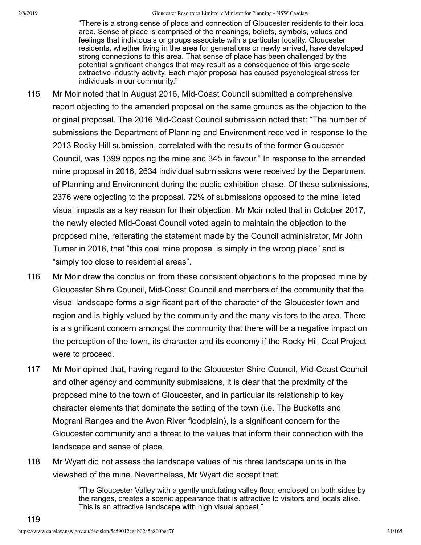2/8/2019 Gloucester Resources Limited v Minister for Planning - NSW Caselaw

"There is a strong sense of place and connection of Gloucester residents to their local area. Sense of place is comprised of the meanings, beliefs, symbols, values and feelings that individuals or groups associate with a particular locality. Gloucester residents, whether living in the area for generations or newly arrived, have developed strong connections to this area. That sense of place has been challenged by the potential significant changes that may result as a consequence of this large scale extractive industry activity. Each major proposal has caused psychological stress for individuals in our community."

- 115 Mr Moir noted that in August 2016, Mid-Coast Council submitted a comprehensive report objecting to the amended proposal on the same grounds as the objection to the original proposal. The 2016 Mid-Coast Council submission noted that: "The number of submissions the Department of Planning and Environment received in response to the 2013 Rocky Hill submission, correlated with the results of the former Gloucester Council, was 1399 opposing the mine and 345 in favour." In response to the amended mine proposal in 2016, 2634 individual submissions were received by the Department of Planning and Environment during the public exhibition phase. Of these submissions, 2376 were objecting to the proposal. 72% of submissions opposed to the mine listed visual impacts as a key reason for their objection. Mr Moir noted that in October 2017, the newly elected Mid-Coast Council voted again to maintain the objection to the proposed mine, reiterating the statement made by the Council administrator, Mr John Turner in 2016, that "this coal mine proposal is simply in the wrong place" and is "simply too close to residential areas".
- 116 Mr Moir drew the conclusion from these consistent objections to the proposed mine by Gloucester Shire Council, MidCoast Council and members of the community that the visual landscape forms a significant part of the character of the Gloucester town and region and is highly valued by the community and the many visitors to the area. There is a significant concern amongst the community that there will be a negative impact on the perception of the town, its character and its economy if the Rocky Hill Coal Project were to proceed.
- 117 Mr Moir opined that, having regard to the Gloucester Shire Council, Mid-Coast Council and other agency and community submissions, it is clear that the proximity of the proposed mine to the town of Gloucester, and in particular its relationship to key character elements that dominate the setting of the town (i.e. The Bucketts and Mograni Ranges and the Avon River floodplain), is a significant concern for the Gloucester community and a threat to the values that inform their connection with the landscape and sense of place.
- 118 Mr Wyatt did not assess the landscape values of his three landscape units in the viewshed of the mine. Nevertheless, Mr Wyatt did accept that:

"The Gloucester Valley with a gently undulating valley floor, enclosed on both sides by the ranges, creates a scenic appearance that is attractive to visitors and locals alike. This is an attractive landscape with high visual appeal."

119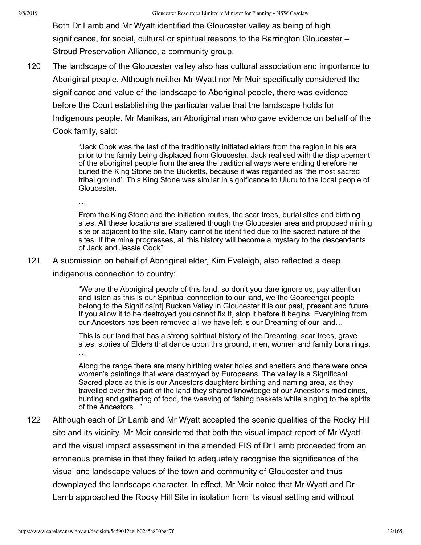Both Dr Lamb and Mr Wyatt identified the Gloucester valley as being of high significance, for social, cultural or spiritual reasons to the Barrington Gloucester – Stroud Preservation Alliance, a community group.

120 The landscape of the Gloucester valley also has cultural association and importance to Aboriginal people. Although neither Mr Wyatt nor Mr Moir specifically considered the significance and value of the landscape to Aboriginal people, there was evidence before the Court establishing the particular value that the landscape holds for Indigenous people. Mr Manikas, an Aboriginal man who gave evidence on behalf of the Cook family, said:

> "Jack Cook was the last of the traditionally initiated elders from the region in his era prior to the family being displaced from Gloucester. Jack realised with the displacement of the aboriginal people from the area the traditional ways were ending therefore he buried the King Stone on the Bucketts, because it was regarded as 'the most sacred tribal ground'. This King Stone was similar in significance to Uluru to the local people of Gloucester.

> From the King Stone and the initiation routes, the scar trees, burial sites and birthing sites. All these locations are scattered though the Gloucester area and proposed mining site or adjacent to the site. Many cannot be identified due to the sacred nature of the sites. If the mine progresses, all this history will become a mystery to the descendants of Jack and Jessie Cook"

# 121 A submission on behalf of Aboriginal elder, Kim Eveleigh, also reflected a deep indigenous connection to country:

"We are the Aboriginal people of this land, so don't you dare ignore us, pay attention and listen as this is our Spiritual connection to our land, we the Gooreengai people belong to the Significa[nt] Buckan Valley in Gloucester it is our past, present and future. If you allow it to be destroyed you cannot fix It, stop it before it begins. Everything from our Ancestors has been removed all we have left is our Dreaming of our land…

This is our land that has a strong spiritual history of the Dreaming, scar trees, grave sites, stories of Elders that dance upon this ground, men, women and family bora rings. …

Along the range there are many birthing water holes and shelters and there were once women's paintings that were destroyed by Europeans. The valley is a Significant Sacred place as this is our Ancestors daughters birthing and naming area, as they travelled over this part of the land they shared knowledge of our Ancestor's medicines, hunting and gathering of food, the weaving of fishing baskets while singing to the spirits of the Ancestors..."

122 Although each of Dr Lamb and Mr Wyatt accepted the scenic qualities of the Rocky Hill site and its vicinity, Mr Moir considered that both the visual impact report of Mr Wyatt and the visual impact assessment in the amended EIS of Dr Lamb proceeded from an erroneous premise in that they failed to adequately recognise the significance of the visual and landscape values of the town and community of Gloucester and thus downplayed the landscape character. In effect, Mr Moir noted that Mr Wyatt and Dr Lamb approached the Rocky Hill Site in isolation from its visual setting and without

…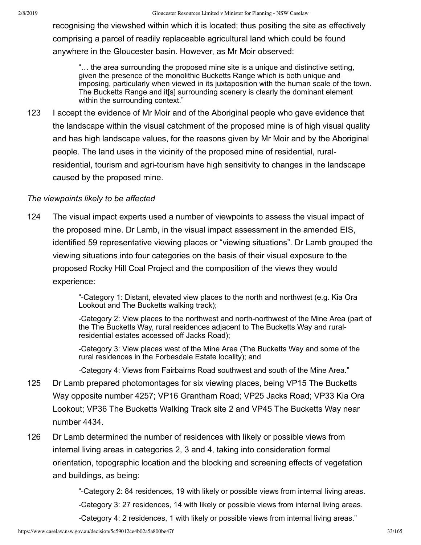recognising the viewshed within which it is located; thus positing the site as effectively comprising a parcel of readily replaceable agricultural land which could be found anywhere in the Gloucester basin. However, as Mr Moir observed:

"… the area surrounding the proposed mine site is a unique and distinctive setting, given the presence of the monolithic Bucketts Range which is both unique and imposing, particularly when viewed in its juxtaposition with the human scale of the town. The Bucketts Range and it[s] surrounding scenery is clearly the dominant element within the surrounding context."

123 I accept the evidence of Mr Moir and of the Aboriginal people who gave evidence that the landscape within the visual catchment of the proposed mine is of high visual quality and has high landscape values, for the reasons given by Mr Moir and by the Aboriginal people. The land uses in the vicinity of the proposed mine of residential, ruralresidential, tourism and agri-tourism have high sensitivity to changes in the landscape caused by the proposed mine.

### <span id="page-32-0"></span>*The viewpoints likely to be affected*

124 The visual impact experts used a number of viewpoints to assess the visual impact of the proposed mine. Dr Lamb, in the visual impact assessment in the amended EIS, identified 59 representative viewing places or "viewing situations". Dr Lamb grouped the viewing situations into four categories on the basis of their visual exposure to the proposed Rocky Hill Coal Project and the composition of the views they would experience:

> "Category 1: Distant, elevated view places to the north and northwest (e.g. Kia Ora Lookout and The Bucketts walking track);

-Category 2: View places to the northwest and north-northwest of the Mine Area (part of the The Bucketts Way, rural residences adjacent to The Bucketts Way and ruralresidential estates accessed off Jacks Road);

Category 3: View places west of the Mine Area (The Bucketts Way and some of the rural residences in the Forbesdale Estate locality); and

Category 4: Views from Fairbairns Road southwest and south of the Mine Area."

- 125 Dr Lamb prepared photomontages for six viewing places, being VP15 The Bucketts Way opposite number 4257; VP16 Grantham Road; VP25 Jacks Road; VP33 Kia Ora Lookout; VP36 The Bucketts Walking Track site 2 and VP45 The Bucketts Way near number 4434.
- 126 Dr Lamb determined the number of residences with likely or possible views from internal living areas in categories 2, 3 and 4, taking into consideration formal orientation, topographic location and the blocking and screening effects of vegetation and buildings, as being:

"Category 2: 84 residences, 19 with likely or possible views from internal living areas.

Category 3: 27 residences, 14 with likely or possible views from internal living areas.

Category 4: 2 residences, 1 with likely or possible views from internal living areas."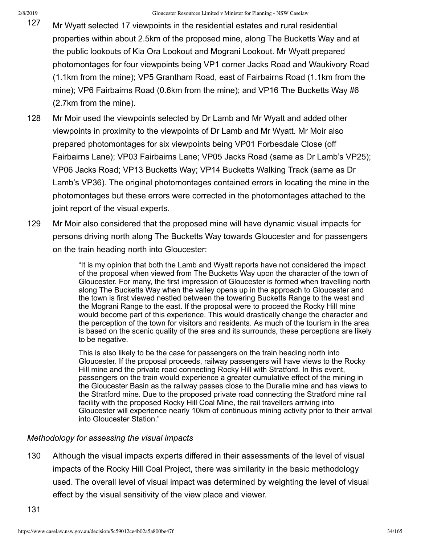- 127 Mr Wyatt selected 17 viewpoints in the residential estates and rural residential properties within about 2.5km of the proposed mine, along The Bucketts Way and at the public lookouts of Kia Ora Lookout and Mograni Lookout. Mr Wyatt prepared photomontages for four viewpoints being VP1 corner Jacks Road and Waukivory Road (1.1km from the mine); VP5 Grantham Road, east of Fairbairns Road (1.1km from the mine); VP6 Fairbairns Road (0.6km from the mine); and VP16 The Bucketts Way #6 (2.7km from the mine).
- 128 Mr Moir used the viewpoints selected by Dr Lamb and Mr Wyatt and added other viewpoints in proximity to the viewpoints of Dr Lamb and Mr Wyatt. Mr Moir also prepared photomontages for six viewpoints being VP01 Forbesdale Close (off Fairbairns Lane); VP03 Fairbairns Lane; VP05 Jacks Road (same as Dr Lamb's VP25); VP06 Jacks Road; VP13 Bucketts Way; VP14 Bucketts Walking Track (same as Dr Lamb's VP36). The original photomontages contained errors in locating the mine in the photomontages but these errors were corrected in the photomontages attached to the joint report of the visual experts.
- 129 Mr Moir also considered that the proposed mine will have dynamic visual impacts for persons driving north along The Bucketts Way towards Gloucester and for passengers on the train heading north into Gloucester:

"It is my opinion that both the Lamb and Wyatt reports have not considered the impact of the proposal when viewed from The Bucketts Way upon the character of the town of Gloucester. For many, the first impression of Gloucester is formed when travelling north along The Bucketts Way when the valley opens up in the approach to Gloucester and the town is first viewed nestled between the towering Bucketts Range to the west and the Mograni Range to the east. If the proposal were to proceed the Rocky Hill mine would become part of this experience. This would drastically change the character and the perception of the town for visitors and residents. As much of the tourism in the area is based on the scenic quality of the area and its surrounds, these perceptions are likely to be negative.

This is also likely to be the case for passengers on the train heading north into Gloucester. If the proposal proceeds, railway passengers will have views to the Rocky Hill mine and the private road connecting Rocky Hill with Stratford. In this event, passengers on the train would experience a greater cumulative effect of the mining in the Gloucester Basin as the railway passes close to the Duralie mine and has views to the Stratford mine. Due to the proposed private road connecting the Stratford mine rail facility with the proposed Rocky Hill Coal Mine, the rail travellers arriving into Gloucester will experience nearly 10km of continuous mining activity prior to their arrival into Gloucester Station."

# <span id="page-33-0"></span>*Methodology for assessing the visual impacts*

130 Although the visual impacts experts differed in their assessments of the level of visual impacts of the Rocky Hill Coal Project, there was similarity in the basic methodology used. The overall level of visual impact was determined by weighting the level of visual effect by the visual sensitivity of the view place and viewer.

131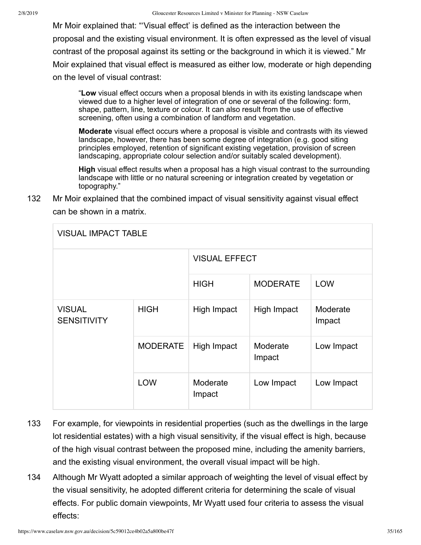Mr Moir explained that: "'Visual effect' is defined as the interaction between the proposal and the existing visual environment. It is often expressed as the level of visual contrast of the proposal against its setting or the background in which it is viewed." Mr Moir explained that visual effect is measured as either low, moderate or high depending on the level of visual contrast:

"**Low** visual effect occurs when a proposal blends in with its existing landscape when viewed due to a higher level of integration of one or several of the following: form, shape, pattern, line, texture or colour. It can also result from the use of effective screening, often using a combination of landform and vegetation.

**Moderate** visual effect occurs where a proposal is visible and contrasts with its viewed landscape, however, there has been some degree of integration (e.g. good siting principles employed, retention of significant existing vegetation, provision of screen landscaping, appropriate colour selection and/or suitably scaled development).

**High** visual effect results when a proposal has a high visual contrast to the surrounding landscape with little or no natural screening or integration created by vegetation or topography."

132 Mr Moir explained that the combined impact of visual sensitivity against visual effect can be shown in a matrix.

| <b>VISUAL IMPACT TABLE</b>          |                 |                      |                    |                    |  |  |
|-------------------------------------|-----------------|----------------------|--------------------|--------------------|--|--|
|                                     |                 | <b>VISUAL EFFECT</b> |                    |                    |  |  |
|                                     |                 | <b>HIGH</b>          | <b>MODERATE</b>    | <b>LOW</b>         |  |  |
| <b>VISUAL</b><br><b>SENSITIVITY</b> | <b>HIGH</b>     | High Impact          | High Impact        | Moderate<br>Impact |  |  |
|                                     | <b>MODERATE</b> | High Impact          | Moderate<br>Impact | Low Impact         |  |  |
|                                     | <b>LOW</b>      | Moderate<br>Impact   | Low Impact         | Low Impact         |  |  |

- 133 For example, for viewpoints in residential properties (such as the dwellings in the large lot residential estates) with a high visual sensitivity, if the visual effect is high, because of the high visual contrast between the proposed mine, including the amenity barriers, and the existing visual environment, the overall visual impact will be high.
- 134 Although Mr Wyatt adopted a similar approach of weighting the level of visual effect by the visual sensitivity, he adopted different criteria for determining the scale of visual effects. For public domain viewpoints, Mr Wyatt used four criteria to assess the visual effects: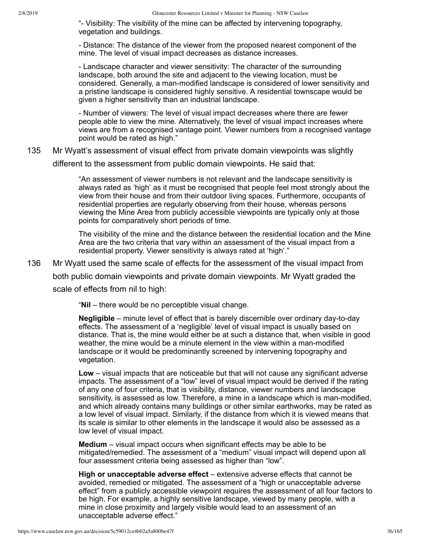"- Visibility: The visibility of the mine can be affected by intervening topography, vegetation and buildings.

 Distance: The distance of the viewer from the proposed nearest component of the mine. The level of visual impact decreases as distance increases.

 Landscape character and viewer sensitivity: The character of the surrounding landscape, both around the site and adjacent to the viewing location, must be considered. Generally, a man-modified landscape is considered of lower sensitivity and a pristine landscape is considered highly sensitive. A residential townscape would be given a higher sensitivity than an industrial landscape.

- Number of viewers: The level of visual impact decreases where there are fewer people able to view the mine. Alternatively, the level of visual impact increases where views are from a recognised vantage point. Viewer numbers from a recognised vantage point would be rated as high."

135 Mr Wyatt's assessment of visual effect from private domain viewpoints was slightly different to the assessment from public domain viewpoints. He said that:

> "An assessment of viewer numbers is not relevant and the landscape sensitivity is always rated as 'high' as it must be recognised that people feel most strongly about the view from their house and from their outdoor living spaces. Furthermore, occupants of residential properties are regularly observing from their house, whereas persons viewing the Mine Area from publicly accessible viewpoints are typically only at those points for comparatively short periods of time.

> The visibility of the mine and the distance between the residential location and the Mine Area are the two criteria that vary within an assessment of the visual impact from a residential property. Viewer sensitivity is always rated at 'high'."

136 Mr Wyatt used the same scale of effects for the assessment of the visual impact from both public domain viewpoints and private domain viewpoints. Mr Wyatt graded the scale of effects from nil to high:

"**Nil** – there would be no perceptible visual change.

**Negligible** – minute level of effect that is barely discernible over ordinary day-to-day effects. The assessment of a 'negligible' level of visual impact is usually based on distance. That is, the mine would either be at such a distance that, when visible in good weather, the mine would be a minute element in the view within a man-modified landscape or it would be predominantly screened by intervening topography and vegetation.

**Low** – visual impacts that are noticeable but that will not cause any significant adverse impacts. The assessment of a "low" level of visual impact would be derived if the rating of any one of four criteria, that is visibility, distance, viewer numbers and landscape sensitivity, is assessed as low. Therefore, a mine in a landscape which is man-modified. and which already contains many buildings or other similar earthworks, may be rated as a low level of visual impact. Similarly, if the distance from which it is viewed means that its scale is similar to other elements in the landscape it would also be assessed as a low level of visual impact.

**Medium** – visual impact occurs when significant effects may be able to be mitigated/remedied. The assessment of a "medium" visual impact will depend upon all four assessment criteria being assessed as higher than "low".

**High or unacceptable adverse effect** – extensive adverse effects that cannot be avoided, remedied or mitigated. The assessment of a "high or unacceptable adverse effect" from a publicly accessible viewpoint requires the assessment of all four factors to be high. For example, a highly sensitive landscape, viewed by many people, with a mine in close proximity and largely visible would lead to an assessment of an unacceptable adverse effect."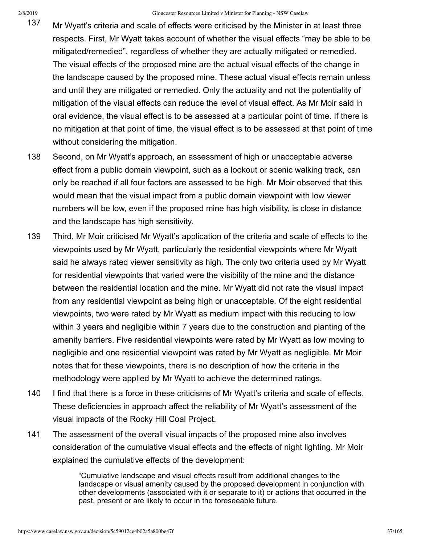- 137 Mr Wyatt's criteria and scale of effects were criticised by the Minister in at least three respects. First, Mr Wyatt takes account of whether the visual effects "may be able to be mitigated/remedied", regardless of whether they are actually mitigated or remedied. The visual effects of the proposed mine are the actual visual effects of the change in the landscape caused by the proposed mine. These actual visual effects remain unless and until they are mitigated or remedied. Only the actuality and not the potentiality of mitigation of the visual effects can reduce the level of visual effect. As Mr Moir said in oral evidence, the visual effect is to be assessed at a particular point of time. If there is no mitigation at that point of time, the visual effect is to be assessed at that point of time without considering the mitigation.
- 138 Second, on Mr Wyatt's approach, an assessment of high or unacceptable adverse effect from a public domain viewpoint, such as a lookout or scenic walking track, can only be reached if all four factors are assessed to be high. Mr Moir observed that this would mean that the visual impact from a public domain viewpoint with low viewer numbers will be low, even if the proposed mine has high visibility, is close in distance and the landscape has high sensitivity.
- 139 Third, Mr Moir criticised Mr Wyatt's application of the criteria and scale of effects to the viewpoints used by Mr Wyatt, particularly the residential viewpoints where Mr Wyatt said he always rated viewer sensitivity as high. The only two criteria used by Mr Wyatt for residential viewpoints that varied were the visibility of the mine and the distance between the residential location and the mine. Mr Wyatt did not rate the visual impact from any residential viewpoint as being high or unacceptable. Of the eight residential viewpoints, two were rated by Mr Wyatt as medium impact with this reducing to low within 3 years and negligible within 7 years due to the construction and planting of the amenity barriers. Five residential viewpoints were rated by Mr Wyatt as low moving to negligible and one residential viewpoint was rated by Mr Wyatt as negligible. Mr Moir notes that for these viewpoints, there is no description of how the criteria in the methodology were applied by Mr Wyatt to achieve the determined ratings.
- 140 I find that there is a force in these criticisms of Mr Wyatt's criteria and scale of effects. These deficiencies in approach affect the reliability of Mr Wyatt's assessment of the visual impacts of the Rocky Hill Coal Project.
- 141 The assessment of the overall visual impacts of the proposed mine also involves consideration of the cumulative visual effects and the effects of night lighting. Mr Moir explained the cumulative effects of the development:

"Cumulative landscape and visual effects result from additional changes to the landscape or visual amenity caused by the proposed development in conjunction with other developments (associated with it or separate to it) or actions that occurred in the past, present or are likely to occur in the foreseeable future.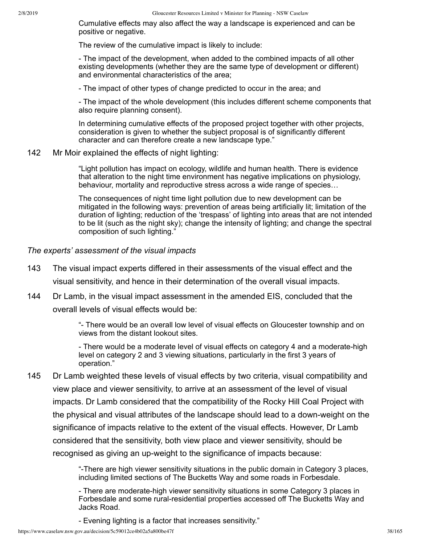Cumulative effects may also affect the way a landscape is experienced and can be positive or negative.

The review of the cumulative impact is likely to include:

 The impact of the development, when added to the combined impacts of all other existing developments (whether they are the same type of development or different) and environmental characteristics of the area;

The impact of other types of change predicted to occur in the area; and

 The impact of the whole development (this includes different scheme components that also require planning consent).

In determining cumulative effects of the proposed project together with other projects, consideration is given to whether the subject proposal is of significantly different character and can therefore create a new landscape type."

#### 142 Mr Moir explained the effects of night lighting:

"Light pollution has impact on ecology, wildlife and human health. There is evidence that alteration to the night time environment has negative implications on physiology, behaviour, mortality and reproductive stress across a wide range of species…

The consequences of night time light pollution due to new development can be mitigated in the following ways: prevention of areas being artificially lit; limitation of the duration of lighting; reduction of the 'trespass' of lighting into areas that are not intended to be lit (such as the night sky); change the intensity of lighting; and change the spectral composition of such lighting."

#### *The experts' assessment of the visual impacts*

- 143 The visual impact experts differed in their assessments of the visual effect and the visual sensitivity, and hence in their determination of the overall visual impacts.
- 144 Dr Lamb, in the visual impact assessment in the amended EIS, concluded that the overall levels of visual effects would be:

" There would be an overall low level of visual effects on Gloucester township and on views from the distant lookout sites.

- There would be a moderate level of visual effects on category 4 and a moderate-high level on category 2 and 3 viewing situations, particularly in the first 3 years of operation."

145 Dr Lamb weighted these levels of visual effects by two criteria, visual compatibility and view place and viewer sensitivity, to arrive at an assessment of the level of visual impacts. Dr Lamb considered that the compatibility of the Rocky Hill Coal Project with the physical and visual attributes of the landscape should lead to a down-weight on the significance of impacts relative to the extent of the visual effects. However, Dr Lamb considered that the sensitivity, both view place and viewer sensitivity, should be recognised as giving an up-weight to the significance of impacts because:

> "There are high viewer sensitivity situations in the public domain in Category 3 places, including limited sections of The Bucketts Way and some roads in Forbesdale.

- There are moderate-high viewer sensitivity situations in some Category 3 places in Forbesdale and some rural-residential properties accessed off The Bucketts Way and Jacks Road.

Evening lighting is a factor that increases sensitivity."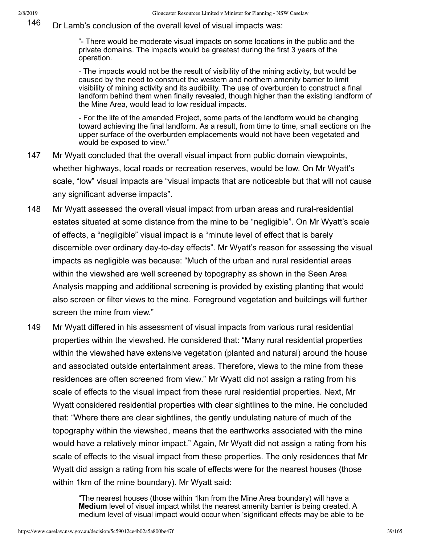# 146 Dr Lamb's conclusion of the overall level of visual impacts was:

" There would be moderate visual impacts on some locations in the public and the private domains. The impacts would be greatest during the first 3 years of the operation.

 The impacts would not be the result of visibility of the mining activity, but would be caused by the need to construct the western and northern amenity barrier to limit visibility of mining activity and its audibility. The use of overburden to construct a final landform behind them when finally revealed, though higher than the existing landform of the Mine Area, would lead to low residual impacts.

 For the life of the amended Project, some parts of the landform would be changing toward achieving the final landform. As a result, from time to time, small sections on the upper surface of the overburden emplacements would not have been vegetated and would be exposed to view."

- 147 Mr Wyatt concluded that the overall visual impact from public domain viewpoints, whether highways, local roads or recreation reserves, would be low. On Mr Wyatt's scale, "low" visual impacts are "visual impacts that are noticeable but that will not cause any significant adverse impacts".
- 148 Mr Wyatt assessed the overall visual impact from urban areas and rural-residential estates situated at some distance from the mine to be "negligible". On Mr Wyatt's scale of effects, a "negligible" visual impact is a "minute level of effect that is barely discernible over ordinary day-to-day effects". Mr Wyatt's reason for assessing the visual impacts as negligible was because: "Much of the urban and rural residential areas within the viewshed are well screened by topography as shown in the Seen Area Analysis mapping and additional screening is provided by existing planting that would also screen or filter views to the mine. Foreground vegetation and buildings will further screen the mine from view."
- 149 Mr Wyatt differed in his assessment of visual impacts from various rural residential properties within the viewshed. He considered that: "Many rural residential properties within the viewshed have extensive vegetation (planted and natural) around the house and associated outside entertainment areas. Therefore, views to the mine from these residences are often screened from view." Mr Wyatt did not assign a rating from his scale of effects to the visual impact from these rural residential properties. Next, Mr Wyatt considered residential properties with clear sightlines to the mine. He concluded that: "Where there are clear sightlines, the gently undulating nature of much of the topography within the viewshed, means that the earthworks associated with the mine would have a relatively minor impact." Again, Mr Wyatt did not assign a rating from his scale of effects to the visual impact from these properties. The only residences that Mr Wyatt did assign a rating from his scale of effects were for the nearest houses (those within 1km of the mine boundary). Mr Wyatt said:

"The nearest houses (those within 1km from the Mine Area boundary) will have a **Medium** level of visual impact whilst the nearest amenity barrier is being created. A medium level of visual impact would occur when 'significant effects may be able to be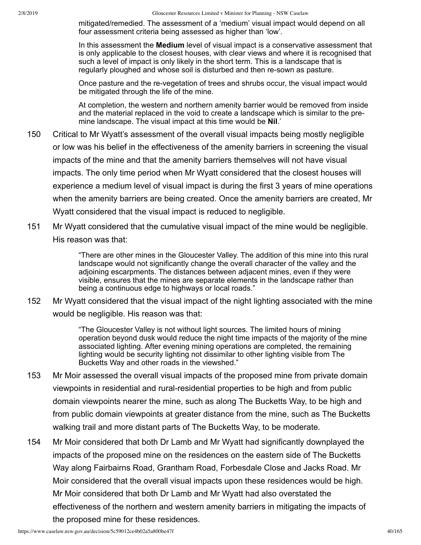mitigated/remedied. The assessment of a 'medium' visual impact would depend on all four assessment criteria being assessed as higher than 'low'.

In this assessment the **Medium** level of visual impact is a conservative assessment that is only applicable to the closest houses, with clear views and where it is recognised that such a level of impact is only likely in the short term. This is a landscape that is regularly ploughed and whose soil is disturbed and then re-sown as pasture.

Once pasture and the re-vegetation of trees and shrubs occur, the visual impact would be mitigated through the life of the mine.

At completion, the western and northern amenity barrier would be removed from inside and the material replaced in the void to create a landscape which is similar to the premine landscape. The visual impact at this time would be **Nil**.'

- 150 Critical to Mr Wyatt's assessment of the overall visual impacts being mostly negligible or low was his belief in the effectiveness of the amenity barriers in screening the visual impacts of the mine and that the amenity barriers themselves will not have visual impacts. The only time period when Mr Wyatt considered that the closest houses will experience a medium level of visual impact is during the first 3 years of mine operations when the amenity barriers are being created. Once the amenity barriers are created, Mr Wyatt considered that the visual impact is reduced to negligible.
- 151 Mr Wyatt considered that the cumulative visual impact of the mine would be negligible. His reason was that:

"There are other mines in the Gloucester Valley. The addition of this mine into this rural landscape would not significantly change the overall character of the valley and the adjoining escarpments. The distances between adjacent mines, even if they were visible, ensures that the mines are separate elements in the landscape rather than being a continuous edge to highways or local roads."

152 Mr Wyatt considered that the visual impact of the night lighting associated with the mine would be negligible. His reason was that:

> "The Gloucester Valley is not without light sources. The limited hours of mining operation beyond dusk would reduce the night time impacts of the majority of the mine associated lighting. After evening mining operations are completed, the remaining lighting would be security lighting not dissimilar to other lighting visible from The Bucketts Way and other roads in the viewshed."

- 153 Mr Moir assessed the overall visual impacts of the proposed mine from private domain viewpoints in residential and rural-residential properties to be high and from public domain viewpoints nearer the mine, such as along The Bucketts Way, to be high and from public domain viewpoints at greater distance from the mine, such as The Bucketts walking trail and more distant parts of The Bucketts Way, to be moderate.
- 154 Mr Moir considered that both Dr Lamb and Mr Wyatt had significantly downplayed the impacts of the proposed mine on the residences on the eastern side of The Bucketts Way along Fairbairns Road, Grantham Road, Forbesdale Close and Jacks Road. Mr Moir considered that the overall visual impacts upon these residences would be high. Mr Moir considered that both Dr Lamb and Mr Wyatt had also overstated the effectiveness of the northern and western amenity barriers in mitigating the impacts of the proposed mine for these residences.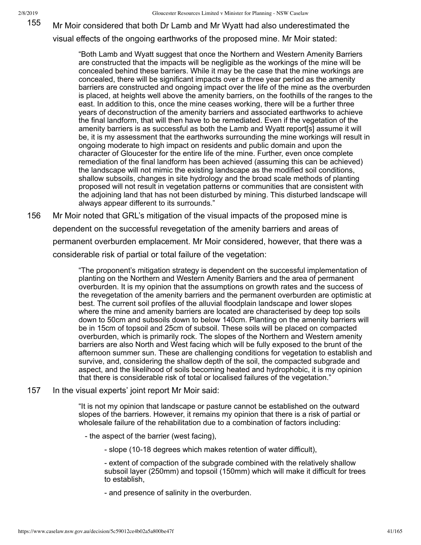155 Mr Moir considered that both Dr Lamb and Mr Wyatt had also underestimated the

visual effects of the ongoing earthworks of the proposed mine. Mr Moir stated:

"Both Lamb and Wyatt suggest that once the Northern and Western Amenity Barriers are constructed that the impacts will be negligible as the workings of the mine will be concealed behind these barriers. While it may be the case that the mine workings are concealed, there will be significant impacts over a three year period as the amenity barriers are constructed and ongoing impact over the life of the mine as the overburden is placed, at heights well above the amenity barriers, on the foothills of the ranges to the east. In addition to this, once the mine ceases working, there will be a further three years of deconstruction of the amenity barriers and associated earthworks to achieve the final landform, that will then have to be remediated. Even if the vegetation of the amenity barriers is as successful as both the Lamb and Wyatt report[s] assume it will be, it is my assessment that the earthworks surrounding the mine workings will result in ongoing moderate to high impact on residents and public domain and upon the character of Gloucester for the entire life of the mine. Further, even once complete remediation of the final landform has been achieved (assuming this can be achieved) the landscape will not mimic the existing landscape as the modified soil conditions, shallow subsoils, changes in site hydrology and the broad scale methods of planting proposed will not result in vegetation patterns or communities that are consistent with the adjoining land that has not been disturbed by mining. This disturbed landscape will always appear different to its surrounds."

156 Mr Moir noted that GRL's mitigation of the visual impacts of the proposed mine is dependent on the successful revegetation of the amenity barriers and areas of permanent overburden emplacement. Mr Moir considered, however, that there was a considerable risk of partial or total failure of the vegetation:

> "The proponent's mitigation strategy is dependent on the successful implementation of planting on the Northern and Western Amenity Barriers and the area of permanent overburden. It is my opinion that the assumptions on growth rates and the success of the revegetation of the amenity barriers and the permanent overburden are optimistic at best. The current soil profiles of the alluvial floodplain landscape and lower slopes where the mine and amenity barriers are located are characterised by deep top soils down to 50cm and subsoils down to below 140cm. Planting on the amenity barriers will be in 15cm of topsoil and 25cm of subsoil. These soils will be placed on compacted overburden, which is primarily rock. The slopes of the Northern and Western amenity barriers are also North and West facing which will be fully exposed to the brunt of the afternoon summer sun. These are challenging conditions for vegetation to establish and survive, and, considering the shallow depth of the soil, the compacted subgrade and aspect, and the likelihood of soils becoming heated and hydrophobic, it is my opinion that there is considerable risk of total or localised failures of the vegetation."

157 In the visual experts' joint report Mr Moir said:

"It is not my opinion that landscape or pasture cannot be established on the outward slopes of the barriers. However, it remains my opinion that there is a risk of partial or wholesale failure of the rehabilitation due to a combination of factors including:

- the aspect of the barrier (west facing),

- slope (10-18 degrees which makes retention of water difficult),

 extent of compaction of the subgrade combined with the relatively shallow subsoil layer (250mm) and topsoil (150mm) which will make it difficult for trees to establish,

and presence of salinity in the overburden.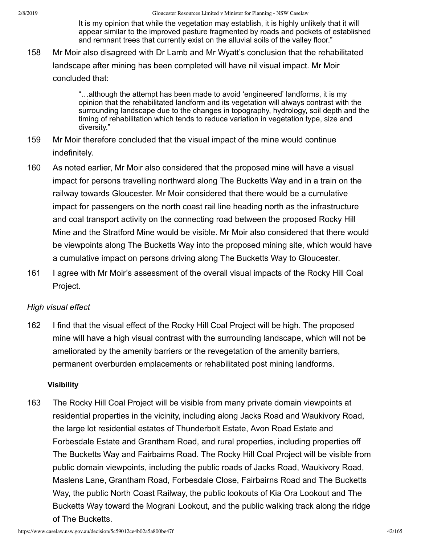It is my opinion that while the vegetation may establish, it is highly unlikely that it will appear similar to the improved pasture fragmented by roads and pockets of established and remnant trees that currently exist on the alluvial soils of the valley floor."

158 Mr Moir also disagreed with Dr Lamb and Mr Wyatt's conclusion that the rehabilitated landscape after mining has been completed will have nil visual impact. Mr Moir concluded that:

> "…although the attempt has been made to avoid 'engineered' landforms, it is my opinion that the rehabilitated landform and its vegetation will always contrast with the surrounding landscape due to the changes in topography, hydrology, soil depth and the timing of rehabilitation which tends to reduce variation in vegetation type, size and diversity."

- 159 Mr Moir therefore concluded that the visual impact of the mine would continue indefinitely.
- 160 As noted earlier, Mr Moir also considered that the proposed mine will have a visual impact for persons travelling northward along The Bucketts Way and in a train on the railway towards Gloucester. Mr Moir considered that there would be a cumulative impact for passengers on the north coast rail line heading north as the infrastructure and coal transport activity on the connecting road between the proposed Rocky Hill Mine and the Stratford Mine would be visible. Mr Moir also considered that there would be viewpoints along The Bucketts Way into the proposed mining site, which would have a cumulative impact on persons driving along The Bucketts Way to Gloucester.
- 161 I agree with Mr Moir's assessment of the overall visual impacts of the Rocky Hill Coal Project.

# *High visual effect*

162 I find that the visual effect of the Rocky Hill Coal Project will be high. The proposed mine will have a high visual contrast with the surrounding landscape, which will not be ameliorated by the amenity barriers or the revegetation of the amenity barriers, permanent overburden emplacements or rehabilitated post mining landforms.

# **Visibility**

163 The Rocky Hill Coal Project will be visible from many private domain viewpoints at residential properties in the vicinity, including along Jacks Road and Waukivory Road, the large lot residential estates of Thunderbolt Estate, Avon Road Estate and Forbesdale Estate and Grantham Road, and rural properties, including properties off The Bucketts Way and Fairbairns Road. The Rocky Hill Coal Project will be visible from public domain viewpoints, including the public roads of Jacks Road, Waukivory Road, Maslens Lane, Grantham Road, Forbesdale Close, Fairbairns Road and The Bucketts Way, the public North Coast Railway, the public lookouts of Kia Ora Lookout and The Bucketts Way toward the Mograni Lookout, and the public walking track along the ridge of The Bucketts.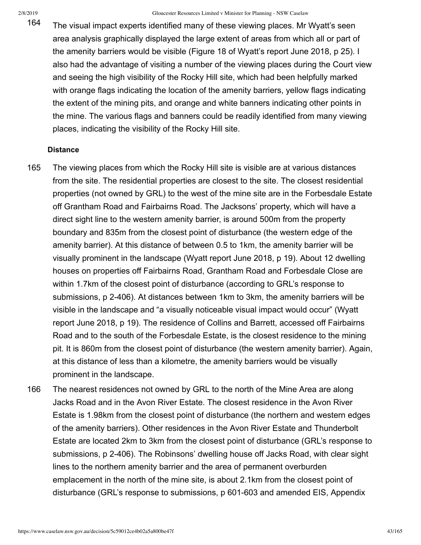164 The visual impact experts identified many of these viewing places. Mr Wyatt's seen area analysis graphically displayed the large extent of areas from which all or part of the amenity barriers would be visible (Figure 18 of Wyatt's report June 2018, p 25). I also had the advantage of visiting a number of the viewing places during the Court view and seeing the high visibility of the Rocky Hill site, which had been helpfully marked with orange flags indicating the location of the amenity barriers, yellow flags indicating the extent of the mining pits, and orange and white banners indicating other points in the mine. The various flags and banners could be readily identified from many viewing places, indicating the visibility of the Rocky Hill site.

### **Distance**

- 165 The viewing places from which the Rocky Hill site is visible are at various distances from the site. The residential properties are closest to the site. The closest residential properties (not owned by GRL) to the west of the mine site are in the Forbesdale Estate off Grantham Road and Fairbairns Road. The Jacksons' property, which will have a direct sight line to the western amenity barrier, is around 500m from the property boundary and 835m from the closest point of disturbance (the western edge of the amenity barrier). At this distance of between 0.5 to 1km, the amenity barrier will be visually prominent in the landscape (Wyatt report June 2018, p 19). About 12 dwelling houses on properties off Fairbairns Road, Grantham Road and Forbesdale Close are within 1.7km of the closest point of disturbance (according to GRL's response to submissions, p 2406). At distances between 1km to 3km, the amenity barriers will be visible in the landscape and "a visually noticeable visual impact would occur" (Wyatt report June 2018, p 19). The residence of Collins and Barrett, accessed off Fairbairns Road and to the south of the Forbesdale Estate, is the closest residence to the mining pit. It is 860m from the closest point of disturbance (the western amenity barrier). Again, at this distance of less than a kilometre, the amenity barriers would be visually prominent in the landscape.
- 166 The nearest residences not owned by GRL to the north of the Mine Area are along Jacks Road and in the Avon River Estate. The closest residence in the Avon River Estate is 1.98km from the closest point of disturbance (the northern and western edges of the amenity barriers). Other residences in the Avon River Estate and Thunderbolt Estate are located 2km to 3km from the closest point of disturbance (GRL's response to submissions, p 2-406). The Robinsons' dwelling house off Jacks Road, with clear sight lines to the northern amenity barrier and the area of permanent overburden emplacement in the north of the mine site, is about 2.1km from the closest point of disturbance (GRL's response to submissions, p 601-603 and amended EIS, Appendix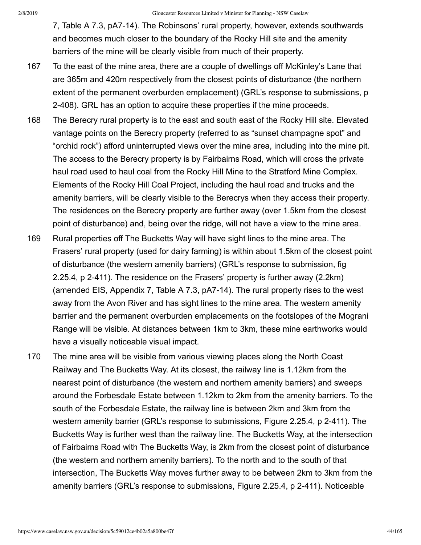7, Table A 7.3, pA714). The Robinsons' rural property, however, extends southwards and becomes much closer to the boundary of the Rocky Hill site and the amenity barriers of the mine will be clearly visible from much of their property.

- 167 To the east of the mine area, there are a couple of dwellings off McKinley's Lane that are 365m and 420m respectively from the closest points of disturbance (the northern extent of the permanent overburden emplacement) (GRL's response to submissions, p 2408). GRL has an option to acquire these properties if the mine proceeds.
- 168 The Berecry rural property is to the east and south east of the Rocky Hill site. Elevated vantage points on the Berecry property (referred to as "sunset champagne spot" and "orchid rock") afford uninterrupted views over the mine area, including into the mine pit. The access to the Berecry property is by Fairbairns Road, which will cross the private haul road used to haul coal from the Rocky Hill Mine to the Stratford Mine Complex. Elements of the Rocky Hill Coal Project, including the haul road and trucks and the amenity barriers, will be clearly visible to the Berecrys when they access their property. The residences on the Berecry property are further away (over 1.5km from the closest point of disturbance) and, being over the ridge, will not have a view to the mine area.
- 169 Rural properties off The Bucketts Way will have sight lines to the mine area. The Frasers' rural property (used for dairy farming) is within about 1.5km of the closest point of disturbance (the western amenity barriers) (GRL's response to submission, fig 2.25.4, p 2-411). The residence on the Frasers' property is further away (2.2km) (amended EIS, Appendix 7, Table A 7.3, pA7-14). The rural property rises to the west away from the Avon River and has sight lines to the mine area. The western amenity barrier and the permanent overburden emplacements on the footslopes of the Mograni Range will be visible. At distances between 1km to 3km, these mine earthworks would have a visually noticeable visual impact.
- 170 The mine area will be visible from various viewing places along the North Coast Railway and The Bucketts Way. At its closest, the railway line is 1.12km from the nearest point of disturbance (the western and northern amenity barriers) and sweeps around the Forbesdale Estate between 1.12km to 2km from the amenity barriers. To the south of the Forbesdale Estate, the railway line is between 2km and 3km from the western amenity barrier (GRL's response to submissions, Figure 2.25.4, p 2-411). The Bucketts Way is further west than the railway line. The Bucketts Way, at the intersection of Fairbairns Road with The Bucketts Way, is 2km from the closest point of disturbance (the western and northern amenity barriers). To the north and to the south of that intersection, The Bucketts Way moves further away to be between 2km to 3km from the amenity barriers (GRL's response to submissions, Figure 2.25.4, p 2-411). Noticeable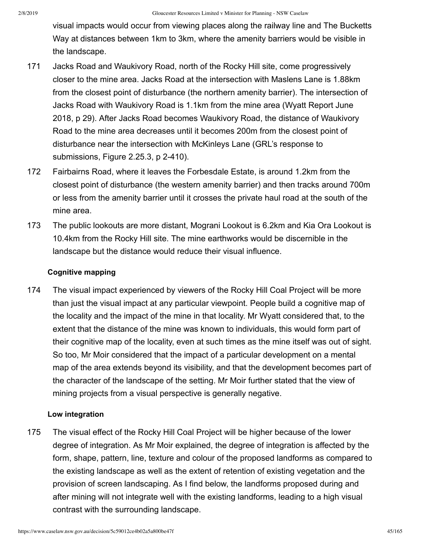visual impacts would occur from viewing places along the railway line and The Bucketts Way at distances between 1km to 3km, where the amenity barriers would be visible in the landscape.

- 171 Jacks Road and Waukivory Road, north of the Rocky Hill site, come progressively closer to the mine area. Jacks Road at the intersection with Maslens Lane is 1.88km from the closest point of disturbance (the northern amenity barrier). The intersection of Jacks Road with Waukivory Road is 1.1km from the mine area (Wyatt Report June 2018, p 29). After Jacks Road becomes Waukivory Road, the distance of Waukivory Road to the mine area decreases until it becomes 200m from the closest point of disturbance near the intersection with McKinleys Lane (GRL's response to submissions, Figure 2.25.3,  $p$  2-410).
- 172 Fairbairns Road, where it leaves the Forbesdale Estate, is around 1.2km from the closest point of disturbance (the western amenity barrier) and then tracks around 700m or less from the amenity barrier until it crosses the private haul road at the south of the mine area.
- 173 The public lookouts are more distant, Mograni Lookout is 6.2km and Kia Ora Lookout is 10.4km from the Rocky Hill site. The mine earthworks would be discernible in the landscape but the distance would reduce their visual influence.

## **Cognitive mapping**

174 The visual impact experienced by viewers of the Rocky Hill Coal Project will be more than just the visual impact at any particular viewpoint. People build a cognitive map of the locality and the impact of the mine in that locality. Mr Wyatt considered that, to the extent that the distance of the mine was known to individuals, this would form part of their cognitive map of the locality, even at such times as the mine itself was out of sight. So too, Mr Moir considered that the impact of a particular development on a mental map of the area extends beyond its visibility, and that the development becomes part of the character of the landscape of the setting. Mr Moir further stated that the view of mining projects from a visual perspective is generally negative.

# **Low integration**

175 The visual effect of the Rocky Hill Coal Project will be higher because of the lower degree of integration. As Mr Moir explained, the degree of integration is affected by the form, shape, pattern, line, texture and colour of the proposed landforms as compared to the existing landscape as well as the extent of retention of existing vegetation and the provision of screen landscaping. As I find below, the landforms proposed during and after mining will not integrate well with the existing landforms, leading to a high visual contrast with the surrounding landscape.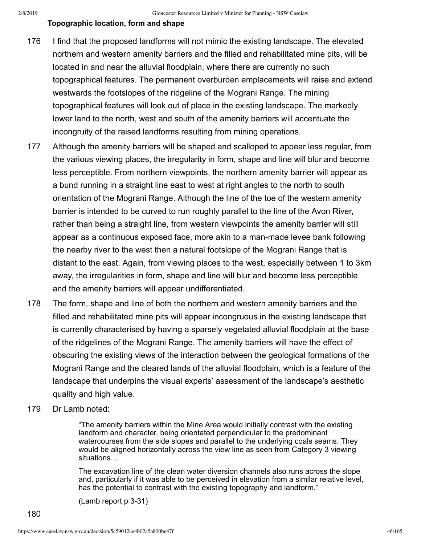## **Topographic location, form and shape**

- 176 I find that the proposed landforms will not mimic the existing landscape. The elevated northern and western amenity barriers and the filled and rehabilitated mine pits, will be located in and near the alluvial floodplain, where there are currently no such topographical features. The permanent overburden emplacements will raise and extend westwards the footslopes of the ridgeline of the Mograni Range. The mining topographical features will look out of place in the existing landscape. The markedly lower land to the north, west and south of the amenity barriers will accentuate the incongruity of the raised landforms resulting from mining operations.
- 177 Although the amenity barriers will be shaped and scalloped to appear less regular, from the various viewing places, the irregularity in form, shape and line will blur and become less perceptible. From northern viewpoints, the northern amenity barrier will appear as a bund running in a straight line east to west at right angles to the north to south orientation of the Mograni Range. Although the line of the toe of the western amenity barrier is intended to be curved to run roughly parallel to the line of the Avon River, rather than being a straight line, from western viewpoints the amenity barrier will still appear as a continuous exposed face, more akin to a man-made levee bank following the nearby river to the west then a natural footslope of the Mograni Range that is distant to the east. Again, from viewing places to the west, especially between 1 to 3km away, the irregularities in form, shape and line will blur and become less perceptible and the amenity barriers will appear undifferentiated.
- 178 The form, shape and line of both the northern and western amenity barriers and the filled and rehabilitated mine pits will appear incongruous in the existing landscape that is currently characterised by having a sparsely vegetated alluvial floodplain at the base of the ridgelines of the Mograni Range. The amenity barriers will have the effect of obscuring the existing views of the interaction between the geological formations of the Mograni Range and the cleared lands of the alluvial floodplain, which is a feature of the landscape that underpins the visual experts' assessment of the landscape's aesthetic quality and high value.
- 179 Dr Lamb noted:

"The amenity barriers within the Mine Area would initially contrast with the existing landform and character, being orientated perpendicular to the predominant watercourses from the side slopes and parallel to the underlying coals seams. They would be aligned horizontally across the view line as seen from Category 3 viewing situations…

The excavation line of the clean water diversion channels also runs across the slope and, particularly if it was able to be perceived in elevation from a similar relative level, has the potential to contrast with the existing topography and landform."

 $(Lamb$  report  $p$  3-31)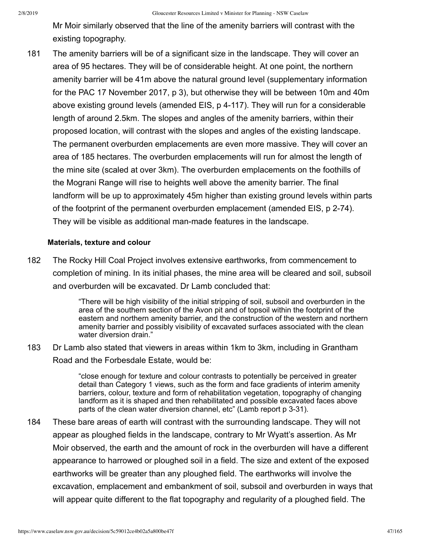Mr Moir similarly observed that the line of the amenity barriers will contrast with the existing topography.

181 The amenity barriers will be of a significant size in the landscape. They will cover an area of 95 hectares. They will be of considerable height. At one point, the northern amenity barrier will be 41m above the natural ground level (supplementary information for the PAC 17 November 2017, p 3), but otherwise they will be between 10m and 40m above existing ground levels (amended EIS, p 4-117). They will run for a considerable length of around 2.5km. The slopes and angles of the amenity barriers, within their proposed location, will contrast with the slopes and angles of the existing landscape. The permanent overburden emplacements are even more massive. They will cover an area of 185 hectares. The overburden emplacements will run for almost the length of the mine site (scaled at over 3km). The overburden emplacements on the foothills of the Mograni Range will rise to heights well above the amenity barrier. The final landform will be up to approximately 45m higher than existing ground levels within parts of the footprint of the permanent overburden emplacement (amended EIS, p 274). They will be visible as additional man-made features in the landscape.

#### **Materials, texture and colour**

182 The Rocky Hill Coal Project involves extensive earthworks, from commencement to completion of mining. In its initial phases, the mine area will be cleared and soil, subsoil and overburden will be excavated. Dr Lamb concluded that:

> "There will be high visibility of the initial stripping of soil, subsoil and overburden in the area of the southern section of the Avon pit and of topsoil within the footprint of the eastern and northern amenity barrier, and the construction of the western and northern amenity barrier and possibly visibility of excavated surfaces associated with the clean water diversion drain."

183 Dr Lamb also stated that viewers in areas within 1km to 3km, including in Grantham Road and the Forbesdale Estate, would be:

> "close enough for texture and colour contrasts to potentially be perceived in greater detail than Category 1 views, such as the form and face gradients of interim amenity barriers, colour, texture and form of rehabilitation vegetation, topography of changing landform as it is shaped and then rehabilitated and possible excavated faces above parts of the clean water diversion channel, etc" (Lamb report p 3-31).

184 These bare areas of earth will contrast with the surrounding landscape. They will not appear as ploughed fields in the landscape, contrary to Mr Wyatt's assertion. As Mr Moir observed, the earth and the amount of rock in the overburden will have a different appearance to harrowed or ploughed soil in a field. The size and extent of the exposed earthworks will be greater than any ploughed field. The earthworks will involve the excavation, emplacement and embankment of soil, subsoil and overburden in ways that will appear quite different to the flat topography and regularity of a ploughed field. The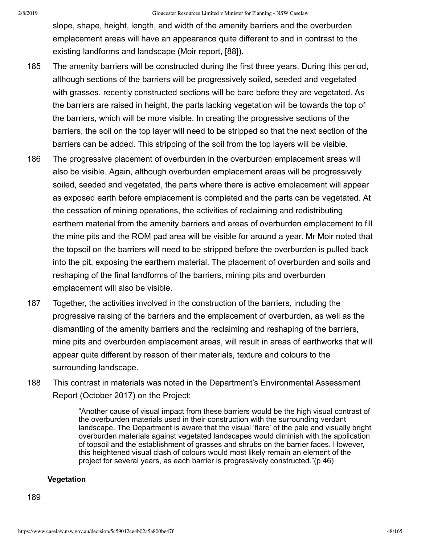slope, shape, height, length, and width of the amenity barriers and the overburden emplacement areas will have an appearance quite different to and in contrast to the existing landforms and landscape (Moir report, [88]).

- 185 The amenity barriers will be constructed during the first three years. During this period, although sections of the barriers will be progressively soiled, seeded and vegetated with grasses, recently constructed sections will be bare before they are vegetated. As the barriers are raised in height, the parts lacking vegetation will be towards the top of the barriers, which will be more visible. In creating the progressive sections of the barriers, the soil on the top layer will need to be stripped so that the next section of the barriers can be added. This stripping of the soil from the top layers will be visible.
- 186 The progressive placement of overburden in the overburden emplacement areas will also be visible. Again, although overburden emplacement areas will be progressively soiled, seeded and vegetated, the parts where there is active emplacement will appear as exposed earth before emplacement is completed and the parts can be vegetated. At the cessation of mining operations, the activities of reclaiming and redistributing earthern material from the amenity barriers and areas of overburden emplacement to fill the mine pits and the ROM pad area will be visible for around a year. Mr Moir noted that the topsoil on the barriers will need to be stripped before the overburden is pulled back into the pit, exposing the earthern material. The placement of overburden and soils and reshaping of the final landforms of the barriers, mining pits and overburden emplacement will also be visible.
- 187 Together, the activities involved in the construction of the barriers, including the progressive raising of the barriers and the emplacement of overburden, as well as the dismantling of the amenity barriers and the reclaiming and reshaping of the barriers, mine pits and overburden emplacement areas, will result in areas of earthworks that will appear quite different by reason of their materials, texture and colours to the surrounding landscape.
- 188 This contrast in materials was noted in the Department's Environmental Assessment Report (October 2017) on the Project:

"Another cause of visual impact from these barriers would be the high visual contrast of the overburden materials used in their construction with the surrounding verdant landscape. The Department is aware that the visual 'flare' of the pale and visually bright overburden materials against vegetated landscapes would diminish with the application of topsoil and the establishment of grasses and shrubs on the barrier faces. However, this heightened visual clash of colours would most likely remain an element of the project for several years, as each barrier is progressively constructed."(p 46)

#### **Vegetation**

189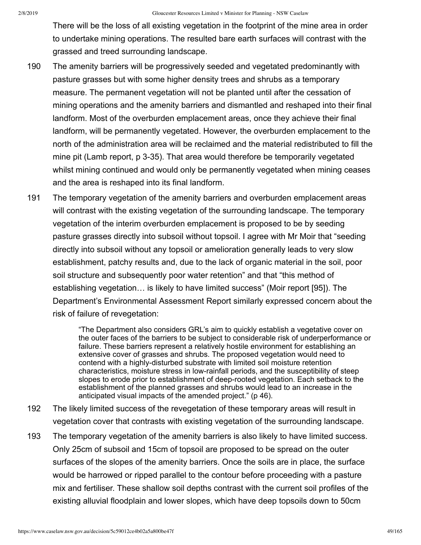There will be the loss of all existing vegetation in the footprint of the mine area in order to undertake mining operations. The resulted bare earth surfaces will contrast with the grassed and treed surrounding landscape.

- 190 The amenity barriers will be progressively seeded and vegetated predominantly with pasture grasses but with some higher density trees and shrubs as a temporary measure. The permanent vegetation will not be planted until after the cessation of mining operations and the amenity barriers and dismantled and reshaped into their final landform. Most of the overburden emplacement areas, once they achieve their final landform, will be permanently vegetated. However, the overburden emplacement to the north of the administration area will be reclaimed and the material redistributed to fill the mine pit (Lamb report, p 3-35). That area would therefore be temporarily vegetated whilst mining continued and would only be permanently vegetated when mining ceases and the area is reshaped into its final landform.
- 191 The temporary vegetation of the amenity barriers and overburden emplacement areas will contrast with the existing vegetation of the surrounding landscape. The temporary vegetation of the interim overburden emplacement is proposed to be by seeding pasture grasses directly into subsoil without topsoil. I agree with Mr Moir that "seeding directly into subsoil without any topsoil or amelioration generally leads to very slow establishment, patchy results and, due to the lack of organic material in the soil, poor soil structure and subsequently poor water retention" and that "this method of establishing vegetation… is likely to have limited success" (Moir report [95]). The Department's Environmental Assessment Report similarly expressed concern about the risk of failure of revegetation:

"The Department also considers GRL's aim to quickly establish a vegetative cover on the outer faces of the barriers to be subject to considerable risk of underperformance or failure. These barriers represent a relatively hostile environment for establishing an extensive cover of grasses and shrubs. The proposed vegetation would need to contend with a highly-disturbed substrate with limited soil moisture retention characteristics, moisture stress in low-rainfall periods, and the susceptibility of steep slopes to erode prior to establishment of deep-rooted vegetation. Each setback to the establishment of the planned grasses and shrubs would lead to an increase in the anticipated visual impacts of the amended project." (p 46).

- 192 The likely limited success of the revegetation of these temporary areas will result in vegetation cover that contrasts with existing vegetation of the surrounding landscape.
- 193 The temporary vegetation of the amenity barriers is also likely to have limited success. Only 25cm of subsoil and 15cm of topsoil are proposed to be spread on the outer surfaces of the slopes of the amenity barriers. Once the soils are in place, the surface would be harrowed or ripped parallel to the contour before proceeding with a pasture mix and fertiliser. These shallow soil depths contrast with the current soil profiles of the existing alluvial floodplain and lower slopes, which have deep topsoils down to 50cm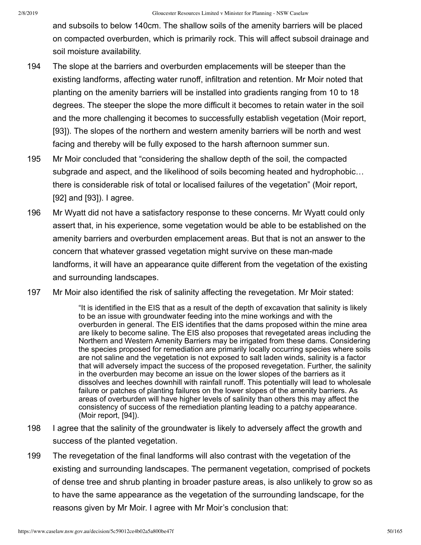and subsoils to below 140cm. The shallow soils of the amenity barriers will be placed on compacted overburden, which is primarily rock. This will affect subsoil drainage and soil moisture availability.

- 194 The slope at the barriers and overburden emplacements will be steeper than the existing landforms, affecting water runoff, infiltration and retention. Mr Moir noted that planting on the amenity barriers will be installed into gradients ranging from 10 to 18 degrees. The steeper the slope the more difficult it becomes to retain water in the soil and the more challenging it becomes to successfully establish vegetation (Moir report, [93]). The slopes of the northern and western amenity barriers will be north and west facing and thereby will be fully exposed to the harsh afternoon summer sun.
- 195 Mr Moir concluded that "considering the shallow depth of the soil, the compacted subgrade and aspect, and the likelihood of soils becoming heated and hydrophobic… there is considerable risk of total or localised failures of the vegetation" (Moir report, [92] and [93]). I agree.
- 196 Mr Wyatt did not have a satisfactory response to these concerns. Mr Wyatt could only assert that, in his experience, some vegetation would be able to be established on the amenity barriers and overburden emplacement areas. But that is not an answer to the concern that whatever grassed vegetation might survive on these man-made landforms, it will have an appearance quite different from the vegetation of the existing and surrounding landscapes.
- 197 Mr Moir also identified the risk of salinity affecting the revegetation. Mr Moir stated:

"It is identified in the EIS that as a result of the depth of excavation that salinity is likely to be an issue with groundwater feeding into the mine workings and with the overburden in general. The EIS identifies that the dams proposed within the mine area are likely to become saline. The EIS also proposes that revegetated areas including the Northern and Western Amenity Barriers may be irrigated from these dams. Considering the species proposed for remediation are primarily locally occurring species where soils are not saline and the vegetation is not exposed to salt laden winds, salinity is a factor that will adversely impact the success of the proposed revegetation. Further, the salinity in the overburden may become an issue on the lower slopes of the barriers as it dissolves and leeches downhill with rainfall runoff. This potentially will lead to wholesale failure or patches of planting failures on the lower slopes of the amenity barriers. As areas of overburden will have higher levels of salinity than others this may affect the consistency of success of the remediation planting leading to a patchy appearance. (Moir report, [94]).

- 198 I agree that the salinity of the groundwater is likely to adversely affect the growth and success of the planted vegetation.
- 199 The revegetation of the final landforms will also contrast with the vegetation of the existing and surrounding landscapes. The permanent vegetation, comprised of pockets of dense tree and shrub planting in broader pasture areas, is also unlikely to grow so as to have the same appearance as the vegetation of the surrounding landscape, for the reasons given by Mr Moir. I agree with Mr Moir's conclusion that: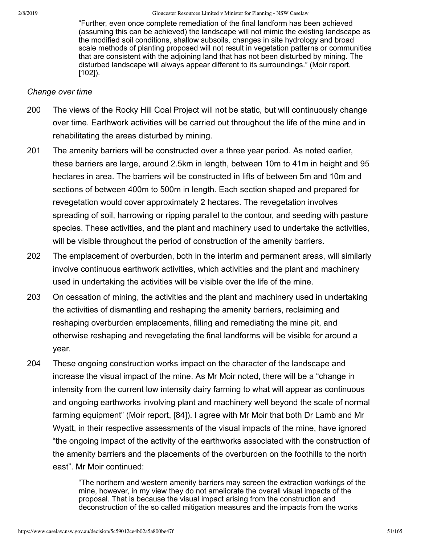"Further, even once complete remediation of the final landform has been achieved (assuming this can be achieved) the landscape will not mimic the existing landscape as the modified soil conditions, shallow subsoils, changes in site hydrology and broad scale methods of planting proposed will not result in vegetation patterns or communities that are consistent with the adjoining land that has not been disturbed by mining. The disturbed landscape will always appear different to its surroundings." (Moir report, [102]).

#### *Change over time*

- 200 The views of the Rocky Hill Coal Project will not be static, but will continuously change over time. Earthwork activities will be carried out throughout the life of the mine and in rehabilitating the areas disturbed by mining.
- 201 The amenity barriers will be constructed over a three year period. As noted earlier, these barriers are large, around 2.5km in length, between 10m to 41m in height and 95 hectares in area. The barriers will be constructed in lifts of between 5m and 10m and sections of between 400m to 500m in length. Each section shaped and prepared for revegetation would cover approximately 2 hectares. The revegetation involves spreading of soil, harrowing or ripping parallel to the contour, and seeding with pasture species. These activities, and the plant and machinery used to undertake the activities, will be visible throughout the period of construction of the amenity barriers.
- 202 The emplacement of overburden, both in the interim and permanent areas, will similarly involve continuous earthwork activities, which activities and the plant and machinery used in undertaking the activities will be visible over the life of the mine.
- 203 On cessation of mining, the activities and the plant and machinery used in undertaking the activities of dismantling and reshaping the amenity barriers, reclaiming and reshaping overburden emplacements, filling and remediating the mine pit, and otherwise reshaping and revegetating the final landforms will be visible for around a year.
- 204 These ongoing construction works impact on the character of the landscape and increase the visual impact of the mine. As Mr Moir noted, there will be a "change in intensity from the current low intensity dairy farming to what will appear as continuous and ongoing earthworks involving plant and machinery well beyond the scale of normal farming equipment" (Moir report, [84]). I agree with Mr Moir that both Dr Lamb and Mr Wyatt, in their respective assessments of the visual impacts of the mine, have ignored "the ongoing impact of the activity of the earthworks associated with the construction of the amenity barriers and the placements of the overburden on the foothills to the north east". Mr Moir continued:

"The northern and western amenity barriers may screen the extraction workings of the mine, however, in my view they do not ameliorate the overall visual impacts of the proposal. That is because the visual impact arising from the construction and deconstruction of the so called mitigation measures and the impacts from the works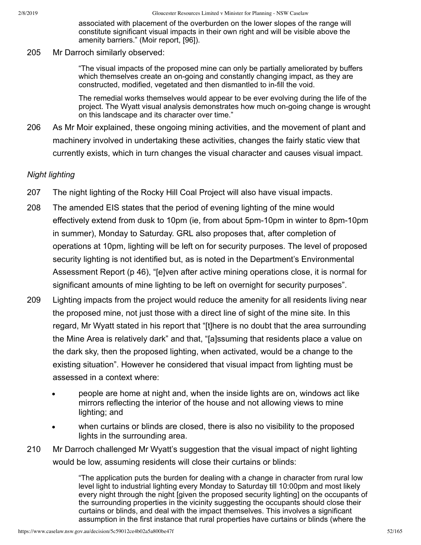associated with placement of the overburden on the lower slopes of the range will constitute significant visual impacts in their own right and will be visible above the amenity barriers." (Moir report, [96]).

205 Mr Darroch similarly observed:

"The visual impacts of the proposed mine can only be partially ameliorated by buffers which themselves create an on-going and constantly changing impact, as they are constructed, modified, vegetated and then dismantled to in-fill the void.

The remedial works themselves would appear to be ever evolving during the life of the project. The Wyatt visual analysis demonstrates how much ongoing change is wrought on this landscape and its character over time."

206 As Mr Moir explained, these ongoing mining activities, and the movement of plant and machinery involved in undertaking these activities, changes the fairly static view that currently exists, which in turn changes the visual character and causes visual impact.

### *Night lighting*

- 207 The night lighting of the Rocky Hill Coal Project will also have visual impacts.
- 208 The amended EIS states that the period of evening lighting of the mine would effectively extend from dusk to 10pm (ie, from about 5pm-10pm in winter to 8pm-10pm in summer), Monday to Saturday. GRL also proposes that, after completion of operations at 10pm, lighting will be left on for security purposes. The level of proposed security lighting is not identified but, as is noted in the Department's Environmental Assessment Report (p 46), "[e]ven after active mining operations close, it is normal for significant amounts of mine lighting to be left on overnight for security purposes".
- 209 Lighting impacts from the project would reduce the amenity for all residents living near the proposed mine, not just those with a direct line of sight of the mine site. In this regard, Mr Wyatt stated in his report that "[t]here is no doubt that the area surrounding the Mine Area is relatively dark" and that, "[a]ssuming that residents place a value on the dark sky, then the proposed lighting, when activated, would be a change to the existing situation". However he considered that visual impact from lighting must be assessed in a context where:
	- people are home at night and, when the inside lights are on, windows act like mirrors reflecting the interior of the house and not allowing views to mine lighting; and
	- when curtains or blinds are closed, there is also no visibility to the proposed lights in the surrounding area.
- 210 Mr Darroch challenged Mr Wyatt's suggestion that the visual impact of night lighting would be low, assuming residents will close their curtains or blinds:

"The application puts the burden for dealing with a change in character from rural low level light to industrial lighting every Monday to Saturday till 10:00pm and most likely every night through the night [given the proposed security lighting] on the occupants of the surrounding properties in the vicinity suggesting the occupants should close their curtains or blinds, and deal with the impact themselves. This involves a significant assumption in the first instance that rural properties have curtains or blinds (where the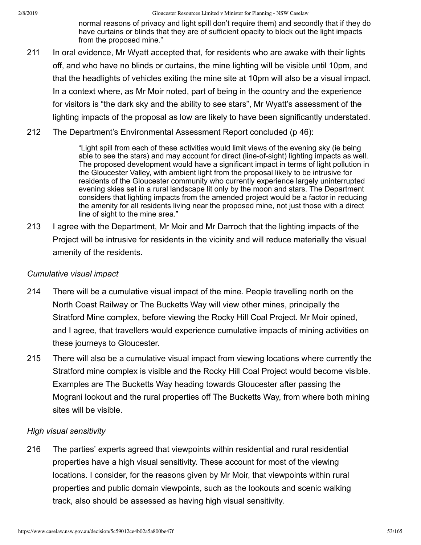normal reasons of privacy and light spill don't require them) and secondly that if they do have curtains or blinds that they are of sufficient opacity to block out the light impacts from the proposed mine."

- 211 In oral evidence, Mr Wyatt accepted that, for residents who are awake with their lights off, and who have no blinds or curtains, the mine lighting will be visible until 10pm, and that the headlights of vehicles exiting the mine site at 10pm will also be a visual impact. In a context where, as Mr Moir noted, part of being in the country and the experience for visitors is "the dark sky and the ability to see stars", Mr Wyatt's assessment of the lighting impacts of the proposal as low are likely to have been significantly understated.
- 212 The Department's Environmental Assessment Report concluded (p 46):

"Light spill from each of these activities would limit views of the evening sky (ie being able to see the stars) and may account for direct (line-of-sight) lighting impacts as well. The proposed development would have a significant impact in terms of light pollution in the Gloucester Valley, with ambient light from the proposal likely to be intrusive for residents of the Gloucester community who currently experience largely uninterrupted evening skies set in a rural landscape lit only by the moon and stars. The Department considers that lighting impacts from the amended project would be a factor in reducing the amenity for all residents living near the proposed mine, not just those with a direct line of sight to the mine area."

213 I agree with the Department, Mr Moir and Mr Darroch that the lighting impacts of the Project will be intrusive for residents in the vicinity and will reduce materially the visual amenity of the residents.

# *Cumulative visual impact*

- 214 There will be a cumulative visual impact of the mine. People travelling north on the North Coast Railway or The Bucketts Way will view other mines, principally the Stratford Mine complex, before viewing the Rocky Hill Coal Project. Mr Moir opined, and I agree, that travellers would experience cumulative impacts of mining activities on these journeys to Gloucester.
- 215 There will also be a cumulative visual impact from viewing locations where currently the Stratford mine complex is visible and the Rocky Hill Coal Project would become visible. Examples are The Bucketts Way heading towards Gloucester after passing the Mograni lookout and the rural properties off The Bucketts Way, from where both mining sites will be visible.

# *High visual sensitivity*

216 The parties' experts agreed that viewpoints within residential and rural residential properties have a high visual sensitivity. These account for most of the viewing locations. I consider, for the reasons given by Mr Moir, that viewpoints within rural properties and public domain viewpoints, such as the lookouts and scenic walking track, also should be assessed as having high visual sensitivity.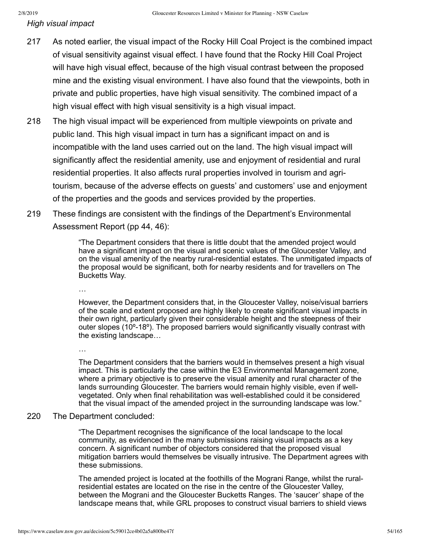# *High visual impact*

- 217 As noted earlier, the visual impact of the Rocky Hill Coal Project is the combined impact of visual sensitivity against visual effect. I have found that the Rocky Hill Coal Project will have high visual effect, because of the high visual contrast between the proposed mine and the existing visual environment. I have also found that the viewpoints, both in private and public properties, have high visual sensitivity. The combined impact of a high visual effect with high visual sensitivity is a high visual impact.
- 218 The high visual impact will be experienced from multiple viewpoints on private and public land. This high visual impact in turn has a significant impact on and is incompatible with the land uses carried out on the land. The high visual impact will significantly affect the residential amenity, use and enjoyment of residential and rural residential properties. It also affects rural properties involved in tourism and agritourism, because of the adverse effects on guests' and customers' use and enjoyment of the properties and the goods and services provided by the properties.
- 219 These findings are consistent with the findings of the Department's Environmental Assessment Report (pp 44, 46):

"The Department considers that there is little doubt that the amended project would have a significant impact on the visual and scenic values of the Gloucester Valley, and on the visual amenity of the nearby rural-residential estates. The unmitigated impacts of the proposal would be significant, both for nearby residents and for travellers on The Bucketts Way.

…

However, the Department considers that, in the Gloucester Valley, noise/visual barriers of the scale and extent proposed are highly likely to create significant visual impacts in their own right, particularly given their considerable height and the steepness of their outer slopes  $(10^{\circ} - 18^{\circ})$ . The proposed barriers would significantly visually contrast with the existing landscape…

…

The Department considers that the barriers would in themselves present a high visual impact. This is particularly the case within the E3 Environmental Management zone, where a primary objective is to preserve the visual amenity and rural character of the lands surrounding Gloucester. The barriers would remain highly visible, even if wellvegetated. Only when final rehabilitation was wellestablished could it be considered that the visual impact of the amended project in the surrounding landscape was low."

# 220 The Department concluded:

"The Department recognises the significance of the local landscape to the local community, as evidenced in the many submissions raising visual impacts as a key concern. A significant number of objectors considered that the proposed visual mitigation barriers would themselves be visually intrusive. The Department agrees with these submissions.

The amended project is located at the foothills of the Mograni Range, whilst the ruralresidential estates are located on the rise in the centre of the Gloucester Valley, between the Mograni and the Gloucester Bucketts Ranges. The 'saucer' shape of the landscape means that, while GRL proposes to construct visual barriers to shield views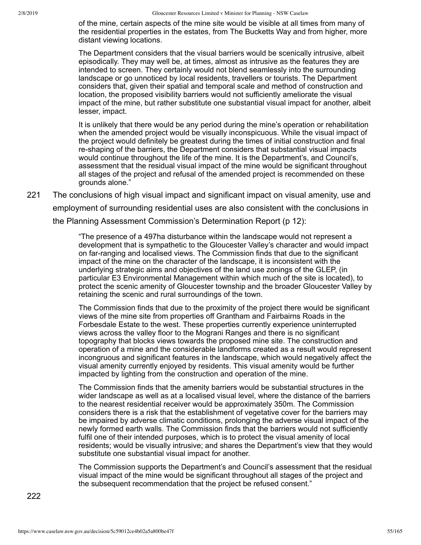of the mine, certain aspects of the mine site would be visible at all times from many of the residential properties in the estates, from The Bucketts Way and from higher, more distant viewing locations.

The Department considers that the visual barriers would be scenically intrusive, albeit episodically. They may well be, at times, almost as intrusive as the features they are intended to screen. They certainly would not blend seamlessly into the surrounding landscape or go unnoticed by local residents, travellers or tourists. The Department considers that, given their spatial and temporal scale and method of construction and location, the proposed visibility barriers would not sufficiently ameliorate the visual impact of the mine, but rather substitute one substantial visual impact for another, albeit lesser, impact.

It is unlikely that there would be any period during the mine's operation or rehabilitation when the amended project would be visually inconspicuous. While the visual impact of the project would definitely be greatest during the times of initial construction and final re-shaping of the barriers, the Department considers that substantial visual impacts would continue throughout the life of the mine. It is the Department's, and Council's, assessment that the residual visual impact of the mine would be significant throughout all stages of the project and refusal of the amended project is recommended on these grounds alone."

221 The conclusions of high visual impact and significant impact on visual amenity, use and employment of surrounding residential uses are also consistent with the conclusions in the Planning Assessment Commission's Determination Report (p 12):

> "The presence of a 497ha disturbance within the landscape would not represent a development that is sympathetic to the Gloucester Valley's character and would impact on far-ranging and localised views. The Commission finds that due to the significant impact of the mine on the character of the landscape, it is inconsistent with the underlying strategic aims and objectives of the land use zonings of the GLEP, (in particular E3 Environmental Management within which much of the site is located), to protect the scenic amenity of Gloucester township and the broader Gloucester Valley by retaining the scenic and rural surroundings of the town.

> The Commission finds that due to the proximity of the project there would be significant views of the mine site from properties off Grantham and Fairbairns Roads in the Forbesdale Estate to the west. These properties currently experience uninterrupted views across the valley floor to the Mograni Ranges and there is no significant topography that blocks views towards the proposed mine site. The construction and operation of a mine and the considerable landforms created as a result would represent incongruous and significant features in the landscape, which would negatively affect the visual amenity currently enjoyed by residents. This visual amenity would be further impacted by lighting from the construction and operation of the mine.

> The Commission finds that the amenity barriers would be substantial structures in the wider landscape as well as at a localised visual level, where the distance of the barriers to the nearest residential receiver would be approximately 350m. The Commission considers there is a risk that the establishment of vegetative cover for the barriers may be impaired by adverse climatic conditions, prolonging the adverse visual impact of the newly formed earth walls. The Commission finds that the barriers would not sufficiently fulfil one of their intended purposes, which is to protect the visual amenity of local residents; would be visually intrusive; and shares the Department's view that they would substitute one substantial visual impact for another.

> The Commission supports the Department's and Council's assessment that the residual visual impact of the mine would be significant throughout all stages of the project and the subsequent recommendation that the project be refused consent."

222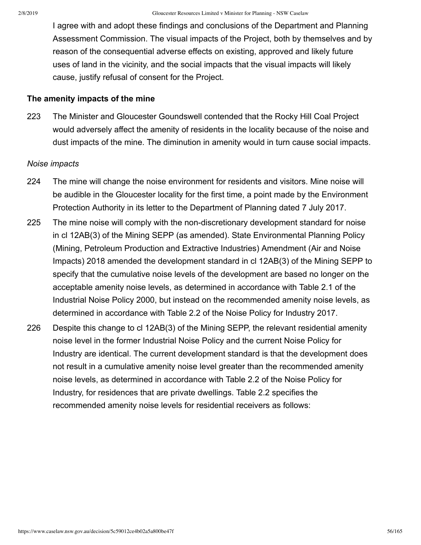I agree with and adopt these findings and conclusions of the Department and Planning Assessment Commission. The visual impacts of the Project, both by themselves and by reason of the consequential adverse effects on existing, approved and likely future uses of land in the vicinity, and the social impacts that the visual impacts will likely cause, justify refusal of consent for the Project.

## **The amenity impacts of the mine**

223 The Minister and Gloucester Goundswell contended that the Rocky Hill Coal Project would adversely affect the amenity of residents in the locality because of the noise and dust impacts of the mine. The diminution in amenity would in turn cause social impacts.

#### *Noise impacts*

- 224 The mine will change the noise environment for residents and visitors. Mine noise will be audible in the Gloucester locality for the first time, a point made by the Environment Protection Authority in its letter to the Department of Planning dated 7 July 2017.
- 225 The mine noise will comply with the non-discretionary development standard for noise in cl 12AB(3) of the Mining SEPP (as amended). State Environmental Planning Policy (Mining, Petroleum Production and Extractive Industries) Amendment (Air and Noise Impacts) 2018 amended the development standard in cl 12AB(3) of the Mining SEPP to specify that the cumulative noise levels of the development are based no longer on the acceptable amenity noise levels, as determined in accordance with Table 2.1 of the Industrial Noise Policy 2000, but instead on the recommended amenity noise levels, as determined in accordance with Table 2.2 of the Noise Policy for Industry 2017.
- 226 Despite this change to cl 12AB(3) of the Mining SEPP, the relevant residential amenity noise level in the former Industrial Noise Policy and the current Noise Policy for Industry are identical. The current development standard is that the development does not result in a cumulative amenity noise level greater than the recommended amenity noise levels, as determined in accordance with Table 2.2 of the Noise Policy for Industry, for residences that are private dwellings. Table 2.2 specifies the recommended amenity noise levels for residential receivers as follows: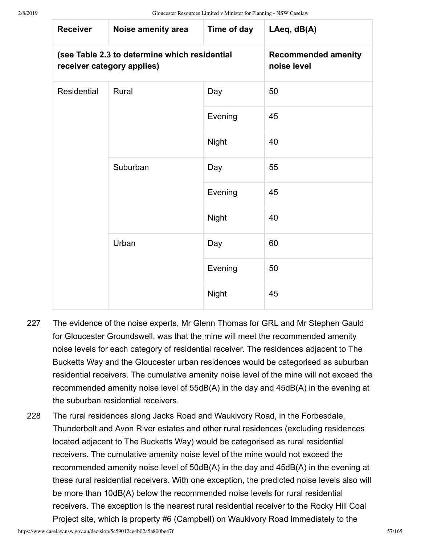| <b>Receiver</b>                                                             | Noise amenity area | Time of day  | LAeq, $dB(A)$                             |
|-----------------------------------------------------------------------------|--------------------|--------------|-------------------------------------------|
| (see Table 2.3 to determine which residential<br>receiver category applies) |                    |              | <b>Recommended amenity</b><br>noise level |
| Residential                                                                 | Rural              | Day          | 50                                        |
|                                                                             |                    | Evening      | 45                                        |
|                                                                             |                    | <b>Night</b> | 40                                        |
|                                                                             | Suburban           | Day          | 55                                        |
|                                                                             |                    | Evening      | 45                                        |
|                                                                             |                    | <b>Night</b> | 40                                        |
|                                                                             | Urban              | Day          | 60                                        |
|                                                                             |                    | Evening      | 50                                        |
|                                                                             |                    | <b>Night</b> | 45                                        |

- 227 The evidence of the noise experts, Mr Glenn Thomas for GRL and Mr Stephen Gauld for Gloucester Groundswell, was that the mine will meet the recommended amenity noise levels for each category of residential receiver. The residences adjacent to The Bucketts Way and the Gloucester urban residences would be categorised as suburban residential receivers. The cumulative amenity noise level of the mine will not exceed the recommended amenity noise level of 55dB(A) in the day and 45dB(A) in the evening at the suburban residential receivers.
- 228 The rural residences along Jacks Road and Waukivory Road, in the Forbesdale, Thunderbolt and Avon River estates and other rural residences (excluding residences located adjacent to The Bucketts Way) would be categorised as rural residential receivers. The cumulative amenity noise level of the mine would not exceed the recommended amenity noise level of 50dB(A) in the day and 45dB(A) in the evening at these rural residential receivers. With one exception, the predicted noise levels also will be more than 10dB(A) below the recommended noise levels for rural residential receivers. The exception is the nearest rural residential receiver to the Rocky Hill Coal Project site, which is property #6 (Campbell) on Waukivory Road immediately to the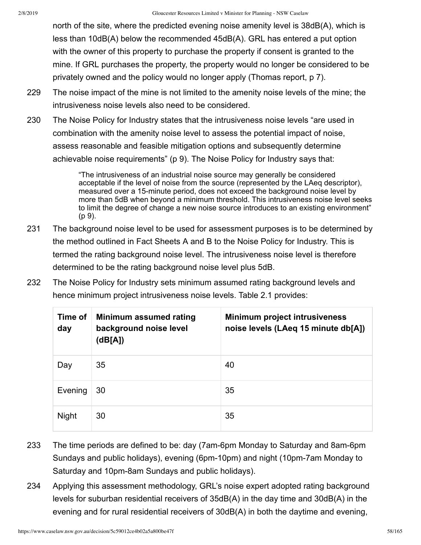north of the site, where the predicted evening noise amenity level is 38dB(A), which is less than 10dB(A) below the recommended 45dB(A). GRL has entered a put option with the owner of this property to purchase the property if consent is granted to the mine. If GRL purchases the property, the property would no longer be considered to be privately owned and the policy would no longer apply (Thomas report, p 7).

- 229 The noise impact of the mine is not limited to the amenity noise levels of the mine; the intrusiveness noise levels also need to be considered.
- 230 The Noise Policy for Industry states that the intrusiveness noise levels "are used in combination with the amenity noise level to assess the potential impact of noise, assess reasonable and feasible mitigation options and subsequently determine achievable noise requirements" (p 9). The Noise Policy for Industry says that:

"The intrusiveness of an industrial noise source may generally be considered acceptable if the level of noise from the source (represented by the LAeq descriptor), measured over a 15-minute period, does not exceed the background noise level by more than 5dB when beyond a minimum threshold. This intrusiveness noise level seeks to limit the degree of change a new noise source introduces to an existing environment" (p 9).

- 231 The background noise level to be used for assessment purposes is to be determined by the method outlined in Fact Sheets A and B to the Noise Policy for Industry. This is termed the rating background noise level. The intrusiveness noise level is therefore determined to be the rating background noise level plus 5dB.
- 232 The Noise Policy for Industry sets minimum assumed rating background levels and hence minimum project intrusiveness noise levels. Table 2.1 provides:

| Time of<br>day | Minimum assumed rating<br>background noise level<br>(dB[A]) | <b>Minimum project intrusiveness</b><br>noise levels (LAeq 15 minute db[A]) |
|----------------|-------------------------------------------------------------|-----------------------------------------------------------------------------|
| Day            | 35                                                          | 40                                                                          |
| Evening        | 30                                                          | 35                                                                          |
| <b>Night</b>   | 30                                                          | 35                                                                          |

- 233 The time periods are defined to be: day (7am-6pm Monday to Saturday and 8am-6pm Sundays and public holidays), evening (6pm-10pm) and night (10pm-7am Monday to Saturday and 10pm-8am Sundays and public holidays).
- 234 Applying this assessment methodology, GRL's noise expert adopted rating background levels for suburban residential receivers of 35dB(A) in the day time and 30dB(A) in the evening and for rural residential receivers of 30dB(A) in both the daytime and evening,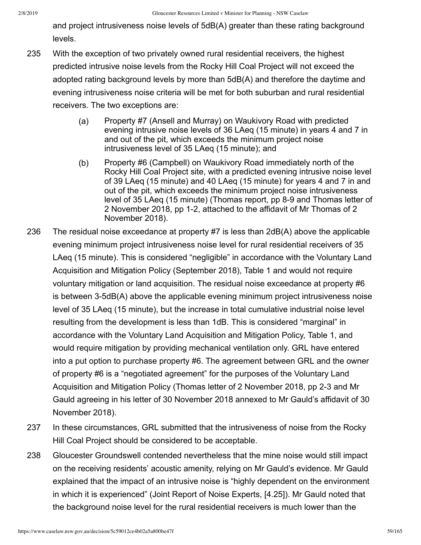and project intrusiveness noise levels of 5dB(A) greater than these rating background levels.

- 235 With the exception of two privately owned rural residential receivers, the highest predicted intrusive noise levels from the Rocky Hill Coal Project will not exceed the adopted rating background levels by more than 5dB(A) and therefore the daytime and evening intrusiveness noise criteria will be met for both suburban and rural residential receivers. The two exceptions are:
	- (a) Property #7 (Ansell and Murray) on Waukivory Road with predicted evening intrusive noise levels of 36 LAeq (15 minute) in years 4 and 7 in and out of the pit, which exceeds the minimum project noise intrusiveness level of 35 LAeq (15 minute); and
	- (b) Property #6 (Campbell) on Waukivory Road immediately north of the Rocky Hill Coal Project site, with a predicted evening intrusive noise level of 39 LAeq (15 minute) and 40 LAeq (15 minute) for years 4 and 7 in and out of the pit, which exceeds the minimum project noise intrusiveness level of 35 LAeq (15 minute) (Thomas report, pp 8-9 and Thomas letter of 2 November 2018, pp 1-2, attached to the affidavit of Mr Thomas of 2 November 2018).
- 236 The residual noise exceedance at property #7 is less than 2dB(A) above the applicable evening minimum project intrusiveness noise level for rural residential receivers of 35 LAeq (15 minute). This is considered "negligible" in accordance with the Voluntary Land Acquisition and Mitigation Policy (September 2018), Table 1 and would not require voluntary mitigation or land acquisition. The residual noise exceedance at property #6 is between 3-5dB(A) above the applicable evening minimum project intrusiveness noise level of 35 LAeq (15 minute), but the increase in total cumulative industrial noise level resulting from the development is less than 1dB. This is considered "marginal" in accordance with the Voluntary Land Acquisition and Mitigation Policy, Table 1, and would require mitigation by providing mechanical ventilation only. GRL have entered into a put option to purchase property #6. The agreement between GRL and the owner of property #6 is a "negotiated agreement" for the purposes of the Voluntary Land Acquisition and Mitigation Policy (Thomas letter of 2 November 2018, pp 23 and Mr Gauld agreeing in his letter of 30 November 2018 annexed to Mr Gauld's affidavit of 30 November 2018).
- 237 In these circumstances, GRL submitted that the intrusiveness of noise from the Rocky Hill Coal Project should be considered to be acceptable.
- 238 Gloucester Groundswell contended nevertheless that the mine noise would still impact on the receiving residents' acoustic amenity, relying on Mr Gauld's evidence. Mr Gauld explained that the impact of an intrusive noise is "highly dependent on the environment in which it is experienced" (Joint Report of Noise Experts, [4.25]). Mr Gauld noted that the background noise level for the rural residential receivers is much lower than the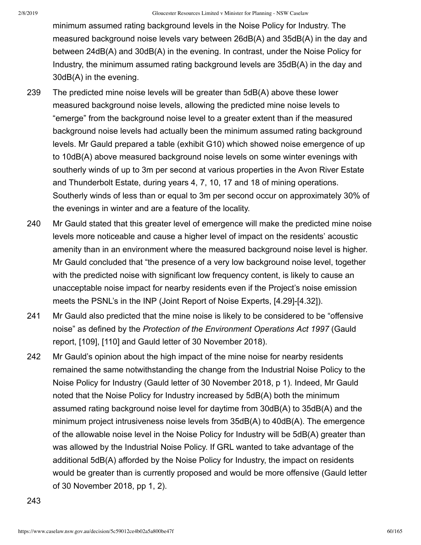minimum assumed rating background levels in the Noise Policy for Industry. The measured background noise levels vary between 26dB(A) and 35dB(A) in the day and between 24dB(A) and 30dB(A) in the evening. In contrast, under the Noise Policy for Industry, the minimum assumed rating background levels are 35dB(A) in the day and 30dB(A) in the evening.

- 239 The predicted mine noise levels will be greater than 5dB(A) above these lower measured background noise levels, allowing the predicted mine noise levels to "emerge" from the background noise level to a greater extent than if the measured background noise levels had actually been the minimum assumed rating background levels. Mr Gauld prepared a table (exhibit G10) which showed noise emergence of up to 10dB(A) above measured background noise levels on some winter evenings with southerly winds of up to 3m per second at various properties in the Avon River Estate and Thunderbolt Estate, during years 4, 7, 10, 17 and 18 of mining operations. Southerly winds of less than or equal to 3m per second occur on approximately 30% of the evenings in winter and are a feature of the locality.
- 240 Mr Gauld stated that this greater level of emergence will make the predicted mine noise levels more noticeable and cause a higher level of impact on the residents' acoustic amenity than in an environment where the measured background noise level is higher. Mr Gauld concluded that "the presence of a very low background noise level, together with the predicted noise with significant low frequency content, is likely to cause an unacceptable noise impact for nearby residents even if the Project's noise emission meets the PSNL's in the INP (Joint Report of Noise Experts, [4.29]-[4.32]).
- 241 Mr Gauld also predicted that the mine noise is likely to be considered to be "offensive noise" as defined by the *Protection of the Environment Operations Act 1997* (Gauld report, [109], [110] and Gauld letter of 30 November 2018).
- 242 Mr Gauld's opinion about the high impact of the mine noise for nearby residents remained the same notwithstanding the change from the Industrial Noise Policy to the Noise Policy for Industry (Gauld letter of 30 November 2018, p 1). Indeed, Mr Gauld noted that the Noise Policy for Industry increased by 5dB(A) both the minimum assumed rating background noise level for daytime from 30dB(A) to 35dB(A) and the minimum project intrusiveness noise levels from 35dB(A) to 40dB(A). The emergence of the allowable noise level in the Noise Policy for Industry will be 5dB(A) greater than was allowed by the Industrial Noise Policy. If GRL wanted to take advantage of the additional 5dB(A) afforded by the Noise Policy for Industry, the impact on residents would be greater than is currently proposed and would be more offensive (Gauld letter of 30 November 2018, pp 1, 2).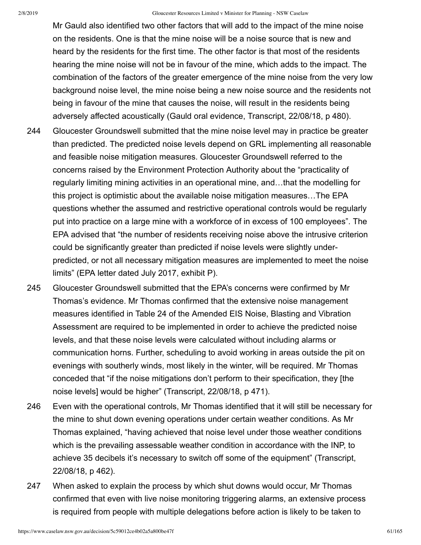Mr Gauld also identified two other factors that will add to the impact of the mine noise on the residents. One is that the mine noise will be a noise source that is new and heard by the residents for the first time. The other factor is that most of the residents hearing the mine noise will not be in favour of the mine, which adds to the impact. The combination of the factors of the greater emergence of the mine noise from the very low background noise level, the mine noise being a new noise source and the residents not being in favour of the mine that causes the noise, will result in the residents being adversely affected acoustically (Gauld oral evidence, Transcript, 22/08/18, p 480).

- 244 Gloucester Groundswell submitted that the mine noise level may in practice be greater than predicted. The predicted noise levels depend on GRL implementing all reasonable and feasible noise mitigation measures. Gloucester Groundswell referred to the concerns raised by the Environment Protection Authority about the "practicality of regularly limiting mining activities in an operational mine, and…that the modelling for this project is optimistic about the available noise mitigation measures…The EPA questions whether the assumed and restrictive operational controls would be regularly put into practice on a large mine with a workforce of in excess of 100 employees". The EPA advised that "the number of residents receiving noise above the intrusive criterion could be significantly greater than predicted if noise levels were slightly underpredicted, or not all necessary mitigation measures are implemented to meet the noise limits" (EPA letter dated July 2017, exhibit P).
- 245 Gloucester Groundswell submitted that the EPA's concerns were confirmed by Mr Thomas's evidence. Mr Thomas confirmed that the extensive noise management measures identified in Table 24 of the Amended EIS Noise, Blasting and Vibration Assessment are required to be implemented in order to achieve the predicted noise levels, and that these noise levels were calculated without including alarms or communication horns. Further, scheduling to avoid working in areas outside the pit on evenings with southerly winds, most likely in the winter, will be required. Mr Thomas conceded that "if the noise mitigations don't perform to their specification, they [the noise levels] would be higher" (Transcript, 22/08/18, p 471).
- 246 Even with the operational controls, Mr Thomas identified that it will still be necessary for the mine to shut down evening operations under certain weather conditions. As Mr Thomas explained, "having achieved that noise level under those weather conditions which is the prevailing assessable weather condition in accordance with the INP, to achieve 35 decibels it's necessary to switch off some of the equipment" (Transcript, 22/08/18, p 462).
- 247 When asked to explain the process by which shut downs would occur, Mr Thomas confirmed that even with live noise monitoring triggering alarms, an extensive process is required from people with multiple delegations before action is likely to be taken to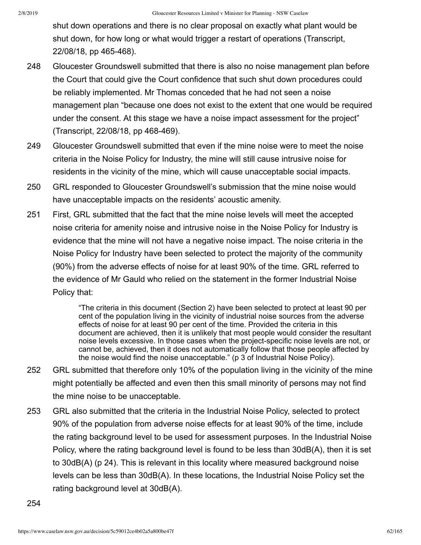shut down operations and there is no clear proposal on exactly what plant would be shut down, for how long or what would trigger a restart of operations (Transcript, 22/08/18, pp 465-468).

- 248 Gloucester Groundswell submitted that there is also no noise management plan before the Court that could give the Court confidence that such shut down procedures could be reliably implemented. Mr Thomas conceded that he had not seen a noise management plan "because one does not exist to the extent that one would be required under the consent. At this stage we have a noise impact assessment for the project" (Transcript, 22/08/18, pp 468469).
- 249 Gloucester Groundswell submitted that even if the mine noise were to meet the noise criteria in the Noise Policy for Industry, the mine will still cause intrusive noise for residents in the vicinity of the mine, which will cause unacceptable social impacts.
- 250 GRL responded to Gloucester Groundswell's submission that the mine noise would have unacceptable impacts on the residents' acoustic amenity.
- 251 First, GRL submitted that the fact that the mine noise levels will meet the accepted noise criteria for amenity noise and intrusive noise in the Noise Policy for Industry is evidence that the mine will not have a negative noise impact. The noise criteria in the Noise Policy for Industry have been selected to protect the majority of the community (90%) from the adverse effects of noise for at least 90% of the time. GRL referred to the evidence of Mr Gauld who relied on the statement in the former Industrial Noise Policy that:

"The criteria in this document (Section 2) have been selected to protect at least 90 per cent of the population living in the vicinity of industrial noise sources from the adverse effects of noise for at least 90 per cent of the time. Provided the criteria in this document are achieved, then it is unlikely that most people would consider the resultant noise levels excessive. In those cases when the project-specific noise levels are not, or cannot be, achieved, then it does not automatically follow that those people affected by the noise would find the noise unacceptable." (p 3 of Industrial Noise Policy).

- 252 GRL submitted that therefore only 10% of the population living in the vicinity of the mine might potentially be affected and even then this small minority of persons may not find the mine noise to be unacceptable.
- 253 GRL also submitted that the criteria in the Industrial Noise Policy, selected to protect 90% of the population from adverse noise effects for at least 90% of the time, include the rating background level to be used for assessment purposes. In the Industrial Noise Policy, where the rating background level is found to be less than 30dB(A), then it is set to 30dB(A) (p 24). This is relevant in this locality where measured background noise levels can be less than 30dB(A). In these locations, the Industrial Noise Policy set the rating background level at 30dB(A).

254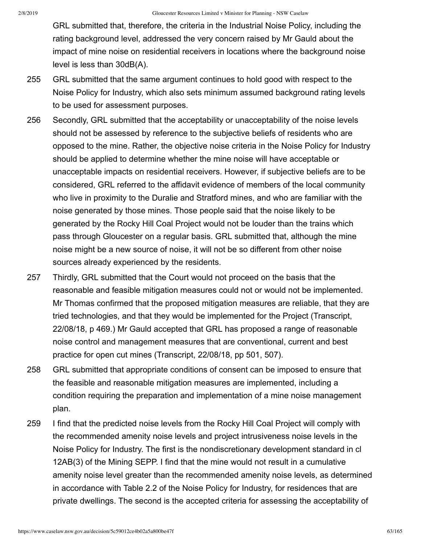GRL submitted that, therefore, the criteria in the Industrial Noise Policy, including the rating background level, addressed the very concern raised by Mr Gauld about the impact of mine noise on residential receivers in locations where the background noise level is less than 30dB(A).

- 255 GRL submitted that the same argument continues to hold good with respect to the Noise Policy for Industry, which also sets minimum assumed background rating levels to be used for assessment purposes.
- 256 Secondly, GRL submitted that the acceptability or unacceptability of the noise levels should not be assessed by reference to the subjective beliefs of residents who are opposed to the mine. Rather, the objective noise criteria in the Noise Policy for Industry should be applied to determine whether the mine noise will have acceptable or unacceptable impacts on residential receivers. However, if subjective beliefs are to be considered, GRL referred to the affidavit evidence of members of the local community who live in proximity to the Duralie and Stratford mines, and who are familiar with the noise generated by those mines. Those people said that the noise likely to be generated by the Rocky Hill Coal Project would not be louder than the trains which pass through Gloucester on a regular basis. GRL submitted that, although the mine noise might be a new source of noise, it will not be so different from other noise sources already experienced by the residents.
- 257 Thirdly, GRL submitted that the Court would not proceed on the basis that the reasonable and feasible mitigation measures could not or would not be implemented. Mr Thomas confirmed that the proposed mitigation measures are reliable, that they are tried technologies, and that they would be implemented for the Project (Transcript, 22/08/18, p 469.) Mr Gauld accepted that GRL has proposed a range of reasonable noise control and management measures that are conventional, current and best practice for open cut mines (Transcript, 22/08/18, pp 501, 507).
- 258 GRL submitted that appropriate conditions of consent can be imposed to ensure that the feasible and reasonable mitigation measures are implemented, including a condition requiring the preparation and implementation of a mine noise management plan.
- 259 I find that the predicted noise levels from the Rocky Hill Coal Project will comply with the recommended amenity noise levels and project intrusiveness noise levels in the Noise Policy for Industry. The first is the nondiscretionary development standard in cl 12AB(3) of the Mining SEPP. I find that the mine would not result in a cumulative amenity noise level greater than the recommended amenity noise levels, as determined in accordance with Table 2.2 of the Noise Policy for Industry, for residences that are private dwellings. The second is the accepted criteria for assessing the acceptability of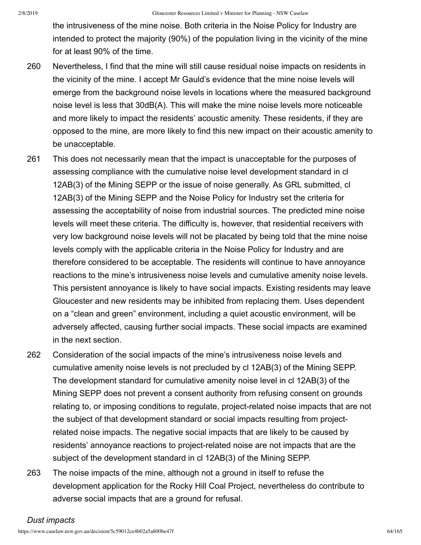the intrusiveness of the mine noise. Both criteria in the Noise Policy for Industry are intended to protect the majority (90%) of the population living in the vicinity of the mine for at least 90% of the time.

- 260 Nevertheless, I find that the mine will still cause residual noise impacts on residents in the vicinity of the mine. I accept Mr Gauld's evidence that the mine noise levels will emerge from the background noise levels in locations where the measured background noise level is less that 30dB(A). This will make the mine noise levels more noticeable and more likely to impact the residents' acoustic amenity. These residents, if they are opposed to the mine, are more likely to find this new impact on their acoustic amenity to be unacceptable.
- 261 This does not necessarily mean that the impact is unacceptable for the purposes of assessing compliance with the cumulative noise level development standard in cl 12AB(3) of the Mining SEPP or the issue of noise generally. As GRL submitted, cl 12AB(3) of the Mining SEPP and the Noise Policy for Industry set the criteria for assessing the acceptability of noise from industrial sources. The predicted mine noise levels will meet these criteria. The difficulty is, however, that residential receivers with very low background noise levels will not be placated by being told that the mine noise levels comply with the applicable criteria in the Noise Policy for Industry and are therefore considered to be acceptable. The residents will continue to have annoyance reactions to the mine's intrusiveness noise levels and cumulative amenity noise levels. This persistent annoyance is likely to have social impacts. Existing residents may leave Gloucester and new residents may be inhibited from replacing them. Uses dependent on a "clean and green" environment, including a quiet acoustic environment, will be adversely affected, causing further social impacts. These social impacts are examined in the next section.
- 262 Consideration of the social impacts of the mine's intrusiveness noise levels and cumulative amenity noise levels is not precluded by cl 12AB(3) of the Mining SEPP. The development standard for cumulative amenity noise level in cl 12AB(3) of the Mining SEPP does not prevent a consent authority from refusing consent on grounds relating to, or imposing conditions to regulate, project-related noise impacts that are not the subject of that development standard or social impacts resulting from projectrelated noise impacts. The negative social impacts that are likely to be caused by residents' annoyance reactions to project-related noise are not impacts that are the subject of the development standard in cl 12AB(3) of the Mining SEPP.
- 263 The noise impacts of the mine, although not a ground in itself to refuse the development application for the Rocky Hill Coal Project, nevertheless do contribute to adverse social impacts that are a ground for refusal.

#### *Dust impacts*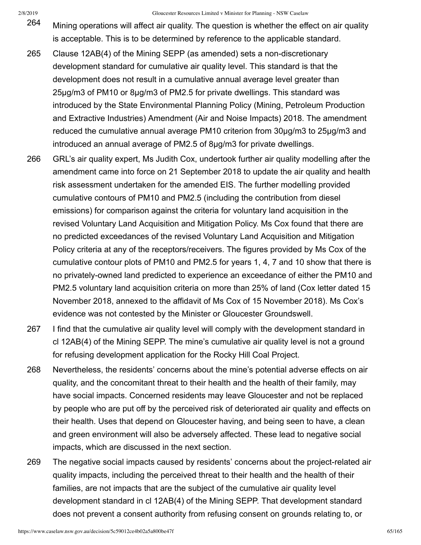264 Mining operations will affect air quality. The question is whether the effect on air quality is acceptable. This is to be determined by reference to the applicable standard.

- 265 Clause 12AB(4) of the Mining SEPP (as amended) sets a non-discretionary development standard for cumulative air quality level. This standard is that the development does not result in a cumulative annual average level greater than 25μg/m3 of PM10 or 8μg/m3 of PM2.5 for private dwellings. This standard was introduced by the State Environmental Planning Policy (Mining, Petroleum Production and Extractive Industries) Amendment (Air and Noise Impacts) 2018. The amendment reduced the cumulative annual average PM10 criterion from 30μg/m3 to 25μg/m3 and introduced an annual average of PM2.5 of 8μg/m3 for private dwellings.
- 266 GRL's air quality expert, Ms Judith Cox, undertook further air quality modelling after the amendment came into force on 21 September 2018 to update the air quality and health risk assessment undertaken for the amended EIS. The further modelling provided cumulative contours of PM10 and PM2.5 (including the contribution from diesel emissions) for comparison against the criteria for voluntary land acquisition in the revised Voluntary Land Acquisition and Mitigation Policy. Ms Cox found that there are no predicted exceedances of the revised Voluntary Land Acquisition and Mitigation Policy criteria at any of the receptors/receivers. The figures provided by Ms Cox of the cumulative contour plots of PM10 and PM2.5 for years 1, 4, 7 and 10 show that there is no privately-owned land predicted to experience an exceedance of either the PM10 and PM2.5 voluntary land acquisition criteria on more than 25% of land (Cox letter dated 15 November 2018, annexed to the affidavit of Ms Cox of 15 November 2018). Ms Cox's evidence was not contested by the Minister or Gloucester Groundswell.
- 267 I find that the cumulative air quality level will comply with the development standard in cl 12AB(4) of the Mining SEPP. The mine's cumulative air quality level is not a ground for refusing development application for the Rocky Hill Coal Project.
- 268 Nevertheless, the residents' concerns about the mine's potential adverse effects on air quality, and the concomitant threat to their health and the health of their family, may have social impacts. Concerned residents may leave Gloucester and not be replaced by people who are put off by the perceived risk of deteriorated air quality and effects on their health. Uses that depend on Gloucester having, and being seen to have, a clean and green environment will also be adversely affected. These lead to negative social impacts, which are discussed in the next section.
- 269 The negative social impacts caused by residents' concerns about the project-related air quality impacts, including the perceived threat to their health and the health of their families, are not impacts that are the subject of the cumulative air quality level development standard in cl 12AB(4) of the Mining SEPP. That development standard does not prevent a consent authority from refusing consent on grounds relating to, or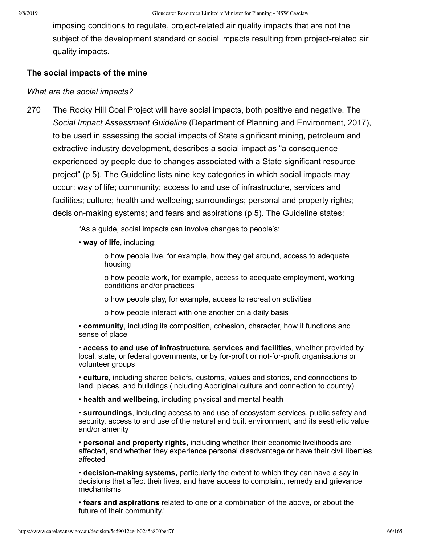imposing conditions to regulate, project-related air quality impacts that are not the subject of the development standard or social impacts resulting from project-related air quality impacts.

# **The social impacts of the mine**

### *What are the social impacts?*

270 The Rocky Hill Coal Project will have social impacts, both positive and negative. The *Social Impact Assessment Guideline* (Department of Planning and Environment, 2017), to be used in assessing the social impacts of State significant mining, petroleum and extractive industry development, describes a social impact as "a consequence experienced by people due to changes associated with a State significant resource project" (p 5). The Guideline lists nine key categories in which social impacts may occur: way of life; community; access to and use of infrastructure, services and facilities; culture; health and wellbeing; surroundings; personal and property rights; decision-making systems; and fears and aspirations ( $p$  5). The Guideline states:

"As a guide, social impacts can involve changes to people's:

• **way of life**, including:

o how people live, for example, how they get around, access to adequate housing

o how people work, for example, access to adequate employment, working conditions and/or practices

o how people play, for example, access to recreation activities

o how people interact with one another on a daily basis

• **community**, including its composition, cohesion, character, how it functions and sense of place

• **access to and use of infrastructure, services and facilities**, whether provided by local, state, or federal governments, or by for-profit or not-for-profit organisations or volunteer groups

• **culture**, including shared beliefs, customs, values and stories, and connections to land, places, and buildings (including Aboriginal culture and connection to country)

• **health and wellbeing,** including physical and mental health

• **surroundings**, including access to and use of ecosystem services, public safety and security, access to and use of the natural and built environment, and its aesthetic value and/or amenity

• **personal and property rights**, including whether their economic livelihoods are affected, and whether they experience personal disadvantage or have their civil liberties affected

• decision-making systems, particularly the extent to which they can have a say in decisions that affect their lives, and have access to complaint, remedy and grievance mechanisms

• **fears and aspirations** related to one or a combination of the above, or about the future of their community."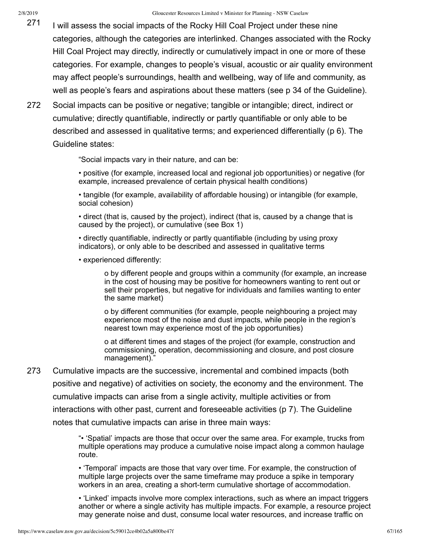271 I will assess the social impacts of the Rocky Hill Coal Project under these nine categories, although the categories are interlinked. Changes associated with the Rocky Hill Coal Project may directly, indirectly or cumulatively impact in one or more of these categories. For example, changes to people's visual, acoustic or air quality environment may affect people's surroundings, health and wellbeing, way of life and community, as well as people's fears and aspirations about these matters (see p 34 of the Guideline).

272 Social impacts can be positive or negative; tangible or intangible; direct, indirect or cumulative; directly quantifiable, indirectly or partly quantifiable or only able to be described and assessed in qualitative terms; and experienced differentially (p 6). The Guideline states:

"Social impacts vary in their nature, and can be:

• positive (for example, increased local and regional job opportunities) or negative (for example, increased prevalence of certain physical health conditions)

• tangible (for example, availability of affordable housing) or intangible (for example, social cohesion)

• direct (that is, caused by the project), indirect (that is, caused by a change that is caused by the project), or cumulative (see Box 1)

• directly quantifiable, indirectly or partly quantifiable (including by using proxy indicators), or only able to be described and assessed in qualitative terms

• experienced differently:

o by different people and groups within a community (for example, an increase in the cost of housing may be positive for homeowners wanting to rent out or sell their properties, but negative for individuals and families wanting to enter the same market)

o by different communities (for example, people neighbouring a project may experience most of the noise and dust impacts, while people in the region's nearest town may experience most of the job opportunities)

o at different times and stages of the project (for example, construction and commissioning, operation, decommissioning and closure, and post closure management)."

273 Cumulative impacts are the successive, incremental and combined impacts (both positive and negative) of activities on society, the economy and the environment. The cumulative impacts can arise from a single activity, multiple activities or from interactions with other past, current and foreseeable activities (p 7). The Guideline notes that cumulative impacts can arise in three main ways:

> "• 'Spatial' impacts are those that occur over the same area. For example, trucks from multiple operations may produce a cumulative noise impact along a common haulage route.

• 'Temporal' impacts are those that vary over time. For example, the construction of multiple large projects over the same timeframe may produce a spike in temporary workers in an area, creating a short-term cumulative shortage of accommodation.

• 'Linked' impacts involve more complex interactions, such as where an impact triggers another or where a single activity has multiple impacts. For example, a resource project may generate noise and dust, consume local water resources, and increase traffic on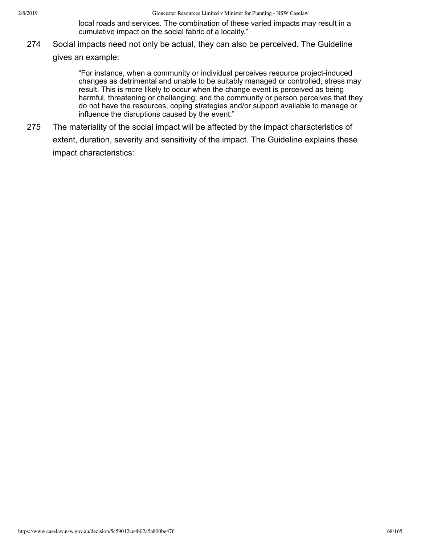local roads and services. The combination of these varied impacts may result in a cumulative impact on the social fabric of a locality."

274 Social impacts need not only be actual, they can also be perceived. The Guideline gives an example:

> "For instance, when a community or individual perceives resource projectinduced changes as detrimental and unable to be suitably managed or controlled, stress may result. This is more likely to occur when the change event is perceived as being harmful, threatening or challenging; and the community or person perceives that they do not have the resources, coping strategies and/or support available to manage or influence the disruptions caused by the event."

275 The materiality of the social impact will be affected by the impact characteristics of extent, duration, severity and sensitivity of the impact. The Guideline explains these impact characteristics: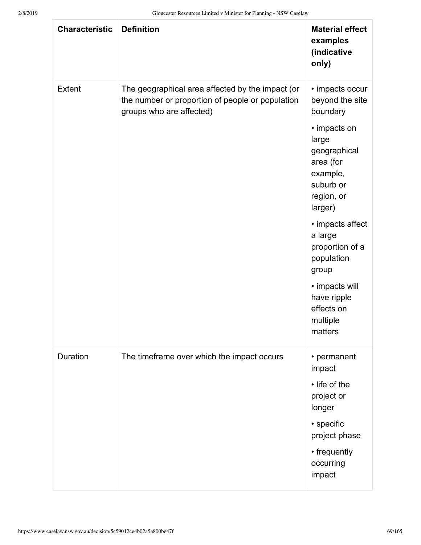| <b>Characteristic</b> | <b>Definition</b>                                                                                                                | <b>Material effect</b><br>examples<br>(indicative<br>only)                                                                                                                                                                                                                                            |
|-----------------------|----------------------------------------------------------------------------------------------------------------------------------|-------------------------------------------------------------------------------------------------------------------------------------------------------------------------------------------------------------------------------------------------------------------------------------------------------|
| <b>Extent</b>         | The geographical area affected by the impact (or<br>the number or proportion of people or population<br>groups who are affected) | · impacts occur<br>beyond the site<br>boundary<br>• impacts on<br>large<br>geographical<br>area (for<br>example,<br>suburb or<br>region, or<br>larger)<br>• impacts affect<br>a large<br>proportion of a<br>population<br>group<br>• impacts will<br>have ripple<br>effects on<br>multiple<br>matters |
| Duration              | The timeframe over which the impact occurs                                                                                       | • permanent<br>impact<br>• life of the<br>project or<br>longer<br>• specific<br>project phase<br>• frequently<br>occurring<br>impact                                                                                                                                                                  |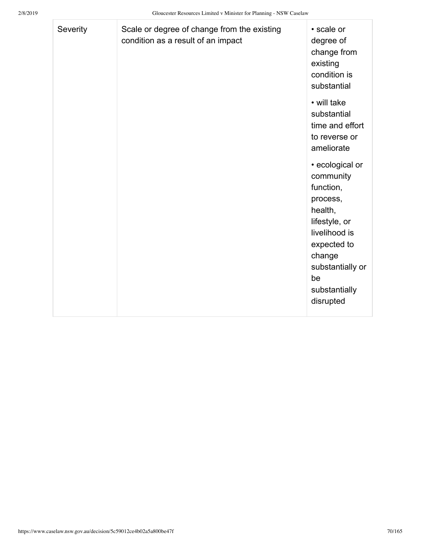| Severity | Scale or degree of change from the existing<br>condition as a result of an impact | · scale or<br>degree of<br>change from<br>existing<br>condition is<br>substantial                                                                                                   |
|----------|-----------------------------------------------------------------------------------|-------------------------------------------------------------------------------------------------------------------------------------------------------------------------------------|
|          |                                                                                   | • will take<br>substantial<br>time and effort<br>to reverse or<br>ameliorate                                                                                                        |
|          |                                                                                   | · ecological or<br>community<br>function,<br>process,<br>health,<br>lifestyle, or<br>livelihood is<br>expected to<br>change<br>substantially or<br>be<br>substantially<br>disrupted |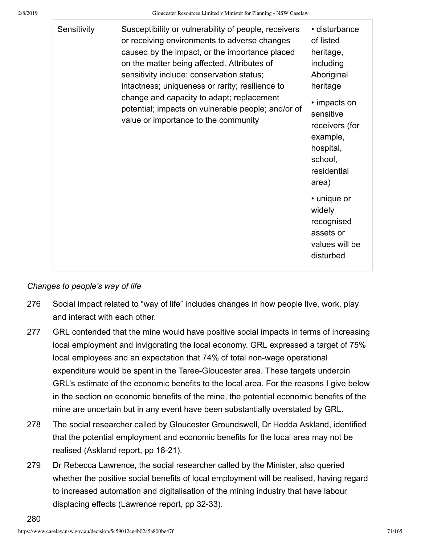| Sensitivity | Susceptibility or vulnerability of people, receivers<br>or receiving environments to adverse changes<br>caused by the impact, or the importance placed<br>on the matter being affected. Attributes of<br>sensitivity include: conservation status;<br>intactness; uniqueness or rarity; resilience to<br>change and capacity to adapt; replacement<br>potential; impacts on vulnerable people; and/or of<br>value or importance to the community | • disturbance<br>of listed<br>heritage,<br>including<br>Aboriginal<br>heritage<br>• impacts on<br>sensitive<br>receivers (for<br>example,<br>hospital,<br>school,<br>residential<br>area)<br>• unique or<br>widely<br>recognised<br>assets or<br>values will be<br>disturbed |
|-------------|--------------------------------------------------------------------------------------------------------------------------------------------------------------------------------------------------------------------------------------------------------------------------------------------------------------------------------------------------------------------------------------------------------------------------------------------------|------------------------------------------------------------------------------------------------------------------------------------------------------------------------------------------------------------------------------------------------------------------------------|
|-------------|--------------------------------------------------------------------------------------------------------------------------------------------------------------------------------------------------------------------------------------------------------------------------------------------------------------------------------------------------------------------------------------------------------------------------------------------------|------------------------------------------------------------------------------------------------------------------------------------------------------------------------------------------------------------------------------------------------------------------------------|

# *Changes to people's way of life*

- 276 Social impact related to "way of life" includes changes in how people live, work, play and interact with each other.
- 277 GRL contended that the mine would have positive social impacts in terms of increasing local employment and invigorating the local economy. GRL expressed a target of 75% local employees and an expectation that 74% of total non-wage operational expenditure would be spent in the Taree-Gloucester area. These targets underpin GRL's estimate of the economic benefits to the local area. For the reasons I give below in the section on economic benefits of the mine, the potential economic benefits of the mine are uncertain but in any event have been substantially overstated by GRL.
- 278 The social researcher called by Gloucester Groundswell, Dr Hedda Askland, identified that the potential employment and economic benefits for the local area may not be realised (Askland report, pp 18-21).
- 279 Dr Rebecca Lawrence, the social researcher called by the Minister, also queried whether the positive social benefits of local employment will be realised, having regard to increased automation and digitalisation of the mining industry that have labour displacing effects (Lawrence report, pp 32-33).

280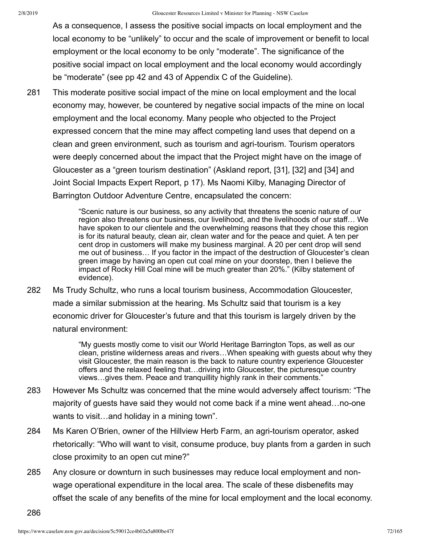As a consequence, I assess the positive social impacts on local employment and the local economy to be "unlikely" to occur and the scale of improvement or benefit to local employment or the local economy to be only "moderate". The significance of the positive social impact on local employment and the local economy would accordingly be "moderate" (see pp 42 and 43 of Appendix C of the Guideline).

281 This moderate positive social impact of the mine on local employment and the local economy may, however, be countered by negative social impacts of the mine on local employment and the local economy. Many people who objected to the Project expressed concern that the mine may affect competing land uses that depend on a clean and green environment, such as tourism and agri-tourism. Tourism operators were deeply concerned about the impact that the Project might have on the image of Gloucester as a "green tourism destination" (Askland report, [31], [32] and [34] and Joint Social Impacts Expert Report, p 17). Ms Naomi Kilby, Managing Director of Barrington Outdoor Adventure Centre, encapsulated the concern:

> "Scenic nature is our business, so any activity that threatens the scenic nature of our region also threatens our business, our livelihood, and the livelihoods of our staff… We have spoken to our clientele and the overwhelming reasons that they chose this region is for its natural beauty, clean air, clean water and for the peace and quiet. A ten per cent drop in customers will make my business marginal. A 20 per cent drop will send me out of business… If you factor in the impact of the destruction of Gloucester's clean green image by having an open cut coal mine on your doorstep, then I believe the impact of Rocky Hill Coal mine will be much greater than 20%." (Kilby statement of evidence).

282 Ms Trudy Schultz, who runs a local tourism business, Accommodation Gloucester, made a similar submission at the hearing. Ms Schultz said that tourism is a key economic driver for Gloucester's future and that this tourism is largely driven by the natural environment:

> "My guests mostly come to visit our World Heritage Barrington Tops, as well as our clean, pristine wilderness areas and rivers…When speaking with guests about why they visit Gloucester, the main reason is the back to nature country experience Gloucester offers and the relaxed feeling that…driving into Gloucester, the picturesque country views…gives them. Peace and tranquillity highly rank in their comments."

- 283 However Ms Schultz was concerned that the mine would adversely affect tourism: "The majority of quests have said they would not come back if a mine went ahead...no-one wants to visit…and holiday in a mining town".
- 284 Ms Karen O'Brien, owner of the Hillview Herb Farm, an agri-tourism operator, asked rhetorically: "Who will want to visit, consume produce, buy plants from a garden in such close proximity to an open cut mine?"
- 285 Any closure or downturn in such businesses may reduce local employment and nonwage operational expenditure in the local area. The scale of these disbenefits may offset the scale of any benefits of the mine for local employment and the local economy.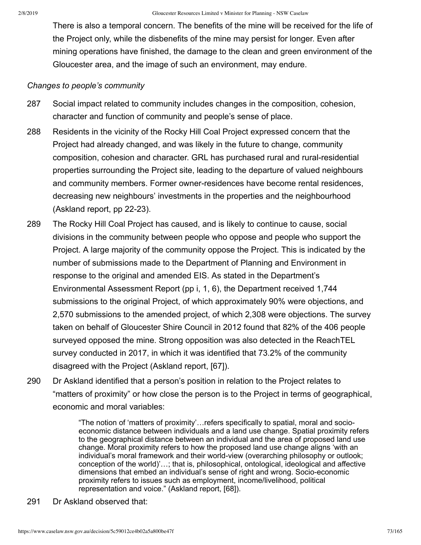There is also a temporal concern. The benefits of the mine will be received for the life of the Project only, while the disbenefits of the mine may persist for longer. Even after mining operations have finished, the damage to the clean and green environment of the Gloucester area, and the image of such an environment, may endure.

### *Changes to people's community*

- 287 Social impact related to community includes changes in the composition, cohesion, character and function of community and people's sense of place.
- 288 Residents in the vicinity of the Rocky Hill Coal Project expressed concern that the Project had already changed, and was likely in the future to change, community composition, cohesion and character. GRL has purchased rural and rural-residential properties surrounding the Project site, leading to the departure of valued neighbours and community members. Former owner-residences have become rental residences, decreasing new neighbours' investments in the properties and the neighbourhood  $(Askland report, pp 22-23).$
- 289 The Rocky Hill Coal Project has caused, and is likely to continue to cause, social divisions in the community between people who oppose and people who support the Project. A large majority of the community oppose the Project. This is indicated by the number of submissions made to the Department of Planning and Environment in response to the original and amended EIS. As stated in the Department's Environmental Assessment Report (pp i, 1, 6), the Department received 1,744 submissions to the original Project, of which approximately 90% were objections, and 2,570 submissions to the amended project, of which 2,308 were objections. The survey taken on behalf of Gloucester Shire Council in 2012 found that 82% of the 406 people surveyed opposed the mine. Strong opposition was also detected in the ReachTEL survey conducted in 2017, in which it was identified that 73.2% of the community disagreed with the Project (Askland report, [67]).
- 290 Dr Askland identified that a person's position in relation to the Project relates to "matters of proximity" or how close the person is to the Project in terms of geographical, economic and moral variables:

"The notion of 'matters of proximity'…refers specifically to spatial, moral and socioeconomic distance between individuals and a land use change. Spatial proximity refers to the geographical distance between an individual and the area of proposed land use change. Moral proximity refers to how the proposed land use change aligns 'with an individual's moral framework and their world-view (overarching philosophy or outlook; conception of the world)'…; that is, philosophical, ontological, ideological and affective dimensions that embed an individual's sense of right and wrong. Socio-economic proximity refers to issues such as employment, income/livelihood, political representation and voice." (Askland report, [68]).

291 Dr Askland observed that: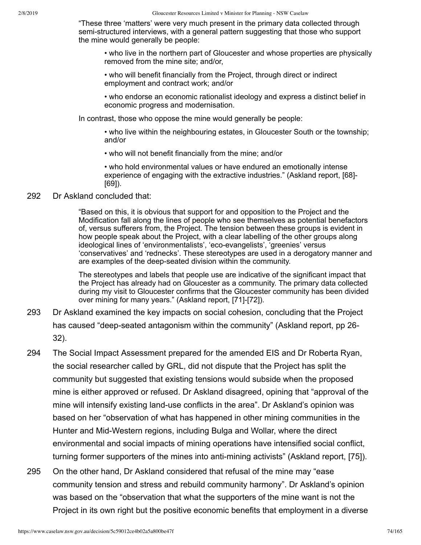"These three 'matters' were very much present in the primary data collected through semi-structured interviews, with a general pattern suggesting that those who support the mine would generally be people:

• who live in the northern part of Gloucester and whose properties are physically removed from the mine site; and/or,

• who will benefit financially from the Project, through direct or indirect employment and contract work; and/or

• who endorse an economic rationalist ideology and express a distinct belief in economic progress and modernisation.

In contrast, those who oppose the mine would generally be people:

• who live within the neighbouring estates, in Gloucester South or the township; and/or

• who will not benefit financially from the mine; and/or

• who hold environmental values or have endured an emotionally intense experience of engaging with the extractive industries." (Askland report, [68] [69]).

### 292 Dr Askland concluded that:

"Based on this, it is obvious that support for and opposition to the Project and the Modification fall along the lines of people who see themselves as potential benefactors of, versus sufferers from, the Project. The tension between these groups is evident in how people speak about the Project, with a clear labelling of the other groups along ideological lines of 'environmentalists', 'eco-evangelists', 'greenies' versus 'conservatives' and 'rednecks'. These stereotypes are used in a derogatory manner and are examples of the deep-seated division within the community.

The stereotypes and labels that people use are indicative of the significant impact that the Project has already had on Gloucester as a community. The primary data collected during my visit to Gloucester confirms that the Gloucester community has been divided over mining for many years." (Askland report, [71]-[72]).

- 293 Dr Askland examined the key impacts on social cohesion, concluding that the Project has caused "deep-seated antagonism within the community" (Askland report, pp 26-32).
- 294 The Social Impact Assessment prepared for the amended EIS and Dr Roberta Ryan, the social researcher called by GRL, did not dispute that the Project has split the community but suggested that existing tensions would subside when the proposed mine is either approved or refused. Dr Askland disagreed, opining that "approval of the mine will intensify existing land-use conflicts in the area". Dr Askland's opinion was based on her "observation of what has happened in other mining communities in the Hunter and Mid-Western regions, including Bulga and Wollar, where the direct environmental and social impacts of mining operations have intensified social conflict, turning former supporters of the mines into anti-mining activists" (Askland report, [75]).
- 295 On the other hand, Dr Askland considered that refusal of the mine may "ease community tension and stress and rebuild community harmony". Dr Askland's opinion was based on the "observation that what the supporters of the mine want is not the Project in its own right but the positive economic benefits that employment in a diverse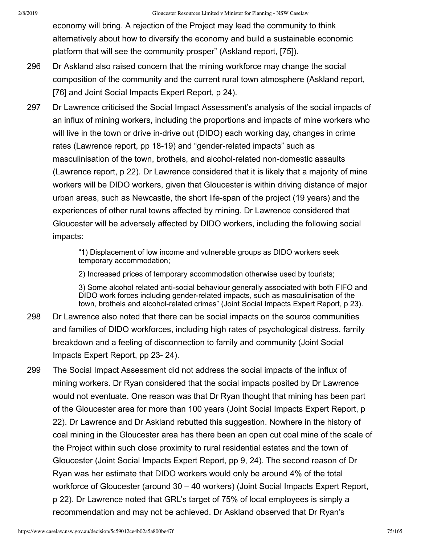economy will bring. A rejection of the Project may lead the community to think alternatively about how to diversify the economy and build a sustainable economic platform that will see the community prosper" (Askland report, [75]).

- 296 Dr Askland also raised concern that the mining workforce may change the social composition of the community and the current rural town atmosphere (Askland report, [76] and Joint Social Impacts Expert Report, p 24).
- 297 Dr Lawrence criticised the Social Impact Assessment's analysis of the social impacts of an influx of mining workers, including the proportions and impacts of mine workers who will live in the town or drive in-drive out (DIDO) each working day, changes in crime rates (Lawrence report, pp 18-19) and "gender-related impacts" such as masculinisation of the town, brothels, and alcohol-related non-domestic assaults (Lawrence report, p 22). Dr Lawrence considered that it is likely that a majority of mine workers will be DIDO workers, given that Gloucester is within driving distance of major urban areas, such as Newcastle, the short lifespan of the project (19 years) and the experiences of other rural towns affected by mining. Dr Lawrence considered that Gloucester will be adversely affected by DIDO workers, including the following social impacts:

"1) Displacement of low income and vulnerable groups as DIDO workers seek temporary accommodation;

2) Increased prices of temporary accommodation otherwise used by tourists;

3) Some alcohol related anti-social behaviour generally associated with both FIFO and DIDO work forces including gender-related impacts, such as masculinisation of the town, brothels and alcohol-related crimes" (Joint Social Impacts Expert Report, p 23).

- 298 Dr Lawrence also noted that there can be social impacts on the source communities and families of DIDO workforces, including high rates of psychological distress, family breakdown and a feeling of disconnection to family and community (Joint Social Impacts Expert Report, pp 23-24).
- 299 The Social Impact Assessment did not address the social impacts of the influx of mining workers. Dr Ryan considered that the social impacts posited by Dr Lawrence would not eventuate. One reason was that Dr Ryan thought that mining has been part of the Gloucester area for more than 100 years (Joint Social Impacts Expert Report, p 22). Dr Lawrence and Dr Askland rebutted this suggestion. Nowhere in the history of coal mining in the Gloucester area has there been an open cut coal mine of the scale of the Project within such close proximity to rural residential estates and the town of Gloucester (Joint Social Impacts Expert Report, pp 9, 24). The second reason of Dr Ryan was her estimate that DIDO workers would only be around 4% of the total workforce of Gloucester (around 30 – 40 workers) (Joint Social Impacts Expert Report, p 22). Dr Lawrence noted that GRL's target of 75% of local employees is simply a recommendation and may not be achieved. Dr Askland observed that Dr Ryan's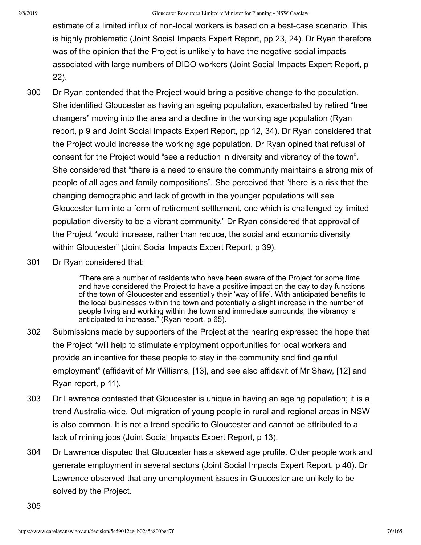estimate of a limited influx of non-local workers is based on a best-case scenario. This is highly problematic (Joint Social Impacts Expert Report, pp 23, 24). Dr Ryan therefore was of the opinion that the Project is unlikely to have the negative social impacts associated with large numbers of DIDO workers (Joint Social Impacts Expert Report, p 22).

- 300 Dr Ryan contended that the Project would bring a positive change to the population. She identified Gloucester as having an ageing population, exacerbated by retired "tree changers" moving into the area and a decline in the working age population (Ryan report, p 9 and Joint Social Impacts Expert Report, pp 12, 34). Dr Ryan considered that the Project would increase the working age population. Dr Ryan opined that refusal of consent for the Project would "see a reduction in diversity and vibrancy of the town". She considered that "there is a need to ensure the community maintains a strong mix of people of all ages and family compositions". She perceived that "there is a risk that the changing demographic and lack of growth in the younger populations will see Gloucester turn into a form of retirement settlement, one which is challenged by limited population diversity to be a vibrant community." Dr Ryan considered that approval of the Project "would increase, rather than reduce, the social and economic diversity within Gloucester" (Joint Social Impacts Expert Report, p 39).
- 301 Dr Ryan considered that:

"There are a number of residents who have been aware of the Project for some time and have considered the Project to have a positive impact on the day to day functions of the town of Gloucester and essentially their 'way of life'. With anticipated benefits to the local businesses within the town and potentially a slight increase in the number of people living and working within the town and immediate surrounds, the vibrancy is anticipated to increase." (Ryan report, p 65).

- 302 Submissions made by supporters of the Project at the hearing expressed the hope that the Project "will help to stimulate employment opportunities for local workers and provide an incentive for these people to stay in the community and find gainful employment" (affidavit of Mr Williams, [13], and see also affidavit of Mr Shaw, [12] and Ryan report, p 11).
- 303 Dr Lawrence contested that Gloucester is unique in having an ageing population; it is a trend Australia-wide. Out-migration of young people in rural and regional areas in NSW is also common. It is not a trend specific to Gloucester and cannot be attributed to a lack of mining jobs (Joint Social Impacts Expert Report, p 13).
- 304 Dr Lawrence disputed that Gloucester has a skewed age profile. Older people work and generate employment in several sectors (Joint Social Impacts Expert Report, p 40). Dr Lawrence observed that any unemployment issues in Gloucester are unlikely to be solved by the Project.

305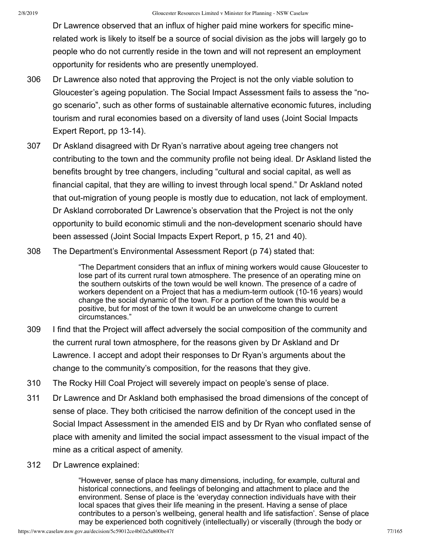Dr Lawrence observed that an influx of higher paid mine workers for specific minerelated work is likely to itself be a source of social division as the jobs will largely go to people who do not currently reside in the town and will not represent an employment opportunity for residents who are presently unemployed.

- 306 Dr Lawrence also noted that approving the Project is not the only viable solution to Gloucester's ageing population. The Social Impact Assessment fails to assess the "nogo scenario", such as other forms of sustainable alternative economic futures, including tourism and rural economies based on a diversity of land uses (Joint Social Impacts Expert Report, pp 13-14).
- 307 Dr Askland disagreed with Dr Ryan's narrative about ageing tree changers not contributing to the town and the community profile not being ideal. Dr Askland listed the benefits brought by tree changers, including "cultural and social capital, as well as financial capital, that they are willing to invest through local spend." Dr Askland noted that out-migration of young people is mostly due to education, not lack of employment. Dr Askland corroborated Dr Lawrence's observation that the Project is not the only opportunity to build economic stimuli and the non-development scenario should have been assessed (Joint Social Impacts Expert Report, p 15, 21 and 40).
- 308 The Department's Environmental Assessment Report (p 74) stated that:

"The Department considers that an influx of mining workers would cause Gloucester to lose part of its current rural town atmosphere. The presence of an operating mine on the southern outskirts of the town would be well known. The presence of a cadre of workers dependent on a Project that has a medium-term outlook (10-16 years) would change the social dynamic of the town. For a portion of the town this would be a positive, but for most of the town it would be an unwelcome change to current circumstances."

- 309 I find that the Project will affect adversely the social composition of the community and the current rural town atmosphere, for the reasons given by Dr Askland and Dr Lawrence. I accept and adopt their responses to Dr Ryan's arguments about the change to the community's composition, for the reasons that they give.
- 310 The Rocky Hill Coal Project will severely impact on people's sense of place.
- 311 Dr Lawrence and Dr Askland both emphasised the broad dimensions of the concept of sense of place. They both criticised the narrow definition of the concept used in the Social Impact Assessment in the amended EIS and by Dr Ryan who conflated sense of place with amenity and limited the social impact assessment to the visual impact of the mine as a critical aspect of amenity.
- 312 Dr Lawrence explained:

"However, sense of place has many dimensions, including, for example, cultural and historical connections, and feelings of belonging and attachment to place and the environment. Sense of place is the 'everyday connection individuals have with their local spaces that gives their life meaning in the present. Having a sense of place contributes to a person's wellbeing, general health and life satisfaction'. Sense of place may be experienced both cognitively (intellectually) or viscerally (through the body or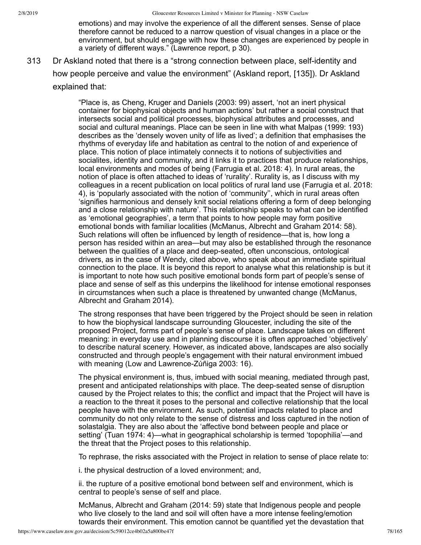emotions) and may involve the experience of all the different senses. Sense of place therefore cannot be reduced to a narrow question of visual changes in a place or the environment, but should engage with how these changes are experienced by people in a variety of different ways." (Lawrence report, p 30).

313 Dr Askland noted that there is a "strong connection between place, self-identity and how people perceive and value the environment" (Askland report, [135]). Dr Askland explained that:

> "Place is, as Cheng, Kruger and Daniels (2003: 99) assert, 'not an inert physical container for biophysical objects and human actions' but rather a social construct that intersects social and political processes, biophysical attributes and processes, and social and cultural meanings. Place can be seen in line with what Malpas (1999: 193) describes as the 'densely woven unity of life as lived'; a definition that emphasises the rhythms of everyday life and habitation as central to the notion of and experience of place. This notion of place intimately connects it to notions of subjectivities and socialites, identity and community, and it links it to practices that produce relationships, local environments and modes of being (Farrugia et al. 2018: 4). In rural areas, the notion of place is often attached to ideas of 'rurality'. Rurality is, as I discuss with my colleagues in a recent publication on local politics of rural land use (Farrugia et al. 2018: 4), is 'popularly associated with the notion of 'community'', which in rural areas often 'signifies harmonious and densely knit social relations offering a form of deep belonging and a close relationship with nature'. This relationship speaks to what can be identified as 'emotional geographies', a term that points to how people may form positive emotional bonds with familiar localities (McManus, Albrecht and Graham 2014: 58). Such relations will often be influenced by length of residence—that is, how long a person has resided within an area—but may also be established through the resonance between the qualities of a place and deepseated, often unconscious, ontological drivers, as in the case of Wendy, cited above, who speak about an immediate spiritual connection to the place. It is beyond this report to analyse what this relationship is but it is important to note how such positive emotional bonds form part of people's sense of place and sense of self as this underpins the likelihood for intense emotional responses in circumstances when such a place is threatened by unwanted change (McManus, Albrecht and Graham 2014).

> The strong responses that have been triggered by the Project should be seen in relation to how the biophysical landscape surrounding Gloucester, including the site of the proposed Project, forms part of people's sense of place. Landscape takes on different meaning: in everyday use and in planning discourse it is often approached 'objectively' to describe natural scenery. However, as indicated above, landscapes are also socially constructed and through people's engagement with their natural environment imbued with meaning (Low and Lawrence-Zúñiga 2003: 16).

> The physical environment is, thus, imbued with social meaning, mediated through past, present and anticipated relationships with place. The deep-seated sense of disruption caused by the Project relates to this; the conflict and impact that the Project will have is a reaction to the threat it poses to the personal and collective relationship that the local people have with the environment. As such, potential impacts related to place and community do not only relate to the sense of distress and loss captured in the notion of solastalgia. They are also about the 'affective bond between people and place or setting' (Tuan 1974: 4)—what in geographical scholarship is termed 'topophilia'—and the threat that the Project poses to this relationship.

> To rephrase, the risks associated with the Project in relation to sense of place relate to:

i. the physical destruction of a loved environment; and,

ii. the rupture of a positive emotional bond between self and environment, which is central to people's sense of self and place.

McManus, Albrecht and Graham (2014: 59) state that Indigenous people and people who live closely to the land and soil will often have a more intense feeling/emotion towards their environment. This emotion cannot be quantified yet the devastation that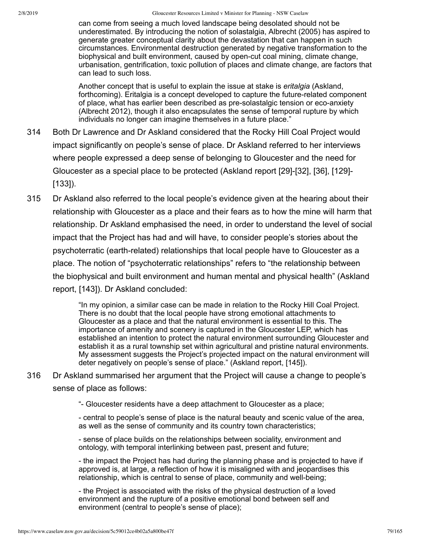2/8/2019 Gloucester Resources Limited v Minister for Planning - NSW Caselaw

can come from seeing a much loved landscape being desolated should not be underestimated. By introducing the notion of solastalgia, Albrecht (2005) has aspired to generate greater conceptual clarity about the devastation that can happen in such circumstances. Environmental destruction generated by negative transformation to the biophysical and built environment, caused by opencut coal mining, climate change, urbanisation, gentrification, toxic pollution of places and climate change, are factors that can lead to such loss.

Another concept that is useful to explain the issue at stake is *eritalgia* (Askland, forthcoming). Eritalgia is a concept developed to capture the future-related component of place, what has earlier been described as pre-solastalgic tension or eco-anxiety (Albrecht 2012), though it also encapsulates the sense of temporal rupture by which individuals no longer can imagine themselves in a future place."

- 314 Both Dr Lawrence and Dr Askland considered that the Rocky Hill Coal Project would impact significantly on people's sense of place. Dr Askland referred to her interviews where people expressed a deep sense of belonging to Gloucester and the need for Gloucester as a special place to be protected (Askland report [29]-[32], [36], [129]-[133]).
- 315 Dr Askland also referred to the local people's evidence given at the hearing about their relationship with Gloucester as a place and their fears as to how the mine will harm that relationship. Dr Askland emphasised the need, in order to understand the level of social impact that the Project has had and will have, to consider people's stories about the psychoterratic (earth-related) relationships that local people have to Gloucester as a place. The notion of "psychoterratic relationships" refers to "the relationship between the biophysical and built environment and human mental and physical health" (Askland report, [143]). Dr Askland concluded:

"In my opinion, a similar case can be made in relation to the Rocky Hill Coal Project. There is no doubt that the local people have strong emotional attachments to Gloucester as a place and that the natural environment is essential to this. The importance of amenity and scenery is captured in the Gloucester LEP, which has established an intention to protect the natural environment surrounding Gloucester and establish it as a rural township set within agricultural and pristine natural environments. My assessment suggests the Project's projected impact on the natural environment will deter negatively on people's sense of place." (Askland report, [145]).

- 316 Dr Askland summarised her argument that the Project will cause a change to people's sense of place as follows:
	- "- Gloucester residents have a deep attachment to Gloucester as a place;

 central to people's sense of place is the natural beauty and scenic value of the area, as well as the sense of community and its country town characteristics;

 sense of place builds on the relationships between sociality, environment and ontology, with temporal interlinking between past, present and future;

 the impact the Project has had during the planning phase and is projected to have if approved is, at large, a reflection of how it is misaligned with and jeopardises this relationship, which is central to sense of place, community and well-being;

 the Project is associated with the risks of the physical destruction of a loved environment and the rupture of a positive emotional bond between self and environment (central to people's sense of place);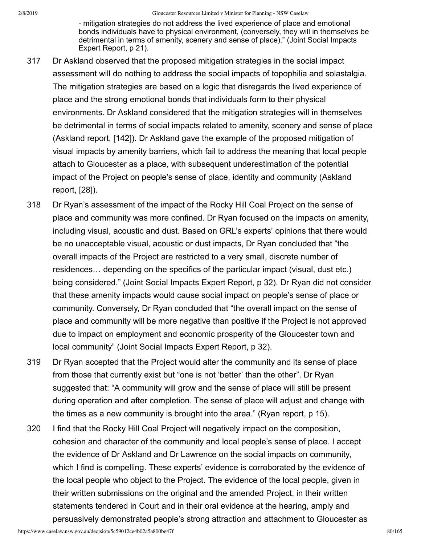mitigation strategies do not address the lived experience of place and emotional bonds individuals have to physical environment, (conversely, they will in themselves be detrimental in terms of amenity, scenery and sense of place)." (Joint Social Impacts Expert Report, p 21).

- 317 Dr Askland observed that the proposed mitigation strategies in the social impact assessment will do nothing to address the social impacts of topophilia and solastalgia. The mitigation strategies are based on a logic that disregards the lived experience of place and the strong emotional bonds that individuals form to their physical environments. Dr Askland considered that the mitigation strategies will in themselves be detrimental in terms of social impacts related to amenity, scenery and sense of place (Askland report, [142]). Dr Askland gave the example of the proposed mitigation of visual impacts by amenity barriers, which fail to address the meaning that local people attach to Gloucester as a place, with subsequent underestimation of the potential impact of the Project on people's sense of place, identity and community (Askland report, [28]).
- 318 Dr Ryan's assessment of the impact of the Rocky Hill Coal Project on the sense of place and community was more confined. Dr Ryan focused on the impacts on amenity, including visual, acoustic and dust. Based on GRL's experts' opinions that there would be no unacceptable visual, acoustic or dust impacts, Dr Ryan concluded that "the overall impacts of the Project are restricted to a very small, discrete number of residences… depending on the specifics of the particular impact (visual, dust etc.) being considered." (Joint Social Impacts Expert Report, p 32). Dr Ryan did not consider that these amenity impacts would cause social impact on people's sense of place or community. Conversely, Dr Ryan concluded that "the overall impact on the sense of place and community will be more negative than positive if the Project is not approved due to impact on employment and economic prosperity of the Gloucester town and local community" (Joint Social Impacts Expert Report, p 32).
- 319 Dr Ryan accepted that the Project would alter the community and its sense of place from those that currently exist but "one is not 'better' than the other". Dr Ryan suggested that: "A community will grow and the sense of place will still be present during operation and after completion. The sense of place will adjust and change with the times as a new community is brought into the area." (Ryan report, p 15).
- 320 I find that the Rocky Hill Coal Project will negatively impact on the composition, cohesion and character of the community and local people's sense of place. I accept the evidence of Dr Askland and Dr Lawrence on the social impacts on community, which I find is compelling. These experts' evidence is corroborated by the evidence of the local people who object to the Project. The evidence of the local people, given in their written submissions on the original and the amended Project, in their written statements tendered in Court and in their oral evidence at the hearing, amply and persuasively demonstrated people's strong attraction and attachment to Gloucester as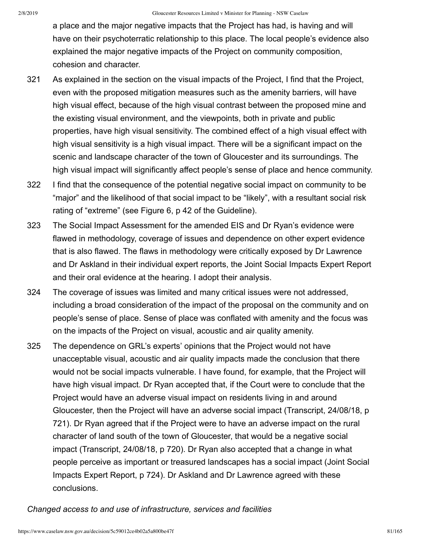a place and the major negative impacts that the Project has had, is having and will have on their psychoterratic relationship to this place. The local people's evidence also explained the major negative impacts of the Project on community composition, cohesion and character.

- 321 As explained in the section on the visual impacts of the Project, I find that the Project, even with the proposed mitigation measures such as the amenity barriers, will have high visual effect, because of the high visual contrast between the proposed mine and the existing visual environment, and the viewpoints, both in private and public properties, have high visual sensitivity. The combined effect of a high visual effect with high visual sensitivity is a high visual impact. There will be a significant impact on the scenic and landscape character of the town of Gloucester and its surroundings. The high visual impact will significantly affect people's sense of place and hence community.
- 322 I find that the consequence of the potential negative social impact on community to be "major" and the likelihood of that social impact to be "likely", with a resultant social risk rating of "extreme" (see Figure 6, p 42 of the Guideline).
- 323 The Social Impact Assessment for the amended EIS and Dr Ryan's evidence were flawed in methodology, coverage of issues and dependence on other expert evidence that is also flawed. The flaws in methodology were critically exposed by Dr Lawrence and Dr Askland in their individual expert reports, the Joint Social Impacts Expert Report and their oral evidence at the hearing. I adopt their analysis.
- 324 The coverage of issues was limited and many critical issues were not addressed, including a broad consideration of the impact of the proposal on the community and on people's sense of place. Sense of place was conflated with amenity and the focus was on the impacts of the Project on visual, acoustic and air quality amenity.
- 325 The dependence on GRL's experts' opinions that the Project would not have unacceptable visual, acoustic and air quality impacts made the conclusion that there would not be social impacts vulnerable. I have found, for example, that the Project will have high visual impact. Dr Ryan accepted that, if the Court were to conclude that the Project would have an adverse visual impact on residents living in and around Gloucester, then the Project will have an adverse social impact (Transcript, 24/08/18, p 721). Dr Ryan agreed that if the Project were to have an adverse impact on the rural character of land south of the town of Gloucester, that would be a negative social impact (Transcript, 24/08/18, p 720). Dr Ryan also accepted that a change in what people perceive as important or treasured landscapes has a social impact (Joint Social Impacts Expert Report, p 724). Dr Askland and Dr Lawrence agreed with these conclusions.

*Changed access to and use of infrastructure, services and facilities*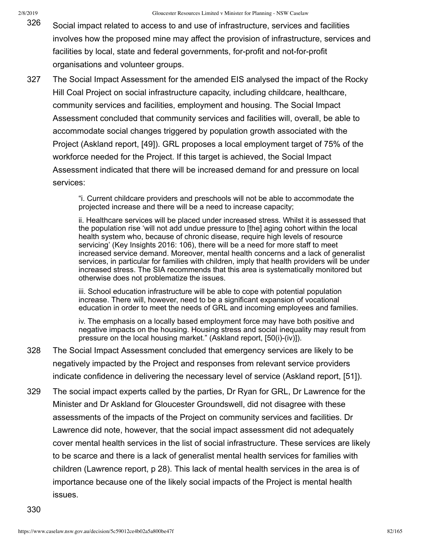- 326 Social impact related to access to and use of infrastructure, services and facilities involves how the proposed mine may affect the provision of infrastructure, services and facilities by local, state and federal governments, for-profit and not-for-profit organisations and volunteer groups.
- 327 The Social Impact Assessment for the amended EIS analysed the impact of the Rocky Hill Coal Project on social infrastructure capacity, including childcare, healthcare, community services and facilities, employment and housing. The Social Impact Assessment concluded that community services and facilities will, overall, be able to accommodate social changes triggered by population growth associated with the Project (Askland report, [49]). GRL proposes a local employment target of 75% of the workforce needed for the Project. If this target is achieved, the Social Impact Assessment indicated that there will be increased demand for and pressure on local services:

"i. Current childcare providers and preschools will not be able to accommodate the projected increase and there will be a need to increase capacity;

ii. Healthcare services will be placed under increased stress. Whilst it is assessed that the population rise 'will not add undue pressure to [the] aging cohort within the local health system who, because of chronic disease, require high levels of resource servicing' (Key Insights 2016: 106), there will be a need for more staff to meet increased service demand. Moreover, mental health concerns and a lack of generalist services, in particular for families with children, imply that health providers will be under increased stress. The SIA recommends that this area is systematically monitored but otherwise does not problematize the issues.

iii. School education infrastructure will be able to cope with potential population increase. There will, however, need to be a significant expansion of vocational education in order to meet the needs of GRL and incoming employees and families.

iv. The emphasis on a locally based employment force may have both positive and negative impacts on the housing. Housing stress and social inequality may result from pressure on the local housing market." (Askland report,  $[50(i)-(iv)]$ ).

- 328 The Social Impact Assessment concluded that emergency services are likely to be negatively impacted by the Project and responses from relevant service providers indicate confidence in delivering the necessary level of service (Askland report, [51]).
- 329 The social impact experts called by the parties, Dr Ryan for GRL, Dr Lawrence for the Minister and Dr Askland for Gloucester Groundswell, did not disagree with these assessments of the impacts of the Project on community services and facilities. Dr Lawrence did note, however, that the social impact assessment did not adequately cover mental health services in the list of social infrastructure. These services are likely to be scarce and there is a lack of generalist mental health services for families with children (Lawrence report, p 28). This lack of mental health services in the area is of importance because one of the likely social impacts of the Project is mental health issues.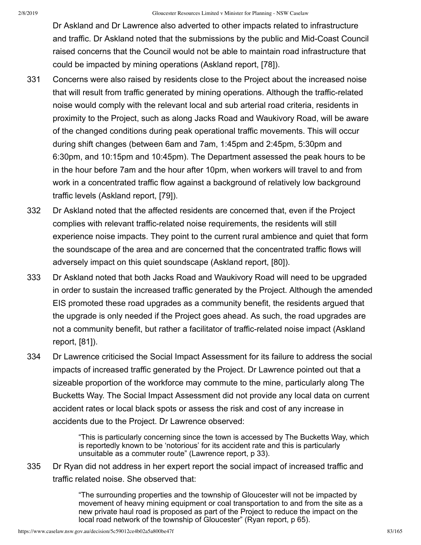Dr Askland and Dr Lawrence also adverted to other impacts related to infrastructure and traffic. Dr Askland noted that the submissions by the public and Mid-Coast Council raised concerns that the Council would not be able to maintain road infrastructure that could be impacted by mining operations (Askland report, [78]).

- 331 Concerns were also raised by residents close to the Project about the increased noise that will result from traffic generated by mining operations. Although the traffic-related noise would comply with the relevant local and sub arterial road criteria, residents in proximity to the Project, such as along Jacks Road and Waukivory Road, will be aware of the changed conditions during peak operational traffic movements. This will occur during shift changes (between 6am and 7am, 1:45pm and 2:45pm, 5:30pm and 6:30pm, and 10:15pm and 10:45pm). The Department assessed the peak hours to be in the hour before 7am and the hour after 10pm, when workers will travel to and from work in a concentrated traffic flow against a background of relatively low background traffic levels (Askland report, [79]).
- 332 Dr Askland noted that the affected residents are concerned that, even if the Project complies with relevant traffic-related noise requirements, the residents will still experience noise impacts. They point to the current rural ambience and quiet that form the soundscape of the area and are concerned that the concentrated traffic flows will adversely impact on this quiet soundscape (Askland report, [80]).
- 333 Dr Askland noted that both Jacks Road and Waukivory Road will need to be upgraded in order to sustain the increased traffic generated by the Project. Although the amended EIS promoted these road upgrades as a community benefit, the residents argued that the upgrade is only needed if the Project goes ahead. As such, the road upgrades are not a community benefit, but rather a facilitator of traffic-related noise impact (Askland report, [81]).
- 334 Dr Lawrence criticised the Social Impact Assessment for its failure to address the social impacts of increased traffic generated by the Project. Dr Lawrence pointed out that a sizeable proportion of the workforce may commute to the mine, particularly along The Bucketts Way. The Social Impact Assessment did not provide any local data on current accident rates or local black spots or assess the risk and cost of any increase in accidents due to the Project. Dr Lawrence observed:

"This is particularly concerning since the town is accessed by The Bucketts Way, which is reportedly known to be 'notorious' for its accident rate and this is particularly unsuitable as a commuter route" (Lawrence report, p 33).

335 Dr Ryan did not address in her expert report the social impact of increased traffic and traffic related noise. She observed that:

> "The surrounding properties and the township of Gloucester will not be impacted by movement of heavy mining equipment or coal transportation to and from the site as a new private haul road is proposed as part of the Project to reduce the impact on the local road network of the township of Gloucester" (Ryan report, p 65).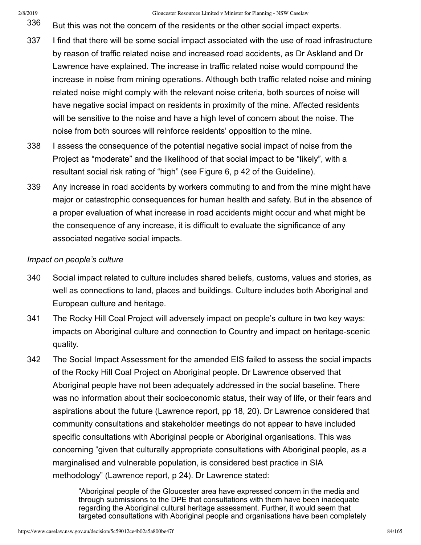336 But this was not the concern of the residents or the other social impact experts.

- 337 I find that there will be some social impact associated with the use of road infrastructure by reason of traffic related noise and increased road accidents, as Dr Askland and Dr Lawrence have explained. The increase in traffic related noise would compound the increase in noise from mining operations. Although both traffic related noise and mining related noise might comply with the relevant noise criteria, both sources of noise will have negative social impact on residents in proximity of the mine. Affected residents will be sensitive to the noise and have a high level of concern about the noise. The noise from both sources will reinforce residents' opposition to the mine.
- 338 I assess the consequence of the potential negative social impact of noise from the Project as "moderate" and the likelihood of that social impact to be "likely", with a resultant social risk rating of "high" (see Figure 6, p 42 of the Guideline).
- 339 Any increase in road accidents by workers commuting to and from the mine might have major or catastrophic consequences for human health and safety. But in the absence of a proper evaluation of what increase in road accidents might occur and what might be the consequence of any increase, it is difficult to evaluate the significance of any associated negative social impacts.

## *Impact on people's culture*

- 340 Social impact related to culture includes shared beliefs, customs, values and stories, as well as connections to land, places and buildings. Culture includes both Aboriginal and European culture and heritage.
- 341 The Rocky Hill Coal Project will adversely impact on people's culture in two key ways: impacts on Aboriginal culture and connection to Country and impact on heritage-scenic quality.
- 342 The Social Impact Assessment for the amended EIS failed to assess the social impacts of the Rocky Hill Coal Project on Aboriginal people. Dr Lawrence observed that Aboriginal people have not been adequately addressed in the social baseline. There was no information about their socioeconomic status, their way of life, or their fears and aspirations about the future (Lawrence report, pp 18, 20). Dr Lawrence considered that community consultations and stakeholder meetings do not appear to have included specific consultations with Aboriginal people or Aboriginal organisations. This was concerning "given that culturally appropriate consultations with Aboriginal people, as a marginalised and vulnerable population, is considered best practice in SIA methodology" (Lawrence report, p 24). Dr Lawrence stated:

"Aboriginal people of the Gloucester area have expressed concern in the media and through submissions to the DPE that consultations with them have been inadequate regarding the Aboriginal cultural heritage assessment. Further, it would seem that targeted consultations with Aboriginal people and organisations have been completely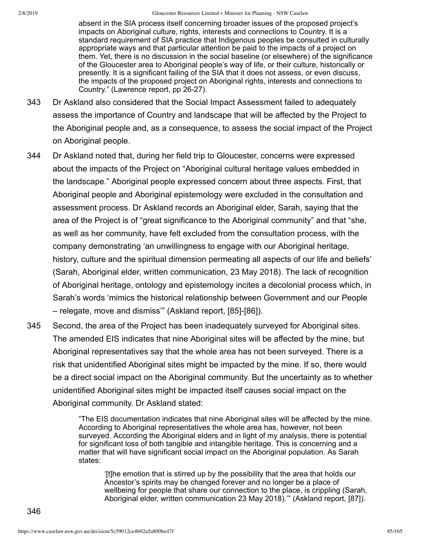2/8/2019 Gloucester Resources Limited v Minister for Planning - NSW Caselaw

absent in the SIA process itself concerning broader issues of the proposed project's impacts on Aboriginal culture, rights, interests and connections to Country. It is a standard requirement of SIA practice that Indigenous peoples be consulted in culturally appropriate ways and that particular attention be paid to the impacts of a project on them. Yet, there is no discussion in the social baseline (or elsewhere) of the significance of the Gloucester area to Aboriginal people's way of life, or their culture, historically or presently. It is a significant failing of the SIA that it does not assess, or even discuss, the impacts of the proposed project on Aboriginal rights, interests and connections to Country." (Lawrence report, pp 26-27).

- 343 Dr Askland also considered that the Social Impact Assessment failed to adequately assess the importance of Country and landscape that will be affected by the Project to the Aboriginal people and, as a consequence, to assess the social impact of the Project on Aboriginal people.
- 344 Dr Askland noted that, during her field trip to Gloucester, concerns were expressed about the impacts of the Project on "Aboriginal cultural heritage values embedded in the landscape." Aboriginal people expressed concern about three aspects. First, that Aboriginal people and Aboriginal epistemology were excluded in the consultation and assessment process. Dr Askland records an Aboriginal elder, Sarah, saying that the area of the Project is of "great significance to the Aboriginal community" and that "she, as well as her community, have felt excluded from the consultation process, with the company demonstrating 'an unwillingness to engage with our Aboriginal heritage, history, culture and the spiritual dimension permeating all aspects of our life and beliefs' (Sarah, Aboriginal elder, written communication, 23 May 2018). The lack of recognition of Aboriginal heritage, ontology and epistemology incites a decolonial process which, in Sarah's words 'mimics the historical relationship between Government and our People  $-$  relegate, move and dismiss" (Askland report,  $[85]$ - $[86]$ ).
- 345 Second, the area of the Project has been inadequately surveyed for Aboriginal sites. The amended EIS indicates that nine Aboriginal sites will be affected by the mine, but Aboriginal representatives say that the whole area has not been surveyed. There is a risk that unidentified Aboriginal sites might be impacted by the mine. If so, there would be a direct social impact on the Aboriginal community. But the uncertainty as to whether unidentified Aboriginal sites might be impacted itself causes social impact on the Aboriginal community. Dr Askland stated:

"The EIS documentation indicates that nine Aboriginal sites will be affected by the mine. According to Aboriginal representatives the whole area has, however, not been surveyed. According the Aboriginal elders and in light of my analysis, there is potential for significant loss of both tangible and intangible heritage. This is concerning and a matter that will have significant social impact on the Aboriginal population. As Sarah states:

'[t]he emotion that is stirred up by the possibility that the area that holds our Ancestor's spirits may be changed forever and no longer be a place of wellbeing for people that share our connection to the place, is crippling (Sarah, Aboriginal elder, written communication 23 May 2018).'" (Askland report, [87]).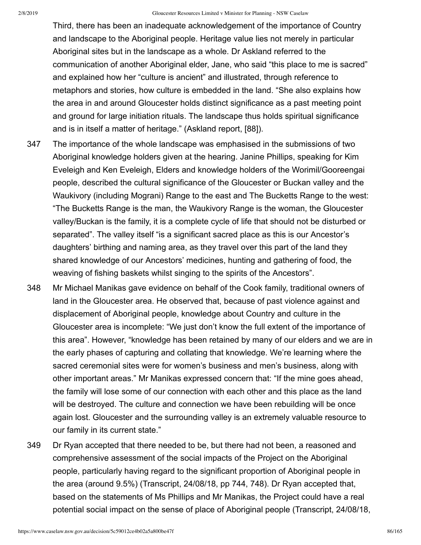Third, there has been an inadequate acknowledgement of the importance of Country and landscape to the Aboriginal people. Heritage value lies not merely in particular Aboriginal sites but in the landscape as a whole. Dr Askland referred to the communication of another Aboriginal elder, Jane, who said "this place to me is sacred" and explained how her "culture is ancient" and illustrated, through reference to metaphors and stories, how culture is embedded in the land. "She also explains how the area in and around Gloucester holds distinct significance as a past meeting point and ground for large initiation rituals. The landscape thus holds spiritual significance and is in itself a matter of heritage." (Askland report, [88]).

- 347 The importance of the whole landscape was emphasised in the submissions of two Aboriginal knowledge holders given at the hearing. Janine Phillips, speaking for Kim Eveleigh and Ken Eveleigh, Elders and knowledge holders of the Worimil/Gooreengai people, described the cultural significance of the Gloucester or Buckan valley and the Waukivory (including Mograni) Range to the east and The Bucketts Range to the west: "The Bucketts Range is the man, the Waukivory Range is the woman, the Gloucester valley/Buckan is the family, it is a complete cycle of life that should not be disturbed or separated". The valley itself "is a significant sacred place as this is our Ancestor's daughters' birthing and naming area, as they travel over this part of the land they shared knowledge of our Ancestors' medicines, hunting and gathering of food, the weaving of fishing baskets whilst singing to the spirits of the Ancestors".
- 348 Mr Michael Manikas gave evidence on behalf of the Cook family, traditional owners of land in the Gloucester area. He observed that, because of past violence against and displacement of Aboriginal people, knowledge about Country and culture in the Gloucester area is incomplete: "We just don't know the full extent of the importance of this area". However, "knowledge has been retained by many of our elders and we are in the early phases of capturing and collating that knowledge. We're learning where the sacred ceremonial sites were for women's business and men's business, along with other important areas." Mr Manikas expressed concern that: "If the mine goes ahead, the family will lose some of our connection with each other and this place as the land will be destroyed. The culture and connection we have been rebuilding will be once again lost. Gloucester and the surrounding valley is an extremely valuable resource to our family in its current state."
- 349 Dr Ryan accepted that there needed to be, but there had not been, a reasoned and comprehensive assessment of the social impacts of the Project on the Aboriginal people, particularly having regard to the significant proportion of Aboriginal people in the area (around 9.5%) (Transcript, 24/08/18, pp 744, 748). Dr Ryan accepted that, based on the statements of Ms Phillips and Mr Manikas, the Project could have a real potential social impact on the sense of place of Aboriginal people (Transcript, 24/08/18,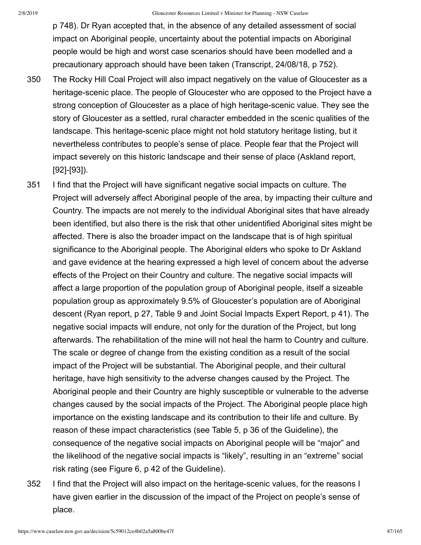p 748). Dr Ryan accepted that, in the absence of any detailed assessment of social impact on Aboriginal people, uncertainty about the potential impacts on Aboriginal people would be high and worst case scenarios should have been modelled and a precautionary approach should have been taken (Transcript, 24/08/18, p 752).

- 350 The Rocky Hill Coal Project will also impact negatively on the value of Gloucester as a heritage-scenic place. The people of Gloucester who are opposed to the Project have a strong conception of Gloucester as a place of high heritage-scenic value. They see the story of Gloucester as a settled, rural character embedded in the scenic qualities of the landscape. This heritage-scenic place might not hold statutory heritage listing, but it nevertheless contributes to people's sense of place. People fear that the Project will impact severely on this historic landscape and their sense of place (Askland report,  $[92]$ - $[93]$ ).
- 351 I find that the Project will have significant negative social impacts on culture. The Project will adversely affect Aboriginal people of the area, by impacting their culture and Country. The impacts are not merely to the individual Aboriginal sites that have already been identified, but also there is the risk that other unidentified Aboriginal sites might be affected. There is also the broader impact on the landscape that is of high spiritual significance to the Aboriginal people. The Aboriginal elders who spoke to Dr Askland and gave evidence at the hearing expressed a high level of concern about the adverse effects of the Project on their Country and culture. The negative social impacts will affect a large proportion of the population group of Aboriginal people, itself a sizeable population group as approximately 9.5% of Gloucester's population are of Aboriginal descent (Ryan report, p 27, Table 9 and Joint Social Impacts Expert Report, p 41). The negative social impacts will endure, not only for the duration of the Project, but long afterwards. The rehabilitation of the mine will not heal the harm to Country and culture. The scale or degree of change from the existing condition as a result of the social impact of the Project will be substantial. The Aboriginal people, and their cultural heritage, have high sensitivity to the adverse changes caused by the Project. The Aboriginal people and their Country are highly susceptible or vulnerable to the adverse changes caused by the social impacts of the Project. The Aboriginal people place high importance on the existing landscape and its contribution to their life and culture. By reason of these impact characteristics (see Table 5, p 36 of the Guideline), the consequence of the negative social impacts on Aboriginal people will be "major" and the likelihood of the negative social impacts is "likely", resulting in an "extreme" social risk rating (see Figure 6, p 42 of the Guideline).
- 352 I find that the Project will also impact on the heritage-scenic values, for the reasons I have given earlier in the discussion of the impact of the Project on people's sense of place.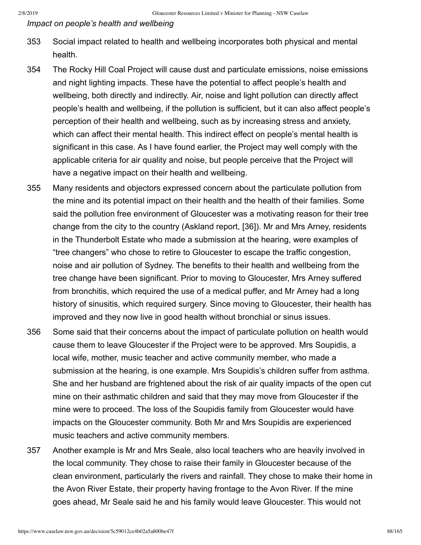### *Impact on people's health and wellbeing*

- 353 Social impact related to health and wellbeing incorporates both physical and mental health.
- 354 The Rocky Hill Coal Project will cause dust and particulate emissions, noise emissions and night lighting impacts. These have the potential to affect people's health and wellbeing, both directly and indirectly. Air, noise and light pollution can directly affect people's health and wellbeing, if the pollution is sufficient, but it can also affect people's perception of their health and wellbeing, such as by increasing stress and anxiety, which can affect their mental health. This indirect effect on people's mental health is significant in this case. As I have found earlier, the Project may well comply with the applicable criteria for air quality and noise, but people perceive that the Project will have a negative impact on their health and wellbeing.
- 355 Many residents and objectors expressed concern about the particulate pollution from the mine and its potential impact on their health and the health of their families. Some said the pollution free environment of Gloucester was a motivating reason for their tree change from the city to the country (Askland report, [36]). Mr and Mrs Arney, residents in the Thunderbolt Estate who made a submission at the hearing, were examples of "tree changers" who chose to retire to Gloucester to escape the traffic congestion, noise and air pollution of Sydney. The benefits to their health and wellbeing from the tree change have been significant. Prior to moving to Gloucester, Mrs Arney suffered from bronchitis, which required the use of a medical puffer, and Mr Arney had a long history of sinusitis, which required surgery. Since moving to Gloucester, their health has improved and they now live in good health without bronchial or sinus issues.
- 356 Some said that their concerns about the impact of particulate pollution on health would cause them to leave Gloucester if the Project were to be approved. Mrs Soupidis, a local wife, mother, music teacher and active community member, who made a submission at the hearing, is one example. Mrs Soupidis's children suffer from asthma. She and her husband are frightened about the risk of air quality impacts of the open cut mine on their asthmatic children and said that they may move from Gloucester if the mine were to proceed. The loss of the Soupidis family from Gloucester would have impacts on the Gloucester community. Both Mr and Mrs Soupidis are experienced music teachers and active community members.
- 357 Another example is Mr and Mrs Seale, also local teachers who are heavily involved in the local community. They chose to raise their family in Gloucester because of the clean environment, particularly the rivers and rainfall. They chose to make their home in the Avon River Estate, their property having frontage to the Avon River. If the mine goes ahead, Mr Seale said he and his family would leave Gloucester. This would not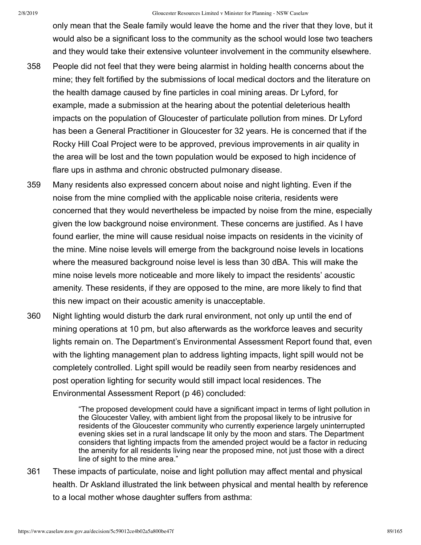only mean that the Seale family would leave the home and the river that they love, but it would also be a significant loss to the community as the school would lose two teachers and they would take their extensive volunteer involvement in the community elsewhere.

- 358 People did not feel that they were being alarmist in holding health concerns about the mine; they felt fortified by the submissions of local medical doctors and the literature on the health damage caused by fine particles in coal mining areas. Dr Lyford, for example, made a submission at the hearing about the potential deleterious health impacts on the population of Gloucester of particulate pollution from mines. Dr Lyford has been a General Practitioner in Gloucester for 32 years. He is concerned that if the Rocky Hill Coal Project were to be approved, previous improvements in air quality in the area will be lost and the town population would be exposed to high incidence of flare ups in asthma and chronic obstructed pulmonary disease.
- 359 Many residents also expressed concern about noise and night lighting. Even if the noise from the mine complied with the applicable noise criteria, residents were concerned that they would nevertheless be impacted by noise from the mine, especially given the low background noise environment. These concerns are justified. As I have found earlier, the mine will cause residual noise impacts on residents in the vicinity of the mine. Mine noise levels will emerge from the background noise levels in locations where the measured background noise level is less than 30 dBA. This will make the mine noise levels more noticeable and more likely to impact the residents' acoustic amenity. These residents, if they are opposed to the mine, are more likely to find that this new impact on their acoustic amenity is unacceptable.
- 360 Night lighting would disturb the dark rural environment, not only up until the end of mining operations at 10 pm, but also afterwards as the workforce leaves and security lights remain on. The Department's Environmental Assessment Report found that, even with the lighting management plan to address lighting impacts, light spill would not be completely controlled. Light spill would be readily seen from nearby residences and post operation lighting for security would still impact local residences. The Environmental Assessment Report (p 46) concluded:

"The proposed development could have a significant impact in terms of light pollution in the Gloucester Valley, with ambient light from the proposal likely to be intrusive for residents of the Gloucester community who currently experience largely uninterrupted evening skies set in a rural landscape lit only by the moon and stars. The Department considers that lighting impacts from the amended project would be a factor in reducing the amenity for all residents living near the proposed mine, not just those with a direct line of sight to the mine area."

361 These impacts of particulate, noise and light pollution may affect mental and physical health. Dr Askland illustrated the link between physical and mental health by reference to a local mother whose daughter suffers from asthma: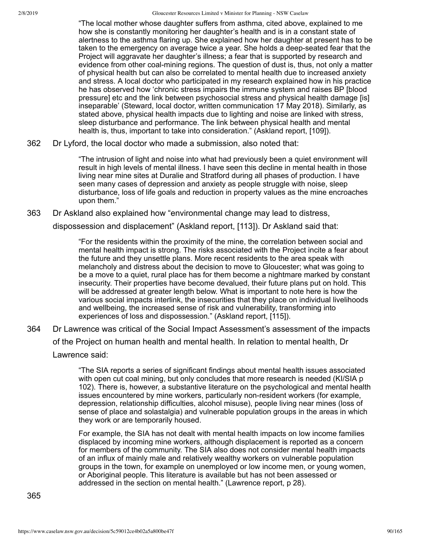2/8/2019 Gloucester Resources Limited v Minister for Planning - NSW Caselaw

"The local mother whose daughter suffers from asthma, cited above, explained to me how she is constantly monitoring her daughter's health and is in a constant state of alertness to the asthma flaring up. She explained how her daughter at present has to be taken to the emergency on average twice a year. She holds a deepseated fear that the Project will aggravate her daughter's illness; a fear that is supported by research and evidence from other coal-mining regions. The question of dust is, thus, not only a matter of physical health but can also be correlated to mental health due to increased anxiety and stress. A local doctor who participated in my research explained how in his practice he has observed how 'chronic stress impairs the immune system and raises BP [blood pressure] etc and the link between psychosocial stress and physical health damage [is] inseparable' (Steward, local doctor, written communication 17 May 2018). Similarly, as stated above, physical health impacts due to lighting and noise are linked with stress, sleep disturbance and performance. The link between physical health and mental health is, thus, important to take into consideration." (Askland report, [109]).

362 Dr Lyford, the local doctor who made a submission, also noted that:

"The intrusion of light and noise into what had previously been a quiet environment will result in high levels of mental illness. I have seen this decline in mental health in those living near mine sites at Duralie and Stratford during all phases of production. I have seen many cases of depression and anxiety as people struggle with noise, sleep disturbance, loss of life goals and reduction in property values as the mine encroaches upon them."

363 Dr Askland also explained how "environmental change may lead to distress,

dispossession and displacement" (Askland report, [113]). Dr Askland said that:

"For the residents within the proximity of the mine, the correlation between social and mental health impact is strong. The risks associated with the Project incite a fear about the future and they unsettle plans. More recent residents to the area speak with melancholy and distress about the decision to move to Gloucester; what was going to be a move to a quiet, rural place has for them become a nightmare marked by constant insecurity. Their properties have become devalued, their future plans put on hold. This will be addressed at greater length below. What is important to note here is how the various social impacts interlink, the insecurities that they place on individual livelihoods and wellbeing, the increased sense of risk and vulnerability, transforming into experiences of loss and dispossession." (Askland report, [115]).

364 Dr Lawrence was critical of the Social Impact Assessment's assessment of the impacts of the Project on human health and mental health. In relation to mental health, Dr Lawrence said:

> "The SIA reports a series of significant findings about mental health issues associated with open cut coal mining, but only concludes that more research is needed (KI/SIA p 102). There is, however, a substantive literature on the psychological and mental health issues encountered by mine workers, particularly non-resident workers (for example, depression, relationship difficulties, alcohol misuse), people living near mines (loss of sense of place and solastalgia) and vulnerable population groups in the areas in which they work or are temporarily housed.

For example, the SIA has not dealt with mental health impacts on low income families displaced by incoming mine workers, although displacement is reported as a concern for members of the community. The SIA also does not consider mental health impacts of an influx of mainly male and relatively wealthy workers on vulnerable population groups in the town, for example on unemployed or low income men, or young women, or Aboriginal people. This literature is available but has not been assessed or addressed in the section on mental health." (Lawrence report, p 28).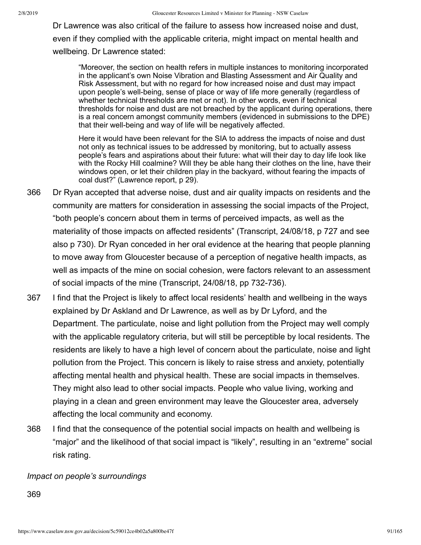Dr Lawrence was also critical of the failure to assess how increased noise and dust, even if they complied with the applicable criteria, might impact on mental health and wellbeing. Dr Lawrence stated:

"Moreover, the section on health refers in multiple instances to monitoring incorporated in the applicant's own Noise Vibration and Blasting Assessment and Air Quality and Risk Assessment, but with no regard for how increased noise and dust may impact upon people's well-being, sense of place or way of life more generally (regardless of whether technical thresholds are met or not). In other words, even if technical thresholds for noise and dust are not breached by the applicant during operations, there is a real concern amongst community members (evidenced in submissions to the DPE) that their well-being and way of life will be negatively affected.

Here it would have been relevant for the SIA to address the impacts of noise and dust not only as technical issues to be addressed by monitoring, but to actually assess people's fears and aspirations about their future: what will their day to day life look like with the Rocky Hill coalmine? Will they be able hang their clothes on the line, have their windows open, or let their children play in the backyard, without fearing the impacts of coal dust?" (Lawrence report, p 29).

- 366 Dr Ryan accepted that adverse noise, dust and air quality impacts on residents and the community are matters for consideration in assessing the social impacts of the Project, "both people's concern about them in terms of perceived impacts, as well as the materiality of those impacts on affected residents" (Transcript, 24/08/18, p 727 and see also p 730). Dr Ryan conceded in her oral evidence at the hearing that people planning to move away from Gloucester because of a perception of negative health impacts, as well as impacts of the mine on social cohesion, were factors relevant to an assessment of social impacts of the mine (Transcript, 24/08/18, pp 732-736).
- 367 I find that the Project is likely to affect local residents' health and wellbeing in the ways explained by Dr Askland and Dr Lawrence, as well as by Dr Lyford, and the Department. The particulate, noise and light pollution from the Project may well comply with the applicable regulatory criteria, but will still be perceptible by local residents. The residents are likely to have a high level of concern about the particulate, noise and light pollution from the Project. This concern is likely to raise stress and anxiety, potentially affecting mental health and physical health. These are social impacts in themselves. They might also lead to other social impacts. People who value living, working and playing in a clean and green environment may leave the Gloucester area, adversely affecting the local community and economy.
- 368 I find that the consequence of the potential social impacts on health and wellbeing is "major" and the likelihood of that social impact is "likely", resulting in an "extreme" social risk rating.

*Impact on people's surroundings*

369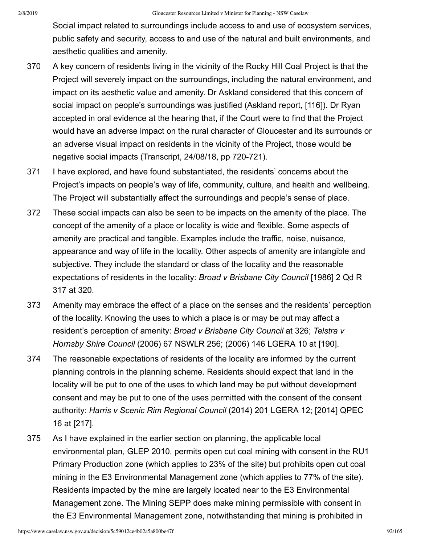Social impact related to surroundings include access to and use of ecosystem services, public safety and security, access to and use of the natural and built environments, and aesthetic qualities and amenity.

- 370 A key concern of residents living in the vicinity of the Rocky Hill Coal Project is that the Project will severely impact on the surroundings, including the natural environment, and impact on its aesthetic value and amenity. Dr Askland considered that this concern of social impact on people's surroundings was justified (Askland report, [116]). Dr Ryan accepted in oral evidence at the hearing that, if the Court were to find that the Project would have an adverse impact on the rural character of Gloucester and its surrounds or an adverse visual impact on residents in the vicinity of the Project, those would be negative social impacts (Transcript, 24/08/18, pp 720-721).
- 371 I have explored, and have found substantiated, the residents' concerns about the Project's impacts on people's way of life, community, culture, and health and wellbeing. The Project will substantially affect the surroundings and people's sense of place.
- 372 These social impacts can also be seen to be impacts on the amenity of the place. The concept of the amenity of a place or locality is wide and flexible. Some aspects of amenity are practical and tangible. Examples include the traffic, noise, nuisance, appearance and way of life in the locality. Other aspects of amenity are intangible and subjective. They include the standard or class of the locality and the reasonable expectations of residents in the locality: *Broad v Brisbane City Council* [1986] 2 Qd R 317 at 320.
- 373 Amenity may embrace the effect of a place on the senses and the residents' perception of the locality. Knowing the uses to which a place is or may be put may affect a resident's perception of amenity: *Broad v Brisbane City Council* at 326; *Telstra v Hornsby Shire Council* (2006) 67 NSWLR 256; (2006) 146 LGERA 10 at [190].
- 374 The reasonable expectations of residents of the locality are informed by the current planning controls in the planning scheme. Residents should expect that land in the locality will be put to one of the uses to which land may be put without development consent and may be put to one of the uses permitted with the consent of the consent authority: *Harris v Scenic Rim Regional Council* (2014) 201 LGERA 12; [2014] QPEC 16 at [217].
- 375 As I have explained in the earlier section on planning, the applicable local environmental plan, GLEP 2010, permits open cut coal mining with consent in the RU1 Primary Production zone (which applies to 23% of the site) but prohibits open cut coal mining in the E3 Environmental Management zone (which applies to 77% of the site). Residents impacted by the mine are largely located near to the E3 Environmental Management zone. The Mining SEPP does make mining permissible with consent in the E3 Environmental Management zone, notwithstanding that mining is prohibited in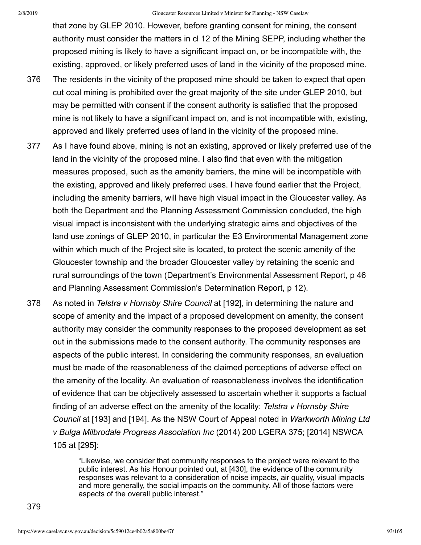that zone by GLEP 2010. However, before granting consent for mining, the consent authority must consider the matters in cl 12 of the Mining SEPP, including whether the proposed mining is likely to have a significant impact on, or be incompatible with, the existing, approved, or likely preferred uses of land in the vicinity of the proposed mine.

- 376 The residents in the vicinity of the proposed mine should be taken to expect that open cut coal mining is prohibited over the great majority of the site under GLEP 2010, but may be permitted with consent if the consent authority is satisfied that the proposed mine is not likely to have a significant impact on, and is not incompatible with, existing, approved and likely preferred uses of land in the vicinity of the proposed mine.
- 377 As I have found above, mining is not an existing, approved or likely preferred use of the land in the vicinity of the proposed mine. I also find that even with the mitigation measures proposed, such as the amenity barriers, the mine will be incompatible with the existing, approved and likely preferred uses. I have found earlier that the Project, including the amenity barriers, will have high visual impact in the Gloucester valley. As both the Department and the Planning Assessment Commission concluded, the high visual impact is inconsistent with the underlying strategic aims and objectives of the land use zonings of GLEP 2010, in particular the E3 Environmental Management zone within which much of the Project site is located, to protect the scenic amenity of the Gloucester township and the broader Gloucester valley by retaining the scenic and rural surroundings of the town (Department's Environmental Assessment Report, p 46 and Planning Assessment Commission's Determination Report, p 12).
- 378 As noted in *Telstra v Hornsby Shire Council* at [192], in determining the nature and scope of amenity and the impact of a proposed development on amenity, the consent authority may consider the community responses to the proposed development as set out in the submissions made to the consent authority. The community responses are aspects of the public interest. In considering the community responses, an evaluation must be made of the reasonableness of the claimed perceptions of adverse effect on the amenity of the locality. An evaluation of reasonableness involves the identification of evidence that can be objectively assessed to ascertain whether it supports a factual finding of an adverse effect on the amenity of the locality: *Telstra v Hornsby Shire Council* at [193] and [194]. As the NSW Court of Appeal noted in *Warkworth Mining Ltd v Bulga Milbrodale Progress Association Inc* (2014) 200 LGERA 375; [2014] NSWCA 105 at [295]:

"Likewise, we consider that community responses to the project were relevant to the public interest. As his Honour pointed out, at [430], the evidence of the community responses was relevant to a consideration of noise impacts, air quality, visual impacts and more generally, the social impacts on the community. All of those factors were aspects of the overall public interest."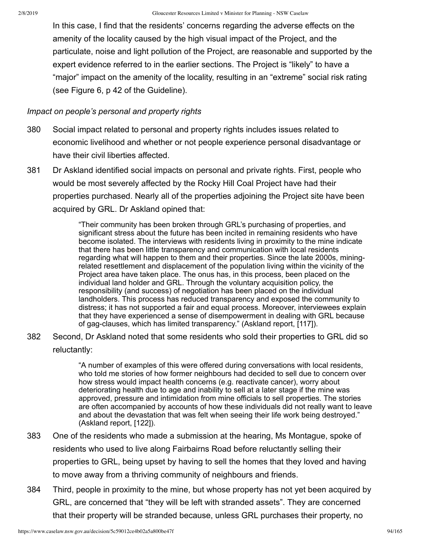In this case, I find that the residents' concerns regarding the adverse effects on the amenity of the locality caused by the high visual impact of the Project, and the particulate, noise and light pollution of the Project, are reasonable and supported by the expert evidence referred to in the earlier sections. The Project is "likely" to have a "major" impact on the amenity of the locality, resulting in an "extreme" social risk rating (see Figure 6, p 42 of the Guideline).

## *Impact on people's personal and property rights*

- 380 Social impact related to personal and property rights includes issues related to economic livelihood and whether or not people experience personal disadvantage or have their civil liberties affected.
- 381 Dr Askland identified social impacts on personal and private rights. First, people who would be most severely affected by the Rocky Hill Coal Project have had their properties purchased. Nearly all of the properties adjoining the Project site have been acquired by GRL. Dr Askland opined that:

"Their community has been broken through GRL's purchasing of properties, and significant stress about the future has been incited in remaining residents who have become isolated. The interviews with residents living in proximity to the mine indicate that there has been little transparency and communication with local residents regarding what will happen to them and their properties. Since the late 2000s, miningrelated resettlement and displacement of the population living within the vicinity of the Project area have taken place. The onus has, in this process, been placed on the individual land holder and GRL. Through the voluntary acquisition policy, the responsibility (and success) of negotiation has been placed on the individual landholders. This process has reduced transparency and exposed the community to distress; it has not supported a fair and equal process. Moreover, interviewees explain that they have experienced a sense of disempowerment in dealing with GRL because of gag-clauses, which has limited transparency." (Askland report, [117]).

382 Second, Dr Askland noted that some residents who sold their properties to GRL did so reluctantly:

> "A number of examples of this were offered during conversations with local residents, who told me stories of how former neighbours had decided to sell due to concern over how stress would impact health concerns (e.g. reactivate cancer), worry about deteriorating health due to age and inability to sell at a later stage if the mine was approved, pressure and intimidation from mine officials to sell properties. The stories are often accompanied by accounts of how these individuals did not really want to leave and about the devastation that was felt when seeing their life work being destroyed." (Askland report, [122]).

- 383 One of the residents who made a submission at the hearing, Ms Montague, spoke of residents who used to live along Fairbairns Road before reluctantly selling their properties to GRL, being upset by having to sell the homes that they loved and having to move away from a thriving community of neighbours and friends.
- 384 Third, people in proximity to the mine, but whose property has not yet been acquired by GRL, are concerned that "they will be left with stranded assets". They are concerned that their property will be stranded because, unless GRL purchases their property, no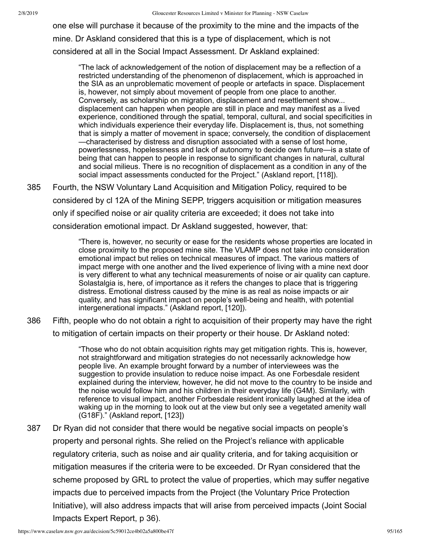one else will purchase it because of the proximity to the mine and the impacts of the mine. Dr Askland considered that this is a type of displacement, which is not considered at all in the Social Impact Assessment. Dr Askland explained:

"The lack of acknowledgement of the notion of displacement may be a reflection of a restricted understanding of the phenomenon of displacement, which is approached in the SIA as an unproblematic movement of people or artefacts in space. Displacement is, however, not simply about movement of people from one place to another. Conversely, as scholarship on migration, displacement and resettlement show... displacement can happen when people are still in place and may manifest as a lived experience, conditioned through the spatial, temporal, cultural, and social specificities in which individuals experience their everyday life. Displacement is, thus, not something that is simply a matter of movement in space; conversely, the condition of displacement —characterised by distress and disruption associated with a sense of lost home, powerlessness, hopelessness and lack of autonomy to decide own future—is a state of being that can happen to people in response to significant changes in natural, cultural and social milieus. There is no recognition of displacement as a condition in any of the social impact assessments conducted for the Project." (Askland report, [118]).

385 Fourth, the NSW Voluntary Land Acquisition and Mitigation Policy, required to be considered by cl 12A of the Mining SEPP, triggers acquisition or mitigation measures only if specified noise or air quality criteria are exceeded; it does not take into consideration emotional impact. Dr Askland suggested, however, that:

> "There is, however, no security or ease for the residents whose properties are located in close proximity to the proposed mine site. The VLAMP does not take into consideration emotional impact but relies on technical measures of impact. The various matters of impact merge with one another and the lived experience of living with a mine next door is very different to what any technical measurements of noise or air quality can capture. Solastalgia is, here, of importance as it refers the changes to place that is triggering distress. Emotional distress caused by the mine is as real as noise impacts or air quality, and has significant impact on people's well-being and health, with potential intergenerational impacts." (Askland report, [120]).

386 Fifth, people who do not obtain a right to acquisition of their property may have the right to mitigation of certain impacts on their property or their house. Dr Askland noted:

> "Those who do not obtain acquisition rights may get mitigation rights. This is, however, not straightforward and mitigation strategies do not necessarily acknowledge how people live. An example brought forward by a number of interviewees was the suggestion to provide insulation to reduce noise impact. As one Forbesdale resident explained during the interview, however, he did not move to the country to be inside and the noise would follow him and his children in their everyday life (G4M). Similarly, with reference to visual impact, another Forbesdale resident ironically laughed at the idea of waking up in the morning to look out at the view but only see a vegetated amenity wall (G18F)." (Askland report, [123])

387 Dr Ryan did not consider that there would be negative social impacts on people's property and personal rights. She relied on the Project's reliance with applicable regulatory criteria, such as noise and air quality criteria, and for taking acquisition or mitigation measures if the criteria were to be exceeded. Dr Ryan considered that the scheme proposed by GRL to protect the value of properties, which may suffer negative impacts due to perceived impacts from the Project (the Voluntary Price Protection Initiative), will also address impacts that will arise from perceived impacts (Joint Social Impacts Expert Report, p 36).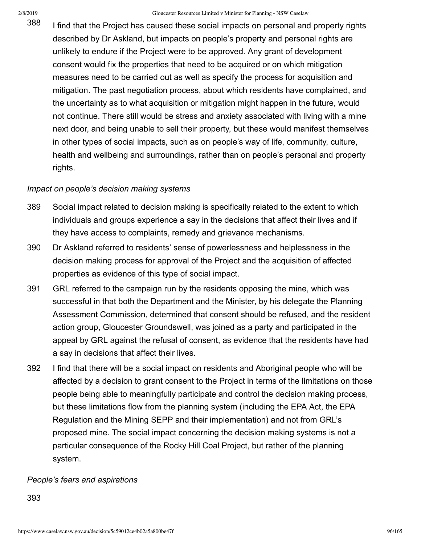388 I find that the Project has caused these social impacts on personal and property rights described by Dr Askland, but impacts on people's property and personal rights are unlikely to endure if the Project were to be approved. Any grant of development consent would fix the properties that need to be acquired or on which mitigation measures need to be carried out as well as specify the process for acquisition and mitigation. The past negotiation process, about which residents have complained, and the uncertainty as to what acquisition or mitigation might happen in the future, would not continue. There still would be stress and anxiety associated with living with a mine next door, and being unable to sell their property, but these would manifest themselves in other types of social impacts, such as on people's way of life, community, culture, health and wellbeing and surroundings, rather than on people's personal and property rights.

# *Impact on people's decision making systems*

- 389 Social impact related to decision making is specifically related to the extent to which individuals and groups experience a say in the decisions that affect their lives and if they have access to complaints, remedy and grievance mechanisms.
- 390 Dr Askland referred to residents' sense of powerlessness and helplessness in the decision making process for approval of the Project and the acquisition of affected properties as evidence of this type of social impact.
- 391 GRL referred to the campaign run by the residents opposing the mine, which was successful in that both the Department and the Minister, by his delegate the Planning Assessment Commission, determined that consent should be refused, and the resident action group, Gloucester Groundswell, was joined as a party and participated in the appeal by GRL against the refusal of consent, as evidence that the residents have had a say in decisions that affect their lives.
- 392 I find that there will be a social impact on residents and Aboriginal people who will be affected by a decision to grant consent to the Project in terms of the limitations on those people being able to meaningfully participate and control the decision making process, but these limitations flow from the planning system (including the EPA Act, the EPA Regulation and the Mining SEPP and their implementation) and not from GRL's proposed mine. The social impact concerning the decision making systems is not a particular consequence of the Rocky Hill Coal Project, but rather of the planning system.

# *People's fears and aspirations*

393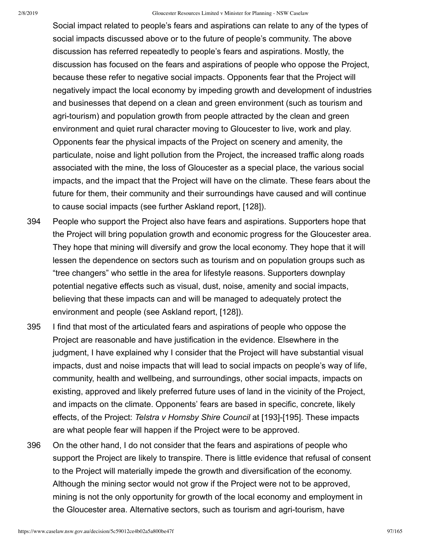Social impact related to people's fears and aspirations can relate to any of the types of social impacts discussed above or to the future of people's community. The above discussion has referred repeatedly to people's fears and aspirations. Mostly, the discussion has focused on the fears and aspirations of people who oppose the Project, because these refer to negative social impacts. Opponents fear that the Project will negatively impact the local economy by impeding growth and development of industries and businesses that depend on a clean and green environment (such as tourism and agri-tourism) and population growth from people attracted by the clean and green environment and quiet rural character moving to Gloucester to live, work and play. Opponents fear the physical impacts of the Project on scenery and amenity, the particulate, noise and light pollution from the Project, the increased traffic along roads associated with the mine, the loss of Gloucester as a special place, the various social impacts, and the impact that the Project will have on the climate. These fears about the future for them, their community and their surroundings have caused and will continue to cause social impacts (see further Askland report, [128]).

- 394 People who support the Project also have fears and aspirations. Supporters hope that the Project will bring population growth and economic progress for the Gloucester area. They hope that mining will diversify and grow the local economy. They hope that it will lessen the dependence on sectors such as tourism and on population groups such as "tree changers" who settle in the area for lifestyle reasons. Supporters downplay potential negative effects such as visual, dust, noise, amenity and social impacts, believing that these impacts can and will be managed to adequately protect the environment and people (see Askland report, [128]).
- 395 I find that most of the articulated fears and aspirations of people who oppose the Project are reasonable and have justification in the evidence. Elsewhere in the judgment, I have explained why I consider that the Project will have substantial visual impacts, dust and noise impacts that will lead to social impacts on people's way of life, community, health and wellbeing, and surroundings, other social impacts, impacts on existing, approved and likely preferred future uses of land in the vicinity of the Project, and impacts on the climate. Opponents' fears are based in specific, concrete, likely effects, of the Project: *Telstra v Hornsby Shire Council* at [193]-[195]. These impacts are what people fear will happen if the Project were to be approved.
- 396 On the other hand, I do not consider that the fears and aspirations of people who support the Project are likely to transpire. There is little evidence that refusal of consent to the Project will materially impede the growth and diversification of the economy. Although the mining sector would not grow if the Project were not to be approved, mining is not the only opportunity for growth of the local economy and employment in the Gloucester area. Alternative sectors, such as tourism and agri-tourism, have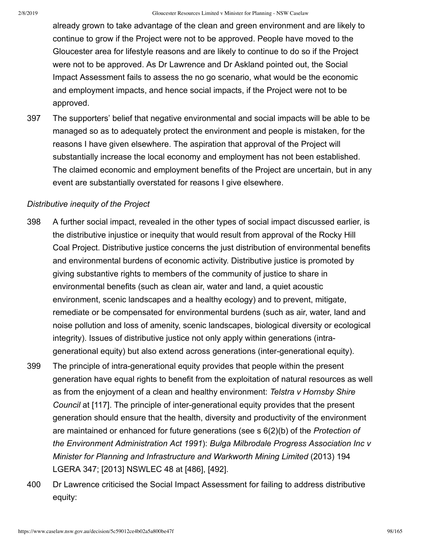already grown to take advantage of the clean and green environment and are likely to continue to grow if the Project were not to be approved. People have moved to the Gloucester area for lifestyle reasons and are likely to continue to do so if the Project were not to be approved. As Dr Lawrence and Dr Askland pointed out, the Social Impact Assessment fails to assess the no go scenario, what would be the economic and employment impacts, and hence social impacts, if the Project were not to be approved.

397 The supporters' belief that negative environmental and social impacts will be able to be managed so as to adequately protect the environment and people is mistaken, for the reasons I have given elsewhere. The aspiration that approval of the Project will substantially increase the local economy and employment has not been established. The claimed economic and employment benefits of the Project are uncertain, but in any event are substantially overstated for reasons I give elsewhere.

# *Distributive inequity of the Project*

- 398 A further social impact, revealed in the other types of social impact discussed earlier, is the distributive injustice or inequity that would result from approval of the Rocky Hill Coal Project. Distributive justice concerns the just distribution of environmental benefits and environmental burdens of economic activity. Distributive justice is promoted by giving substantive rights to members of the community of justice to share in environmental benefits (such as clean air, water and land, a quiet acoustic environment, scenic landscapes and a healthy ecology) and to prevent, mitigate, remediate or be compensated for environmental burdens (such as air, water, land and noise pollution and loss of amenity, scenic landscapes, biological diversity or ecological integrity). Issues of distributive justice not only apply within generations (intragenerational equity) but also extend across generations (inter-generational equity).
- 399 The principle of intra-generational equity provides that people within the present generation have equal rights to benefit from the exploitation of natural resources as well as from the enjoyment of a clean and healthy environment: *Telstra v Hornsby Shire Council* at [117]. The principle of inter-generational equity provides that the present generation should ensure that the health, diversity and productivity of the environment are maintained or enhanced for future generations (see s 6(2)(b) of the *Protection of the Environment Administration Act 1991*): *Bulga Milbrodale Progress Association Inc v Minister for Planning and Infrastructure and Warkworth Mining Limited* (2013) 194 LGERA 347; [2013] NSWLEC 48 at [486], [492].
- 400 Dr Lawrence criticised the Social Impact Assessment for failing to address distributive equity: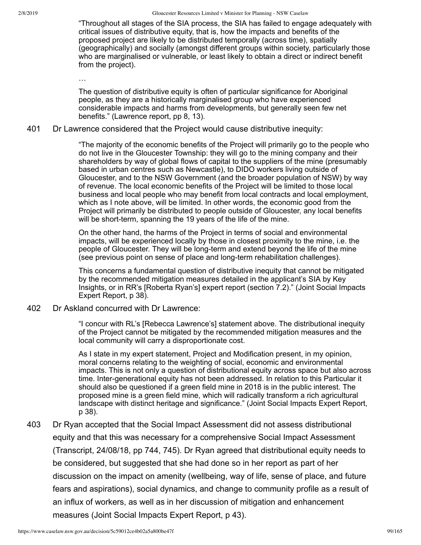2/8/2019 Gloucester Resources Limited v Minister for Planning - NSW Caselaw

"Throughout all stages of the SIA process, the SIA has failed to engage adequately with critical issues of distributive equity, that is, how the impacts and benefits of the proposed project are likely to be distributed temporally (across time), spatially (geographically) and socially (amongst different groups within society, particularly those who are marginalised or vulnerable, or least likely to obtain a direct or indirect benefit from the project).

…

The question of distributive equity is often of particular significance for Aboriginal people, as they are a historically marginalised group who have experienced considerable impacts and harms from developments, but generally seen few net benefits." (Lawrence report, pp 8, 13).

401 Dr Lawrence considered that the Project would cause distributive inequity:

"The majority of the economic benefits of the Project will primarily go to the people who do not live in the Gloucester Township: they will go to the mining company and their shareholders by way of global flows of capital to the suppliers of the mine (presumably based in urban centres such as Newcastle), to DIDO workers living outside of Gloucester, and to the NSW Government (and the broader population of NSW) by way of revenue. The local economic benefits of the Project will be limited to those local business and local people who may benefit from local contracts and local employment, which as I note above, will be limited. In other words, the economic good from the Project will primarily be distributed to people outside of Gloucester, any local benefits will be short-term, spanning the 19 years of the life of the mine.

On the other hand, the harms of the Project in terms of social and environmental impacts, will be experienced locally by those in closest proximity to the mine, i.e. the people of Gloucester. They will be long-term and extend beyond the life of the mine (see previous point on sense of place and long-term rehabilitation challenges).

This concerns a fundamental question of distributive inequity that cannot be mitigated by the recommended mitigation measures detailed in the applicant's SIA by Key Insights, or in RR's [Roberta Ryan's] expert report (section 7.2)." (Joint Social Impacts Expert Report, p 38).

402 Dr Askland concurred with Dr Lawrence:

"I concur with RL's [Rebecca Lawrence's] statement above. The distributional inequity of the Project cannot be mitigated by the recommended mitigation measures and the local community will carry a disproportionate cost.

As I state in my expert statement, Project and Modification present, in my opinion, moral concerns relating to the weighting of social, economic and environmental impacts. This is not only a question of distributional equity across space but also across time. Inter-generational equity has not been addressed. In relation to this Particular it should also be questioned if a green field mine in 2018 is in the public interest. The proposed mine is a green field mine, which will radically transform a rich agricultural landscape with distinct heritage and significance." (Joint Social Impacts Expert Report, p 38).

403 Dr Ryan accepted that the Social Impact Assessment did not assess distributional equity and that this was necessary for a comprehensive Social Impact Assessment (Transcript, 24/08/18, pp 744, 745). Dr Ryan agreed that distributional equity needs to be considered, but suggested that she had done so in her report as part of her discussion on the impact on amenity (wellbeing, way of life, sense of place, and future fears and aspirations), social dynamics, and change to community profile as a result of an influx of workers, as well as in her discussion of mitigation and enhancement measures (Joint Social Impacts Expert Report, p 43).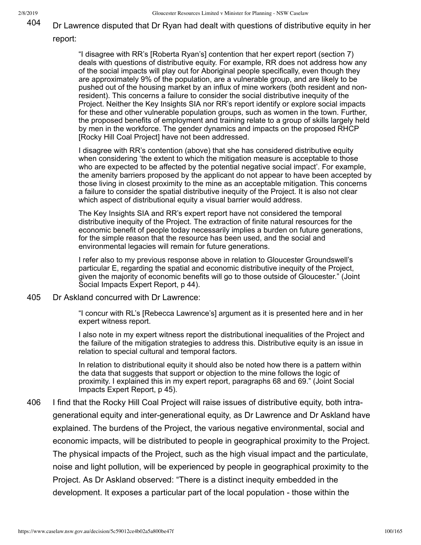404 Dr Lawrence disputed that Dr Ryan had dealt with questions of distributive equity in her report:

> "I disagree with RR's [Roberta Ryan's] contention that her expert report (section 7) deals with questions of distributive equity. For example, RR does not address how any of the social impacts will play out for Aboriginal people specifically, even though they are approximately 9% of the population, are a vulnerable group, and are likely to be pushed out of the housing market by an influx of mine workers (both resident and nonresident). This concerns a failure to consider the social distributive inequity of the Project. Neither the Key Insights SIA nor RR's report identify or explore social impacts for these and other vulnerable population groups, such as women in the town. Further, the proposed benefits of employment and training relate to a group of skills largely held by men in the workforce. The gender dynamics and impacts on the proposed RHCP [Rocky Hill Coal Project] have not been addressed.

> I disagree with RR's contention (above) that she has considered distributive equity when considering 'the extent to which the mitigation measure is acceptable to those who are expected to be affected by the potential negative social impact'. For example, the amenity barriers proposed by the applicant do not appear to have been accepted by those living in closest proximity to the mine as an acceptable mitigation. This concerns a failure to consider the spatial distributive inequity of the Project. It is also not clear which aspect of distributional equity a visual barrier would address.

The Key Insights SIA and RR's expert report have not considered the temporal distributive inequity of the Project. The extraction of finite natural resources for the economic benefit of people today necessarily implies a burden on future generations, for the simple reason that the resource has been used, and the social and environmental legacies will remain for future generations.

I refer also to my previous response above in relation to Gloucester Groundswell's particular E, regarding the spatial and economic distributive inequity of the Project, given the majority of economic benefits will go to those outside of Gloucester." (Joint Social Impacts Expert Report, p 44).

405 Dr Askland concurred with Dr Lawrence:

"I concur with RL's [Rebecca Lawrence's] argument as it is presented here and in her expert witness report.

I also note in my expert witness report the distributional inequalities of the Project and the failure of the mitigation strategies to address this. Distributive equity is an issue in relation to special cultural and temporal factors.

In relation to distributional equity it should also be noted how there is a pattern within the data that suggests that support or objection to the mine follows the logic of proximity. I explained this in my expert report, paragraphs 68 and 69." (Joint Social Impacts Expert Report, p 45).

406 I find that the Rocky Hill Coal Project will raise issues of distributive equity, both intragenerational equity and inter-generational equity, as Dr Lawrence and Dr Askland have explained. The burdens of the Project, the various negative environmental, social and economic impacts, will be distributed to people in geographical proximity to the Project. The physical impacts of the Project, such as the high visual impact and the particulate, noise and light pollution, will be experienced by people in geographical proximity to the Project. As Dr Askland observed: "There is a distinct inequity embedded in the development. It exposes a particular part of the local population those within the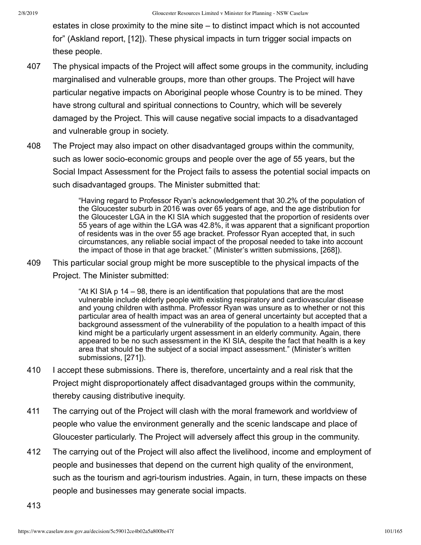estates in close proximity to the mine site – to distinct impact which is not accounted for" (Askland report, [12]). These physical impacts in turn trigger social impacts on these people.

- 407 The physical impacts of the Project will affect some groups in the community, including marginalised and vulnerable groups, more than other groups. The Project will have particular negative impacts on Aboriginal people whose Country is to be mined. They have strong cultural and spiritual connections to Country, which will be severely damaged by the Project. This will cause negative social impacts to a disadvantaged and vulnerable group in society.
- 408 The Project may also impact on other disadvantaged groups within the community, such as lower socio-economic groups and people over the age of 55 years, but the Social Impact Assessment for the Project fails to assess the potential social impacts on such disadvantaged groups. The Minister submitted that:

"Having regard to Professor Ryan's acknowledgement that 30.2% of the population of the Gloucester suburb in 2016 was over 65 years of age, and the age distribution for the Gloucester LGA in the KI SIA which suggested that the proportion of residents over 55 years of age within the LGA was 42.8%, it was apparent that a significant proportion of residents was in the over 55 age bracket. Professor Ryan accepted that, in such circumstances, any reliable social impact of the proposal needed to take into account the impact of those in that age bracket." (Minister's written submissions, [268]).

409 This particular social group might be more susceptible to the physical impacts of the Project. The Minister submitted:

> "At KI SIA p 14 – 98, there is an identification that populations that are the most vulnerable include elderly people with existing respiratory and cardiovascular disease and young children with asthma. Professor Ryan was unsure as to whether or not this particular area of health impact was an area of general uncertainty but accepted that a background assessment of the vulnerability of the population to a health impact of this kind might be a particularly urgent assessment in an elderly community. Again, there appeared to be no such assessment in the KI SIA, despite the fact that health is a key area that should be the subject of a social impact assessment." (Minister's written submissions, [271]).

- 410 I accept these submissions. There is, therefore, uncertainty and a real risk that the Project might disproportionately affect disadvantaged groups within the community, thereby causing distributive inequity.
- 411 The carrying out of the Project will clash with the moral framework and worldview of people who value the environment generally and the scenic landscape and place of Gloucester particularly. The Project will adversely affect this group in the community.
- 412 The carrying out of the Project will also affect the livelihood, income and employment of people and businesses that depend on the current high quality of the environment, such as the tourism and agri-tourism industries. Again, in turn, these impacts on these people and businesses may generate social impacts.

413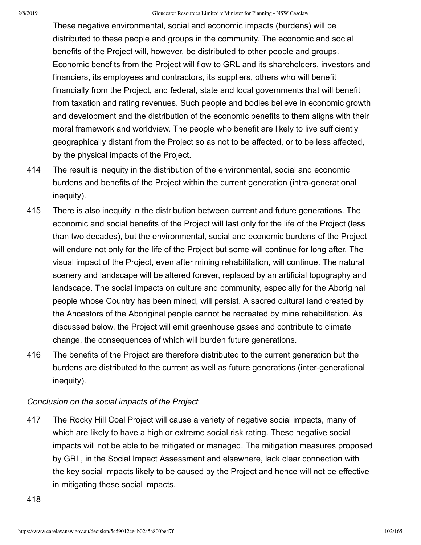These negative environmental, social and economic impacts (burdens) will be distributed to these people and groups in the community. The economic and social benefits of the Project will, however, be distributed to other people and groups. Economic benefits from the Project will flow to GRL and its shareholders, investors and financiers, its employees and contractors, its suppliers, others who will benefit financially from the Project, and federal, state and local governments that will benefit from taxation and rating revenues. Such people and bodies believe in economic growth and development and the distribution of the economic benefits to them aligns with their moral framework and worldview. The people who benefit are likely to live sufficiently geographically distant from the Project so as not to be affected, or to be less affected, by the physical impacts of the Project.

- 414 The result is inequity in the distribution of the environmental, social and economic burdens and benefits of the Project within the current generation (intra-generational inequity).
- 415 There is also inequity in the distribution between current and future generations. The economic and social benefits of the Project will last only for the life of the Project (less than two decades), but the environmental, social and economic burdens of the Project will endure not only for the life of the Project but some will continue for long after. The visual impact of the Project, even after mining rehabilitation, will continue. The natural scenery and landscape will be altered forever, replaced by an artificial topography and landscape. The social impacts on culture and community, especially for the Aboriginal people whose Country has been mined, will persist. A sacred cultural land created by the Ancestors of the Aboriginal people cannot be recreated by mine rehabilitation. As discussed below, the Project will emit greenhouse gases and contribute to climate change, the consequences of which will burden future generations.
- 416 The benefits of the Project are therefore distributed to the current generation but the burdens are distributed to the current as well as future generations (inter-generational inequity).

# *Conclusion on the social impacts of the Project*

417 The Rocky Hill Coal Project will cause a variety of negative social impacts, many of which are likely to have a high or extreme social risk rating. These negative social impacts will not be able to be mitigated or managed. The mitigation measures proposed by GRL, in the Social Impact Assessment and elsewhere, lack clear connection with the key social impacts likely to be caused by the Project and hence will not be effective in mitigating these social impacts.

418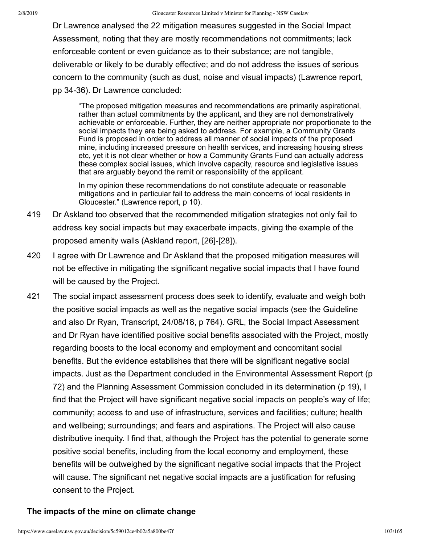Dr Lawrence analysed the 22 mitigation measures suggested in the Social Impact Assessment, noting that they are mostly recommendations not commitments; lack enforceable content or even guidance as to their substance; are not tangible, deliverable or likely to be durably effective; and do not address the issues of serious concern to the community (such as dust, noise and visual impacts) (Lawrence report, pp 34-36). Dr Lawrence concluded:

"The proposed mitigation measures and recommendations are primarily aspirational, rather than actual commitments by the applicant, and they are not demonstratively achievable or enforceable. Further, they are neither appropriate nor proportionate to the social impacts they are being asked to address. For example, a Community Grants Fund is proposed in order to address all manner of social impacts of the proposed mine, including increased pressure on health services, and increasing housing stress etc, yet it is not clear whether or how a Community Grants Fund can actually address these complex social issues, which involve capacity, resource and legislative issues that are arguably beyond the remit or responsibility of the applicant.

In my opinion these recommendations do not constitute adequate or reasonable mitigations and in particular fail to address the main concerns of local residents in Gloucester." (Lawrence report, p 10).

- 419 Dr Askland too observed that the recommended mitigation strategies not only fail to address key social impacts but may exacerbate impacts, giving the example of the proposed amenity walls (Askland report, [26]-[28]).
- 420 I agree with Dr Lawrence and Dr Askland that the proposed mitigation measures will not be effective in mitigating the significant negative social impacts that I have found will be caused by the Project.
- 421 The social impact assessment process does seek to identify, evaluate and weigh both the positive social impacts as well as the negative social impacts (see the Guideline and also Dr Ryan, Transcript, 24/08/18, p 764). GRL, the Social Impact Assessment and Dr Ryan have identified positive social benefits associated with the Project, mostly regarding boosts to the local economy and employment and concomitant social benefits. But the evidence establishes that there will be significant negative social impacts. Just as the Department concluded in the Environmental Assessment Report (p 72) and the Planning Assessment Commission concluded in its determination (p 19), I find that the Project will have significant negative social impacts on people's way of life; community; access to and use of infrastructure, services and facilities; culture; health and wellbeing; surroundings; and fears and aspirations. The Project will also cause distributive inequity. I find that, although the Project has the potential to generate some positive social benefits, including from the local economy and employment, these benefits will be outweighed by the significant negative social impacts that the Project will cause. The significant net negative social impacts are a justification for refusing consent to the Project.

## **The impacts of the mine on climate change**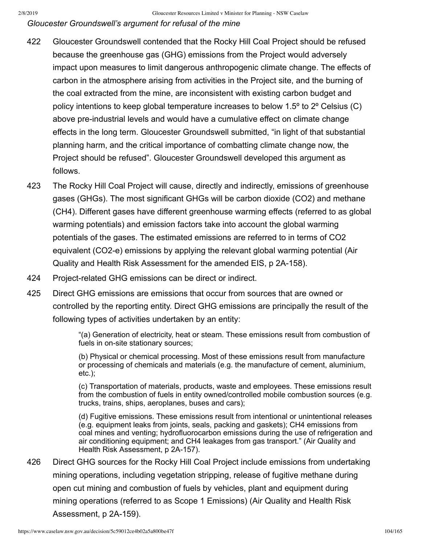## *Gloucester Groundswell's argument for refusal of the mine*

- 422 Gloucester Groundswell contended that the Rocky Hill Coal Project should be refused because the greenhouse gas (GHG) emissions from the Project would adversely impact upon measures to limit dangerous anthropogenic climate change. The effects of carbon in the atmosphere arising from activities in the Project site, and the burning of the coal extracted from the mine, are inconsistent with existing carbon budget and policy intentions to keep global temperature increases to below 1.5º to 2º Celsius (C) above pre-industrial levels and would have a cumulative effect on climate change effects in the long term. Gloucester Groundswell submitted, "in light of that substantial planning harm, and the critical importance of combatting climate change now, the Project should be refused". Gloucester Groundswell developed this argument as follows.
- 423 The Rocky Hill Coal Project will cause, directly and indirectly, emissions of greenhouse gases (GHGs). The most significant GHGs will be carbon dioxide (CO2) and methane (CH4). Different gases have different greenhouse warming effects (referred to as global warming potentials) and emission factors take into account the global warming potentials of the gases. The estimated emissions are referred to in terms of CO2 equivalent (CO2-e) emissions by applying the relevant global warming potential (Air Quality and Health Risk Assessment for the amended EIS, p 2A-158).
- 424 Project-related GHG emissions can be direct or indirect.
- 425 Direct GHG emissions are emissions that occur from sources that are owned or controlled by the reporting entity. Direct GHG emissions are principally the result of the following types of activities undertaken by an entity:

"(a) Generation of electricity, heat or steam. These emissions result from combustion of fuels in on-site stationary sources;

(b) Physical or chemical processing. Most of these emissions result from manufacture or processing of chemicals and materials (e.g. the manufacture of cement, aluminium, etc.);

(c) Transportation of materials, products, waste and employees. These emissions result from the combustion of fuels in entity owned/controlled mobile combustion sources (e.g. trucks, trains, ships, aeroplanes, buses and cars);

(d) Fugitive emissions. These emissions result from intentional or unintentional releases (e.g. equipment leaks from joints, seals, packing and gaskets); CH4 emissions from coal mines and venting; hydrofluorocarbon emissions during the use of refrigeration and air conditioning equipment; and CH4 leakages from gas transport." (Air Quality and Health Risk Assessment, p 2A-157).

426 Direct GHG sources for the Rocky Hill Coal Project include emissions from undertaking mining operations, including vegetation stripping, release of fugitive methane during open cut mining and combustion of fuels by vehicles, plant and equipment during mining operations (referred to as Scope 1 Emissions) (Air Quality and Health Risk Assessment, p 2A-159).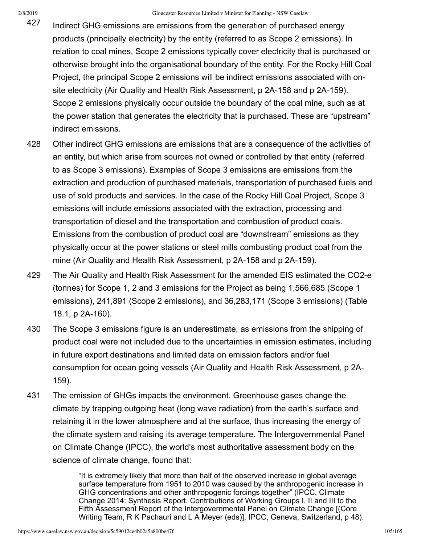- 427 Indirect GHG emissions are emissions from the generation of purchased energy products (principally electricity) by the entity (referred to as Scope 2 emissions). In relation to coal mines, Scope 2 emissions typically cover electricity that is purchased or otherwise brought into the organisational boundary of the entity. For the Rocky Hill Coal Project, the principal Scope 2 emissions will be indirect emissions associated with onsite electricity (Air Quality and Health Risk Assessment, p 2A-158 and p 2A-159). Scope 2 emissions physically occur outside the boundary of the coal mine, such as at the power station that generates the electricity that is purchased. These are "upstream" indirect emissions.
- 428 Other indirect GHG emissions are emissions that are a consequence of the activities of an entity, but which arise from sources not owned or controlled by that entity (referred to as Scope 3 emissions). Examples of Scope 3 emissions are emissions from the extraction and production of purchased materials, transportation of purchased fuels and use of sold products and services. In the case of the Rocky Hill Coal Project, Scope 3 emissions will include emissions associated with the extraction, processing and transportation of diesel and the transportation and combustion of product coals. Emissions from the combustion of product coal are "downstream" emissions as they physically occur at the power stations or steel mills combusting product coal from the mine (Air Quality and Health Risk Assessment, p 2A-158 and p 2A-159).
- 429 The Air Quality and Health Risk Assessment for the amended EIS estimated the CO2-e (tonnes) for Scope 1, 2 and 3 emissions for the Project as being 1,566,685 (Scope 1 emissions), 241,891 (Scope 2 emissions), and 36,283,171 (Scope 3 emissions) (Table 18.1, p 2A-160).
- 430 The Scope 3 emissions figure is an underestimate, as emissions from the shipping of product coal were not included due to the uncertainties in emission estimates, including in future export destinations and limited data on emission factors and/or fuel consumption for ocean going vessels (Air Quality and Health Risk Assessment, p 2A-159).
- 431 The emission of GHGs impacts the environment. Greenhouse gases change the climate by trapping outgoing heat (long wave radiation) from the earth's surface and retaining it in the lower atmosphere and at the surface, thus increasing the energy of the climate system and raising its average temperature. The Intergovernmental Panel on Climate Change (IPCC), the world's most authoritative assessment body on the science of climate change, found that:

"It is extremely likely that more than half of the observed increase in global average surface temperature from 1951 to 2010 was caused by the anthropogenic increase in GHG concentrations and other anthropogenic forcings together" (IPCC, Climate Change 2014: Synthesis Report. Contributions of Working Groups I, II and III to the Fifth Assessment Report of the Intergovernmental Panel on Climate Change [(Core Writing Team, R K Pachauri and L A Meyer (eds)], IPCC, Geneva, Switzerland, p 48).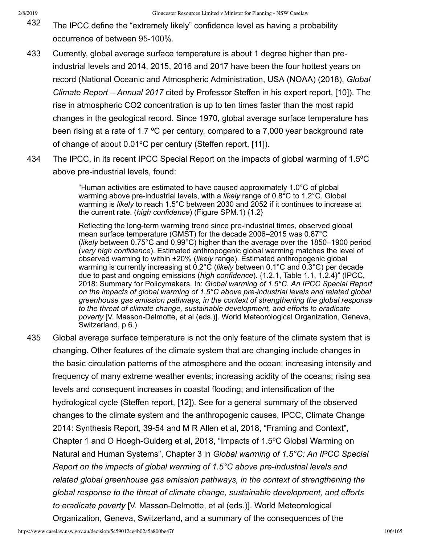- 432 The IPCC define the "extremely likely" confidence level as having a probability occurrence of between 95-100%.
- 433 Currently, global average surface temperature is about 1 degree higher than preindustrial levels and 2014, 2015, 2016 and 2017 have been the four hottest years on record (National Oceanic and Atmospheric Administration, USA (NOAA) (2018), *Global Climate Report – Annual 2017* cited by Professor Steffen in his expert report, [10]). The rise in atmospheric CO2 concentration is up to ten times faster than the most rapid changes in the geological record. Since 1970, global average surface temperature has been rising at a rate of 1.7 ºC per century, compared to a 7,000 year background rate of change of about 0.01ºC per century (Steffen report, [11]).
- 434 The IPCC, in its recent IPCC Special Report on the impacts of global warming of 1.5°C above pre-industrial levels, found:

"Human activities are estimated to have caused approximately 1.0°C of global warming above pre-industrial levels, with a *likely* range of 0.8°C to 1.2°C. Global warming is *likely* to reach 1.5°C between 2030 and 2052 if it continues to increase at the current rate. (*high confidence*) (Figure SPM.1) {1.2}

Reflecting the long-term warming trend since pre-industrial times, observed global mean surface temperature (GMST) for the decade 2006–2015 was 0.87°C (*likely* between 0.75°C and 0.99°C) higher than the average over the 1850–1900 period (*very high confidence*). Estimated anthropogenic global warming matches the level of observed warming to within ±20% (*likely* range). Estimated anthropogenic global warming is currently increasing at 0.2°C (*likely* between 0.1°C and 0.3°C) per decade due to past and ongoing emissions (*high confidence*). {1.2.1, Table 1.1, 1.2.4}" (IPCC, 2018: Summary for Policymakers. In: *Global warming of 1.5°C. An IPCC Special Report on the impacts of global warming of 1.5°C above preindustrial levels and related global greenhouse gas emission pathways, in the context of strengthening the global response to the threat of climate change, sustainable development, and efforts to eradicate* poverty [V. Masson-Delmotte, et al (eds.)]. World Meteorological Organization, Geneva, Switzerland, p 6.)

435 Global average surface temperature is not the only feature of the climate system that is changing. Other features of the climate system that are changing include changes in the basic circulation patterns of the atmosphere and the ocean; increasing intensity and frequency of many extreme weather events; increasing acidity of the oceans; rising sea levels and consequent increases in coastal flooding; and intensification of the hydrological cycle (Steffen report, [12]). See for a general summary of the observed changes to the climate system and the anthropogenic causes, IPCC, Climate Change 2014: Synthesis Report, 39-54 and M R Allen et al, 2018, "Framing and Context", Chapter 1 and O Hoegh-Gulderg et al, 2018, "Impacts of 1.5°C Global Warming on Natural and Human Systems", Chapter 3 in *Global warming of 1.5°C: An IPCC Special Report on the impacts of global warming of 1.5°C above pre-industrial levels and related global greenhouse gas emission pathways, in the context of strengthening the global response to the threat of climate change, sustainable development, and efforts to eradicate poverty* [V. Masson-Delmotte, et al (eds.)]. World Meteorological Organization, Geneva, Switzerland, and a summary of the consequences of the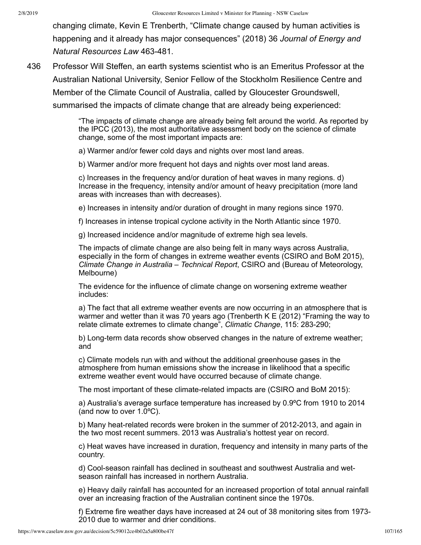changing climate, Kevin E Trenberth, "Climate change caused by human activities is happening and it already has major consequences" (2018) 36 *Journal of Energy and* **Natural Resources Law 463-481.** 

436 Professor Will Steffen, an earth systems scientist who is an Emeritus Professor at the Australian National University, Senior Fellow of the Stockholm Resilience Centre and Member of the Climate Council of Australia, called by Gloucester Groundswell, summarised the impacts of climate change that are already being experienced:

> "The impacts of climate change are already being felt around the world. As reported by the IPCC (2013), the most authoritative assessment body on the science of climate change, some of the most important impacts are:

a) Warmer and/or fewer cold days and nights over most land areas.

b) Warmer and/or more frequent hot days and nights over most land areas.

c) Increases in the frequency and/or duration of heat waves in many regions. d) Increase in the frequency, intensity and/or amount of heavy precipitation (more land areas with increases than with decreases).

e) Increases in intensity and/or duration of drought in many regions since 1970.

f) Increases in intense tropical cyclone activity in the North Atlantic since 1970.

g) Increased incidence and/or magnitude of extreme high sea levels.

The impacts of climate change are also being felt in many ways across Australia, especially in the form of changes in extreme weather events (CSIRO and BoM 2015), *Climate Change in Australia – Technical Report*, CSIRO and (Bureau of Meteorology, Melbourne)

The evidence for the influence of climate change on worsening extreme weather includes:

a) The fact that all extreme weather events are now occurring in an atmosphere that is warmer and wetter than it was 70 years ago (Trenberth K E (2012) "Framing the way to relate climate extremes to climate change", *Climatic Change*, 115: 283-290;

b) Long-term data records show observed changes in the nature of extreme weather; and

c) Climate models run with and without the additional greenhouse gases in the atmosphere from human emissions show the increase in likelihood that a specific extreme weather event would have occurred because of climate change.

The most important of these climate-related impacts are (CSIRO and BoM 2015):

a) Australia's average surface temperature has increased by 0.9ºC from 1910 to 2014 (and now to over 1.0ºC).

b) Many heat-related records were broken in the summer of 2012-2013, and again in the two most recent summers. 2013 was Australia's hottest year on record.

c) Heat waves have increased in duration, frequency and intensity in many parts of the country.

d) Cool-season rainfall has declined in southeast and southwest Australia and wetseason rainfall has increased in northern Australia.

e) Heavy daily rainfall has accounted for an increased proportion of total annual rainfall over an increasing fraction of the Australian continent since the 1970s.

f) Extreme fire weather days have increased at 24 out of 38 monitoring sites from 1973 2010 due to warmer and drier conditions.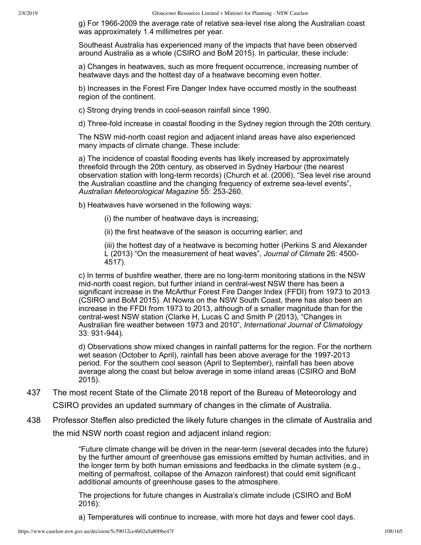g) For 19662009 the average rate of relative sealevel rise along the Australian coast was approximately 1.4 millimetres per year.

Southeast Australia has experienced many of the impacts that have been observed around Australia as a whole (CSIRO and BoM 2015). In particular, these include:

a) Changes in heatwaves, such as more frequent occurrence, increasing number of heatwave days and the hottest day of a heatwave becoming even hotter.

b) Increases in the Forest Fire Danger Index have occurred mostly in the southeast region of the continent.

c) Strong drying trends in cool-season rainfall since 1990.

d) Three-fold increase in coastal flooding in the Sydney region through the 20th century.

The NSW mid-north coast region and adjacent inland areas have also experienced many impacts of climate change. These include:

a) The incidence of coastal flooding events has likely increased by approximately threefold through the 20th century, as observed in Sydney Harbour (the nearest observation station with long-term records) (Church et al. (2006), "Sea level rise around the Australian coastline and the changing frequency of extreme sea-level events", *Australian Meteorological Magazine* 55: 253260.

b) Heatwaves have worsened in the following ways:

(i) the number of heatwave days is increasing;

(ii) the first heatwave of the season is occurring earlier; and

(iii) the hottest day of a heatwave is becoming hotter (Perkins S and Alexander L (2013) "On the measurement of heat waves", *Journal of Climate* 26: 4500 4517).

c) In terms of bushfire weather, there are no long-term monitoring stations in the NSW mid-north coast region, but further inland in central-west NSW there has been a significant increase in the McArthur Forest Fire Danger Index (FFDI) from 1973 to 2013 (CSIRO and BoM 2015). At Nowra on the NSW South Coast, there has also been an increase in the FFDI from 1973 to 2013, although of a smaller magnitude than for the central-west NSW station (Clarke H, Lucas C and Smith P (2013), "Changes in Australian fire weather between 1973 and 2010", *International Journal of Climatology* 33: 931944).

d) Observations show mixed changes in rainfall patterns for the region. For the northern wet season (October to April), rainfall has been above average for the 1997-2013 period. For the southern cool season (April to September), rainfall has been above average along the coast but below average in some inland areas (CSIRO and BoM 2015).

- 437 The most recent State of the Climate 2018 report of the Bureau of Meteorology and CSIRO provides an updated summary of changes in the climate of Australia.
- 438 Professor Steffen also predicted the likely future changes in the climate of Australia and the mid NSW north coast region and adjacent inland region:

"Future climate change will be driven in the nearterm (several decades into the future) by the further amount of greenhouse gas emissions emitted by human activities, and in the longer term by both human emissions and feedbacks in the climate system (e.g., melting of permafrost, collapse of the Amazon rainforest) that could emit significant additional amounts of greenhouse gases to the atmosphere.

The projections for future changes in Australia's climate include (CSIRO and BoM 2016):

a) Temperatures will continue to increase, with more hot days and fewer cool days.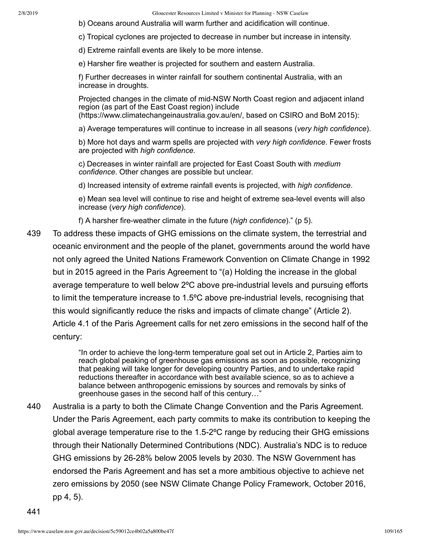2/8/2019 Gloucester Resources Limited v Minister for Planning - NSW Caselaw

b) Oceans around Australia will warm further and acidification will continue.

c) Tropical cyclones are projected to decrease in number but increase in intensity.

d) Extreme rainfall events are likely to be more intense.

e) Harsher fire weather is projected for southern and eastern Australia.

f) Further decreases in winter rainfall for southern continental Australia, with an increase in droughts.

Projected changes in the climate of mid-NSW North Coast region and adjacent inland region (as part of the East Coast region) include (https://www.climatechangeinaustralia.gov.au/en/, based on CSIRO and BoM 2015):

a) Average temperatures will continue to increase in all seasons (*very high confidence*).

b) More hot days and warm spells are projected with *very high confidence*. Fewer frosts are projected with *high confidence.*

c) Decreases in winter rainfall are projected for East Coast South with *medium confidence*. Other changes are possible but unclear.

d) Increased intensity of extreme rainfall events is projected, with *high confidence*.

e) Mean sea level will continue to rise and height of extreme sealevel events will also increase (*very high confidence*).

f) A harsher fireweather climate in the future (*high confidence*)." (p 5).

439 To address these impacts of GHG emissions on the climate system, the terrestrial and oceanic environment and the people of the planet, governments around the world have not only agreed the United Nations Framework Convention on Climate Change in 1992 but in 2015 agreed in the Paris Agreement to "(a) Holding the increase in the global average temperature to well below 2°C above pre-industrial levels and pursuing efforts to limit the temperature increase to 1.5°C above pre-industrial levels, recognising that this would significantly reduce the risks and impacts of climate change" (Article 2). Article 4.1 of the Paris Agreement calls for net zero emissions in the second half of the century:

> "In order to achieve the long-term temperature goal set out in Article 2, Parties aim to reach global peaking of greenhouse gas emissions as soon as possible, recognizing that peaking will take longer for developing country Parties, and to undertake rapid reductions thereafter in accordance with best available science, so as to achieve a balance between anthropogenic emissions by sources and removals by sinks of greenhouse gases in the second half of this century…"

440 Australia is a party to both the Climate Change Convention and the Paris Agreement. Under the Paris Agreement, each party commits to make its contribution to keeping the global average temperature rise to the 1.52ºC range by reducing their GHG emissions through their Nationally Determined Contributions (NDC). Australia's NDC is to reduce GHG emissions by 26-28% below 2005 levels by 2030. The NSW Government has endorsed the Paris Agreement and has set a more ambitious objective to achieve net zero emissions by 2050 (see NSW Climate Change Policy Framework, October 2016, pp 4, 5).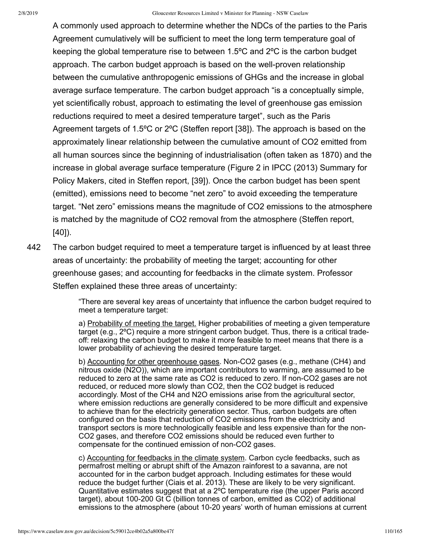A commonly used approach to determine whether the NDCs of the parties to the Paris Agreement cumulatively will be sufficient to meet the long term temperature goal of keeping the global temperature rise to between 1.5ºC and 2ºC is the carbon budget approach. The carbon budget approach is based on the well-proven relationship between the cumulative anthropogenic emissions of GHGs and the increase in global average surface temperature. The carbon budget approach "is a conceptually simple, yet scientifically robust, approach to estimating the level of greenhouse gas emission reductions required to meet a desired temperature target", such as the Paris Agreement targets of 1.5ºC or 2ºC (Steffen report [38]). The approach is based on the approximately linear relationship between the cumulative amount of CO2 emitted from all human sources since the beginning of industrialisation (often taken as 1870) and the increase in global average surface temperature (Figure 2 in IPCC (2013) Summary for Policy Makers, cited in Steffen report, [39]). Once the carbon budget has been spent (emitted), emissions need to become "net zero" to avoid exceeding the temperature target. "Net zero" emissions means the magnitude of CO2 emissions to the atmosphere is matched by the magnitude of CO2 removal from the atmosphere (Steffen report, [40]).

442 The carbon budget required to meet a temperature target is influenced by at least three areas of uncertainty: the probability of meeting the target; accounting for other greenhouse gases; and accounting for feedbacks in the climate system. Professor Steffen explained these three areas of uncertainty:

> "There are several key areas of uncertainty that influence the carbon budget required to meet a temperature target:

> a) Probability of meeting the target. Higher probabilities of meeting a given temperature target (e.g., 2ºC) require a more stringent carbon budget. Thus, there is a critical tradeoff: relaxing the carbon budget to make it more feasible to meet means that there is a lower probability of achieving the desired temperature target.

> b) Accounting for other greenhouse gases. Non-CO2 gases (e.g., methane (CH4) and nitrous oxide (N2O)), which are important contributors to warming, are assumed to be reduced to zero at the same rate as CO2 is reduced to zero. If non-CO2 gases are not reduced, or reduced more slowly than CO2, then the CO2 budget is reduced accordingly. Most of the CH4 and N2O emissions arise from the agricultural sector, where emission reductions are generally considered to be more difficult and expensive to achieve than for the electricity generation sector. Thus, carbon budgets are often configured on the basis that reduction of CO2 emissions from the electricity and transport sectors is more technologically feasible and less expensive than for the non-CO2 gases, and therefore CO2 emissions should be reduced even further to compensate for the continued emission of non-CO2 gases.

> c) Accounting for feedbacks in the climate system. Carbon cycle feedbacks, such as permafrost melting or abrupt shift of the Amazon rainforest to a savanna, are not accounted for in the carbon budget approach. Including estimates for these would reduce the budget further (Ciais et al. 2013). These are likely to be very significant. Quantitative estimates suggest that at a 2ºC temperature rise (the upper Paris accord target), about 100-200 Gt C (billion tonnes of carbon, emitted as CO2) of additional emissions to the atmosphere (about 10-20 years' worth of human emissions at current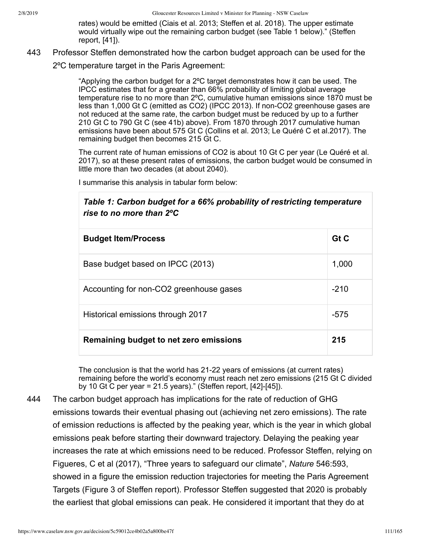rates) would be emitted (Ciais et al. 2013; Steffen et al. 2018). The upper estimate would virtually wipe out the remaining carbon budget (see Table 1 below)." (Steffen report, [41]).

443 Professor Steffen demonstrated how the carbon budget approach can be used for the 2ºC temperature target in the Paris Agreement:

> "Applying the carbon budget for a 2ºC target demonstrates how it can be used. The IPCC estimates that for a greater than 66% probability of limiting global average temperature rise to no more than 2ºC, cumulative human emissions since 1870 must be less than 1,000 Gt C (emitted as CO2) (IPCC 2013). If non-CO2 greenhouse gases are not reduced at the same rate, the carbon budget must be reduced by up to a further 210 Gt C to 790 Gt C (see 41b) above). From 1870 through 2017 cumulative human emissions have been about 575 Gt C (Collins et al. 2013; Le Quéré C et al.2017). The remaining budget then becomes 215 Gt C.

> The current rate of human emissions of CO2 is about 10 Gt C per year (Le Quéré et al. 2017), so at these present rates of emissions, the carbon budget would be consumed in little more than two decades (at about 2040).

I summarise this analysis in tabular form below:

# *Table 1: Carbon budget for a 66% probability of restricting temperature rise to no more than 2ºC*

| <b>Budget Item/Process</b>              | Gt C   |
|-----------------------------------------|--------|
| Base budget based on IPCC (2013)        | 1,000  |
| Accounting for non-CO2 greenhouse gases | $-210$ |
| Historical emissions through 2017       | $-575$ |
| Remaining budget to net zero emissions  | 215    |

The conclusion is that the world has 21-22 years of emissions (at current rates) remaining before the world's economy must reach net zero emissions (215 Gt C divided by 10 Gt C per year = 21.5 years)." (Steffen report,  $[42]-[45]$ ).

444 The carbon budget approach has implications for the rate of reduction of GHG emissions towards their eventual phasing out (achieving net zero emissions). The rate of emission reductions is affected by the peaking year, which is the year in which global emissions peak before starting their downward trajectory. Delaying the peaking year increases the rate at which emissions need to be reduced. Professor Steffen, relying on Figueres, C et al (2017), "Three years to safeguard our climate", *Nature* 546:593, showed in a figure the emission reduction trajectories for meeting the Paris Agreement Targets (Figure 3 of Steffen report). Professor Steffen suggested that 2020 is probably the earliest that global emissions can peak. He considered it important that they do at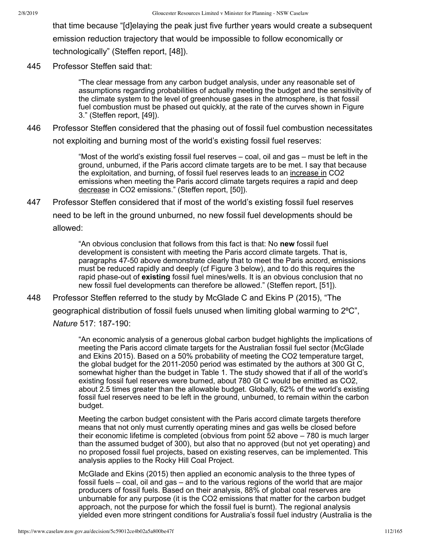that time because "[d]elaying the peak just five further years would create a subsequent emission reduction trajectory that would be impossible to follow economically or technologically" (Steffen report, [48]).

445 Professor Steffen said that:

"The clear message from any carbon budget analysis, under any reasonable set of assumptions regarding probabilities of actually meeting the budget and the sensitivity of the climate system to the level of greenhouse gases in the atmosphere, is that fossil fuel combustion must be phased out quickly, at the rate of the curves shown in Figure 3." (Steffen report, [49]).

446 Professor Steffen considered that the phasing out of fossil fuel combustion necessitates not exploiting and burning most of the world's existing fossil fuel reserves:

> "Most of the world's existing fossil fuel reserves – coal, oil and gas – must be left in the ground, unburned, if the Paris accord climate targets are to be met. I say that because the exploitation, and burning, of fossil fuel reserves leads to an increase in CO2 emissions when meeting the Paris accord climate targets requires a rapid and deep decrease in CO2 emissions." (Steffen report, [50]).

447 Professor Steffen considered that if most of the world's existing fossil fuel reserves need to be left in the ground unburned, no new fossil fuel developments should be allowed:

> "An obvious conclusion that follows from this fact is that: No **new** fossil fuel development is consistent with meeting the Paris accord climate targets. That is, paragraphs 4750 above demonstrate clearly that to meet the Paris accord, emissions must be reduced rapidly and deeply (cf Figure 3 below), and to do this requires the rapid phase-out of existing fossil fuel mines/wells. It is an obvious conclusion that no new fossil fuel developments can therefore be allowed." (Steffen report, [51]).

448 Professor Steffen referred to the study by McGlade C and Ekins P (2015), "The geographical distribution of fossil fuels unused when limiting global warming to 2ºC", *Nature* 517: 187-190:

> "An economic analysis of a generous global carbon budget highlights the implications of meeting the Paris accord climate targets for the Australian fossil fuel sector (McGlade and Ekins 2015). Based on a 50% probability of meeting the CO2 temperature target, the global budget for the 2011-2050 period was estimated by the authors at 300 Gt C, somewhat higher than the budget in Table 1. The study showed that if all of the world's existing fossil fuel reserves were burned, about 780 Gt C would be emitted as CO2, about 2.5 times greater than the allowable budget. Globally, 62% of the world's existing fossil fuel reserves need to be left in the ground, unburned, to remain within the carbon budget.

> Meeting the carbon budget consistent with the Paris accord climate targets therefore means that not only must currently operating mines and gas wells be closed before their economic lifetime is completed (obvious from point 52 above – 780 is much larger than the assumed budget of 300), but also that no approved (but not yet operating) and no proposed fossil fuel projects, based on existing reserves, can be implemented. This analysis applies to the Rocky Hill Coal Project.

> McGlade and Ekins (2015) then applied an economic analysis to the three types of fossil fuels – coal, oil and gas – and to the various regions of the world that are major producers of fossil fuels. Based on their analysis, 88% of global coal reserves are unburnable for any purpose (it is the CO2 emissions that matter for the carbon budget approach, not the purpose for which the fossil fuel is burnt). The regional analysis yielded even more stringent conditions for Australia's fossil fuel industry (Australia is the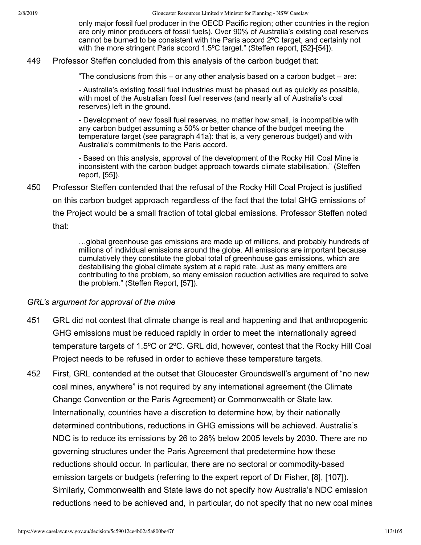only major fossil fuel producer in the OECD Pacific region; other countries in the region are only minor producers of fossil fuels). Over 90% of Australia's existing coal reserves cannot be burned to be consistent with the Paris accord 2ºC target, and certainly not with the more stringent Paris accord  $1.5^{\circ}$ C target." (Steffen report, [52]-[54]).

449 Professor Steffen concluded from this analysis of the carbon budget that:

"The conclusions from this – or any other analysis based on a carbon budget – are:

 Australia's existing fossil fuel industries must be phased out as quickly as possible, with most of the Australian fossil fuel reserves (and nearly all of Australia's coal reserves) left in the ground.

 Development of new fossil fuel reserves, no matter how small, is incompatible with any carbon budget assuming a 50% or better chance of the budget meeting the temperature target (see paragraph 41a): that is, a very generous budget) and with Australia's commitments to the Paris accord.

- Based on this analysis, approval of the development of the Rocky Hill Coal Mine is inconsistent with the carbon budget approach towards climate stabilisation." (Steffen report, [55]).

450 Professor Steffen contended that the refusal of the Rocky Hill Coal Project is justified on this carbon budget approach regardless of the fact that the total GHG emissions of the Project would be a small fraction of total global emissions. Professor Steffen noted that:

> …global greenhouse gas emissions are made up of millions, and probably hundreds of millions of individual emissions around the globe. All emissions are important because cumulatively they constitute the global total of greenhouse gas emissions, which are destabilising the global climate system at a rapid rate. Just as many emitters are contributing to the problem, so many emission reduction activities are required to solve the problem." (Steffen Report, [57]).

#### *GRL's argument for approval of the mine*

- 451 GRL did not contest that climate change is real and happening and that anthropogenic GHG emissions must be reduced rapidly in order to meet the internationally agreed temperature targets of 1.5ºC or 2ºC. GRL did, however, contest that the Rocky Hill Coal Project needs to be refused in order to achieve these temperature targets.
- 452 First, GRL contended at the outset that Gloucester Groundswell's argument of "no new coal mines, anywhere" is not required by any international agreement (the Climate Change Convention or the Paris Agreement) or Commonwealth or State law. Internationally, countries have a discretion to determine how, by their nationally determined contributions, reductions in GHG emissions will be achieved. Australia's NDC is to reduce its emissions by 26 to 28% below 2005 levels by 2030. There are no governing structures under the Paris Agreement that predetermine how these reductions should occur. In particular, there are no sectoral or commodity-based emission targets or budgets (referring to the expert report of Dr Fisher, [8], [107]). Similarly, Commonwealth and State laws do not specify how Australia's NDC emission reductions need to be achieved and, in particular, do not specify that no new coal mines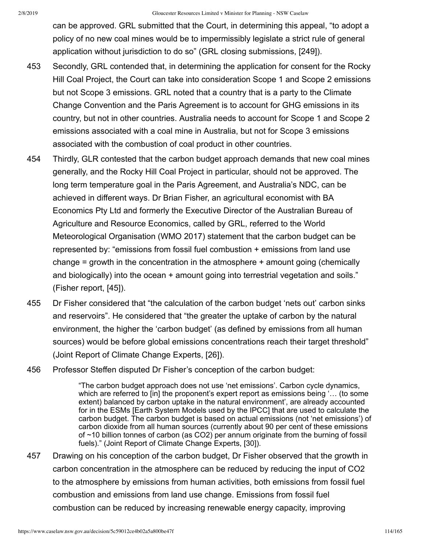can be approved. GRL submitted that the Court, in determining this appeal, "to adopt a policy of no new coal mines would be to impermissibly legislate a strict rule of general application without jurisdiction to do so" (GRL closing submissions, [249]).

- 453 Secondly, GRL contended that, in determining the application for consent for the Rocky Hill Coal Project, the Court can take into consideration Scope 1 and Scope 2 emissions but not Scope 3 emissions. GRL noted that a country that is a party to the Climate Change Convention and the Paris Agreement is to account for GHG emissions in its country, but not in other countries. Australia needs to account for Scope 1 and Scope 2 emissions associated with a coal mine in Australia, but not for Scope 3 emissions associated with the combustion of coal product in other countries.
- 454 Thirdly, GLR contested that the carbon budget approach demands that new coal mines generally, and the Rocky Hill Coal Project in particular, should not be approved. The long term temperature goal in the Paris Agreement, and Australia's NDC, can be achieved in different ways. Dr Brian Fisher, an agricultural economist with BA Economics Pty Ltd and formerly the Executive Director of the Australian Bureau of Agriculture and Resource Economics, called by GRL, referred to the World Meteorological Organisation (WMO 2017) statement that the carbon budget can be represented by: "emissions from fossil fuel combustion + emissions from land use change = growth in the concentration in the atmosphere + amount going (chemically and biologically) into the ocean + amount going into terrestrial vegetation and soils." (Fisher report, [45]).
- 455 Dr Fisher considered that "the calculation of the carbon budget 'nets out' carbon sinks and reservoirs". He considered that "the greater the uptake of carbon by the natural environment, the higher the 'carbon budget' (as defined by emissions from all human sources) would be before global emissions concentrations reach their target threshold" (Joint Report of Climate Change Experts, [26]).
- 456 Professor Steffen disputed Dr Fisher's conception of the carbon budget:

"The carbon budget approach does not use 'net emissions'. Carbon cycle dynamics, which are referred to [in] the proponent's expert report as emissions being '… (to some extent) balanced by carbon uptake in the natural environment', are already accounted for in the ESMs [Earth System Models used by the IPCC] that are used to calculate the carbon budget. The carbon budget is based on actual emissions (not 'net emissions') of carbon dioxide from all human sources (currently about 90 per cent of these emissions of ~10 billion tonnes of carbon (as CO2) per annum originate from the burning of fossil fuels)." (Joint Report of Climate Change Experts, [30]).

457 Drawing on his conception of the carbon budget, Dr Fisher observed that the growth in carbon concentration in the atmosphere can be reduced by reducing the input of CO2 to the atmosphere by emissions from human activities, both emissions from fossil fuel combustion and emissions from land use change. Emissions from fossil fuel combustion can be reduced by increasing renewable energy capacity, improving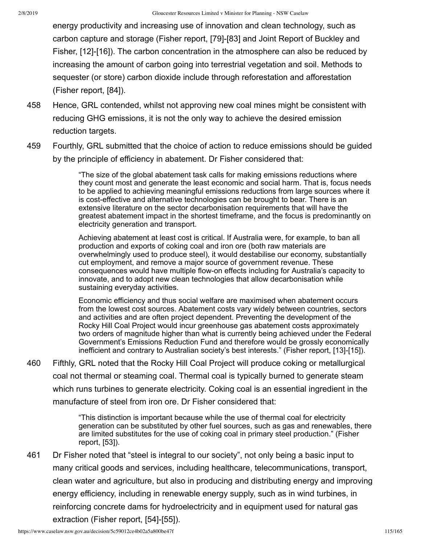energy productivity and increasing use of innovation and clean technology, such as carbon capture and storage (Fisher report, [79]-[83] and Joint Report of Buckley and Fisher, [12]-[16]). The carbon concentration in the atmosphere can also be reduced by increasing the amount of carbon going into terrestrial vegetation and soil. Methods to sequester (or store) carbon dioxide include through reforestation and afforestation (Fisher report, [84]).

- 458 Hence, GRL contended, whilst not approving new coal mines might be consistent with reducing GHG emissions, it is not the only way to achieve the desired emission reduction targets.
- 459 Fourthly, GRL submitted that the choice of action to reduce emissions should be guided by the principle of efficiency in abatement. Dr Fisher considered that:

"The size of the global abatement task calls for making emissions reductions where they count most and generate the least economic and social harm. That is, focus needs to be applied to achieving meaningful emissions reductions from large sources where it is cost-effective and alternative technologies can be brought to bear. There is an extensive literature on the sector decarbonisation requirements that will have the greatest abatement impact in the shortest timeframe, and the focus is predominantly on electricity generation and transport.

Achieving abatement at least cost is critical. If Australia were, for example, to ban all production and exports of coking coal and iron ore (both raw materials are overwhelmingly used to produce steel), it would destabilise our economy, substantially cut employment, and remove a major source of government revenue. These consequences would have multiple flow-on effects including for Australia's capacity to innovate, and to adopt new clean technologies that allow decarbonisation while sustaining everyday activities.

Economic efficiency and thus social welfare are maximised when abatement occurs from the lowest cost sources. Abatement costs vary widely between countries, sectors and activities and are often project dependent. Preventing the development of the Rocky Hill Coal Project would incur greenhouse gas abatement costs approximately two orders of magnitude higher than what is currently being achieved under the Federal Government's Emissions Reduction Fund and therefore would be grossly economically inefficient and contrary to Australian society's best interests." (Fisher report, [13]-[15]).

460 Fifthly, GRL noted that the Rocky Hill Coal Project will produce coking or metallurgical coal not thermal or steaming coal. Thermal coal is typically burned to generate steam which runs turbines to generate electricity. Coking coal is an essential ingredient in the manufacture of steel from iron ore. Dr Fisher considered that:

> "This distinction is important because while the use of thermal coal for electricity generation can be substituted by other fuel sources, such as gas and renewables, there are limited substitutes for the use of coking coal in primary steel production." (Fisher report, [53]).

461 Dr Fisher noted that "steel is integral to our society", not only being a basic input to many critical goods and services, including healthcare, telecommunications, transport, clean water and agriculture, but also in producing and distributing energy and improving energy efficiency, including in renewable energy supply, such as in wind turbines, in reinforcing concrete dams for hydroelectricity and in equipment used for natural gas extraction (Fisher report, [54]-[55]).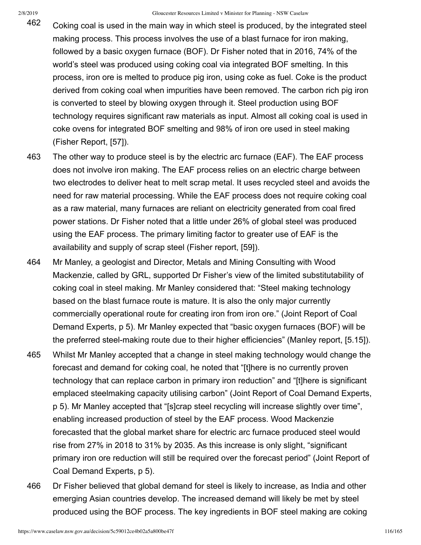- 462 Coking coal is used in the main way in which steel is produced, by the integrated steel making process. This process involves the use of a blast furnace for iron making, followed by a basic oxygen furnace (BOF). Dr Fisher noted that in 2016, 74% of the world's steel was produced using coking coal via integrated BOF smelting. In this process, iron ore is melted to produce pig iron, using coke as fuel. Coke is the product derived from coking coal when impurities have been removed. The carbon rich pig iron is converted to steel by blowing oxygen through it. Steel production using BOF technology requires significant raw materials as input. Almost all coking coal is used in coke ovens for integrated BOF smelting and 98% of iron ore used in steel making (Fisher Report, [57]).
- 463 The other way to produce steel is by the electric arc furnace (EAF). The EAF process does not involve iron making. The EAF process relies on an electric charge between two electrodes to deliver heat to melt scrap metal. It uses recycled steel and avoids the need for raw material processing. While the EAF process does not require coking coal as a raw material, many furnaces are reliant on electricity generated from coal fired power stations. Dr Fisher noted that a little under 26% of global steel was produced using the EAF process. The primary limiting factor to greater use of EAF is the availability and supply of scrap steel (Fisher report, [59]).
- 464 Mr Manley, a geologist and Director, Metals and Mining Consulting with Wood Mackenzie, called by GRL, supported Dr Fisher's view of the limited substitutability of coking coal in steel making. Mr Manley considered that: "Steel making technology based on the blast furnace route is mature. It is also the only major currently commercially operational route for creating iron from iron ore." (Joint Report of Coal Demand Experts, p 5). Mr Manley expected that "basic oxygen furnaces (BOF) will be the preferred steel-making route due to their higher efficiencies" (Manley report, [5.15]).
- 465 Whilst Mr Manley accepted that a change in steel making technology would change the forecast and demand for coking coal, he noted that "[t]here is no currently proven technology that can replace carbon in primary iron reduction" and "[t]here is significant emplaced steelmaking capacity utilising carbon" (Joint Report of Coal Demand Experts, p 5). Mr Manley accepted that "[s]crap steel recycling will increase slightly over time", enabling increased production of steel by the EAF process. Wood Mackenzie forecasted that the global market share for electric arc furnace produced steel would rise from 27% in 2018 to 31% by 2035. As this increase is only slight, "significant primary iron ore reduction will still be required over the forecast period" (Joint Report of Coal Demand Experts, p 5).
- 466 Dr Fisher believed that global demand for steel is likely to increase, as India and other emerging Asian countries develop. The increased demand will likely be met by steel produced using the BOF process. The key ingredients in BOF steel making are coking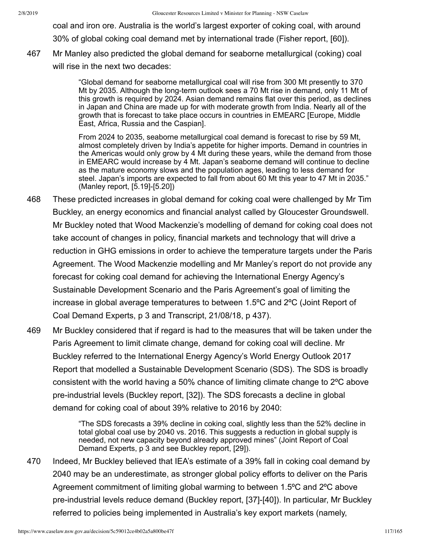coal and iron ore. Australia is the world's largest exporter of coking coal, with around 30% of global coking coal demand met by international trade (Fisher report, [60]).

467 Mr Manley also predicted the global demand for seaborne metallurgical (coking) coal will rise in the next two decades:

> "Global demand for seaborne metallurgical coal will rise from 300 Mt presently to 370 Mt by 2035. Although the long-term outlook sees a 70 Mt rise in demand, only 11 Mt of this growth is required by 2024. Asian demand remains flat over this period, as declines in Japan and China are made up for with moderate growth from India. Nearly all of the growth that is forecast to take place occurs in countries in EMEARC [Europe, Middle East, Africa, Russia and the Caspian].

> From 2024 to 2035, seaborne metallurgical coal demand is forecast to rise by 59 Mt, almost completely driven by India's appetite for higher imports. Demand in countries in the Americas would only grow by 4 Mt during these years, while the demand from those in EMEARC would increase by 4 Mt. Japan's seaborne demand will continue to decline as the mature economy slows and the population ages, leading to less demand for steel. Japan's imports are expected to fall from about 60 Mt this year to 47 Mt in 2035."  $(Manley report, [5.19]–[5.20])$

- 468 These predicted increases in global demand for coking coal were challenged by Mr Tim Buckley, an energy economics and financial analyst called by Gloucester Groundswell. Mr Buckley noted that Wood Mackenzie's modelling of demand for coking coal does not take account of changes in policy, financial markets and technology that will drive a reduction in GHG emissions in order to achieve the temperature targets under the Paris Agreement. The Wood Mackenzie modelling and Mr Manley's report do not provide any forecast for coking coal demand for achieving the International Energy Agency's Sustainable Development Scenario and the Paris Agreement's goal of limiting the increase in global average temperatures to between 1.5ºC and 2ºC (Joint Report of Coal Demand Experts, p 3 and Transcript, 21/08/18, p 437).
- 469 Mr Buckley considered that if regard is had to the measures that will be taken under the Paris Agreement to limit climate change, demand for coking coal will decline. Mr Buckley referred to the International Energy Agency's World Energy Outlook 2017 Report that modelled a Sustainable Development Scenario (SDS). The SDS is broadly consistent with the world having a 50% chance of limiting climate change to 2ºC above pre-industrial levels (Buckley report, [32]). The SDS forecasts a decline in global demand for coking coal of about 39% relative to 2016 by 2040:

"The SDS forecasts a 39% decline in coking coal, slightly less than the 52% decline in total global coal use by 2040 vs. 2016. This suggests a reduction in global supply is needed, not new capacity beyond already approved mines" (Joint Report of Coal Demand Experts, p 3 and see Buckley report, [29]).

470 Indeed, Mr Buckley believed that IEA's estimate of a 39% fall in coking coal demand by 2040 may be an underestimate, as stronger global policy efforts to deliver on the Paris Agreement commitment of limiting global warming to between 1.5ºC and 2ºC above pre-industrial levels reduce demand (Buckley report, [37]-[40]). In particular, Mr Buckley referred to policies being implemented in Australia's key export markets (namely,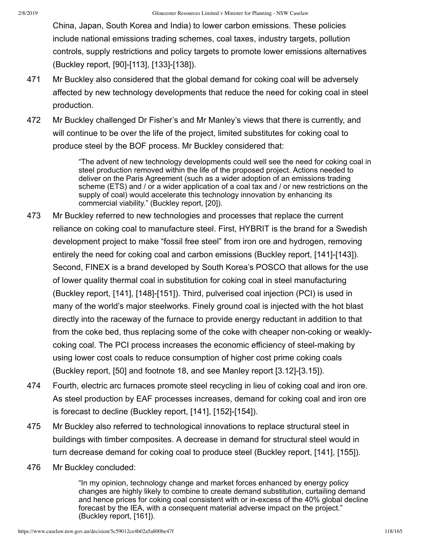China, Japan, South Korea and India) to lower carbon emissions. These policies include national emissions trading schemes, coal taxes, industry targets, pollution controls, supply restrictions and policy targets to promote lower emissions alternatives (Buckley report, [90]-[113], [133]-[138]).

- 471 Mr Buckley also considered that the global demand for coking coal will be adversely affected by new technology developments that reduce the need for coking coal in steel production.
- 472 Mr Buckley challenged Dr Fisher's and Mr Manley's views that there is currently, and will continue to be over the life of the project, limited substitutes for coking coal to produce steel by the BOF process. Mr Buckley considered that:

"The advent of new technology developments could well see the need for coking coal in steel production removed within the life of the proposed project. Actions needed to deliver on the Paris Agreement (such as a wider adoption of an emissions trading scheme (ETS) and / or a wider application of a coal tax and / or new restrictions on the supply of coal) would accelerate this technology innovation by enhancing its commercial viability." (Buckley report, [20]).

- 473 Mr Buckley referred to new technologies and processes that replace the current reliance on coking coal to manufacture steel. First, HYBRIT is the brand for a Swedish development project to make "fossil free steel" from iron ore and hydrogen, removing entirely the need for coking coal and carbon emissions (Buckley report, [141]-[143]). Second, FINEX is a brand developed by South Korea's POSCO that allows for the use of lower quality thermal coal in substitution for coking coal in steel manufacturing (Buckley report, [141], [148]-[151]). Third, pulverised coal injection (PCI) is used in many of the world's major steelworks. Finely ground coal is injected with the hot blast directly into the raceway of the furnace to provide energy reductant in addition to that from the coke bed, thus replacing some of the coke with cheaper non-coking or weaklycoking coal. The PCI process increases the economic efficiency of steelmaking by using lower cost coals to reduce consumption of higher cost prime coking coals (Buckley report, [50] and footnote 18, and see Manley report [3.12]-[3.15]).
- 474 Fourth, electric arc furnaces promote steel recycling in lieu of coking coal and iron ore. As steel production by EAF processes increases, demand for coking coal and iron ore is forecast to decline (Buckley report,  $[141]$ ,  $[152]$ - $[154]$ ).
- 475 Mr Buckley also referred to technological innovations to replace structural steel in buildings with timber composites. A decrease in demand for structural steel would in turn decrease demand for coking coal to produce steel (Buckley report, [141], [155]).
- 476 Mr Buckley concluded:

"In my opinion, technology change and market forces enhanced by energy policy changes are highly likely to combine to create demand substitution, curtailing demand and hence prices for coking coal consistent with or in-excess of the 40% global decline forecast by the IEA, with a consequent material adverse impact on the project." (Buckley report, [161]).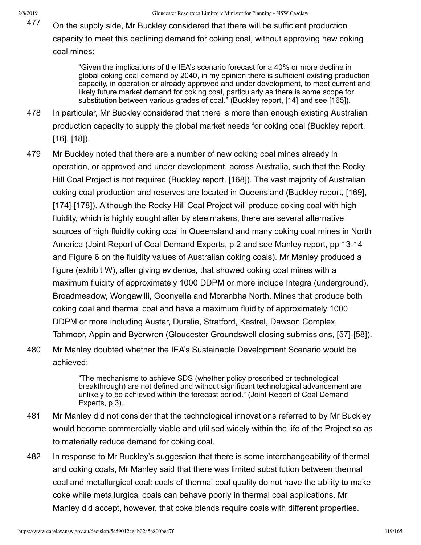477 On the supply side, Mr Buckley considered that there will be sufficient production capacity to meet this declining demand for coking coal, without approving new coking coal mines:

> "Given the implications of the IEA's scenario forecast for a 40% or more decline in global coking coal demand by 2040, in my opinion there is sufficient existing production capacity, in operation or already approved and under development, to meet current and likely future market demand for coking coal, particularly as there is some scope for substitution between various grades of coal." (Buckley report, [14] and see [165]).

- 478 In particular, Mr Buckley considered that there is more than enough existing Australian production capacity to supply the global market needs for coking coal (Buckley report, [16], [18]).
- 479 Mr Buckley noted that there are a number of new coking coal mines already in operation, or approved and under development, across Australia, such that the Rocky Hill Coal Project is not required (Buckley report, [168]). The vast majority of Australian coking coal production and reserves are located in Queensland (Buckley report, [169], [174]-[178]). Although the Rocky Hill Coal Project will produce coking coal with high fluidity, which is highly sought after by steelmakers, there are several alternative sources of high fluidity coking coal in Queensland and many coking coal mines in North America (Joint Report of Coal Demand Experts, p 2 and see Manley report, pp 13-14 and Figure 6 on the fluidity values of Australian coking coals). Mr Manley produced a figure (exhibit W), after giving evidence, that showed coking coal mines with a maximum fluidity of approximately 1000 DDPM or more include Integra (underground), Broadmeadow, Wongawilli, Goonyella and Moranbha North. Mines that produce both coking coal and thermal coal and have a maximum fluidity of approximately 1000 DDPM or more including Austar, Duralie, Stratford, Kestrel, Dawson Complex, Tahmoor, Appin and Byerwren (Gloucester Groundswell closing submissions, [57]-[58]).
- 480 Mr Manley doubted whether the IEA's Sustainable Development Scenario would be achieved:

"The mechanisms to achieve SDS (whether policy proscribed or technological breakthrough) are not defined and without significant technological advancement are unlikely to be achieved within the forecast period." (Joint Report of Coal Demand Experts, p 3).

- 481 Mr Manley did not consider that the technological innovations referred to by Mr Buckley would become commercially viable and utilised widely within the life of the Project so as to materially reduce demand for coking coal.
- 482 In response to Mr Buckley's suggestion that there is some interchangeability of thermal and coking coals, Mr Manley said that there was limited substitution between thermal coal and metallurgical coal: coals of thermal coal quality do not have the ability to make coke while metallurgical coals can behave poorly in thermal coal applications. Mr Manley did accept, however, that coke blends require coals with different properties.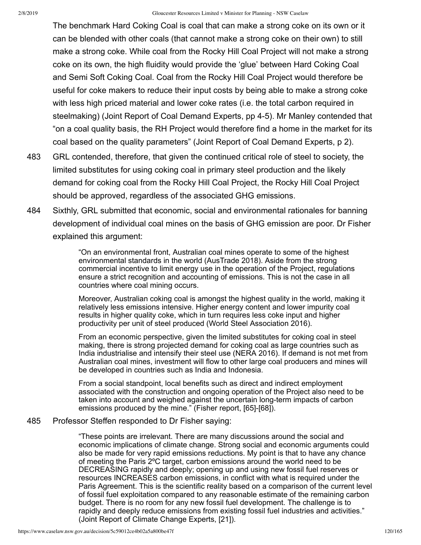The benchmark Hard Coking Coal is coal that can make a strong coke on its own or it can be blended with other coals (that cannot make a strong coke on their own) to still make a strong coke. While coal from the Rocky Hill Coal Project will not make a strong coke on its own, the high fluidity would provide the 'glue' between Hard Coking Coal and Semi Soft Coking Coal. Coal from the Rocky Hill Coal Project would therefore be useful for coke makers to reduce their input costs by being able to make a strong coke with less high priced material and lower coke rates (i.e. the total carbon required in steelmaking) (Joint Report of Coal Demand Experts, pp 4-5). Mr Manley contended that "on a coal quality basis, the RH Project would therefore find a home in the market for its coal based on the quality parameters" (Joint Report of Coal Demand Experts, p 2).

- 483 GRL contended, therefore, that given the continued critical role of steel to society, the limited substitutes for using coking coal in primary steel production and the likely demand for coking coal from the Rocky Hill Coal Project, the Rocky Hill Coal Project should be approved, regardless of the associated GHG emissions.
- 484 Sixthly, GRL submitted that economic, social and environmental rationales for banning development of individual coal mines on the basis of GHG emission are poor. Dr Fisher explained this argument:

"On an environmental front, Australian coal mines operate to some of the highest environmental standards in the world (AusTrade 2018). Aside from the strong commercial incentive to limit energy use in the operation of the Project, regulations ensure a strict recognition and accounting of emissions. This is not the case in all countries where coal mining occurs.

Moreover, Australian coking coal is amongst the highest quality in the world, making it relatively less emissions intensive. Higher energy content and lower impurity coal results in higher quality coke, which in turn requires less coke input and higher productivity per unit of steel produced (World Steel Association 2016).

From an economic perspective, given the limited substitutes for coking coal in steel making, there is strong projected demand for coking coal as large countries such as India industrialise and intensify their steel use (NERA 2016). If demand is not met from Australian coal mines, investment will flow to other large coal producers and mines will be developed in countries such as India and Indonesia.

From a social standpoint, local benefits such as direct and indirect employment associated with the construction and ongoing operation of the Project also need to be taken into account and weighed against the uncertain long-term impacts of carbon emissions produced by the mine." (Fisher report, [65]-[68]).

### 485 Professor Steffen responded to Dr Fisher saying:

"These points are irrelevant. There are many discussions around the social and economic implications of climate change. Strong social and economic arguments could also be made for very rapid emissions reductions. My point is that to have any chance of meeting the Paris 2ºC target, carbon emissions around the world need to be DECREASING rapidly and deeply; opening up and using new fossil fuel reserves or resources INCREASES carbon emissions, in conflict with what is required under the Paris Agreement. This is the scientific reality based on a comparison of the current level of fossil fuel exploitation compared to any reasonable estimate of the remaining carbon budget. There is no room for any new fossil fuel development. The challenge is to rapidly and deeply reduce emissions from existing fossil fuel industries and activities." (Joint Report of Climate Change Experts, [21]).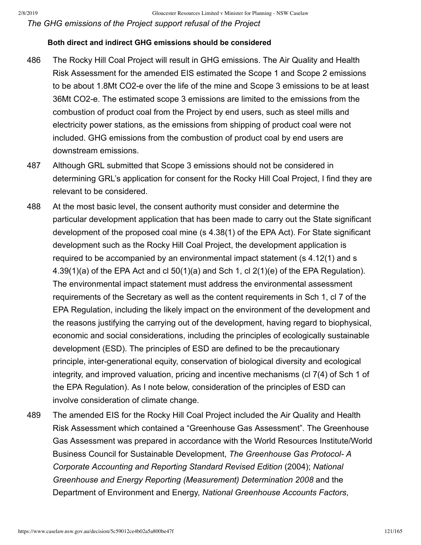*The GHG emissions of the Project support refusal of the Project*

## **Both direct and indirect GHG emissions should be considered**

- 486 The Rocky Hill Coal Project will result in GHG emissions. The Air Quality and Health Risk Assessment for the amended EIS estimated the Scope 1 and Scope 2 emissions to be about 1.8Mt CO2-e over the life of the mine and Scope 3 emissions to be at least 36Mt CO2-e. The estimated scope 3 emissions are limited to the emissions from the combustion of product coal from the Project by end users, such as steel mills and electricity power stations, as the emissions from shipping of product coal were not included. GHG emissions from the combustion of product coal by end users are downstream emissions.
- 487 Although GRL submitted that Scope 3 emissions should not be considered in determining GRL's application for consent for the Rocky Hill Coal Project, I find they are relevant to be considered.
- 488 At the most basic level, the consent authority must consider and determine the particular development application that has been made to carry out the State significant development of the proposed coal mine (s 4.38(1) of the EPA Act). For State significant development such as the Rocky Hill Coal Project, the development application is required to be accompanied by an environmental impact statement (s 4.12(1) and s 4.39(1)(a) of the EPA Act and cl 50(1)(a) and Sch 1, cl 2(1)(e) of the EPA Regulation). The environmental impact statement must address the environmental assessment requirements of the Secretary as well as the content requirements in Sch 1, cl 7 of the EPA Regulation, including the likely impact on the environment of the development and the reasons justifying the carrying out of the development, having regard to biophysical, economic and social considerations, including the principles of ecologically sustainable development (ESD). The principles of ESD are defined to be the precautionary principle, inter-generational equity, conservation of biological diversity and ecological integrity, and improved valuation, pricing and incentive mechanisms (cl 7(4) of Sch 1 of the EPA Regulation). As I note below, consideration of the principles of ESD can involve consideration of climate change.
- 489 The amended EIS for the Rocky Hill Coal Project included the Air Quality and Health Risk Assessment which contained a "Greenhouse Gas Assessment". The Greenhouse Gas Assessment was prepared in accordance with the World Resources Institute/World Business Council for Sustainable Development, *The Greenhouse Gas Protocol A Corporate Accounting and Reporting Standard Revised Edition* (2004); *National Greenhouse and Energy Reporting (Measurement) Determination 2008* and the Department of Environment and Energy, *National Greenhouse Accounts Factors*,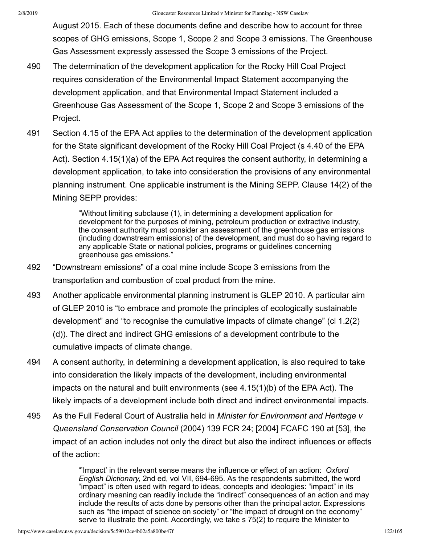August 2015. Each of these documents define and describe how to account for three scopes of GHG emissions, Scope 1, Scope 2 and Scope 3 emissions. The Greenhouse Gas Assessment expressly assessed the Scope 3 emissions of the Project.

- 490 The determination of the development application for the Rocky Hill Coal Project requires consideration of the Environmental Impact Statement accompanying the development application, and that Environmental Impact Statement included a Greenhouse Gas Assessment of the Scope 1, Scope 2 and Scope 3 emissions of the Project.
- 491 Section 4.15 of the EPA Act applies to the determination of the development application for the State significant development of the Rocky Hill Coal Project (s 4.40 of the EPA Act). Section 4.15(1)(a) of the EPA Act requires the consent authority, in determining a development application, to take into consideration the provisions of any environmental planning instrument. One applicable instrument is the Mining SEPP. Clause 14(2) of the Mining SEPP provides:

"Without limiting subclause (1), in determining a development application for development for the purposes of mining, petroleum production or extractive industry, the consent authority must consider an assessment of the greenhouse gas emissions (including downstream emissions) of the development, and must do so having regard to any applicable State or national policies, programs or guidelines concerning greenhouse gas emissions."

- 492 "Downstream emissions" of a coal mine include Scope 3 emissions from the transportation and combustion of coal product from the mine.
- 493 Another applicable environmental planning instrument is GLEP 2010. A particular aim of GLEP 2010 is "to embrace and promote the principles of ecologically sustainable development" and "to recognise the cumulative impacts of climate change" (cl 1.2(2) (d)). The direct and indirect GHG emissions of a development contribute to the cumulative impacts of climate change.
- 494 A consent authority, in determining a development application, is also required to take into consideration the likely impacts of the development, including environmental impacts on the natural and built environments (see 4.15(1)(b) of the EPA Act). The likely impacts of a development include both direct and indirect environmental impacts.
- 495 As the Full Federal Court of Australia held in *Minister for Environment and Heritage v Queensland Conservation Council* (2004) 139 FCR 24; [2004] FCAFC 190 at [53], the impact of an action includes not only the direct but also the indirect influences or effects of the action:

"'Impact' in the relevant sense means the influence or effect of an action: *Oxford English Dictionary,* 2nd ed, vol VII, 694-695. As the respondents submitted, the word "impact" is often used with regard to ideas, concepts and ideologies: "impact" in its ordinary meaning can readily include the "indirect" consequences of an action and may include the results of acts done by persons other than the principal actor. Expressions such as "the impact of science on society" or "the impact of drought on the economy" serve to illustrate the point. Accordingly, we take s 75(2) to require the Minister to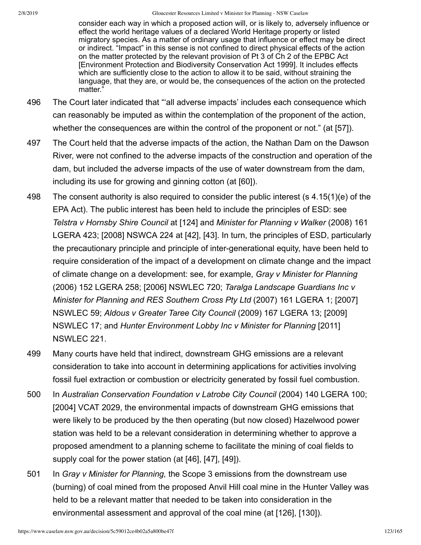2/8/2019 Gloucester Resources Limited v Minister for Planning - NSW Caselaw

consider each way in which a proposed action will, or is likely to, adversely influence or effect the world heritage values of a declared World Heritage property or listed migratory species. As a matter of ordinary usage that influence or effect may be direct or indirect. "Impact" in this sense is not confined to direct physical effects of the action on the matter protected by the relevant provision of Pt 3 of Ch 2 of the EPBC Act [Environment Protection and Biodiversity Conservation Act 1999]. It includes effects which are sufficiently close to the action to allow it to be said, without straining the language, that they are, or would be, the consequences of the action on the protected matter."

- 496 The Court later indicated that "'all adverse impacts' includes each consequence which can reasonably be imputed as within the contemplation of the proponent of the action, whether the consequences are within the control of the proponent or not." (at [57]).
- 497 The Court held that the adverse impacts of the action, the Nathan Dam on the Dawson River, were not confined to the adverse impacts of the construction and operation of the dam, but included the adverse impacts of the use of water downstream from the dam, including its use for growing and ginning cotton (at [60]).
- 498 The consent authority is also required to consider the public interest (s 4.15(1)(e) of the EPA Act). The public interest has been held to include the principles of ESD: see *Telstra v Hornsby Shire Council* at [124] and *Minister for Planning v Walker* (2008) 161 LGERA 423; [2008] NSWCA 224 at [42], [43]. In turn, the principles of ESD, particularly the precautionary principle and principle of inter-generational equity, have been held to require consideration of the impact of a development on climate change and the impact of climate change on a development: see, for example, *Gray v Minister for Planning* (2006) 152 LGERA 258; [2006] NSWLEC 720; *Taralga Landscape Guardians Inc v Minister for Planning and RES Southern Cross Pty Ltd* (2007) 161 LGERA 1; [2007] NSWLEC 59; *Aldous v Greater Taree City Council* (2009) 167 LGERA 13; [2009] NSWLEC 17; and *Hunter Environment Lobby Inc v Minister for Planning* [2011] NSWLEC 221.
- 499 Many courts have held that indirect, downstream GHG emissions are a relevant consideration to take into account in determining applications for activities involving fossil fuel extraction or combustion or electricity generated by fossil fuel combustion.
- 500 In Australian Conservation Foundation v Latrobe City Council (2004) 140 LGERA 100; [2004] VCAT 2029, the environmental impacts of downstream GHG emissions that were likely to be produced by the then operating (but now closed) Hazelwood power station was held to be a relevant consideration in determining whether to approve a proposed amendment to a planning scheme to facilitate the mining of coal fields to supply coal for the power station (at [46], [47], [49]).
- 501 In *Gray v Minister for Planning,* the Scope 3 emissions from the downstream use (burning) of coal mined from the proposed Anvil Hill coal mine in the Hunter Valley was held to be a relevant matter that needed to be taken into consideration in the environmental assessment and approval of the coal mine (at [126], [130]).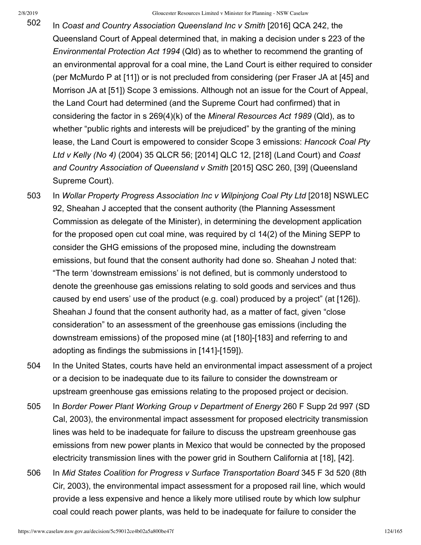502 In *Coast and Country Association Queensland Inc v Smith* [2016] QCA 242, the Queensland Court of Appeal determined that, in making a decision under s 223 of the *Environmental Protection Act 1994* (Qld) as to whether to recommend the granting of an environmental approval for a coal mine, the Land Court is either required to consider (per McMurdo P at [11]) or is not precluded from considering (per Fraser JA at [45] and Morrison JA at [51]) Scope 3 emissions. Although not an issue for the Court of Appeal, the Land Court had determined (and the Supreme Court had confirmed) that in considering the factor in s 269(4)(k) of the *Mineral Resources Act 1989* (Qld), as to whether "public rights and interests will be prejudiced" by the granting of the mining lease, the Land Court is empowered to consider Scope 3 emissions: *Hancock Coal Pty Ltd v Kelly (No 4)* (2004) 35 QLCR 56; [2014] QLC 12, [218] (Land Court) and *Coast and Country Association of Queensland v Smith* [2015] QSC 260, [39] (Queensland Supreme Court).

- 503 In *Wollar Property Progress Association Inc v Wilpinjong Coal Pty Ltd* [2018] NSWLEC 92, Sheahan J accepted that the consent authority (the Planning Assessment Commission as delegate of the Minister), in determining the development application for the proposed open cut coal mine, was required by cl 14(2) of the Mining SEPP to consider the GHG emissions of the proposed mine, including the downstream emissions, but found that the consent authority had done so. Sheahan J noted that: "The term 'downstream emissions' is not defined, but is commonly understood to denote the greenhouse gas emissions relating to sold goods and services and thus caused by end users' use of the product (e.g. coal) produced by a project" (at [126]). Sheahan J found that the consent authority had, as a matter of fact, given "close consideration" to an assessment of the greenhouse gas emissions (including the downstream emissions) of the proposed mine (at [180]-[183] and referring to and adopting as findings the submissions in  $[141]-[159]$ .
- 504 In the United States, courts have held an environmental impact assessment of a project or a decision to be inadequate due to its failure to consider the downstream or upstream greenhouse gas emissions relating to the proposed project or decision.
- 505 In *Border Power Plant Working Group v Department of Energy* 260 F Supp 2d 997 (SD Cal, 2003), the environmental impact assessment for proposed electricity transmission lines was held to be inadequate for failure to discuss the upstream greenhouse gas emissions from new power plants in Mexico that would be connected by the proposed electricity transmission lines with the power grid in Southern California at [18], [42].
- 506 In *Mid States Coalition for Progress v Surface Transportation Board* 345 F 3d 520 (8th Cir, 2003), the environmental impact assessment for a proposed rail line, which would provide a less expensive and hence a likely more utilised route by which low sulphur coal could reach power plants, was held to be inadequate for failure to consider the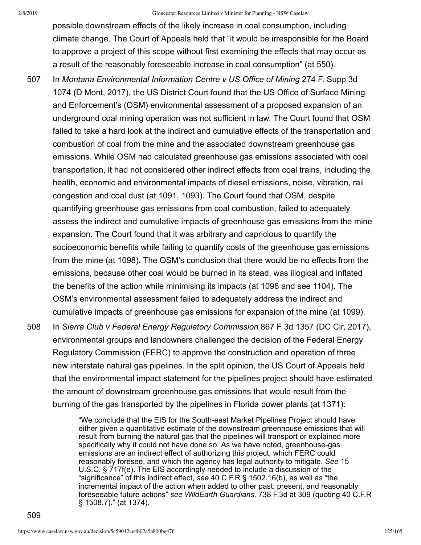possible downstream effects of the likely increase in coal consumption, including climate change. The Court of Appeals held that "it would be irresponsible for the Board to approve a project of this scope without first examining the effects that may occur as a result of the reasonably foreseeable increase in coal consumption" (at 550).

- 507 In *Montana Environmental Information Centre v US Office of Mining* 274 F. Supp 3d 1074 (D Mont, 2017), the US District Court found that the US Office of Surface Mining and Enforcement's (OSM) environmental assessment of a proposed expansion of an underground coal mining operation was not sufficient in law. The Court found that OSM failed to take a hard look at the indirect and cumulative effects of the transportation and combustion of coal from the mine and the associated downstream greenhouse gas emissions. While OSM had calculated greenhouse gas emissions associated with coal transportation, it had not considered other indirect effects from coal trains, including the health, economic and environmental impacts of diesel emissions, noise, vibration, rail congestion and coal dust (at 1091, 1093). The Court found that OSM, despite quantifying greenhouse gas emissions from coal combustion, failed to adequately assess the indirect and cumulative impacts of greenhouse gas emissions from the mine expansion. The Court found that it was arbitrary and capricious to quantify the socioeconomic benefits while failing to quantify costs of the greenhouse gas emissions from the mine (at 1098). The OSM's conclusion that there would be no effects from the emissions, because other coal would be burned in its stead, was illogical and inflated the benefits of the action while minimising its impacts (at 1098 and see 1104). The OSM's environmental assessment failed to adequately address the indirect and cumulative impacts of greenhouse gas emissions for expansion of the mine (at 1099).
- 508 In *Sierra Club v Federal Energy Regulatory Commission* 867 F 3d 1357 (DC Cir, 2017), environmental groups and landowners challenged the decision of the Federal Energy Regulatory Commission (FERC) to approve the construction and operation of three new interstate natural gas pipelines. In the split opinion, the US Court of Appeals held that the environmental impact statement for the pipelines project should have estimated the amount of downstream greenhouse gas emissions that would result from the burning of the gas transported by the pipelines in Florida power plants (at 1371):

"We conclude that the EIS for the Southeast Market Pipelines Project should have either given a quantitative estimate of the downstream greenhouse emissions that will result from burning the natural gas that the pipelines will transport or explained more specifically why it could not have done so. As we have noted, greenhouse-gas emissions are an indirect effect of authorizing this project, which FERC could reasonably foresee, and which the agency has legal authority to mitigate. *See* 15 U.S.C. § 717f(e). The EIS accordingly needed to include a discussion of the "significance" of this indirect effect, *see* 40 C.F.R § 1502.16(b), as well as "the incremental impact of the action when added to other past, present, and reasonably foreseeable future actions" *see WildEarth Guardians,* 738 F.3d at 309 (quoting 40 C.F.R § 1508.7)." (at 1374).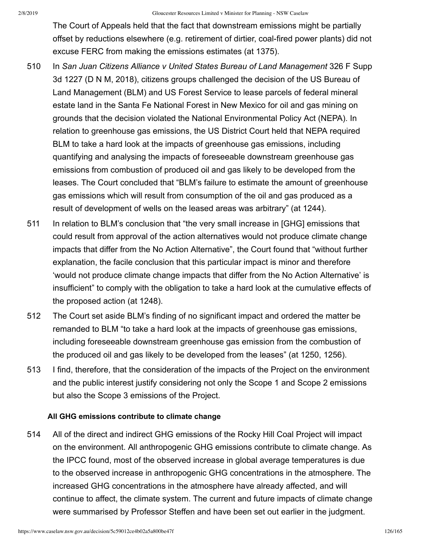The Court of Appeals held that the fact that downstream emissions might be partially offset by reductions elsewhere (e.g. retirement of dirtier, coalfired power plants) did not excuse FERC from making the emissions estimates (at 1375).

- 510 In *San Juan Citizens Alliance v United States Bureau of Land Management* 326 F Supp 3d 1227 (D N M, 2018), citizens groups challenged the decision of the US Bureau of Land Management (BLM) and US Forest Service to lease parcels of federal mineral estate land in the Santa Fe National Forest in New Mexico for oil and gas mining on grounds that the decision violated the National Environmental Policy Act (NEPA). In relation to greenhouse gas emissions, the US District Court held that NEPA required BLM to take a hard look at the impacts of greenhouse gas emissions, including quantifying and analysing the impacts of foreseeable downstream greenhouse gas emissions from combustion of produced oil and gas likely to be developed from the leases. The Court concluded that "BLM's failure to estimate the amount of greenhouse gas emissions which will result from consumption of the oil and gas produced as a result of development of wells on the leased areas was arbitrary" (at 1244).
- 511 In relation to BLM's conclusion that "the very small increase in [GHG] emissions that could result from approval of the action alternatives would not produce climate change impacts that differ from the No Action Alternative", the Court found that "without further explanation, the facile conclusion that this particular impact is minor and therefore 'would not produce climate change impacts that differ from the No Action Alternative' is insufficient" to comply with the obligation to take a hard look at the cumulative effects of the proposed action (at 1248).
- 512 The Court set aside BLM's finding of no significant impact and ordered the matter be remanded to BLM "to take a hard look at the impacts of greenhouse gas emissions, including foreseeable downstream greenhouse gas emission from the combustion of the produced oil and gas likely to be developed from the leases" (at 1250, 1256).
- 513 I find, therefore, that the consideration of the impacts of the Project on the environment and the public interest justify considering not only the Scope 1 and Scope 2 emissions but also the Scope 3 emissions of the Project.

## **All GHG emissions contribute to climate change**

514 All of the direct and indirect GHG emissions of the Rocky Hill Coal Project will impact on the environment. All anthropogenic GHG emissions contribute to climate change. As the IPCC found, most of the observed increase in global average temperatures is due to the observed increase in anthropogenic GHG concentrations in the atmosphere. The increased GHG concentrations in the atmosphere have already affected, and will continue to affect, the climate system. The current and future impacts of climate change were summarised by Professor Steffen and have been set out earlier in the judgment.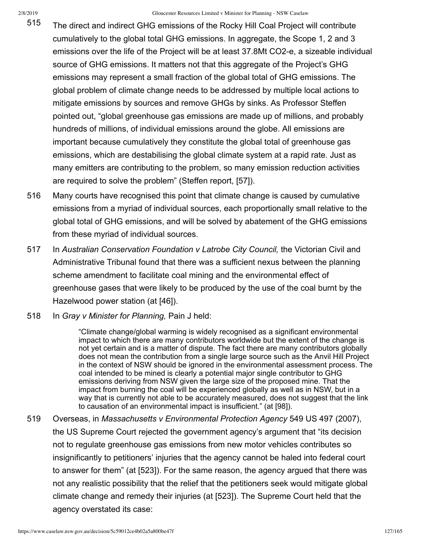- 515 The direct and indirect GHG emissions of the Rocky Hill Coal Project will contribute cumulatively to the global total GHG emissions. In aggregate, the Scope 1, 2 and 3 emissions over the life of the Project will be at least 37.8Mt CO2-e, a sizeable individual source of GHG emissions. It matters not that this aggregate of the Project's GHG emissions may represent a small fraction of the global total of GHG emissions. The global problem of climate change needs to be addressed by multiple local actions to mitigate emissions by sources and remove GHGs by sinks. As Professor Steffen pointed out, "global greenhouse gas emissions are made up of millions, and probably hundreds of millions, of individual emissions around the globe. All emissions are important because cumulatively they constitute the global total of greenhouse gas emissions, which are destabilising the global climate system at a rapid rate. Just as many emitters are contributing to the problem, so many emission reduction activities are required to solve the problem" (Steffen report, [57]).
- 516 Many courts have recognised this point that climate change is caused by cumulative emissions from a myriad of individual sources, each proportionally small relative to the global total of GHG emissions, and will be solved by abatement of the GHG emissions from these myriad of individual sources.
- 517 In *Australian Conservation Foundation v Latrobe City Council,* the Victorian Civil and Administrative Tribunal found that there was a sufficient nexus between the planning scheme amendment to facilitate coal mining and the environmental effect of greenhouse gases that were likely to be produced by the use of the coal burnt by the Hazelwood power station (at [46]).
- 518 In *Gray v Minister for Planning,* Pain J held:

"Climate change/global warming is widely recognised as a significant environmental impact to which there are many contributors worldwide but the extent of the change is not yet certain and is a matter of dispute. The fact there are many contributors globally does not mean the contribution from a single large source such as the Anvil Hill Project in the context of NSW should be ignored in the environmental assessment process. The coal intended to be mined is clearly a potential major single contributor to GHG emissions deriving from NSW given the large size of the proposed mine. That the impact from burning the coal will be experienced globally as well as in NSW, but in a way that is currently not able to be accurately measured, does not suggest that the link to causation of an environmental impact is insufficient." (at [98]).

519 Overseas, in *Massachusetts v Environmental Protection Agency* 549 US 497 (2007), the US Supreme Court rejected the government agency's argument that "its decision not to regulate greenhouse gas emissions from new motor vehicles contributes so insignificantly to petitioners' injuries that the agency cannot be haled into federal court to answer for them" (at [523]). For the same reason, the agency argued that there was not any realistic possibility that the relief that the petitioners seek would mitigate global climate change and remedy their injuries (at [523]). The Supreme Court held that the agency overstated its case: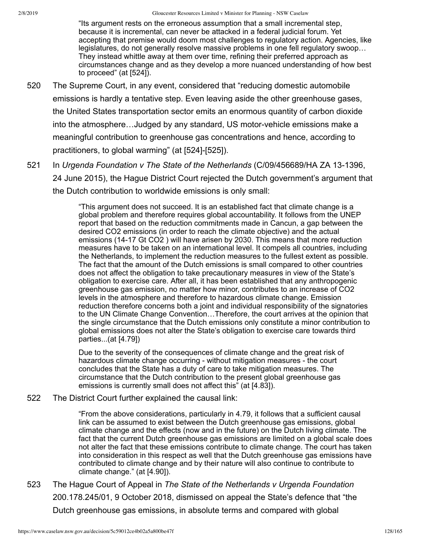"Its argument rests on the erroneous assumption that a small incremental step, because it is incremental, can never be attacked in a federal judicial forum. Yet accepting that premise would doom most challenges to regulatory action. Agencies, like legislatures, do not generally resolve massive problems in one fell regulatory swoop… They instead whittle away at them over time, refining their preferred approach as circumstances change and as they develop a more nuanced understanding of how best to proceed" (at [524]).

- 520 The Supreme Court, in any event, considered that "reducing domestic automobile emissions is hardly a tentative step. Even leaving aside the other greenhouse gases, the United States transportation sector emits an enormous quantity of carbon dioxide into the atmosphere...Judged by any standard, US motor-vehicle emissions make a meaningful contribution to greenhouse gas concentrations and hence, according to practitioners, to global warming" (at  $[524]$ - $[525]$ ).
- 521 In *Urgenda Foundation v The State of the Netherlands* (C/09/456689/HA ZA 13-1396, 24 June 2015), the Hague District Court rejected the Dutch government's argument that the Dutch contribution to worldwide emissions is only small:

"This argument does not succeed. It is an established fact that climate change is a global problem and therefore requires global accountability. It follows from the UNEP report that based on the reduction commitments made in Cancun, a gap between the desired CO2 emissions (in order to reach the climate objective) and the actual emissions (14-17 Gt CO2) will have arisen by 2030. This means that more reduction measures have to be taken on an international level. It compels all countries, including the Netherlands, to implement the reduction measures to the fullest extent as possible. The fact that the amount of the Dutch emissions is small compared to other countries does not affect the obligation to take precautionary measures in view of the State's obligation to exercise care. After all, it has been established that any anthropogenic greenhouse gas emission, no matter how minor, contributes to an increase of CO2 levels in the atmosphere and therefore to hazardous climate change. Emission reduction therefore concerns both a joint and individual responsibility of the signatories to the UN Climate Change Convention…Therefore, the court arrives at the opinion that the single circumstance that the Dutch emissions only constitute a minor contribution to global emissions does not alter the State's obligation to exercise care towards third parties...(at [4.79])

Due to the severity of the consequences of climate change and the great risk of hazardous climate change occurring - without mitigation measures - the court concludes that the State has a duty of care to take mitigation measures. The circumstance that the Dutch contribution to the present global greenhouse gas emissions is currently small does not affect this" (at [4.83]).

522 The District Court further explained the causal link:

"From the above considerations, particularly in 4.79, it follows that a sufficient causal link can be assumed to exist between the Dutch greenhouse gas emissions, global climate change and the effects (now and in the future) on the Dutch living climate. The fact that the current Dutch greenhouse gas emissions are limited on a global scale does not alter the fact that these emissions contribute to climate change. The court has taken into consideration in this respect as well that the Dutch greenhouse gas emissions have contributed to climate change and by their nature will also continue to contribute to climate change." (at [4.90]).

523 The Hague Court of Appeal in *The State of the Netherlands v Urgenda Foundation* 200.178.245/01, 9 October 2018, dismissed on appeal the State's defence that "the Dutch greenhouse gas emissions, in absolute terms and compared with global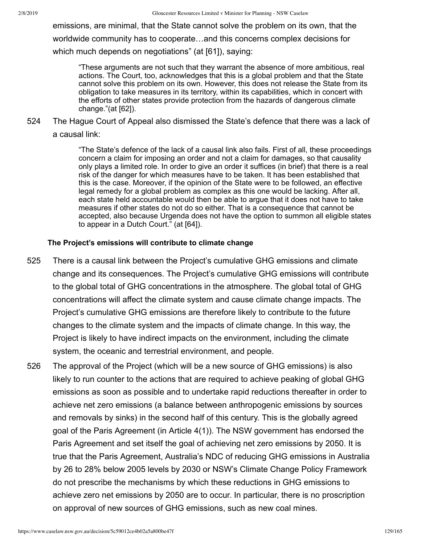emissions, are minimal, that the State cannot solve the problem on its own, that the worldwide community has to cooperate…and this concerns complex decisions for which much depends on negotiations" (at [61]), saying:

"These arguments are not such that they warrant the absence of more ambitious, real actions. The Court, too, acknowledges that this is a global problem and that the State cannot solve this problem on its own. However, this does not release the State from its obligation to take measures in its territory, within its capabilities, which in concert with the efforts of other states provide protection from the hazards of dangerous climate change."(at [62]).

524 The Hague Court of Appeal also dismissed the State's defence that there was a lack of a causal link:

"The State's defence of the lack of a causal link also fails. First of all, these proceedings concern a claim for imposing an order and not a claim for damages, so that causality only plays a limited role. In order to give an order it suffices (in brief) that there is a real risk of the danger for which measures have to be taken. It has been established that this is the case. Moreover, if the opinion of the State were to be followed, an effective legal remedy for a global problem as complex as this one would be lacking. After all, each state held accountable would then be able to argue that it does not have to take measures if other states do not do so either. That is a consequence that cannot be accepted, also because Urgenda does not have the option to summon all eligible states to appear in a Dutch Court." (at [64]).

#### **The Project's emissions will contribute to climate change**

- 525 There is a causal link between the Project's cumulative GHG emissions and climate change and its consequences. The Project's cumulative GHG emissions will contribute to the global total of GHG concentrations in the atmosphere. The global total of GHG concentrations will affect the climate system and cause climate change impacts. The Project's cumulative GHG emissions are therefore likely to contribute to the future changes to the climate system and the impacts of climate change. In this way, the Project is likely to have indirect impacts on the environment, including the climate system, the oceanic and terrestrial environment, and people.
- 526 The approval of the Project (which will be a new source of GHG emissions) is also likely to run counter to the actions that are required to achieve peaking of global GHG emissions as soon as possible and to undertake rapid reductions thereafter in order to achieve net zero emissions (a balance between anthropogenic emissions by sources and removals by sinks) in the second half of this century. This is the globally agreed goal of the Paris Agreement (in Article 4(1)). The NSW government has endorsed the Paris Agreement and set itself the goal of achieving net zero emissions by 2050. It is true that the Paris Agreement, Australia's NDC of reducing GHG emissions in Australia by 26 to 28% below 2005 levels by 2030 or NSW's Climate Change Policy Framework do not prescribe the mechanisms by which these reductions in GHG emissions to achieve zero net emissions by 2050 are to occur. In particular, there is no proscription on approval of new sources of GHG emissions, such as new coal mines.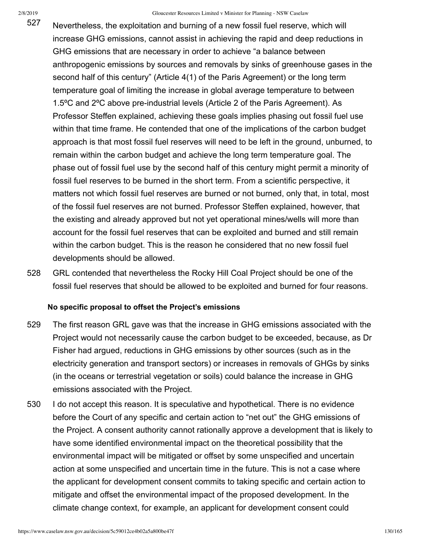527 Nevertheless, the exploitation and burning of a new fossil fuel reserve, which will increase GHG emissions, cannot assist in achieving the rapid and deep reductions in GHG emissions that are necessary in order to achieve "a balance between anthropogenic emissions by sources and removals by sinks of greenhouse gases in the second half of this century" (Article 4(1) of the Paris Agreement) or the long term temperature goal of limiting the increase in global average temperature to between 1.5°C and 2°C above pre-industrial levels (Article 2 of the Paris Agreement). As Professor Steffen explained, achieving these goals implies phasing out fossil fuel use within that time frame. He contended that one of the implications of the carbon budget approach is that most fossil fuel reserves will need to be left in the ground, unburned, to remain within the carbon budget and achieve the long term temperature goal. The phase out of fossil fuel use by the second half of this century might permit a minority of fossil fuel reserves to be burned in the short term. From a scientific perspective, it matters not which fossil fuel reserves are burned or not burned, only that, in total, most of the fossil fuel reserves are not burned. Professor Steffen explained, however, that the existing and already approved but not yet operational mines/wells will more than account for the fossil fuel reserves that can be exploited and burned and still remain within the carbon budget. This is the reason he considered that no new fossil fuel developments should be allowed.

528 GRL contended that nevertheless the Rocky Hill Coal Project should be one of the fossil fuel reserves that should be allowed to be exploited and burned for four reasons.

# **No specific proposal to offset the Project's emissions**

- 529 The first reason GRL gave was that the increase in GHG emissions associated with the Project would not necessarily cause the carbon budget to be exceeded, because, as Dr Fisher had argued, reductions in GHG emissions by other sources (such as in the electricity generation and transport sectors) or increases in removals of GHGs by sinks (in the oceans or terrestrial vegetation or soils) could balance the increase in GHG emissions associated with the Project.
- 530 I do not accept this reason. It is speculative and hypothetical. There is no evidence before the Court of any specific and certain action to "net out" the GHG emissions of the Project. A consent authority cannot rationally approve a development that is likely to have some identified environmental impact on the theoretical possibility that the environmental impact will be mitigated or offset by some unspecified and uncertain action at some unspecified and uncertain time in the future. This is not a case where the applicant for development consent commits to taking specific and certain action to mitigate and offset the environmental impact of the proposed development. In the climate change context, for example, an applicant for development consent could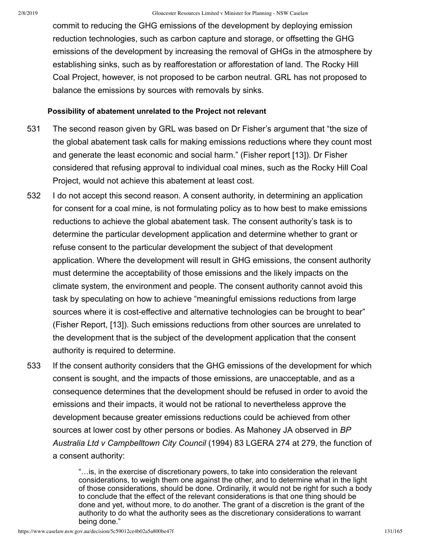commit to reducing the GHG emissions of the development by deploying emission reduction technologies, such as carbon capture and storage, or offsetting the GHG emissions of the development by increasing the removal of GHGs in the atmosphere by establishing sinks, such as by reafforestation or afforestation of land. The Rocky Hill Coal Project, however, is not proposed to be carbon neutral. GRL has not proposed to balance the emissions by sources with removals by sinks.

#### **Possibility of abatement unrelated to the Project not relevant**

- 531 The second reason given by GRL was based on Dr Fisher's argument that "the size of the global abatement task calls for making emissions reductions where they count most and generate the least economic and social harm." (Fisher report [13]). Dr Fisher considered that refusing approval to individual coal mines, such as the Rocky Hill Coal Project, would not achieve this abatement at least cost.
- 532 I do not accept this second reason. A consent authority, in determining an application for consent for a coal mine, is not formulating policy as to how best to make emissions reductions to achieve the global abatement task. The consent authority's task is to determine the particular development application and determine whether to grant or refuse consent to the particular development the subject of that development application. Where the development will result in GHG emissions, the consent authority must determine the acceptability of those emissions and the likely impacts on the climate system, the environment and people. The consent authority cannot avoid this task by speculating on how to achieve "meaningful emissions reductions from large sources where it is cost-effective and alternative technologies can be brought to bear" (Fisher Report, [13]). Such emissions reductions from other sources are unrelated to the development that is the subject of the development application that the consent authority is required to determine.
- 533 If the consent authority considers that the GHG emissions of the development for which consent is sought, and the impacts of those emissions, are unacceptable, and as a consequence determines that the development should be refused in order to avoid the emissions and their impacts, it would not be rational to nevertheless approve the development because greater emissions reductions could be achieved from other sources at lower cost by other persons or bodies. As Mahoney JA observed in *BP Australia Ltd v Campbelltown City Council* (1994) 83 LGERA 274 at 279, the function of a consent authority:

"…is, in the exercise of discretionary powers, to take into consideration the relevant considerations, to weigh them one against the other, and to determine what in the light of those considerations, should be done. Ordinarily, it would not be right for such a body to conclude that the effect of the relevant considerations is that one thing should be done and yet, without more, to do another. The grant of a discretion is the grant of the authority to do what the authority sees as the discretionary considerations to warrant being done."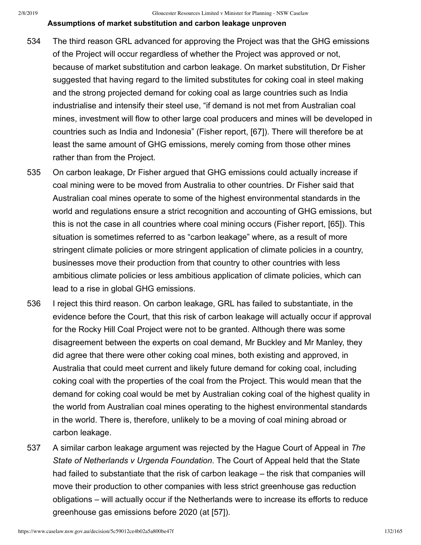#### **Assumptions of market substitution and carbon leakage unproven**

- 534 The third reason GRL advanced for approving the Project was that the GHG emissions of the Project will occur regardless of whether the Project was approved or not, because of market substitution and carbon leakage. On market substitution, Dr Fisher suggested that having regard to the limited substitutes for coking coal in steel making and the strong projected demand for coking coal as large countries such as India industrialise and intensify their steel use, "if demand is not met from Australian coal mines, investment will flow to other large coal producers and mines will be developed in countries such as India and Indonesia" (Fisher report, [67]). There will therefore be at least the same amount of GHG emissions, merely coming from those other mines rather than from the Project.
- 535 On carbon leakage, Dr Fisher argued that GHG emissions could actually increase if coal mining were to be moved from Australia to other countries. Dr Fisher said that Australian coal mines operate to some of the highest environmental standards in the world and regulations ensure a strict recognition and accounting of GHG emissions, but this is not the case in all countries where coal mining occurs (Fisher report, [65]). This situation is sometimes referred to as "carbon leakage" where, as a result of more stringent climate policies or more stringent application of climate policies in a country, businesses move their production from that country to other countries with less ambitious climate policies or less ambitious application of climate policies, which can lead to a rise in global GHG emissions.
- 536 I reject this third reason. On carbon leakage, GRL has failed to substantiate, in the evidence before the Court, that this risk of carbon leakage will actually occur if approval for the Rocky Hill Coal Project were not to be granted. Although there was some disagreement between the experts on coal demand, Mr Buckley and Mr Manley, they did agree that there were other coking coal mines, both existing and approved, in Australia that could meet current and likely future demand for coking coal, including coking coal with the properties of the coal from the Project. This would mean that the demand for coking coal would be met by Australian coking coal of the highest quality in the world from Australian coal mines operating to the highest environmental standards in the world. There is, therefore, unlikely to be a moving of coal mining abroad or carbon leakage.
- 537 A similar carbon leakage argument was rejected by the Hague Court of Appeal in *The State of Netherlands v Urgenda Foundation*. The Court of Appeal held that the State had failed to substantiate that the risk of carbon leakage – the risk that companies will move their production to other companies with less strict greenhouse gas reduction obligations – will actually occur if the Netherlands were to increase its efforts to reduce greenhouse gas emissions before 2020 (at [57]).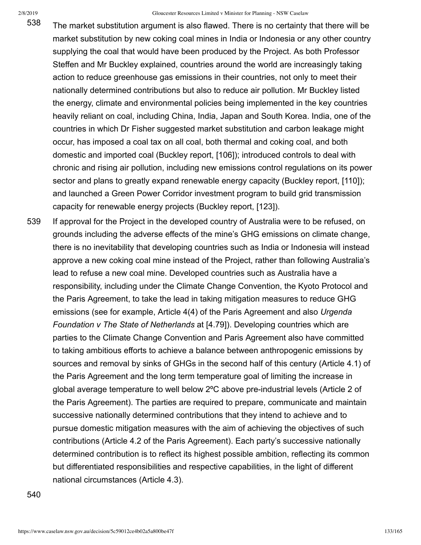$538$  The market substitution argument is also flawed. There is no certainty that there will be market substitution by new coking coal mines in India or Indonesia or any other country supplying the coal that would have been produced by the Project. As both Professor Steffen and Mr Buckley explained, countries around the world are increasingly taking action to reduce greenhouse gas emissions in their countries, not only to meet their nationally determined contributions but also to reduce air pollution. Mr Buckley listed the energy, climate and environmental policies being implemented in the key countries heavily reliant on coal, including China, India, Japan and South Korea. India, one of the countries in which Dr Fisher suggested market substitution and carbon leakage might occur, has imposed a coal tax on all coal, both thermal and coking coal, and both domestic and imported coal (Buckley report, [106]); introduced controls to deal with chronic and rising air pollution, including new emissions control regulations on its power sector and plans to greatly expand renewable energy capacity (Buckley report, [110]); and launched a Green Power Corridor investment program to build grid transmission capacity for renewable energy projects (Buckley report, [123]).

539 If approval for the Project in the developed country of Australia were to be refused, on grounds including the adverse effects of the mine's GHG emissions on climate change, there is no inevitability that developing countries such as India or Indonesia will instead approve a new coking coal mine instead of the Project, rather than following Australia's lead to refuse a new coal mine. Developed countries such as Australia have a responsibility, including under the Climate Change Convention, the Kyoto Protocol and the Paris Agreement, to take the lead in taking mitigation measures to reduce GHG emissions (see for example, Article 4(4) of the Paris Agreement and also *Urgenda Foundation v The State of Netherlands* at [4.79]). Developing countries which are parties to the Climate Change Convention and Paris Agreement also have committed to taking ambitious efforts to achieve a balance between anthropogenic emissions by sources and removal by sinks of GHGs in the second half of this century (Article 4.1) of the Paris Agreement and the long term temperature goal of limiting the increase in global average temperature to well below 2°C above pre-industrial levels (Article 2 of the Paris Agreement). The parties are required to prepare, communicate and maintain successive nationally determined contributions that they intend to achieve and to pursue domestic mitigation measures with the aim of achieving the objectives of such contributions (Article 4.2 of the Paris Agreement). Each party's successive nationally determined contribution is to reflect its highest possible ambition, reflecting its common but differentiated responsibilities and respective capabilities, in the light of different national circumstances (Article 4.3).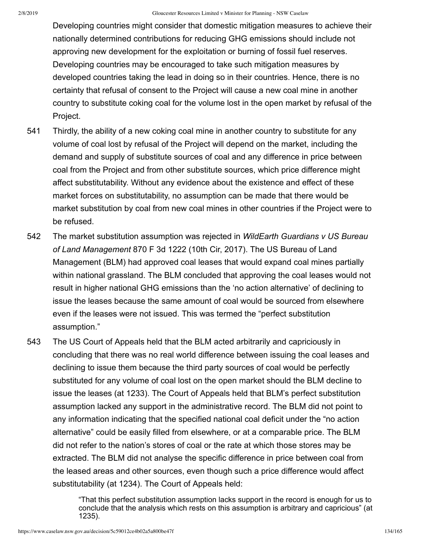Developing countries might consider that domestic mitigation measures to achieve their nationally determined contributions for reducing GHG emissions should include not approving new development for the exploitation or burning of fossil fuel reserves. Developing countries may be encouraged to take such mitigation measures by developed countries taking the lead in doing so in their countries. Hence, there is no certainty that refusal of consent to the Project will cause a new coal mine in another country to substitute coking coal for the volume lost in the open market by refusal of the Project.

- 541 Thirdly, the ability of a new coking coal mine in another country to substitute for any volume of coal lost by refusal of the Project will depend on the market, including the demand and supply of substitute sources of coal and any difference in price between coal from the Project and from other substitute sources, which price difference might affect substitutability. Without any evidence about the existence and effect of these market forces on substitutability, no assumption can be made that there would be market substitution by coal from new coal mines in other countries if the Project were to be refused.
- 542 The market substitution assumption was rejected in *WildEarth Guardians v US Bureau of Land Management* 870 F 3d 1222 (10th Cir, 2017). The US Bureau of Land Management (BLM) had approved coal leases that would expand coal mines partially within national grassland. The BLM concluded that approving the coal leases would not result in higher national GHG emissions than the 'no action alternative' of declining to issue the leases because the same amount of coal would be sourced from elsewhere even if the leases were not issued. This was termed the "perfect substitution assumption."
- 543 The US Court of Appeals held that the BLM acted arbitrarily and capriciously in concluding that there was no real world difference between issuing the coal leases and declining to issue them because the third party sources of coal would be perfectly substituted for any volume of coal lost on the open market should the BLM decline to issue the leases (at 1233). The Court of Appeals held that BLM's perfect substitution assumption lacked any support in the administrative record. The BLM did not point to any information indicating that the specified national coal deficit under the "no action alternative" could be easily filled from elsewhere, or at a comparable price. The BLM did not refer to the nation's stores of coal or the rate at which those stores may be extracted. The BLM did not analyse the specific difference in price between coal from the leased areas and other sources, even though such a price difference would affect substitutability (at 1234). The Court of Appeals held:

"That this perfect substitution assumption lacks support in the record is enough for us to conclude that the analysis which rests on this assumption is arbitrary and capricious" (at 1235).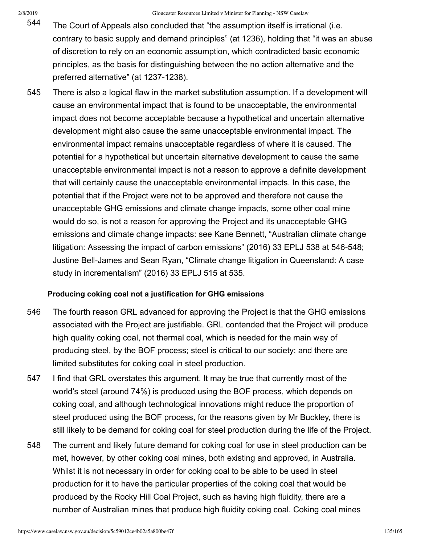544 The Court of Appeals also concluded that "the assumption itself is irrational (i.e. contrary to basic supply and demand principles" (at 1236), holding that "it was an abuse of discretion to rely on an economic assumption, which contradicted basic economic principles, as the basis for distinguishing between the no action alternative and the preferred alternative" (at 1237-1238).

545 There is also a logical flaw in the market substitution assumption. If a development will cause an environmental impact that is found to be unacceptable, the environmental impact does not become acceptable because a hypothetical and uncertain alternative development might also cause the same unacceptable environmental impact. The environmental impact remains unacceptable regardless of where it is caused. The potential for a hypothetical but uncertain alternative development to cause the same unacceptable environmental impact is not a reason to approve a definite development that will certainly cause the unacceptable environmental impacts. In this case, the potential that if the Project were not to be approved and therefore not cause the unacceptable GHG emissions and climate change impacts, some other coal mine would do so, is not a reason for approving the Project and its unacceptable GHG emissions and climate change impacts: see Kane Bennett, "Australian climate change litigation: Assessing the impact of carbon emissions" (2016) 33 EPLJ 538 at 546-548; Justine Bell-James and Sean Ryan, "Climate change litigation in Queensland: A case study in incrementalism" (2016) 33 EPLJ 515 at 535.

## **Producing coking coal not a justification for GHG emissions**

- 546 The fourth reason GRL advanced for approving the Project is that the GHG emissions associated with the Project are justifiable. GRL contended that the Project will produce high quality coking coal, not thermal coal, which is needed for the main way of producing steel, by the BOF process; steel is critical to our society; and there are limited substitutes for coking coal in steel production.
- 547 I find that GRL overstates this argument. It may be true that currently most of the world's steel (around 74%) is produced using the BOF process, which depends on coking coal, and although technological innovations might reduce the proportion of steel produced using the BOF process, for the reasons given by Mr Buckley, there is still likely to be demand for coking coal for steel production during the life of the Project.
- 548 The current and likely future demand for coking coal for use in steel production can be met, however, by other coking coal mines, both existing and approved, in Australia. Whilst it is not necessary in order for coking coal to be able to be used in steel production for it to have the particular properties of the coking coal that would be produced by the Rocky Hill Coal Project, such as having high fluidity, there are a number of Australian mines that produce high fluidity coking coal. Coking coal mines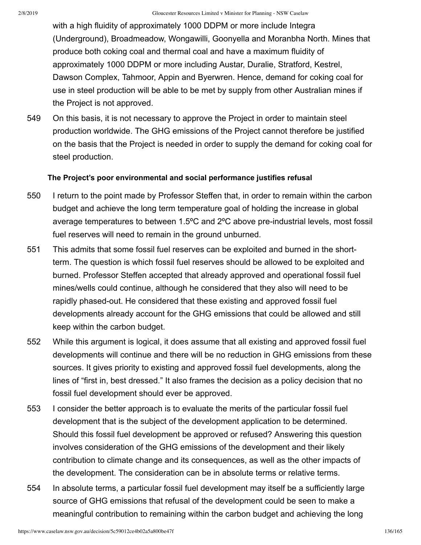with a high fluidity of approximately 1000 DDPM or more include Integra (Underground), Broadmeadow, Wongawilli, Goonyella and Moranbha North. Mines that produce both coking coal and thermal coal and have a maximum fluidity of approximately 1000 DDPM or more including Austar, Duralie, Stratford, Kestrel, Dawson Complex, Tahmoor, Appin and Byerwren. Hence, demand for coking coal for use in steel production will be able to be met by supply from other Australian mines if the Project is not approved.

549 On this basis, it is not necessary to approve the Project in order to maintain steel production worldwide. The GHG emissions of the Project cannot therefore be justified on the basis that the Project is needed in order to supply the demand for coking coal for steel production.

### **The Project's poor environmental and social performance justifies refusal**

- 550 I return to the point made by Professor Steffen that, in order to remain within the carbon budget and achieve the long term temperature goal of holding the increase in global average temperatures to between  $1.5^{\circ}$ C and  $2^{\circ}$ C above pre-industrial levels, most fossil fuel reserves will need to remain in the ground unburned.
- 551 This admits that some fossil fuel reserves can be exploited and burned in the shortterm. The question is which fossil fuel reserves should be allowed to be exploited and burned. Professor Steffen accepted that already approved and operational fossil fuel mines/wells could continue, although he considered that they also will need to be rapidly phased-out. He considered that these existing and approved fossil fuel developments already account for the GHG emissions that could be allowed and still keep within the carbon budget.
- 552 While this argument is logical, it does assume that all existing and approved fossil fuel developments will continue and there will be no reduction in GHG emissions from these sources. It gives priority to existing and approved fossil fuel developments, along the lines of "first in, best dressed." It also frames the decision as a policy decision that no fossil fuel development should ever be approved.
- 553 I consider the better approach is to evaluate the merits of the particular fossil fuel development that is the subject of the development application to be determined. Should this fossil fuel development be approved or refused? Answering this question involves consideration of the GHG emissions of the development and their likely contribution to climate change and its consequences, as well as the other impacts of the development. The consideration can be in absolute terms or relative terms.
- 554 In absolute terms, a particular fossil fuel development may itself be a sufficiently large source of GHG emissions that refusal of the development could be seen to make a meaningful contribution to remaining within the carbon budget and achieving the long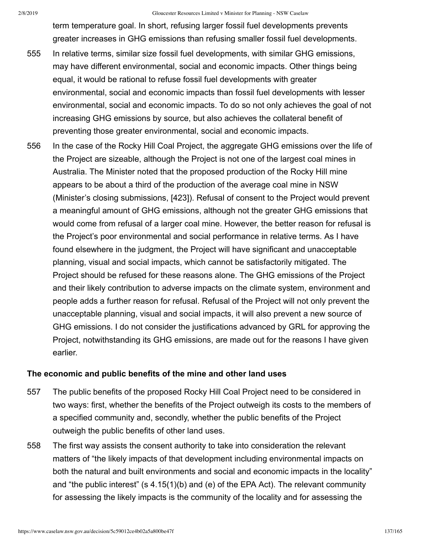term temperature goal. In short, refusing larger fossil fuel developments prevents greater increases in GHG emissions than refusing smaller fossil fuel developments.

- 555 In relative terms, similar size fossil fuel developments, with similar GHG emissions, may have different environmental, social and economic impacts. Other things being equal, it would be rational to refuse fossil fuel developments with greater environmental, social and economic impacts than fossil fuel developments with lesser environmental, social and economic impacts. To do so not only achieves the goal of not increasing GHG emissions by source, but also achieves the collateral benefit of preventing those greater environmental, social and economic impacts.
- 556 In the case of the Rocky Hill Coal Project, the aggregate GHG emissions over the life of the Project are sizeable, although the Project is not one of the largest coal mines in Australia. The Minister noted that the proposed production of the Rocky Hill mine appears to be about a third of the production of the average coal mine in NSW (Minister's closing submissions, [423]). Refusal of consent to the Project would prevent a meaningful amount of GHG emissions, although not the greater GHG emissions that would come from refusal of a larger coal mine. However, the better reason for refusal is the Project's poor environmental and social performance in relative terms. As I have found elsewhere in the judgment, the Project will have significant and unacceptable planning, visual and social impacts, which cannot be satisfactorily mitigated. The Project should be refused for these reasons alone. The GHG emissions of the Project and their likely contribution to adverse impacts on the climate system, environment and people adds a further reason for refusal. Refusal of the Project will not only prevent the unacceptable planning, visual and social impacts, it will also prevent a new source of GHG emissions. I do not consider the justifications advanced by GRL for approving the Project, notwithstanding its GHG emissions, are made out for the reasons I have given earlier.

#### **The economic and public benefits of the mine and other land uses**

- 557 The public benefits of the proposed Rocky Hill Coal Project need to be considered in two ways: first, whether the benefits of the Project outweigh its costs to the members of a specified community and, secondly, whether the public benefits of the Project outweigh the public benefits of other land uses.
- 558 The first way assists the consent authority to take into consideration the relevant matters of "the likely impacts of that development including environmental impacts on both the natural and built environments and social and economic impacts in the locality" and "the public interest" (s 4.15(1)(b) and (e) of the EPA Act). The relevant community for assessing the likely impacts is the community of the locality and for assessing the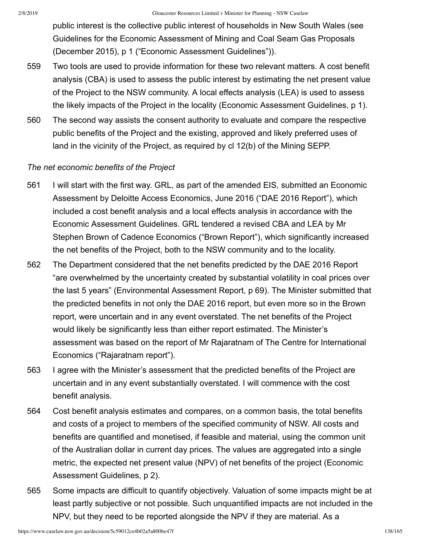public interest is the collective public interest of households in New South Wales (see Guidelines for the Economic Assessment of Mining and Coal Seam Gas Proposals (December 2015), p 1 ("Economic Assessment Guidelines")).

- 559 Two tools are used to provide information for these two relevant matters. A cost benefit analysis (CBA) is used to assess the public interest by estimating the net present value of the Project to the NSW community. A local effects analysis (LEA) is used to assess the likely impacts of the Project in the locality (Economic Assessment Guidelines, p 1).
- 560 The second way assists the consent authority to evaluate and compare the respective public benefits of the Project and the existing, approved and likely preferred uses of land in the vicinity of the Project, as required by cl 12(b) of the Mining SEPP.

## *The net economic benefits of the Project*

- 561 I will start with the first way. GRL, as part of the amended EIS, submitted an Economic Assessment by Deloitte Access Economics, June 2016 ("DAE 2016 Report"), which included a cost benefit analysis and a local effects analysis in accordance with the Economic Assessment Guidelines. GRL tendered a revised CBA and LEA by Mr Stephen Brown of Cadence Economics ("Brown Report"), which significantly increased the net benefits of the Project, both to the NSW community and to the locality.
- 562 The Department considered that the net benefits predicted by the DAE 2016 Report "are overwhelmed by the uncertainty created by substantial volatility in coal prices over the last 5 years" (Environmental Assessment Report, p 69). The Minister submitted that the predicted benefits in not only the DAE 2016 report, but even more so in the Brown report, were uncertain and in any event overstated. The net benefits of the Project would likely be significantly less than either report estimated. The Minister's assessment was based on the report of Mr Rajaratnam of The Centre for International Economics ("Rajaratnam report").
- 563 I agree with the Minister's assessment that the predicted benefits of the Project are uncertain and in any event substantially overstated. I will commence with the cost benefit analysis.
- 564 Cost benefit analysis estimates and compares, on a common basis, the total benefits and costs of a project to members of the specified community of NSW. All costs and benefits are quantified and monetised, if feasible and material, using the common unit of the Australian dollar in current day prices. The values are aggregated into a single metric, the expected net present value (NPV) of net benefits of the project (Economic Assessment Guidelines, p 2).
- 565 Some impacts are difficult to quantify objectively. Valuation of some impacts might be at least partly subjective or not possible. Such unquantified impacts are not included in the NPV, but they need to be reported alongside the NPV if they are material. As a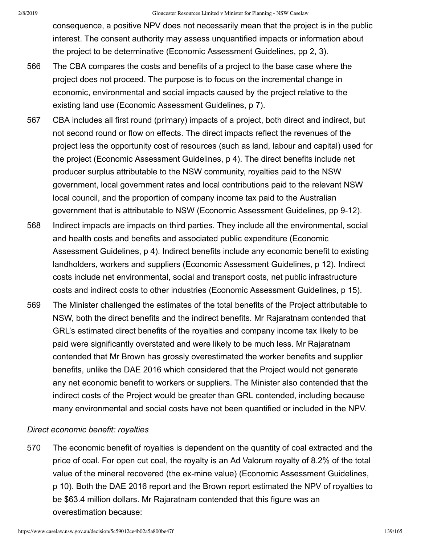consequence, a positive NPV does not necessarily mean that the project is in the public interest. The consent authority may assess unquantified impacts or information about the project to be determinative (Economic Assessment Guidelines, pp 2, 3).

- 566 The CBA compares the costs and benefits of a project to the base case where the project does not proceed. The purpose is to focus on the incremental change in economic, environmental and social impacts caused by the project relative to the existing land use (Economic Assessment Guidelines, p 7).
- 567 CBA includes all first round (primary) impacts of a project, both direct and indirect, but not second round or flow on effects. The direct impacts reflect the revenues of the project less the opportunity cost of resources (such as land, labour and capital) used for the project (Economic Assessment Guidelines, p 4). The direct benefits include net producer surplus attributable to the NSW community, royalties paid to the NSW government, local government rates and local contributions paid to the relevant NSW local council, and the proportion of company income tax paid to the Australian government that is attributable to NSW (Economic Assessment Guidelines, pp 9-12).
- 568 Indirect impacts are impacts on third parties. They include all the environmental, social and health costs and benefits and associated public expenditure (Economic Assessment Guidelines, p 4). Indirect benefits include any economic benefit to existing landholders, workers and suppliers (Economic Assessment Guidelines, p 12). Indirect costs include net environmental, social and transport costs, net public infrastructure costs and indirect costs to other industries (Economic Assessment Guidelines, p 15).
- 569 The Minister challenged the estimates of the total benefits of the Project attributable to NSW, both the direct benefits and the indirect benefits. Mr Rajaratnam contended that GRL's estimated direct benefits of the royalties and company income tax likely to be paid were significantly overstated and were likely to be much less. Mr Rajaratnam contended that Mr Brown has grossly overestimated the worker benefits and supplier benefits, unlike the DAE 2016 which considered that the Project would not generate any net economic benefit to workers or suppliers. The Minister also contended that the indirect costs of the Project would be greater than GRL contended, including because many environmental and social costs have not been quantified or included in the NPV.

# *Direct economic benefit: royalties*

570 The economic benefit of royalties is dependent on the quantity of coal extracted and the price of coal. For open cut coal, the royalty is an Ad Valorum royalty of 8.2% of the total value of the mineral recovered (the ex-mine value) (Economic Assessment Guidelines, p 10). Both the DAE 2016 report and the Brown report estimated the NPV of royalties to be \$63.4 million dollars. Mr Rajaratnam contended that this figure was an overestimation because: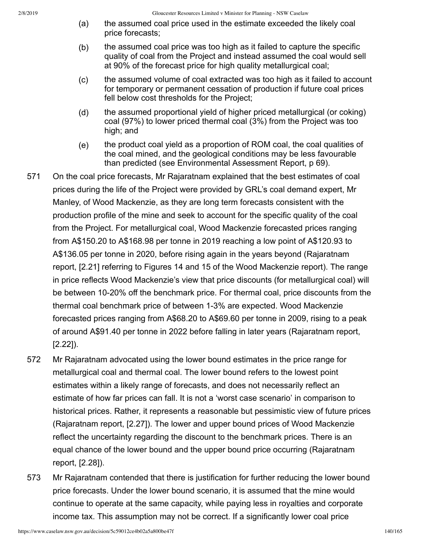- (a) the assumed coal price used in the estimate exceeded the likely coal price forecasts;
- (b) the assumed coal price was too high as it failed to capture the specific quality of coal from the Project and instead assumed the coal would sell at 90% of the forecast price for high quality metallurgical coal;
- (c) the assumed volume of coal extracted was too high as it failed to account for temporary or permanent cessation of production if future coal prices fell below cost thresholds for the Project;
- (d) the assumed proportional yield of higher priced metallurgical (or coking) coal (97%) to lower priced thermal coal (3%) from the Project was too high; and
- (e) the product coal yield as a proportion of ROM coal, the coal qualities of the coal mined, and the geological conditions may be less favourable than predicted (see Environmental Assessment Report, p 69).
- 571 On the coal price forecasts, Mr Rajaratnam explained that the best estimates of coal prices during the life of the Project were provided by GRL's coal demand expert, Mr Manley, of Wood Mackenzie, as they are long term forecasts consistent with the production profile of the mine and seek to account for the specific quality of the coal from the Project. For metallurgical coal, Wood Mackenzie forecasted prices ranging from A\$150.20 to A\$168.98 per tonne in 2019 reaching a low point of A\$120.93 to A\$136.05 per tonne in 2020, before rising again in the years beyond (Rajaratnam report, [2.21] referring to Figures 14 and 15 of the Wood Mackenzie report). The range in price reflects Wood Mackenzie's view that price discounts (for metallurgical coal) will be between 1020% off the benchmark price. For thermal coal, price discounts from the thermal coal benchmark price of between 13% are expected. Wood Mackenzie forecasted prices ranging from A\$68.20 to A\$69.60 per tonne in 2009, rising to a peak of around A\$91.40 per tonne in 2022 before falling in later years (Rajaratnam report, [2.22]).
- 572 Mr Rajaratnam advocated using the lower bound estimates in the price range for metallurgical coal and thermal coal. The lower bound refers to the lowest point estimates within a likely range of forecasts, and does not necessarily reflect an estimate of how far prices can fall. It is not a 'worst case scenario' in comparison to historical prices. Rather, it represents a reasonable but pessimistic view of future prices (Rajaratnam report, [2.27]). The lower and upper bound prices of Wood Mackenzie reflect the uncertainty regarding the discount to the benchmark prices. There is an equal chance of the lower bound and the upper bound price occurring (Rajaratnam report, [2.28]).
- 573 Mr Rajaratnam contended that there is justification for further reducing the lower bound price forecasts. Under the lower bound scenario, it is assumed that the mine would continue to operate at the same capacity, while paying less in royalties and corporate income tax. This assumption may not be correct. If a significantly lower coal price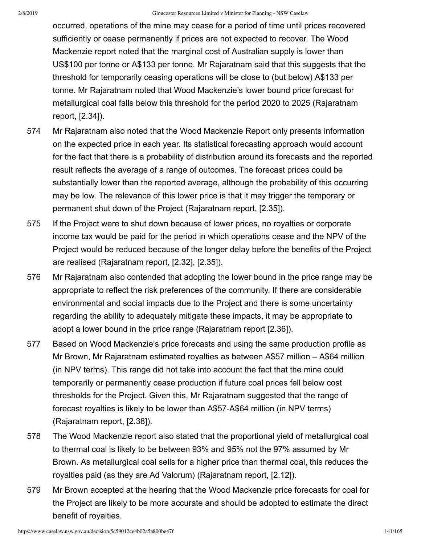occurred, operations of the mine may cease for a period of time until prices recovered sufficiently or cease permanently if prices are not expected to recover. The Wood Mackenzie report noted that the marginal cost of Australian supply is lower than US\$100 per tonne or A\$133 per tonne. Mr Rajaratnam said that this suggests that the threshold for temporarily ceasing operations will be close to (but below) A\$133 per tonne. Mr Rajaratnam noted that Wood Mackenzie's lower bound price forecast for metallurgical coal falls below this threshold for the period 2020 to 2025 (Rajaratnam report, [2.34]).

- 574 Mr Rajaratnam also noted that the Wood Mackenzie Report only presents information on the expected price in each year. Its statistical forecasting approach would account for the fact that there is a probability of distribution around its forecasts and the reported result reflects the average of a range of outcomes. The forecast prices could be substantially lower than the reported average, although the probability of this occurring may be low. The relevance of this lower price is that it may trigger the temporary or permanent shut down of the Project (Rajaratnam report, [2.35]).
- 575 If the Project were to shut down because of lower prices, no royalties or corporate income tax would be paid for the period in which operations cease and the NPV of the Project would be reduced because of the longer delay before the benefits of the Project are realised (Rajaratnam report, [2.32], [2.35]).
- 576 Mr Rajaratnam also contended that adopting the lower bound in the price range may be appropriate to reflect the risk preferences of the community. If there are considerable environmental and social impacts due to the Project and there is some uncertainty regarding the ability to adequately mitigate these impacts, it may be appropriate to adopt a lower bound in the price range (Rajaratnam report [2.36]).
- 577 Based on Wood Mackenzie's price forecasts and using the same production profile as Mr Brown, Mr Rajaratnam estimated royalties as between A\$57 million – A\$64 million (in NPV terms). This range did not take into account the fact that the mine could temporarily or permanently cease production if future coal prices fell below cost thresholds for the Project. Given this, Mr Rajaratnam suggested that the range of forecast royalties is likely to be lower than A\$57-A\$64 million (in NPV terms) (Rajaratnam report, [2.38]).
- 578 The Wood Mackenzie report also stated that the proportional yield of metallurgical coal to thermal coal is likely to be between 93% and 95% not the 97% assumed by Mr Brown. As metallurgical coal sells for a higher price than thermal coal, this reduces the royalties paid (as they are Ad Valorum) (Rajaratnam report, [2.12]).
- 579 Mr Brown accepted at the hearing that the Wood Mackenzie price forecasts for coal for the Project are likely to be more accurate and should be adopted to estimate the direct benefit of royalties.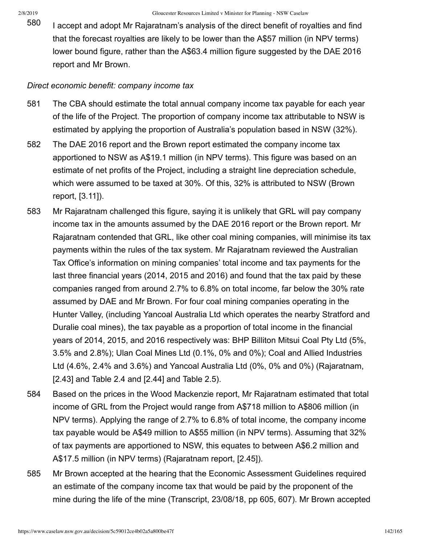580 I accept and adopt Mr Rajaratnam's analysis of the direct benefit of royalties and find that the forecast royalties are likely to be lower than the A\$57 million (in NPV terms) lower bound figure, rather than the A\$63.4 million figure suggested by the DAE 2016 report and Mr Brown.

## *Direct economic benefit: company income tax*

- 581 The CBA should estimate the total annual company income tax payable for each year of the life of the Project. The proportion of company income tax attributable to NSW is estimated by applying the proportion of Australia's population based in NSW (32%).
- 582 The DAE 2016 report and the Brown report estimated the company income tax apportioned to NSW as A\$19.1 million (in NPV terms). This figure was based on an estimate of net profits of the Project, including a straight line depreciation schedule, which were assumed to be taxed at 30%. Of this, 32% is attributed to NSW (Brown report, [3.11]).
- 583 Mr Rajaratnam challenged this figure, saying it is unlikely that GRL will pay company income tax in the amounts assumed by the DAE 2016 report or the Brown report. Mr Rajaratnam contended that GRL, like other coal mining companies, will minimise its tax payments within the rules of the tax system. Mr Rajaratnam reviewed the Australian Tax Office's information on mining companies' total income and tax payments for the last three financial years (2014, 2015 and 2016) and found that the tax paid by these companies ranged from around 2.7% to 6.8% on total income, far below the 30% rate assumed by DAE and Mr Brown. For four coal mining companies operating in the Hunter Valley, (including Yancoal Australia Ltd which operates the nearby Stratford and Duralie coal mines), the tax payable as a proportion of total income in the financial years of 2014, 2015, and 2016 respectively was: BHP Billiton Mitsui Coal Pty Ltd (5%, 3.5% and 2.8%); Ulan Coal Mines Ltd (0.1%, 0% and 0%); Coal and Allied Industries Ltd (4.6%, 2.4% and 3.6%) and Yancoal Australia Ltd (0%, 0% and 0%) (Rajaratnam, [2.43] and Table 2.4 and [2.44] and Table 2.5).
- 584 Based on the prices in the Wood Mackenzie report, Mr Rajaratnam estimated that total income of GRL from the Project would range from A\$718 million to A\$806 million (in NPV terms). Applying the range of 2.7% to 6.8% of total income, the company income tax payable would be A\$49 million to A\$55 million (in NPV terms). Assuming that 32% of tax payments are apportioned to NSW, this equates to between A\$6.2 million and A\$17.5 million (in NPV terms) (Rajaratnam report, [2.45]).
- 585 Mr Brown accepted at the hearing that the Economic Assessment Guidelines required an estimate of the company income tax that would be paid by the proponent of the mine during the life of the mine (Transcript, 23/08/18, pp 605, 607). Mr Brown accepted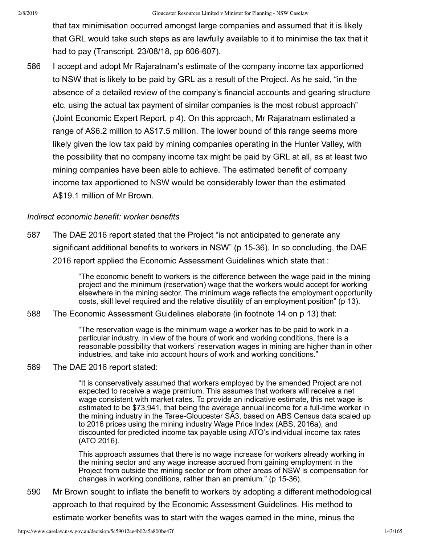that tax minimisation occurred amongst large companies and assumed that it is likely that GRL would take such steps as are lawfully available to it to minimise the tax that it had to pay (Transcript,  $23/08/18$ , pp 606-607).

586 I accept and adopt Mr Rajaratnam's estimate of the company income tax apportioned to NSW that is likely to be paid by GRL as a result of the Project. As he said, "in the absence of a detailed review of the company's financial accounts and gearing structure etc, using the actual tax payment of similar companies is the most robust approach" (Joint Economic Expert Report, p 4). On this approach, Mr Rajaratnam estimated a range of A\$6.2 million to A\$17.5 million. The lower bound of this range seems more likely given the low tax paid by mining companies operating in the Hunter Valley, with the possibility that no company income tax might be paid by GRL at all, as at least two mining companies have been able to achieve. The estimated benefit of company income tax apportioned to NSW would be considerably lower than the estimated A\$19.1 million of Mr Brown.

## *Indirect economic benefit: worker benefits*

587 The DAE 2016 report stated that the Project "is not anticipated to generate any significant additional benefits to workers in NSW" (p 15-36). In so concluding, the DAE 2016 report applied the Economic Assessment Guidelines which state that :

> "The economic benefit to workers is the difference between the wage paid in the mining project and the minimum (reservation) wage that the workers would accept for working elsewhere in the mining sector. The minimum wage reflects the employment opportunity costs, skill level required and the relative disutility of an employment position" (p 13).

588 The Economic Assessment Guidelines elaborate (in footnote 14 on p 13) that:

"The reservation wage is the minimum wage a worker has to be paid to work in a particular industry. In view of the hours of work and working conditions, there is a reasonable possibility that workers' reservation wages in mining are higher than in other industries, and take into account hours of work and working conditions."

589 The DAE 2016 report stated:

"It is conservatively assumed that workers employed by the amended Project are not expected to receive a wage premium. This assumes that workers will receive a net wage consistent with market rates. To provide an indicative estimate, this net wage is estimated to be \$73,941, that being the average annual income for a full-time worker in the mining industry in the Taree-Gloucester SA3, based on ABS Census data scaled up to 2016 prices using the mining industry Wage Price Index (ABS, 2016a), and discounted for predicted income tax payable using ATO's individual income tax rates (ATO 2016).

This approach assumes that there is no wage increase for workers already working in the mining sector and any wage increase accrued from gaining employment in the Project from outside the mining sector or from other areas of NSW is compensation for changes in working conditions, rather than an premium." (p 15-36).

590 Mr Brown sought to inflate the benefit to workers by adopting a different methodological approach to that required by the Economic Assessment Guidelines. His method to estimate worker benefits was to start with the wages earned in the mine, minus the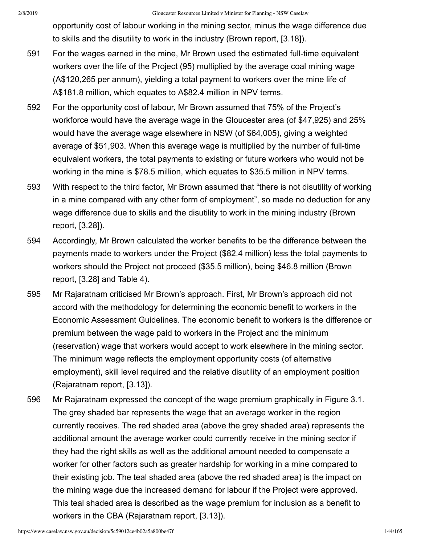opportunity cost of labour working in the mining sector, minus the wage difference due to skills and the disutility to work in the industry (Brown report, [3.18]).

- 591 For the wages earned in the mine, Mr Brown used the estimated full-time equivalent workers over the life of the Project (95) multiplied by the average coal mining wage (A\$120,265 per annum), yielding a total payment to workers over the mine life of A\$181.8 million, which equates to A\$82.4 million in NPV terms.
- 592 For the opportunity cost of labour, Mr Brown assumed that 75% of the Project's workforce would have the average wage in the Gloucester area (of \$47,925) and 25% would have the average wage elsewhere in NSW (of \$64,005), giving a weighted average of \$51,903. When this average wage is multiplied by the number of full-time equivalent workers, the total payments to existing or future workers who would not be working in the mine is \$78.5 million, which equates to \$35.5 million in NPV terms.
- 593 With respect to the third factor, Mr Brown assumed that "there is not disutility of working in a mine compared with any other form of employment", so made no deduction for any wage difference due to skills and the disutility to work in the mining industry (Brown report, [3.28]).
- 594 Accordingly, Mr Brown calculated the worker benefits to be the difference between the payments made to workers under the Project (\$82.4 million) less the total payments to workers should the Project not proceed (\$35.5 million), being \$46.8 million (Brown report, [3.28] and Table 4).
- 595 Mr Rajaratnam criticised Mr Brown's approach. First, Mr Brown's approach did not accord with the methodology for determining the economic benefit to workers in the Economic Assessment Guidelines. The economic benefit to workers is the difference or premium between the wage paid to workers in the Project and the minimum (reservation) wage that workers would accept to work elsewhere in the mining sector. The minimum wage reflects the employment opportunity costs (of alternative employment), skill level required and the relative disutility of an employment position (Rajaratnam report, [3.13]).
- 596 Mr Rajaratnam expressed the concept of the wage premium graphically in Figure 3.1. The grey shaded bar represents the wage that an average worker in the region currently receives. The red shaded area (above the grey shaded area) represents the additional amount the average worker could currently receive in the mining sector if they had the right skills as well as the additional amount needed to compensate a worker for other factors such as greater hardship for working in a mine compared to their existing job. The teal shaded area (above the red shaded area) is the impact on the mining wage due the increased demand for labour if the Project were approved. This teal shaded area is described as the wage premium for inclusion as a benefit to workers in the CBA (Rajaratnam report, [3.13]).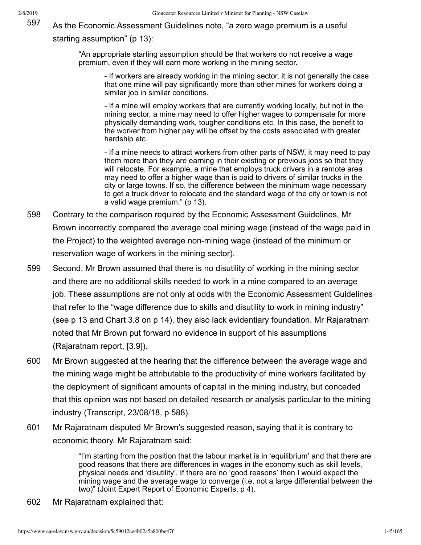597 As the Economic Assessment Guidelines note, "a zero wage premium is a useful

starting assumption" (p 13):

"An appropriate starting assumption should be that workers do not receive a wage premium, even if they will earn more working in the mining sector.

If workers are already working in the mining sector, it is not generally the case that one mine will pay significantly more than other mines for workers doing a similar job in similar conditions.

- If a mine will employ workers that are currently working locally, but not in the mining sector, a mine may need to offer higher wages to compensate for more physically demanding work, tougher conditions etc. In this case, the benefit to the worker from higher pay will be offset by the costs associated with greater hardship etc.

 If a mine needs to attract workers from other parts of NSW, it may need to pay them more than they are earning in their existing or previous jobs so that they will relocate. For example, a mine that employs truck drivers in a remote area may need to offer a higher wage than is paid to drivers of similar trucks in the city or large towns. If so, the difference between the minimum wage necessary to get a truck driver to relocate and the standard wage of the city or town is not a valid wage premium." (p 13).

- 598 Contrary to the comparison required by the Economic Assessment Guidelines, Mr Brown incorrectly compared the average coal mining wage (instead of the wage paid in the Project) to the weighted average non-mining wage (instead of the minimum or reservation wage of workers in the mining sector).
- 599 Second, Mr Brown assumed that there is no disutility of working in the mining sector and there are no additional skills needed to work in a mine compared to an average job. These assumptions are not only at odds with the Economic Assessment Guidelines that refer to the "wage difference due to skills and disutility to work in mining industry" (see p 13 and Chart 3.8 on p 14), they also lack evidentiary foundation. Mr Rajaratnam noted that Mr Brown put forward no evidence in support of his assumptions (Rajaratnam report, [3.9]).
- 600 Mr Brown suggested at the hearing that the difference between the average wage and the mining wage might be attributable to the productivity of mine workers facilitated by the deployment of significant amounts of capital in the mining industry, but conceded that this opinion was not based on detailed research or analysis particular to the mining industry (Transcript, 23/08/18, p 588).
- 601 Mr Rajaratnam disputed Mr Brown's suggested reason, saying that it is contrary to economic theory. Mr Rajaratnam said:

"I'm starting from the position that the labour market is in 'equilibrium' and that there are good reasons that there are differences in wages in the economy such as skill levels, physical needs and 'disutility'. If there are no 'good reasons' then I would expect the mining wage and the average wage to converge (i.e. not a large differential between the two)" (Joint Expert Report of Economic Experts, p 4).

602 Mr Rajaratnam explained that: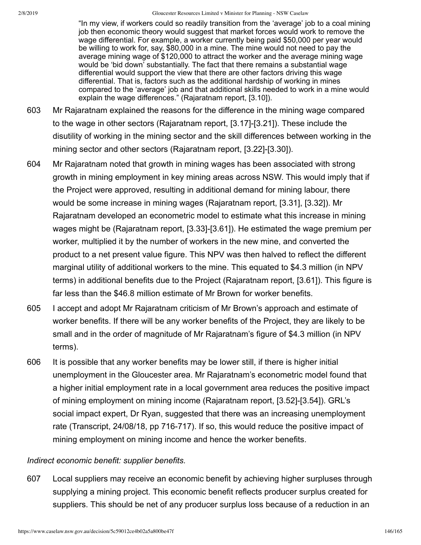2/8/2019 Gloucester Resources Limited v Minister for Planning - NSW Caselaw

"In my view, if workers could so readily transition from the 'average' job to a coal mining job then economic theory would suggest that market forces would work to remove the wage differential. For example, a worker currently being paid \$50,000 per year would be willing to work for, say, \$80,000 in a mine. The mine would not need to pay the average mining wage of \$120,000 to attract the worker and the average mining wage would be 'bid down' substantially. The fact that there remains a substantial wage differential would support the view that there are other factors driving this wage differential. That is, factors such as the additional hardship of working in mines compared to the 'average' job and that additional skills needed to work in a mine would explain the wage differences." (Rajaratnam report, [3.10]).

- 603 Mr Rajaratnam explained the reasons for the difference in the mining wage compared to the wage in other sectors (Rajaratnam report, [3.17]-[3.21]). These include the disutility of working in the mining sector and the skill differences between working in the mining sector and other sectors (Rajaratnam report, [3.22]-[3.30]).
- 604 Mr Rajaratnam noted that growth in mining wages has been associated with strong growth in mining employment in key mining areas across NSW. This would imply that if the Project were approved, resulting in additional demand for mining labour, there would be some increase in mining wages (Rajaratnam report, [3.31], [3.32]). Mr Rajaratnam developed an econometric model to estimate what this increase in mining wages might be (Rajaratnam report, [3.33]-[3.61]). He estimated the wage premium per worker, multiplied it by the number of workers in the new mine, and converted the product to a net present value figure. This NPV was then halved to reflect the different marginal utility of additional workers to the mine. This equated to \$4.3 million (in NPV terms) in additional benefits due to the Project (Rajaratnam report, [3.61]). This figure is far less than the \$46.8 million estimate of Mr Brown for worker benefits.
- 605 I accept and adopt Mr Rajaratnam criticism of Mr Brown's approach and estimate of worker benefits. If there will be any worker benefits of the Project, they are likely to be small and in the order of magnitude of Mr Rajaratnam's figure of \$4.3 million (in NPV terms).
- 606 It is possible that any worker benefits may be lower still, if there is higher initial unemployment in the Gloucester area. Mr Rajaratnam's econometric model found that a higher initial employment rate in a local government area reduces the positive impact of mining employment on mining income (Rajaratnam report, [3.52]-[3.54]). GRL's social impact expert, Dr Ryan, suggested that there was an increasing unemployment rate (Transcript, 24/08/18, pp 716-717). If so, this would reduce the positive impact of mining employment on mining income and hence the worker benefits.

# *Indirect economic benefit: supplier benefits.*

607 Local suppliers may receive an economic benefit by achieving higher surpluses through supplying a mining project. This economic benefit reflects producer surplus created for suppliers. This should be net of any producer surplus loss because of a reduction in an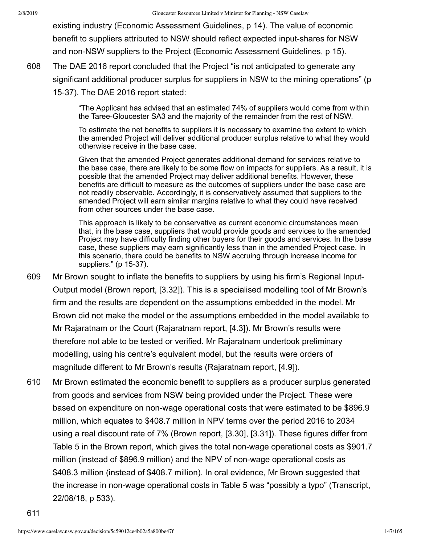existing industry (Economic Assessment Guidelines, p 14). The value of economic benefit to suppliers attributed to NSW should reflect expected input-shares for NSW and non-NSW suppliers to the Project (Economic Assessment Guidelines, p 15).

608 The DAE 2016 report concluded that the Project "is not anticipated to generate any significant additional producer surplus for suppliers in NSW to the mining operations" (p 15-37). The DAE 2016 report stated:

> "The Applicant has advised that an estimated 74% of suppliers would come from within the TareeGloucester SA3 and the majority of the remainder from the rest of NSW.

> To estimate the net benefits to suppliers it is necessary to examine the extent to which the amended Project will deliver additional producer surplus relative to what they would otherwise receive in the base case.

> Given that the amended Project generates additional demand for services relative to the base case, there are likely to be some flow on impacts for suppliers. As a result, it is possible that the amended Project may deliver additional benefits. However, these benefits are difficult to measure as the outcomes of suppliers under the base case are not readily observable. Accordingly, it is conservatively assumed that suppliers to the amended Project will earn similar margins relative to what they could have received from other sources under the base case.

> This approach is likely to be conservative as current economic circumstances mean that, in the base case, suppliers that would provide goods and services to the amended Project may have difficulty finding other buyers for their goods and services. In the base case, these suppliers may earn significantly less than in the amended Project case. In this scenario, there could be benefits to NSW accruing through increase income for suppliers." (p 15-37).

- 609 Mr Brown sought to inflate the benefits to suppliers by using his firm's Regional Input-Output model (Brown report, [3.32]). This is a specialised modelling tool of Mr Brown's firm and the results are dependent on the assumptions embedded in the model. Mr Brown did not make the model or the assumptions embedded in the model available to Mr Rajaratnam or the Court (Rajaratnam report, [4.3]). Mr Brown's results were therefore not able to be tested or verified. Mr Rajaratnam undertook preliminary modelling, using his centre's equivalent model, but the results were orders of magnitude different to Mr Brown's results (Rajaratnam report, [4.9]).
- 610 Mr Brown estimated the economic benefit to suppliers as a producer surplus generated from goods and services from NSW being provided under the Project. These were based on expenditure on nonwage operational costs that were estimated to be \$896.9 million, which equates to \$408.7 million in NPV terms over the period 2016 to 2034 using a real discount rate of 7% (Brown report, [3.30], [3.31]). These figures differ from Table 5 in the Brown report, which gives the total nonwage operational costs as \$901.7 million (instead of \$896.9 million) and the NPV of nonwage operational costs as \$408.3 million (instead of \$408.7 million). In oral evidence, Mr Brown suggested that the increase in non-wage operational costs in Table 5 was "possibly a typo" (Transcript, 22/08/18, p 533).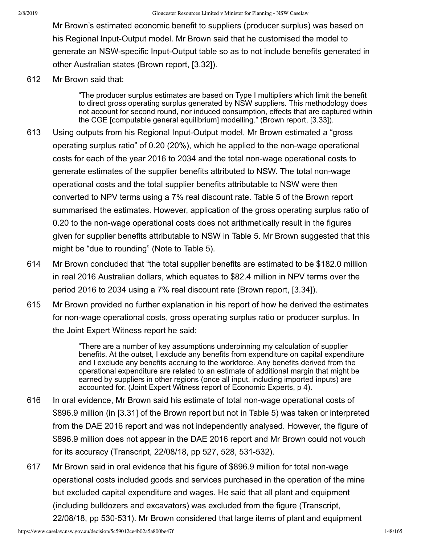Mr Brown's estimated economic benefit to suppliers (producer surplus) was based on his Regional Input-Output model. Mr Brown said that he customised the model to generate an NSW-specific Input-Output table so as to not include benefits generated in other Australian states (Brown report, [3.32]).

612 Mr Brown said that:

"The producer surplus estimates are based on Type I multipliers which limit the benefit to direct gross operating surplus generated by NSW suppliers. This methodology does not account for second round, nor induced consumption, effects that are captured within the CGE [computable general equilibrium] modelling." (Brown report, [3.33]).

- 613 Using outputs from his Regional Input-Output model, Mr Brown estimated a "gross" operating surplus ratio" of 0.20 (20%), which he applied to the nonwage operational costs for each of the year 2016 to 2034 and the total non-wage operational costs to generate estimates of the supplier benefits attributed to NSW. The total nonwage operational costs and the total supplier benefits attributable to NSW were then converted to NPV terms using a 7% real discount rate. Table 5 of the Brown report summarised the estimates. However, application of the gross operating surplus ratio of 0.20 to the non-wage operational costs does not arithmetically result in the figures given for supplier benefits attributable to NSW in Table 5. Mr Brown suggested that this might be "due to rounding" (Note to Table 5).
- 614 Mr Brown concluded that "the total supplier benefits are estimated to be \$182.0 million in real 2016 Australian dollars, which equates to \$82.4 million in NPV terms over the period 2016 to 2034 using a 7% real discount rate (Brown report, [3.34]).
- 615 Mr Brown provided no further explanation in his report of how he derived the estimates for non-wage operational costs, gross operating surplus ratio or producer surplus. In the Joint Expert Witness report he said:

"There are a number of key assumptions underpinning my calculation of supplier benefits. At the outset, I exclude any benefits from expenditure on capital expenditure and I exclude any benefits accruing to the workforce. Any benefits derived from the operational expenditure are related to an estimate of additional margin that might be earned by suppliers in other regions (once all input, including imported inputs) are accounted for. (Joint Expert Witness report of Economic Experts, p 4).

- 616 In oral evidence, Mr Brown said his estimate of total nonwage operational costs of \$896.9 million (in [3.31] of the Brown report but not in Table 5) was taken or interpreted from the DAE 2016 report and was not independently analysed. However, the figure of \$896.9 million does not appear in the DAE 2016 report and Mr Brown could not vouch for its accuracy (Transcript, 22/08/18, pp 527, 528, 531-532).
- 617 Mr Brown said in oral evidence that his figure of \$896.9 million for total nonwage operational costs included goods and services purchased in the operation of the mine but excluded capital expenditure and wages. He said that all plant and equipment (including bulldozers and excavators) was excluded from the figure (Transcript, 22/08/18, pp 530-531). Mr Brown considered that large items of plant and equipment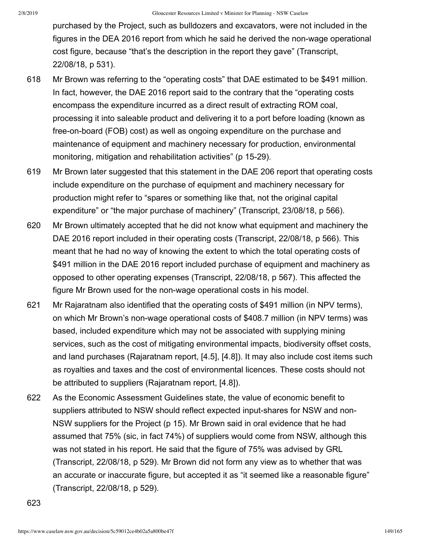purchased by the Project, such as bulldozers and excavators, were not included in the figures in the DEA 2016 report from which he said he derived the non-wage operational cost figure, because "that's the description in the report they gave" (Transcript, 22/08/18, p 531).

- 618 Mr Brown was referring to the "operating costs" that DAE estimated to be \$491 million. In fact, however, the DAE 2016 report said to the contrary that the "operating costs encompass the expenditure incurred as a direct result of extracting ROM coal, processing it into saleable product and delivering it to a port before loading (known as free-on-board (FOB) cost) as well as ongoing expenditure on the purchase and maintenance of equipment and machinery necessary for production, environmental monitoring, mitigation and rehabilitation activities" (p 15-29).
- 619 Mr Brown later suggested that this statement in the DAE 206 report that operating costs include expenditure on the purchase of equipment and machinery necessary for production might refer to "spares or something like that, not the original capital expenditure" or "the major purchase of machinery" (Transcript, 23/08/18, p 566).
- 620 Mr Brown ultimately accepted that he did not know what equipment and machinery the DAE 2016 report included in their operating costs (Transcript, 22/08/18, p 566). This meant that he had no way of knowing the extent to which the total operating costs of \$491 million in the DAE 2016 report included purchase of equipment and machinery as opposed to other operating expenses (Transcript, 22/08/18, p 567). This affected the figure Mr Brown used for the non-wage operational costs in his model.
- 621 Mr Rajaratnam also identified that the operating costs of \$491 million (in NPV terms), on which Mr Brown's non-wage operational costs of \$408.7 million (in NPV terms) was based, included expenditure which may not be associated with supplying mining services, such as the cost of mitigating environmental impacts, biodiversity offset costs, and land purchases (Rajaratnam report, [4.5], [4.8]). It may also include cost items such as royalties and taxes and the cost of environmental licences. These costs should not be attributed to suppliers (Rajaratnam report, [4.8]).
- 622 As the Economic Assessment Guidelines state, the value of economic benefit to suppliers attributed to NSW should reflect expected input-shares for NSW and non-NSW suppliers for the Project (p 15). Mr Brown said in oral evidence that he had assumed that 75% (sic, in fact 74%) of suppliers would come from NSW, although this was not stated in his report. He said that the figure of 75% was advised by GRL (Transcript, 22/08/18, p 529). Mr Brown did not form any view as to whether that was an accurate or inaccurate figure, but accepted it as "it seemed like a reasonable figure" (Transcript, 22/08/18, p 529).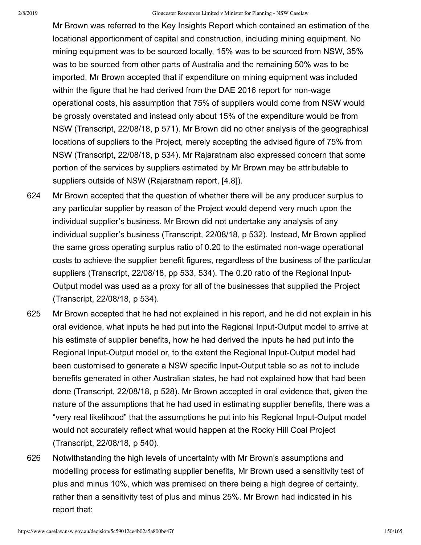Mr Brown was referred to the Key Insights Report which contained an estimation of the locational apportionment of capital and construction, including mining equipment. No mining equipment was to be sourced locally, 15% was to be sourced from NSW, 35% was to be sourced from other parts of Australia and the remaining 50% was to be imported. Mr Brown accepted that if expenditure on mining equipment was included within the figure that he had derived from the DAE 2016 report for non-wage operational costs, his assumption that 75% of suppliers would come from NSW would be grossly overstated and instead only about 15% of the expenditure would be from NSW (Transcript, 22/08/18, p 571). Mr Brown did no other analysis of the geographical locations of suppliers to the Project, merely accepting the advised figure of 75% from NSW (Transcript, 22/08/18, p 534). Mr Rajaratnam also expressed concern that some portion of the services by suppliers estimated by Mr Brown may be attributable to suppliers outside of NSW (Rajaratnam report, [4.8]).

- 624 Mr Brown accepted that the question of whether there will be any producer surplus to any particular supplier by reason of the Project would depend very much upon the individual supplier's business. Mr Brown did not undertake any analysis of any individual supplier's business (Transcript, 22/08/18, p 532). Instead, Mr Brown applied the same gross operating surplus ratio of 0.20 to the estimated non-wage operational costs to achieve the supplier benefit figures, regardless of the business of the particular suppliers (Transcript, 22/08/18, pp 533, 534). The 0.20 ratio of the Regional Input-Output model was used as a proxy for all of the businesses that supplied the Project (Transcript, 22/08/18, p 534).
- 625 Mr Brown accepted that he had not explained in his report, and he did not explain in his oral evidence, what inputs he had put into the Regional Input-Output model to arrive at his estimate of supplier benefits, how he had derived the inputs he had put into the Regional Input-Output model or, to the extent the Regional Input-Output model had been customised to generate a NSW specific Input-Output table so as not to include benefits generated in other Australian states, he had not explained how that had been done (Transcript, 22/08/18, p 528). Mr Brown accepted in oral evidence that, given the nature of the assumptions that he had used in estimating supplier benefits, there was a "very real likelihood" that the assumptions he put into his Regional Input-Output model would not accurately reflect what would happen at the Rocky Hill Coal Project (Transcript, 22/08/18, p 540).
- 626 Notwithstanding the high levels of uncertainty with Mr Brown's assumptions and modelling process for estimating supplier benefits, Mr Brown used a sensitivity test of plus and minus 10%, which was premised on there being a high degree of certainty, rather than a sensitivity test of plus and minus 25%. Mr Brown had indicated in his report that: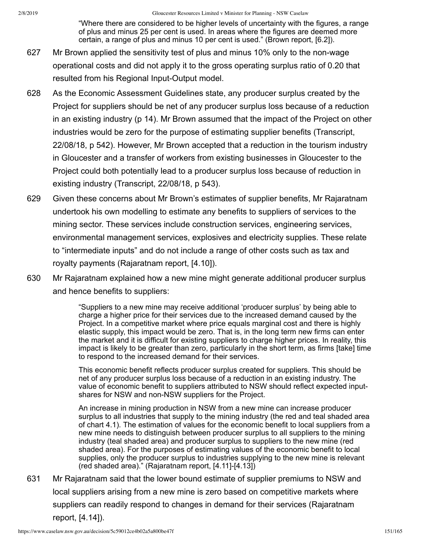"Where there are considered to be higher levels of uncertainty with the figures, a range of plus and minus 25 per cent is used. In areas where the figures are deemed more certain, a range of plus and minus 10 per cent is used." (Brown report, [6.2]).

- 627 Mr Brown applied the sensitivity test of plus and minus 10% only to the nonwage operational costs and did not apply it to the gross operating surplus ratio of 0.20 that resulted from his Regional Input-Output model.
- 628 As the Economic Assessment Guidelines state, any producer surplus created by the Project for suppliers should be net of any producer surplus loss because of a reduction in an existing industry (p 14). Mr Brown assumed that the impact of the Project on other industries would be zero for the purpose of estimating supplier benefits (Transcript, 22/08/18, p 542). However, Mr Brown accepted that a reduction in the tourism industry in Gloucester and a transfer of workers from existing businesses in Gloucester to the Project could both potentially lead to a producer surplus loss because of reduction in existing industry (Transcript, 22/08/18, p 543).
- 629 Given these concerns about Mr Brown's estimates of supplier benefits, Mr Rajaratnam undertook his own modelling to estimate any benefits to suppliers of services to the mining sector. These services include construction services, engineering services, environmental management services, explosives and electricity supplies. These relate to "intermediate inputs" and do not include a range of other costs such as tax and royalty payments (Rajaratnam report, [4.10]).
- 630 Mr Rajaratnam explained how a new mine might generate additional producer surplus and hence benefits to suppliers:

"Suppliers to a new mine may receive additional 'producer surplus' by being able to charge a higher price for their services due to the increased demand caused by the Project. In a competitive market where price equals marginal cost and there is highly elastic supply, this impact would be zero. That is, in the long term new firms can enter the market and it is difficult for existing suppliers to charge higher prices. In reality, this impact is likely to be greater than zero, particularly in the short term, as firms [take] time to respond to the increased demand for their services.

This economic benefit reflects producer surplus created for suppliers. This should be net of any producer surplus loss because of a reduction in an existing industry. The value of economic benefit to suppliers attributed to NSW should reflect expected inputshares for NSW and non-NSW suppliers for the Project.

An increase in mining production in NSW from a new mine can increase producer surplus to all industries that supply to the mining industry (the red and teal shaded area of chart 4.1). The estimation of values for the economic benefit to local suppliers from a new mine needs to distinguish between producer surplus to all suppliers to the mining industry (teal shaded area) and producer surplus to suppliers to the new mine (red shaded area). For the purposes of estimating values of the economic benefit to local supplies, only the producer surplus to industries supplying to the new mine is relevant  $(\text{red shaded area}).$ " (Rajaratnam report,  $[4.11]-[4.13]$ )

631 Mr Rajaratnam said that the lower bound estimate of supplier premiums to NSW and local suppliers arising from a new mine is zero based on competitive markets where suppliers can readily respond to changes in demand for their services (Rajaratnam report, [4.14]).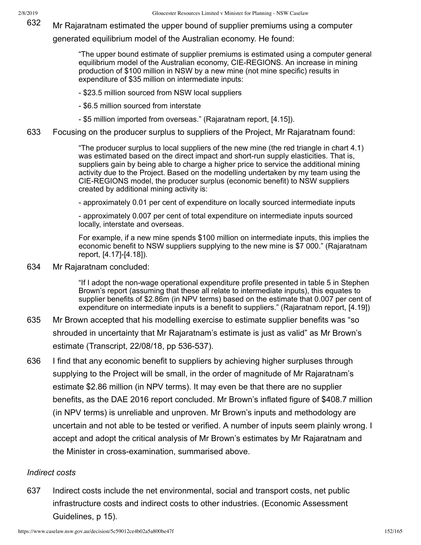632 Mr Rajaratnam estimated the upper bound of supplier premiums using a computer

generated equilibrium model of the Australian economy. He found:

"The upper bound estimate of supplier premiums is estimated using a computer general equilibrium model of the Australian economy, CIE-REGIONS. An increase in mining production of \$100 million in NSW by a new mine (not mine specific) results in expenditure of \$35 million on intermediate inputs:

- \$23.5 million sourced from NSW local suppliers
- \$6.5 million sourced from interstate
- \$5 million imported from overseas." (Rajaratnam report, [4.15]).

#### 633 Focusing on the producer surplus to suppliers of the Project, Mr Rajaratnam found:

"The producer surplus to local suppliers of the new mine (the red triangle in chart 4.1) was estimated based on the direct impact and short-run supply elasticities. That is, suppliers gain by being able to charge a higher price to service the additional mining activity due to the Project. Based on the modelling undertaken by my team using the CIE-REGIONS model, the producer surplus (economic benefit) to NSW suppliers created by additional mining activity is:

approximately 0.01 per cent of expenditure on locally sourced intermediate inputs

 approximately 0.007 per cent of total expenditure on intermediate inputs sourced locally, interstate and overseas.

For example, if a new mine spends \$100 million on intermediate inputs, this implies the economic benefit to NSW suppliers supplying to the new mine is \$7 000." (Rajaratnam report, [4.17]-[4.18]).

634 Mr Rajaratnam concluded:

"If I adopt the nonwage operational expenditure profile presented in table 5 in Stephen Brown's report (assuming that these all relate to intermediate inputs), this equates to supplier benefits of \$2.86m (in NPV terms) based on the estimate that 0.007 per cent of expenditure on intermediate inputs is a benefit to suppliers." (Rajaratnam report, [4.19])

- 635 Mr Brown accepted that his modelling exercise to estimate supplier benefits was "so shrouded in uncertainty that Mr Rajaratnam's estimate is just as valid" as Mr Brown's estimate (Transcript, 22/08/18, pp 536-537).
- 636 I find that any economic benefit to suppliers by achieving higher surpluses through supplying to the Project will be small, in the order of magnitude of Mr Rajaratnam's estimate \$2.86 million (in NPV terms). It may even be that there are no supplier benefits, as the DAE 2016 report concluded. Mr Brown's inflated figure of \$408.7 million (in NPV terms) is unreliable and unproven. Mr Brown's inputs and methodology are uncertain and not able to be tested or verified. A number of inputs seem plainly wrong. I accept and adopt the critical analysis of Mr Brown's estimates by Mr Rajaratnam and the Minister in cross-examination, summarised above.

### *Indirect costs*

637 Indirect costs include the net environmental, social and transport costs, net public infrastructure costs and indirect costs to other industries. (Economic Assessment Guidelines, p 15).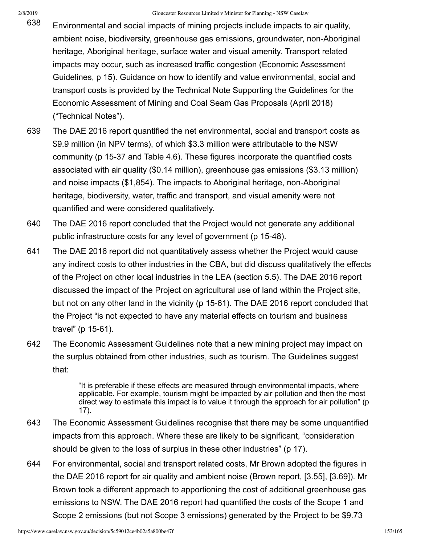- 638 Environmental and social impacts of mining projects include impacts to air quality, ambient noise, biodiversity, greenhouse gas emissions, groundwater, non-Aboriginal heritage, Aboriginal heritage, surface water and visual amenity. Transport related impacts may occur, such as increased traffic congestion (Economic Assessment Guidelines, p 15). Guidance on how to identify and value environmental, social and transport costs is provided by the Technical Note Supporting the Guidelines for the Economic Assessment of Mining and Coal Seam Gas Proposals (April 2018) ("Technical Notes").
- 639 The DAE 2016 report quantified the net environmental, social and transport costs as \$9.9 million (in NPV terms), of which \$3.3 million were attributable to the NSW community (p 1537 and Table 4.6). These figures incorporate the quantified costs associated with air quality (\$0.14 million), greenhouse gas emissions (\$3.13 million) and noise impacts (\$1,854). The impacts to Aboriginal heritage, non-Aboriginal heritage, biodiversity, water, traffic and transport, and visual amenity were not quantified and were considered qualitatively.
- 640 The DAE 2016 report concluded that the Project would not generate any additional public infrastructure costs for any level of government (p 1548).
- 641 The DAE 2016 report did not quantitatively assess whether the Project would cause any indirect costs to other industries in the CBA, but did discuss qualitatively the effects of the Project on other local industries in the LEA (section 5.5). The DAE 2016 report discussed the impact of the Project on agricultural use of land within the Project site, but not on any other land in the vicinity (p 1561). The DAE 2016 report concluded that the Project "is not expected to have any material effects on tourism and business travel" (p  $15-61$ ).
- 642 The Economic Assessment Guidelines note that a new mining project may impact on the surplus obtained from other industries, such as tourism. The Guidelines suggest that:

"It is preferable if these effects are measured through environmental impacts, where applicable. For example, tourism might be impacted by air pollution and then the most direct way to estimate this impact is to value it through the approach for air pollution" (p 17).

- 643 The Economic Assessment Guidelines recognise that there may be some unquantified impacts from this approach. Where these are likely to be significant, "consideration should be given to the loss of surplus in these other industries" (p 17).
- 644 For environmental, social and transport related costs, Mr Brown adopted the figures in the DAE 2016 report for air quality and ambient noise (Brown report, [3.55], [3.69]). Mr Brown took a different approach to apportioning the cost of additional greenhouse gas emissions to NSW. The DAE 2016 report had quantified the costs of the Scope 1 and Scope 2 emissions (but not Scope 3 emissions) generated by the Project to be \$9.73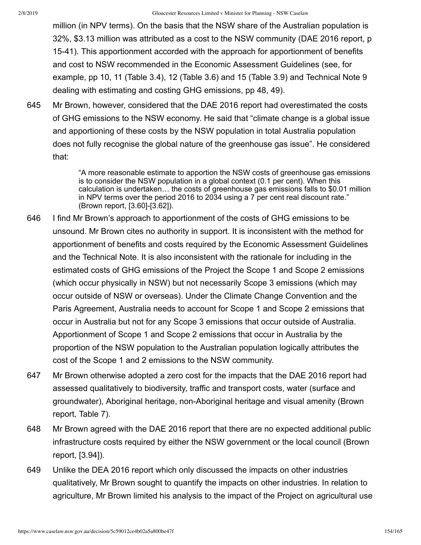million (in NPV terms). On the basis that the NSW share of the Australian population is 32%, \$3.13 million was attributed as a cost to the NSW community (DAE 2016 report, p 1541). This apportionment accorded with the approach for apportionment of benefits and cost to NSW recommended in the Economic Assessment Guidelines (see, for example, pp 10, 11 (Table 3.4), 12 (Table 3.6) and 15 (Table 3.9) and Technical Note 9 dealing with estimating and costing GHG emissions, pp 48, 49).

645 Mr Brown, however, considered that the DAE 2016 report had overestimated the costs of GHG emissions to the NSW economy. He said that "climate change is a global issue and apportioning of these costs by the NSW population in total Australia population does not fully recognise the global nature of the greenhouse gas issue". He considered that:

> "A more reasonable estimate to apportion the NSW costs of greenhouse gas emissions is to consider the NSW population in a global context (0.1 per cent). When this calculation is undertaken… the costs of greenhouse gas emissions falls to \$0.01 million in NPV terms over the period 2016 to 2034 using a 7 per cent real discount rate." (Brown report, [3.60]-[3.62]).

- 646 I find Mr Brown's approach to apportionment of the costs of GHG emissions to be unsound. Mr Brown cites no authority in support. It is inconsistent with the method for apportionment of benefits and costs required by the Economic Assessment Guidelines and the Technical Note. It is also inconsistent with the rationale for including in the estimated costs of GHG emissions of the Project the Scope 1 and Scope 2 emissions (which occur physically in NSW) but not necessarily Scope 3 emissions (which may occur outside of NSW or overseas). Under the Climate Change Convention and the Paris Agreement, Australia needs to account for Scope 1 and Scope 2 emissions that occur in Australia but not for any Scope 3 emissions that occur outside of Australia. Apportionment of Scope 1 and Scope 2 emissions that occur in Australia by the proportion of the NSW population to the Australian population logically attributes the cost of the Scope 1 and 2 emissions to the NSW community.
- 647 Mr Brown otherwise adopted a zero cost for the impacts that the DAE 2016 report had assessed qualitatively to biodiversity, traffic and transport costs, water (surface and groundwater), Aboriginal heritage, non-Aboriginal heritage and visual amenity (Brown report, Table 7).
- 648 Mr Brown agreed with the DAE 2016 report that there are no expected additional public infrastructure costs required by either the NSW government or the local council (Brown report, [3.94]).
- 649 Unlike the DEA 2016 report which only discussed the impacts on other industries qualitatively, Mr Brown sought to quantify the impacts on other industries. In relation to agriculture, Mr Brown limited his analysis to the impact of the Project on agricultural use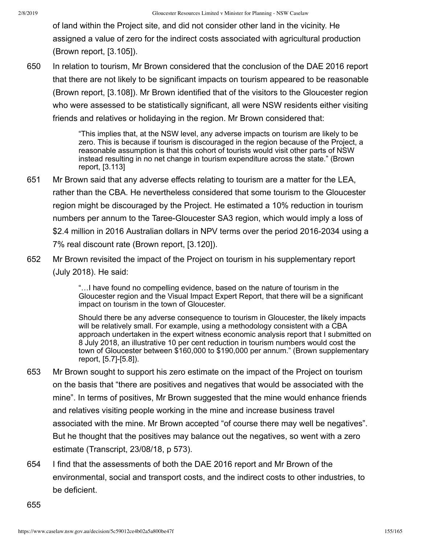of land within the Project site, and did not consider other land in the vicinity. He assigned a value of zero for the indirect costs associated with agricultural production (Brown report, [3.105]).

650 In relation to tourism, Mr Brown considered that the conclusion of the DAE 2016 report that there are not likely to be significant impacts on tourism appeared to be reasonable (Brown report, [3.108]). Mr Brown identified that of the visitors to the Gloucester region who were assessed to be statistically significant, all were NSW residents either visiting friends and relatives or holidaying in the region. Mr Brown considered that:

> "This implies that, at the NSW level, any adverse impacts on tourism are likely to be zero. This is because if tourism is discouraged in the region because of the Project, a reasonable assumption is that this cohort of tourists would visit other parts of NSW instead resulting in no net change in tourism expenditure across the state." (Brown report, [3.113]

- 651 Mr Brown said that any adverse effects relating to tourism are a matter for the LEA, rather than the CBA. He nevertheless considered that some tourism to the Gloucester region might be discouraged by the Project. He estimated a 10% reduction in tourism numbers per annum to the Taree-Gloucester SA3 region, which would imply a loss of \$2.4 million in 2016 Australian dollars in NPV terms over the period 2016-2034 using a 7% real discount rate (Brown report, [3.120]).
- 652 Mr Brown revisited the impact of the Project on tourism in his supplementary report (July 2018). He said:

"…I have found no compelling evidence, based on the nature of tourism in the Gloucester region and the Visual Impact Expert Report, that there will be a significant impact on tourism in the town of Gloucester.

Should there be any adverse consequence to tourism in Gloucester, the likely impacts will be relatively small. For example, using a methodology consistent with a CBA approach undertaken in the expert witness economic analysis report that I submitted on 8 July 2018, an illustrative 10 per cent reduction in tourism numbers would cost the town of Gloucester between \$160,000 to \$190,000 per annum." (Brown supplementary report, [5.7]-[5.8]).

- 653 Mr Brown sought to support his zero estimate on the impact of the Project on tourism on the basis that "there are positives and negatives that would be associated with the mine". In terms of positives, Mr Brown suggested that the mine would enhance friends and relatives visiting people working in the mine and increase business travel associated with the mine. Mr Brown accepted "of course there may well be negatives". But he thought that the positives may balance out the negatives, so went with a zero estimate (Transcript, 23/08/18, p 573).
- 654 I find that the assessments of both the DAE 2016 report and Mr Brown of the environmental, social and transport costs, and the indirect costs to other industries, to be deficient.

655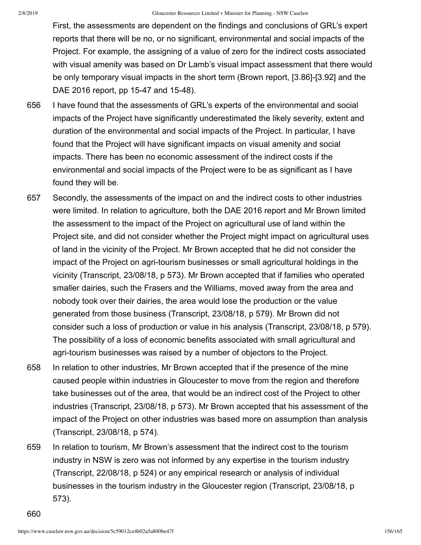First, the assessments are dependent on the findings and conclusions of GRL's expert reports that there will be no, or no significant, environmental and social impacts of the Project. For example, the assigning of a value of zero for the indirect costs associated with visual amenity was based on Dr Lamb's visual impact assessment that there would be only temporary visual impacts in the short term (Brown report, [3.86]-[3.92] and the DAE 2016 report, pp 15-47 and 15-48).

- 656 I have found that the assessments of GRL's experts of the environmental and social impacts of the Project have significantly underestimated the likely severity, extent and duration of the environmental and social impacts of the Project. In particular, I have found that the Project will have significant impacts on visual amenity and social impacts. There has been no economic assessment of the indirect costs if the environmental and social impacts of the Project were to be as significant as I have found they will be.
- 657 Secondly, the assessments of the impact on and the indirect costs to other industries were limited. In relation to agriculture, both the DAE 2016 report and Mr Brown limited the assessment to the impact of the Project on agricultural use of land within the Project site, and did not consider whether the Project might impact on agricultural uses of land in the vicinity of the Project. Mr Brown accepted that he did not consider the impact of the Project on agri-tourism businesses or small agricultural holdings in the vicinity (Transcript, 23/08/18, p 573). Mr Brown accepted that if families who operated smaller dairies, such the Frasers and the Williams, moved away from the area and nobody took over their dairies, the area would lose the production or the value generated from those business (Transcript, 23/08/18, p 579). Mr Brown did not consider such a loss of production or value in his analysis (Transcript, 23/08/18, p 579). The possibility of a loss of economic benefits associated with small agricultural and agri-tourism businesses was raised by a number of objectors to the Project.
- 658 In relation to other industries, Mr Brown accepted that if the presence of the mine caused people within industries in Gloucester to move from the region and therefore take businesses out of the area, that would be an indirect cost of the Project to other industries (Transcript, 23/08/18, p 573). Mr Brown accepted that his assessment of the impact of the Project on other industries was based more on assumption than analysis (Transcript, 23/08/18, p 574).
- 659 In relation to tourism, Mr Brown's assessment that the indirect cost to the tourism industry in NSW is zero was not informed by any expertise in the tourism industry (Transcript, 22/08/18, p 524) or any empirical research or analysis of individual businesses in the tourism industry in the Gloucester region (Transcript, 23/08/18, p 573).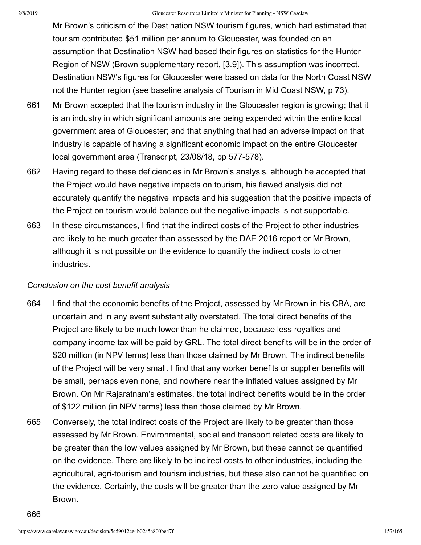Mr Brown's criticism of the Destination NSW tourism figures, which had estimated that tourism contributed \$51 million per annum to Gloucester, was founded on an assumption that Destination NSW had based their figures on statistics for the Hunter Region of NSW (Brown supplementary report, [3.9]). This assumption was incorrect. Destination NSW's figures for Gloucester were based on data for the North Coast NSW not the Hunter region (see baseline analysis of Tourism in Mid Coast NSW, p 73).

- 661 Mr Brown accepted that the tourism industry in the Gloucester region is growing; that it is an industry in which significant amounts are being expended within the entire local government area of Gloucester; and that anything that had an adverse impact on that industry is capable of having a significant economic impact on the entire Gloucester local government area (Transcript, 23/08/18, pp 577-578).
- 662 Having regard to these deficiencies in Mr Brown's analysis, although he accepted that the Project would have negative impacts on tourism, his flawed analysis did not accurately quantify the negative impacts and his suggestion that the positive impacts of the Project on tourism would balance out the negative impacts is not supportable.
- 663 In these circumstances, I find that the indirect costs of the Project to other industries are likely to be much greater than assessed by the DAE 2016 report or Mr Brown, although it is not possible on the evidence to quantify the indirect costs to other industries.

### *Conclusion on the cost benefit analysis*

- 664 I find that the economic benefits of the Project, assessed by Mr Brown in his CBA, are uncertain and in any event substantially overstated. The total direct benefits of the Project are likely to be much lower than he claimed, because less royalties and company income tax will be paid by GRL. The total direct benefits will be in the order of \$20 million (in NPV terms) less than those claimed by Mr Brown. The indirect benefits of the Project will be very small. I find that any worker benefits or supplier benefits will be small, perhaps even none, and nowhere near the inflated values assigned by Mr Brown. On Mr Rajaratnam's estimates, the total indirect benefits would be in the order of \$122 million (in NPV terms) less than those claimed by Mr Brown.
- 665 Conversely, the total indirect costs of the Project are likely to be greater than those assessed by Mr Brown. Environmental, social and transport related costs are likely to be greater than the low values assigned by Mr Brown, but these cannot be quantified on the evidence. There are likely to be indirect costs to other industries, including the agricultural, agri-tourism and tourism industries, but these also cannot be quantified on the evidence. Certainly, the costs will be greater than the zero value assigned by Mr Brown.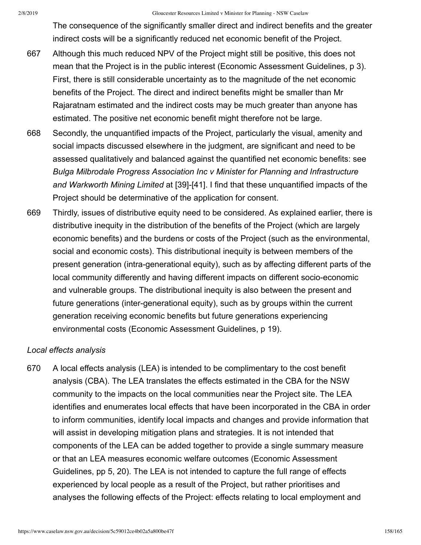The consequence of the significantly smaller direct and indirect benefits and the greater indirect costs will be a significantly reduced net economic benefit of the Project.

- 667 Although this much reduced NPV of the Project might still be positive, this does not mean that the Project is in the public interest (Economic Assessment Guidelines, p 3). First, there is still considerable uncertainty as to the magnitude of the net economic benefits of the Project. The direct and indirect benefits might be smaller than Mr Rajaratnam estimated and the indirect costs may be much greater than anyone has estimated. The positive net economic benefit might therefore not be large.
- 668 Secondly, the unquantified impacts of the Project, particularly the visual, amenity and social impacts discussed elsewhere in the judgment, are significant and need to be assessed qualitatively and balanced against the quantified net economic benefits: see *Bulga Milbrodale Progress Association Inc v Minister for Planning and Infrastructure* and Warkworth Mining Limited at [39]-[41]. I find that these unquantified impacts of the Project should be determinative of the application for consent.
- 669 Thirdly, issues of distributive equity need to be considered. As explained earlier, there is distributive inequity in the distribution of the benefits of the Project (which are largely economic benefits) and the burdens or costs of the Project (such as the environmental, social and economic costs). This distributional inequity is between members of the present generation (intra-generational equity), such as by affecting different parts of the local community differently and having different impacts on different socio-economic and vulnerable groups. The distributional inequity is also between the present and future generations (inter-generational equity), such as by groups within the current generation receiving economic benefits but future generations experiencing environmental costs (Economic Assessment Guidelines, p 19).

# *Local effects analysis*

670 A local effects analysis (LEA) is intended to be complimentary to the cost benefit analysis (CBA). The LEA translates the effects estimated in the CBA for the NSW community to the impacts on the local communities near the Project site. The LEA identifies and enumerates local effects that have been incorporated in the CBA in order to inform communities, identify local impacts and changes and provide information that will assist in developing mitigation plans and strategies. It is not intended that components of the LEA can be added together to provide a single summary measure or that an LEA measures economic welfare outcomes (Economic Assessment Guidelines, pp 5, 20). The LEA is not intended to capture the full range of effects experienced by local people as a result of the Project, but rather prioritises and analyses the following effects of the Project: effects relating to local employment and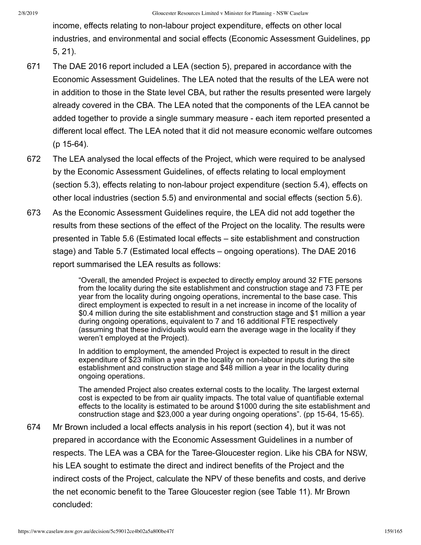income, effects relating to non-labour project expenditure, effects on other local industries, and environmental and social effects (Economic Assessment Guidelines, pp 5, 21).

- 671 The DAE 2016 report included a LEA (section 5), prepared in accordance with the Economic Assessment Guidelines. The LEA noted that the results of the LEA were not in addition to those in the State level CBA, but rather the results presented were largely already covered in the CBA. The LEA noted that the components of the LEA cannot be added together to provide a single summary measure each item reported presented a different local effect. The LEA noted that it did not measure economic welfare outcomes  $(p 15-64)$ .
- 672 The LEA analysed the local effects of the Project, which were required to be analysed by the Economic Assessment Guidelines, of effects relating to local employment (section 5.3), effects relating to non-labour project expenditure (section 5.4), effects on other local industries (section 5.5) and environmental and social effects (section 5.6).
- 673 As the Economic Assessment Guidelines require, the LEA did not add together the results from these sections of the effect of the Project on the locality. The results were presented in Table 5.6 (Estimated local effects – site establishment and construction stage) and Table 5.7 (Estimated local effects – ongoing operations). The DAE 2016 report summarised the LEA results as follows:

"Overall, the amended Project is expected to directly employ around 32 FTE persons from the locality during the site establishment and construction stage and 73 FTE per year from the locality during ongoing operations, incremental to the base case. This direct employment is expected to result in a net increase in income of the locality of \$0.4 million during the site establishment and construction stage and \$1 million a year during ongoing operations, equivalent to 7 and 16 additional FTE respectively (assuming that these individuals would earn the average wage in the locality if they weren't employed at the Project).

In addition to employment, the amended Project is expected to result in the direct expenditure of \$23 million a year in the locality on non-labour inputs during the site establishment and construction stage and \$48 million a year in the locality during ongoing operations.

The amended Project also creates external costs to the locality. The largest external cost is expected to be from air quality impacts. The total value of quantifiable external effects to the locality is estimated to be around \$1000 during the site establishment and construction stage and \$23,000 a year during ongoing operations". (pp 15-64, 15-65).

674 Mr Brown included a local effects analysis in his report (section 4), but it was not prepared in accordance with the Economic Assessment Guidelines in a number of respects. The LEA was a CBA for the Taree-Gloucester region. Like his CBA for NSW, his LEA sought to estimate the direct and indirect benefits of the Project and the indirect costs of the Project, calculate the NPV of these benefits and costs, and derive the net economic benefit to the Taree Gloucester region (see Table 11). Mr Brown concluded: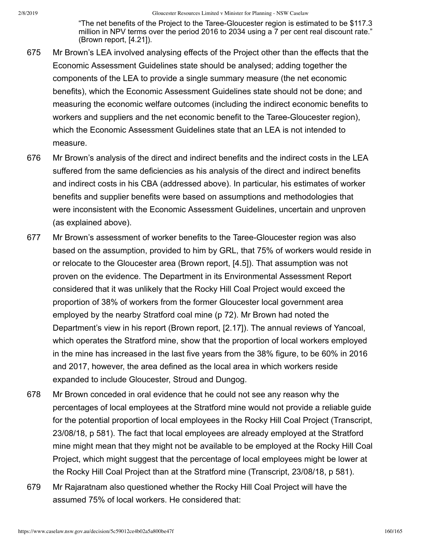"The net benefits of the Project to the TareeGloucester region is estimated to be \$117.3 million in NPV terms over the period 2016 to 2034 using a 7 per cent real discount rate." (Brown report, [4.21]).

- 675 Mr Brown's LEA involved analysing effects of the Project other than the effects that the Economic Assessment Guidelines state should be analysed; adding together the components of the LEA to provide a single summary measure (the net economic benefits), which the Economic Assessment Guidelines state should not be done; and measuring the economic welfare outcomes (including the indirect economic benefits to workers and suppliers and the net economic benefit to the Taree-Gloucester region), which the Economic Assessment Guidelines state that an LEA is not intended to measure.
- 676 Mr Brown's analysis of the direct and indirect benefits and the indirect costs in the LEA suffered from the same deficiencies as his analysis of the direct and indirect benefits and indirect costs in his CBA (addressed above). In particular, his estimates of worker benefits and supplier benefits were based on assumptions and methodologies that were inconsistent with the Economic Assessment Guidelines, uncertain and unproven (as explained above).
- 677 Mr Brown's assessment of worker benefits to the TareeGloucester region was also based on the assumption, provided to him by GRL, that 75% of workers would reside in or relocate to the Gloucester area (Brown report, [4.5]). That assumption was not proven on the evidence. The Department in its Environmental Assessment Report considered that it was unlikely that the Rocky Hill Coal Project would exceed the proportion of 38% of workers from the former Gloucester local government area employed by the nearby Stratford coal mine (p 72). Mr Brown had noted the Department's view in his report (Brown report, [2.17]). The annual reviews of Yancoal, which operates the Stratford mine, show that the proportion of local workers employed in the mine has increased in the last five years from the 38% figure, to be 60% in 2016 and 2017, however, the area defined as the local area in which workers reside expanded to include Gloucester, Stroud and Dungog.
- 678 Mr Brown conceded in oral evidence that he could not see any reason why the percentages of local employees at the Stratford mine would not provide a reliable guide for the potential proportion of local employees in the Rocky Hill Coal Project (Transcript, 23/08/18, p 581). The fact that local employees are already employed at the Stratford mine might mean that they might not be available to be employed at the Rocky Hill Coal Project, which might suggest that the percentage of local employees might be lower at the Rocky Hill Coal Project than at the Stratford mine (Transcript, 23/08/18, p 581).
- 679 Mr Rajaratnam also questioned whether the Rocky Hill Coal Project will have the assumed 75% of local workers. He considered that: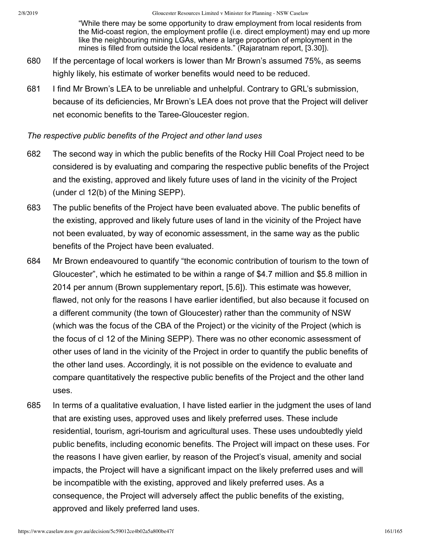"While there may be some opportunity to draw employment from local residents from the Mid-coast region, the employment profile (i.e. direct employment) may end up more like the neighbouring mining LGAs, where a large proportion of employment in the mines is filled from outside the local residents." (Rajaratnam report, [3.30]).

- 680 If the percentage of local workers is lower than Mr Brown's assumed 75%, as seems highly likely, his estimate of worker benefits would need to be reduced.
- 681 I find Mr Brown's LEA to be unreliable and unhelpful. Contrary to GRL's submission, because of its deficiencies, Mr Brown's LEA does not prove that the Project will deliver net economic benefits to the Taree-Gloucester region.

## *The respective public benefits of the Project and other land uses*

- 682 The second way in which the public benefits of the Rocky Hill Coal Project need to be considered is by evaluating and comparing the respective public benefits of the Project and the existing, approved and likely future uses of land in the vicinity of the Project (under cl 12(b) of the Mining SEPP).
- 683 The public benefits of the Project have been evaluated above. The public benefits of the existing, approved and likely future uses of land in the vicinity of the Project have not been evaluated, by way of economic assessment, in the same way as the public benefits of the Project have been evaluated.
- 684 Mr Brown endeavoured to quantify "the economic contribution of tourism to the town of Gloucester", which he estimated to be within a range of \$4.7 million and \$5.8 million in 2014 per annum (Brown supplementary report, [5.6]). This estimate was however, flawed, not only for the reasons I have earlier identified, but also because it focused on a different community (the town of Gloucester) rather than the community of NSW (which was the focus of the CBA of the Project) or the vicinity of the Project (which is the focus of cl 12 of the Mining SEPP). There was no other economic assessment of other uses of land in the vicinity of the Project in order to quantify the public benefits of the other land uses. Accordingly, it is not possible on the evidence to evaluate and compare quantitatively the respective public benefits of the Project and the other land uses.
- 685 In terms of a qualitative evaluation, I have listed earlier in the judgment the uses of land that are existing uses, approved uses and likely preferred uses. These include residential, tourism, agri-tourism and agricultural uses. These uses undoubtedly yield public benefits, including economic benefits. The Project will impact on these uses. For the reasons I have given earlier, by reason of the Project's visual, amenity and social impacts, the Project will have a significant impact on the likely preferred uses and will be incompatible with the existing, approved and likely preferred uses. As a consequence, the Project will adversely affect the public benefits of the existing, approved and likely preferred land uses.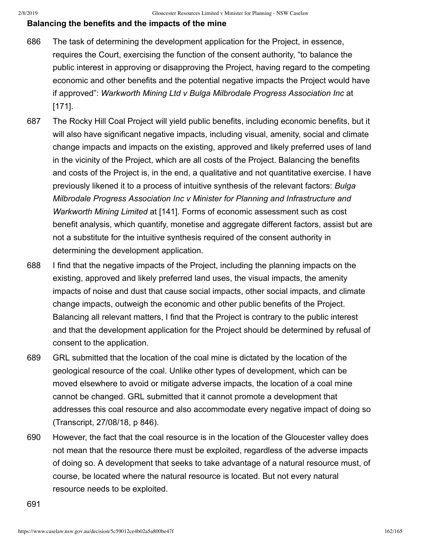## **Balancing the benefits and the impacts of the mine**

- 686 The task of determining the development application for the Project, in essence, requires the Court, exercising the function of the consent authority, "to balance the public interest in approving or disapproving the Project, having regard to the competing economic and other benefits and the potential negative impacts the Project would have if approved": *Warkworth Mining Ltd v Bulga Milbrodale Progress Association Inc* at [171].
- 687 The Rocky Hill Coal Project will yield public benefits, including economic benefits, but it will also have significant negative impacts, including visual, amenity, social and climate change impacts and impacts on the existing, approved and likely preferred uses of land in the vicinity of the Project, which are all costs of the Project. Balancing the benefits and costs of the Project is, in the end, a qualitative and not quantitative exercise. I have previously likened it to a process of intuitive synthesis of the relevant factors: *Bulga Milbrodale Progress Association Inc v Minister for Planning and Infrastructure and Warkworth Mining Limited* at [141]. Forms of economic assessment such as cost benefit analysis, which quantify, monetise and aggregate different factors, assist but are not a substitute for the intuitive synthesis required of the consent authority in determining the development application.
- 688 I find that the negative impacts of the Project, including the planning impacts on the existing, approved and likely preferred land uses, the visual impacts, the amenity impacts of noise and dust that cause social impacts, other social impacts, and climate change impacts, outweigh the economic and other public benefits of the Project. Balancing all relevant matters, I find that the Project is contrary to the public interest and that the development application for the Project should be determined by refusal of consent to the application.
- 689 GRL submitted that the location of the coal mine is dictated by the location of the geological resource of the coal. Unlike other types of development, which can be moved elsewhere to avoid or mitigate adverse impacts, the location of a coal mine cannot be changed. GRL submitted that it cannot promote a development that addresses this coal resource and also accommodate every negative impact of doing so (Transcript, 27/08/18, p 846).
- 690 However, the fact that the coal resource is in the location of the Gloucester valley does not mean that the resource there must be exploited, regardless of the adverse impacts of doing so. A development that seeks to take advantage of a natural resource must, of course, be located where the natural resource is located. But not every natural resource needs to be exploited.

691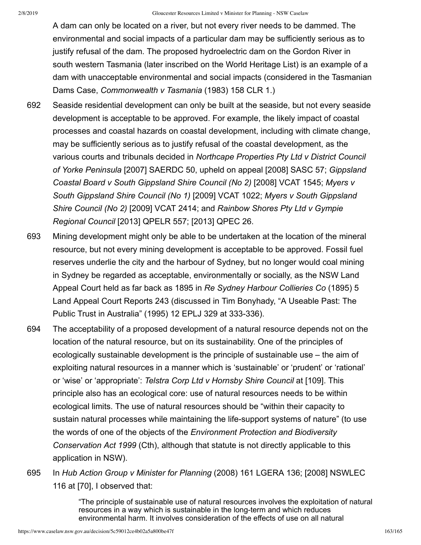A dam can only be located on a river, but not every river needs to be dammed. The environmental and social impacts of a particular dam may be sufficiently serious as to justify refusal of the dam. The proposed hydroelectric dam on the Gordon River in south western Tasmania (later inscribed on the World Heritage List) is an example of a dam with unacceptable environmental and social impacts (considered in the Tasmanian Dams Case, *Commonwealth v Tasmania* (1983) 158 CLR 1.)

- 692 Seaside residential development can only be built at the seaside, but not every seaside development is acceptable to be approved. For example, the likely impact of coastal processes and coastal hazards on coastal development, including with climate change, may be sufficiently serious as to justify refusal of the coastal development, as the various courts and tribunals decided in *Northcape Properties Pty Ltd v District Council of Yorke Peninsula* [2007] SAERDC 50, upheld on appeal [2008] SASC 57; *Gippsland Coastal Board v South Gippsland Shire Council (No 2)* [2008] VCAT 1545; *Myers v South Gippsland Shire Council (No 1)* [2009] VCAT 1022; *Myers v South Gippsland Shire Council (No 2)* [2009] VCAT 2414; and *Rainbow Shores Pty Ltd v Gympie Regional Council* [2013] QPELR 557; [2013] QPEC 26.
- 693 Mining development might only be able to be undertaken at the location of the mineral resource, but not every mining development is acceptable to be approved. Fossil fuel reserves underlie the city and the harbour of Sydney, but no longer would coal mining in Sydney be regarded as acceptable, environmentally or socially, as the NSW Land Appeal Court held as far back as 1895 in *Re Sydney Harbour Collieries Co* (1895) 5 Land Appeal Court Reports 243 (discussed in Tim Bonyhady, "A Useable Past: The Public Trust in Australia" (1995) 12 EPLJ 329 at 333-336).
- 694 The acceptability of a proposed development of a natural resource depends not on the location of the natural resource, but on its sustainability. One of the principles of ecologically sustainable development is the principle of sustainable use – the aim of exploiting natural resources in a manner which is 'sustainable' or 'prudent' or 'rational' or 'wise' or 'appropriate': *Telstra Corp Ltd v Hornsby Shire Council* at [109]. This principle also has an ecological core: use of natural resources needs to be within ecological limits. The use of natural resources should be "within their capacity to sustain natural processes while maintaining the life-support systems of nature" (to use the words of one of the objects of the *Environment Protection and Biodiversity Conservation Act 1999* (Cth), although that statute is not directly applicable to this application in NSW).
- 695 In *Hub Action Group v Minister for Planning* (2008) 161 LGERA 136; [2008] NSWLEC 116 at [70], I observed that:

"The principle of sustainable use of natural resources involves the exploitation of natural resources in a way which is sustainable in the long-term and which reduces environmental harm. It involves consideration of the effects of use on all natural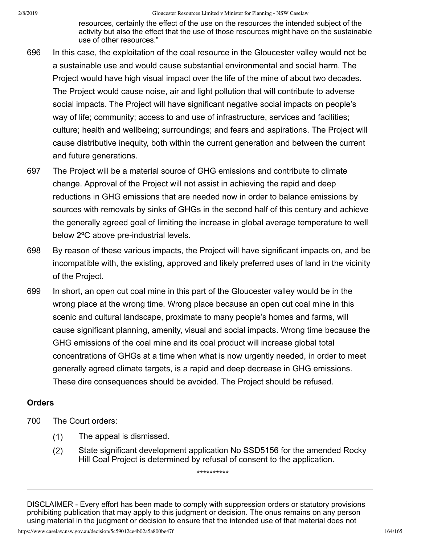resources, certainly the effect of the use on the resources the intended subject of the activity but also the effect that the use of those resources might have on the sustainable use of other resources."

- 696 In this case, the exploitation of the coal resource in the Gloucester valley would not be a sustainable use and would cause substantial environmental and social harm. The Project would have high visual impact over the life of the mine of about two decades. The Project would cause noise, air and light pollution that will contribute to adverse social impacts. The Project will have significant negative social impacts on people's way of life; community; access to and use of infrastructure, services and facilities; culture; health and wellbeing; surroundings; and fears and aspirations. The Project will cause distributive inequity, both within the current generation and between the current and future generations.
- 697 The Project will be a material source of GHG emissions and contribute to climate change. Approval of the Project will not assist in achieving the rapid and deep reductions in GHG emissions that are needed now in order to balance emissions by sources with removals by sinks of GHGs in the second half of this century and achieve the generally agreed goal of limiting the increase in global average temperature to well below 2°C above pre-industrial levels.
- 698 By reason of these various impacts, the Project will have significant impacts on, and be incompatible with, the existing, approved and likely preferred uses of land in the vicinity of the Project.
- 699 In short, an open cut coal mine in this part of the Gloucester valley would be in the wrong place at the wrong time. Wrong place because an open cut coal mine in this scenic and cultural landscape, proximate to many people's homes and farms, will cause significant planning, amenity, visual and social impacts. Wrong time because the GHG emissions of the coal mine and its coal product will increase global total concentrations of GHGs at a time when what is now urgently needed, in order to meet generally agreed climate targets, is a rapid and deep decrease in GHG emissions. These dire consequences should be avoided. The Project should be refused.

### **Orders**

- 700 The Court orders:
	- (1) The appeal is dismissed.
	- (2) State significant development application No SSD5156 for the amended Rocky Hill Coal Project is determined by refusal of consent to the application.

\*\*\*\*\*\*\*\*\*\*

DISCLAIMER Every effort has been made to comply with suppression orders or statutory provisions prohibiting publication that may apply to this judgment or decision. The onus remains on any person using material in the judgment or decision to ensure that the intended use of that material does not